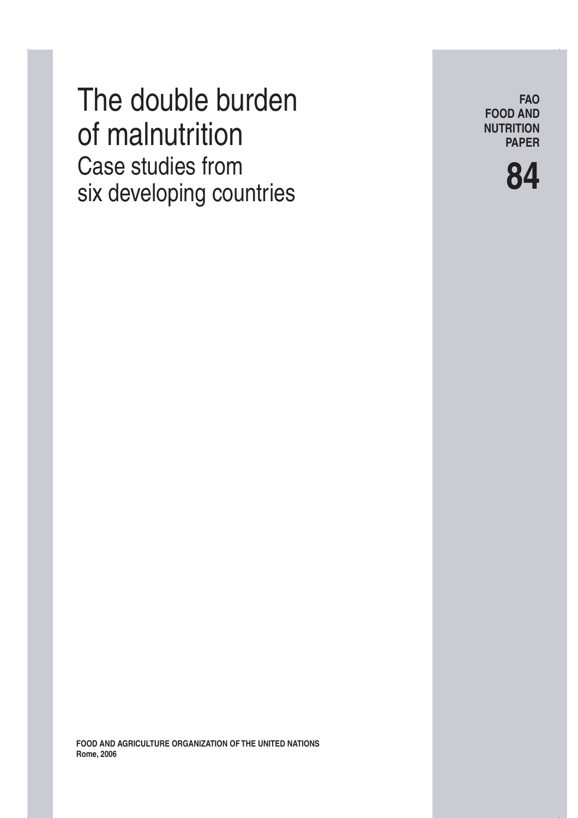The double burden of malnutrition Case studies from six developing countries

**FAO FOOD AND NUTRITION PAPER**

**84**

**FOOD AND AGRICULTURE ORGANIZATION OF THE UNITED NATIONS Rome, 2006**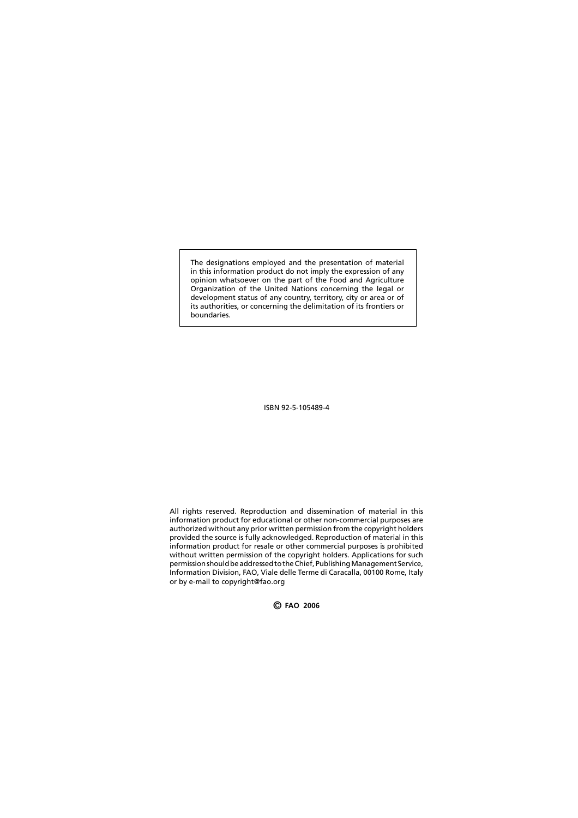The designations employed and the presentation of material In this information product do not imply the expression of any opinion whatsoever on the part of the Food and Agriculture Organization of the United Nations concerning the legal or development status of any country, territory, city or area or of Interaction of the state of the state of the state of the state of the state of the state of the state of the state of the state of the state of the state of the state of the state of the state of the state of the state of boundaries.

ISBN 92-5-105489-4

All rights reserved. Reproduction and dissemination of material in this information product for educational or other non-commercial purposes are authorized without any prior written permission from the copyright holders provided the source is fully acknowledged. Reproduction of material in this information product for resale or other commercial purposes is prohibited without written permission of the copyright holders. Applications for such permission should be addressed to the Chief, Publishing Management Service, Information Division, FAO, Viale delle Terme di Caracalla, 00100 Rome, Italy or by e-mail to copyright@fao.org

 $@$  **FAO** 2006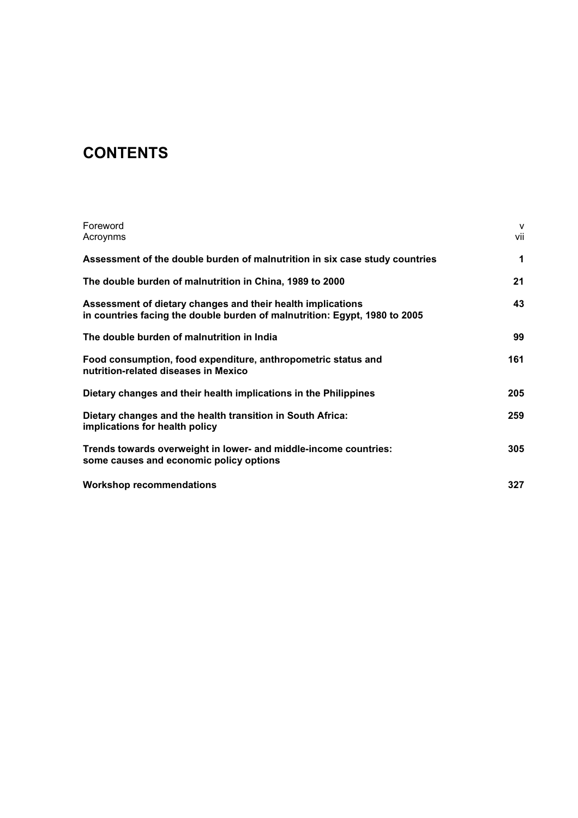# **CONTENTS**

| Foreword<br>Acroynms                                                                                                                      | $\mathsf{V}$<br>vii |
|-------------------------------------------------------------------------------------------------------------------------------------------|---------------------|
| Assessment of the double burden of malnutrition in six case study countries                                                               | 1                   |
| The double burden of malnutrition in China, 1989 to 2000                                                                                  | 21                  |
| Assessment of dietary changes and their health implications<br>in countries facing the double burden of malnutrition: Egypt, 1980 to 2005 | 43                  |
| The double burden of malnutrition in India                                                                                                | 99                  |
| Food consumption, food expenditure, anthropometric status and<br>nutrition-related diseases in Mexico                                     | 161                 |
| Dietary changes and their health implications in the Philippines                                                                          | 205                 |
| Dietary changes and the health transition in South Africa:<br>implications for health policy                                              | 259                 |
| Trends towards overweight in lower- and middle-income countries:<br>some causes and economic policy options                               | 305                 |
| <b>Workshop recommendations</b>                                                                                                           | 327                 |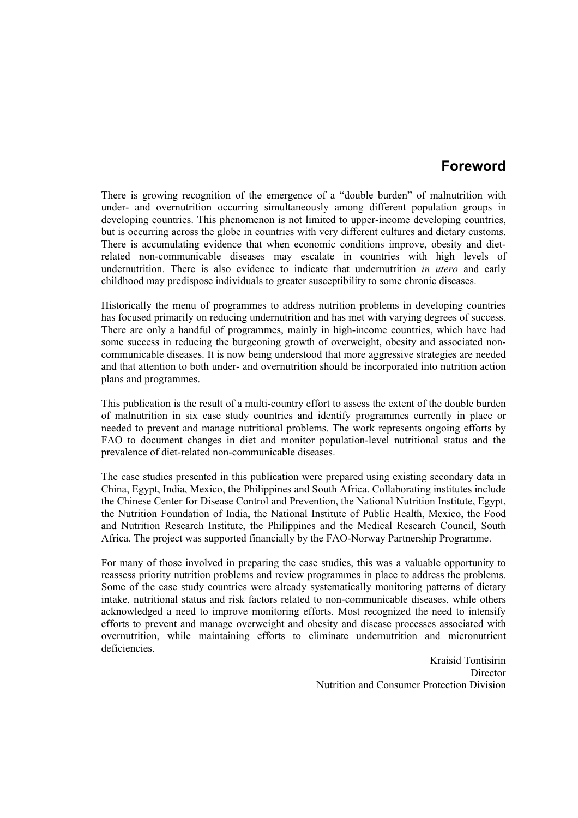# **Foreword**

There is growing recognition of the emergence of a "double burden" of malnutrition with under- and overnutrition occurring simultaneously among different population groups in developing countries. This phenomenon is not limited to upper-income developing countries, but is occurring across the globe in countries with very different cultures and dietary customs. There is accumulating evidence that when economic conditions improve, obesity and dietrelated non-communicable diseases may escalate in countries with high levels of undernutrition. There is also evidence to indicate that undernutrition *in utero* and early childhood may predispose individuals to greater susceptibility to some chronic diseases.

Historically the menu of programmes to address nutrition problems in developing countries has focused primarily on reducing undernutrition and has met with varying degrees of success. There are only a handful of programmes, mainly in high-income countries, which have had some success in reducing the burgeoning growth of overweight, obesity and associated noncommunicable diseases. It is now being understood that more aggressive strategies are needed and that attention to both under- and overnutrition should be incorporated into nutrition action plans and programmes.

This publication is the result of a multi-country effort to assess the extent of the double burden of malnutrition in six case study countries and identify programmes currently in place or needed to prevent and manage nutritional problems. The work represents ongoing efforts by FAO to document changes in diet and monitor population-level nutritional status and the prevalence of diet-related non-communicable diseases.

The case studies presented in this publication were prepared using existing secondary data in China, Egypt, India, Mexico, the Philippines and South Africa. Collaborating institutes include the Chinese Center for Disease Control and Prevention, the National Nutrition Institute, Egypt, the Nutrition Foundation of India, the National Institute of Public Health, Mexico, the Food and Nutrition Research Institute, the Philippines and the Medical Research Council, South Africa. The project was supported financially by the FAO-Norway Partnership Programme.

For many of those involved in preparing the case studies, this was a valuable opportunity to reassess priority nutrition problems and review programmes in place to address the problems. Some of the case study countries were already systematically monitoring patterns of dietary intake, nutritional status and risk factors related to non-communicable diseases, while others acknowledged a need to improve monitoring efforts. Most recognized the need to intensify efforts to prevent and manage overweight and obesity and disease processes associated with overnutrition, while maintaining efforts to eliminate undernutrition and micronutrient deficiencies.

> Kraisid Tontisirin Director Nutrition and Consumer Protection Division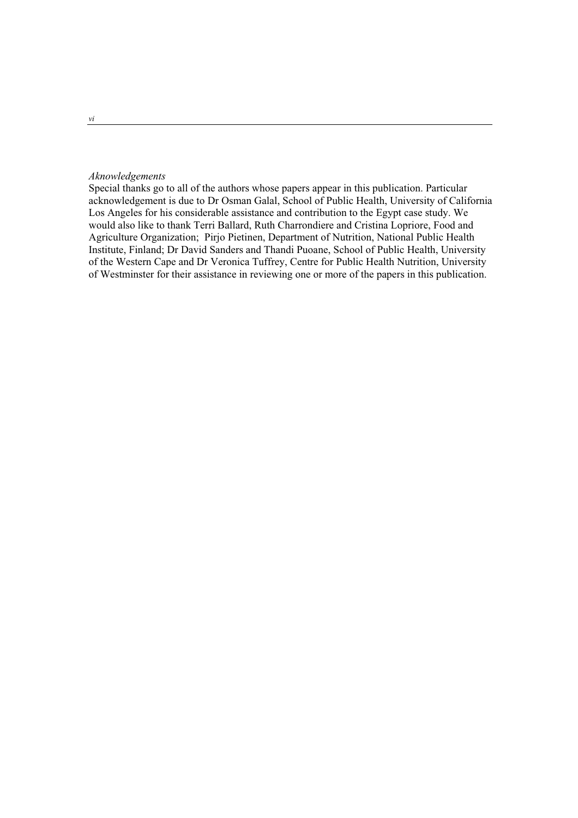# *Aknowledgements*

Special thanks go to all of the authors whose papers appear in this publication. Particular acknowledgement is due to Dr Osman Galal, School of Public Health, University of California Los Angeles for his considerable assistance and contribution to the Egypt case study. We would also like to thank Terri Ballard, Ruth Charrondiere and Cristina Lopriore, Food and Agriculture Organization; Pirjo Pietinen, Department of Nutrition, National Public Health Institute, Finland; Dr David Sanders and Thandi Puoane, School of Public Health, University of the Western Cape and Dr Veronica Tuffrey, Centre for Public Health Nutrition, University of Westminster for their assistance in reviewing one or more of the papers in this publication.

*vi*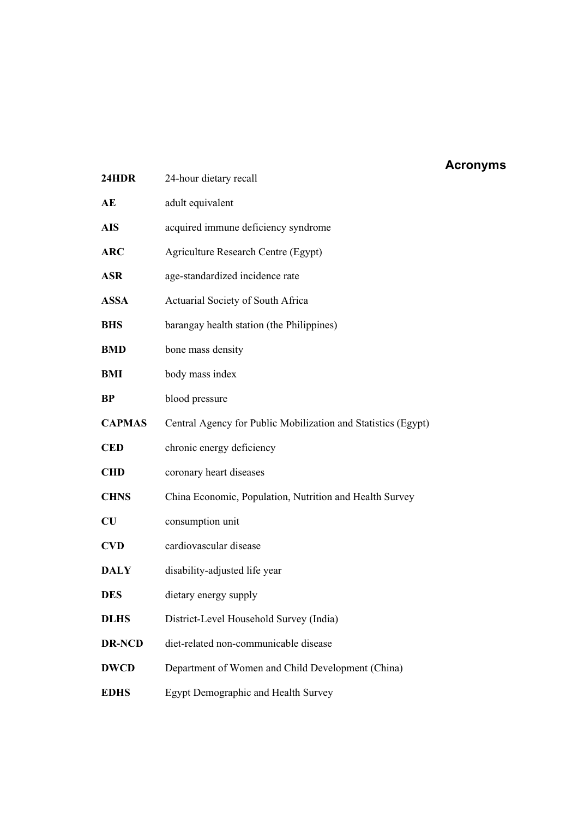# **Acronyms**

| 24HDR         | 24-hour dietary recall                                        |
|---------------|---------------------------------------------------------------|
| AE            | adult equivalent                                              |
| <b>AIS</b>    | acquired immune deficiency syndrome                           |
| <b>ARC</b>    | Agriculture Research Centre (Egypt)                           |
| <b>ASR</b>    | age-standardized incidence rate                               |
| <b>ASSA</b>   | Actuarial Society of South Africa                             |
| <b>BHS</b>    | barangay health station (the Philippines)                     |
| <b>BMD</b>    | bone mass density                                             |
| BMI           | body mass index                                               |
| <b>BP</b>     | blood pressure                                                |
| <b>CAPMAS</b> | Central Agency for Public Mobilization and Statistics (Egypt) |
| <b>CED</b>    | chronic energy deficiency                                     |
| <b>CHD</b>    | coronary heart diseases                                       |
| <b>CHNS</b>   | China Economic, Population, Nutrition and Health Survey       |
| CU            | consumption unit                                              |
| <b>CVD</b>    | cardiovascular disease                                        |
| <b>DALY</b>   | disability-adjusted life year                                 |
| <b>DES</b>    | dietary energy supply                                         |
| <b>DLHS</b>   | District-Level Household Survey (India)                       |
| <b>DR-NCD</b> | diet-related non-communicable disease                         |
| <b>DWCD</b>   | Department of Women and Child Development (China)             |
| <b>EDHS</b>   | <b>Egypt Demographic and Health Survey</b>                    |
|               |                                                               |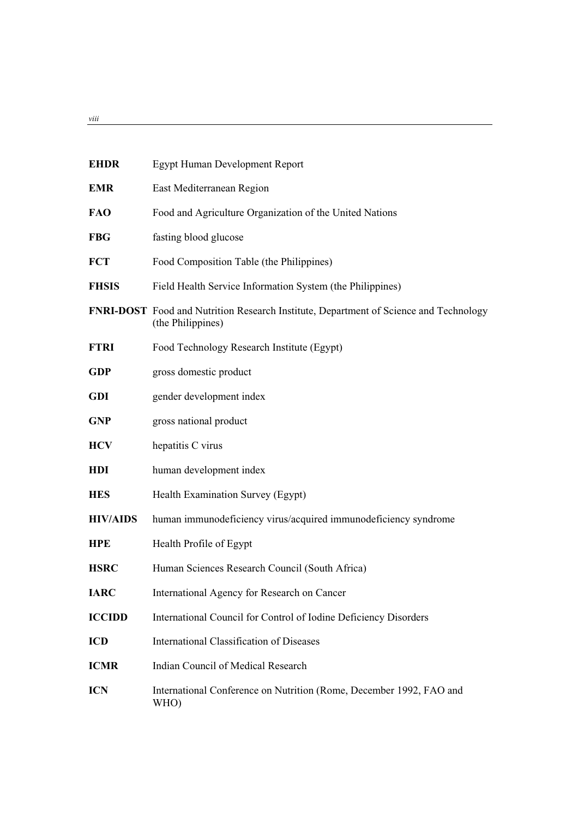#### *viii*

| <b>EHDR</b>     | Egypt Human Development Report                                                                             |
|-----------------|------------------------------------------------------------------------------------------------------------|
| <b>EMR</b>      | East Mediterranean Region                                                                                  |
| <b>FAO</b>      | Food and Agriculture Organization of the United Nations                                                    |
| <b>FBG</b>      | fasting blood glucose                                                                                      |
| <b>FCT</b>      | Food Composition Table (the Philippines)                                                                   |
| <b>FHSIS</b>    | Field Health Service Information System (the Philippines)                                                  |
|                 | FNRI-DOST Food and Nutrition Research Institute, Department of Science and Technology<br>(the Philippines) |
| <b>FTRI</b>     | Food Technology Research Institute (Egypt)                                                                 |
| <b>GDP</b>      | gross domestic product                                                                                     |
| <b>GDI</b>      | gender development index                                                                                   |
| <b>GNP</b>      | gross national product                                                                                     |
| <b>HCV</b>      | hepatitis C virus                                                                                          |
| HDI             | human development index                                                                                    |
| <b>HES</b>      | Health Examination Survey (Egypt)                                                                          |
| <b>HIV/AIDS</b> | human immunodeficiency virus/acquired immunodeficiency syndrome                                            |
| <b>HPE</b>      | Health Profile of Egypt                                                                                    |
| <b>HSRC</b>     | Human Sciences Research Council (South Africa)                                                             |
| <b>IARC</b>     | International Agency for Research on Cancer                                                                |
| <b>ICCIDD</b>   | International Council for Control of Iodine Deficiency Disorders                                           |
| <b>ICD</b>      | <b>International Classification of Diseases</b>                                                            |
| <b>ICMR</b>     | Indian Council of Medical Research                                                                         |
| <b>ICN</b>      | International Conference on Nutrition (Rome, December 1992, FAO and<br>WHO)                                |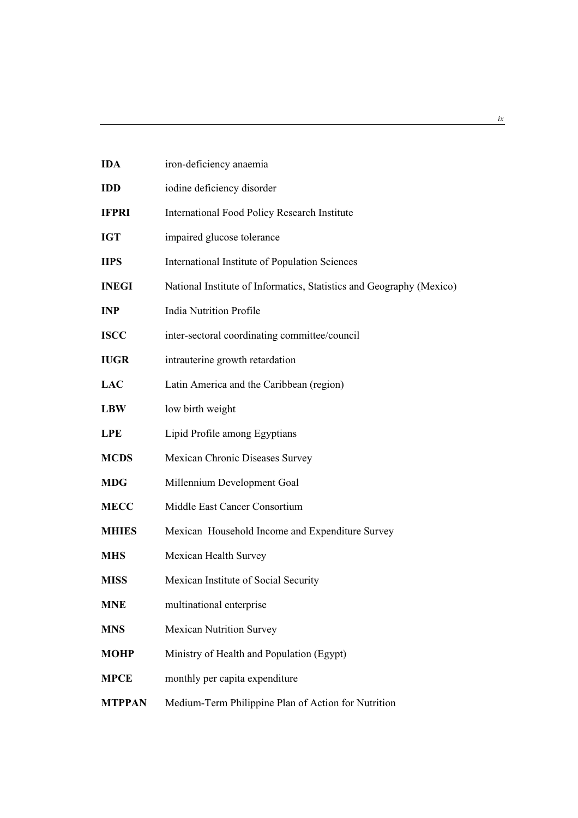| <b>IDA</b>    | iron-deficiency anaemia                                              |
|---------------|----------------------------------------------------------------------|
| <b>IDD</b>    | iodine deficiency disorder                                           |
| <b>IFPRI</b>  | <b>International Food Policy Research Institute</b>                  |
| <b>IGT</b>    | impaired glucose tolerance                                           |
| <b>IIPS</b>   | International Institute of Population Sciences                       |
| <b>INEGI</b>  | National Institute of Informatics, Statistics and Geography (Mexico) |
| <b>INP</b>    | <b>India Nutrition Profile</b>                                       |
| <b>ISCC</b>   | inter-sectoral coordinating committee/council                        |
| <b>IUGR</b>   | intrauterine growth retardation                                      |
| <b>LAC</b>    | Latin America and the Caribbean (region)                             |
| <b>LBW</b>    | low birth weight                                                     |
| <b>LPE</b>    | Lipid Profile among Egyptians                                        |
| <b>MCDS</b>   | Mexican Chronic Diseases Survey                                      |
| <b>MDG</b>    | Millennium Development Goal                                          |
| <b>MECC</b>   | Middle East Cancer Consortium                                        |
| <b>MHIES</b>  | Mexican Household Income and Expenditure Survey                      |
| <b>MHS</b>    | Mexican Health Survey                                                |
| <b>MISS</b>   | Mexican Institute of Social Security                                 |
| <b>MNE</b>    | multinational enterprise                                             |
| <b>MNS</b>    | <b>Mexican Nutrition Survey</b>                                      |
| <b>MOHP</b>   | Ministry of Health and Population (Egypt)                            |
| <b>MPCE</b>   | monthly per capita expenditure                                       |
| <b>MTPPAN</b> | Medium-Term Philippine Plan of Action for Nutrition                  |
|               |                                                                      |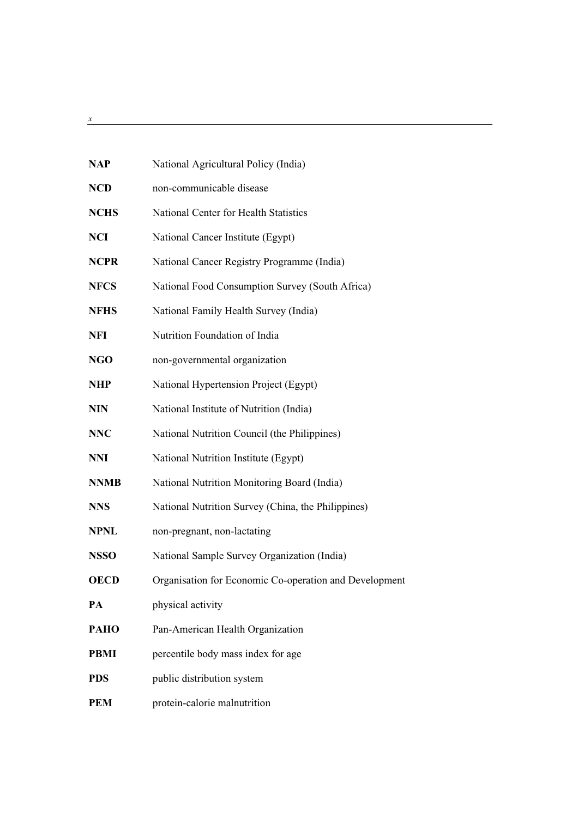| <b>NAP</b>  | National Agricultural Policy (India)                   |
|-------------|--------------------------------------------------------|
| <b>NCD</b>  | non-communicable disease                               |
| <b>NCHS</b> | National Center for Health Statistics                  |
| <b>NCI</b>  | National Cancer Institute (Egypt)                      |
| <b>NCPR</b> | National Cancer Registry Programme (India)             |
| <b>NFCS</b> | National Food Consumption Survey (South Africa)        |
| <b>NFHS</b> | National Family Health Survey (India)                  |
| <b>NFI</b>  | Nutrition Foundation of India                          |
| <b>NGO</b>  | non-governmental organization                          |
| <b>NHP</b>  | National Hypertension Project (Egypt)                  |
| <b>NIN</b>  | National Institute of Nutrition (India)                |
| <b>NNC</b>  | National Nutrition Council (the Philippines)           |
| <b>NNI</b>  | National Nutrition Institute (Egypt)                   |
| <b>NNMB</b> | National Nutrition Monitoring Board (India)            |
| <b>NNS</b>  | National Nutrition Survey (China, the Philippines)     |
| <b>NPNL</b> | non-pregnant, non-lactating                            |
| <b>NSSO</b> | National Sample Survey Organization (India)            |
| <b>OECD</b> | Organisation for Economic Co-operation and Development |
| PA          | physical activity                                      |
| <b>PAHO</b> | Pan-American Health Organization                       |
| <b>PBMI</b> | percentile body mass index for age                     |
| <b>PDS</b>  | public distribution system                             |
| <b>PEM</b>  | protein-calorie malnutrition                           |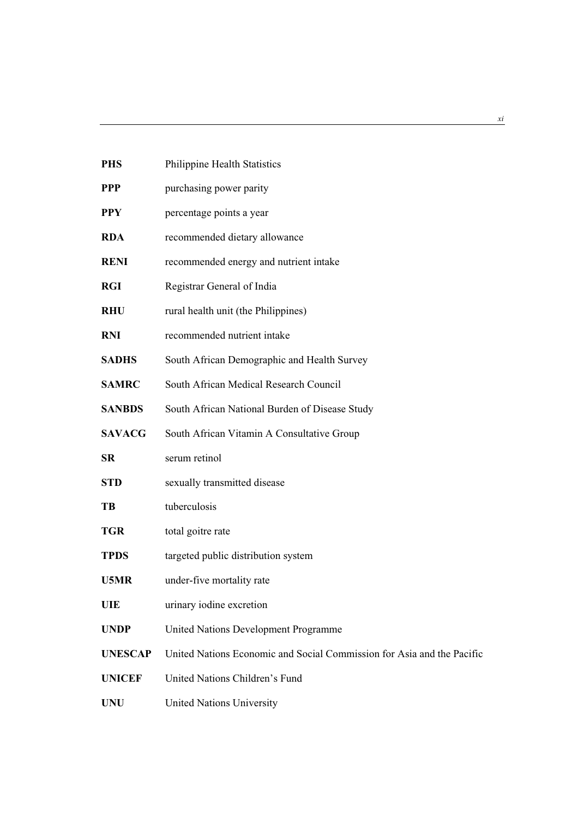| <b>PHS</b>     | Philippine Health Statistics                                           |
|----------------|------------------------------------------------------------------------|
| <b>PPP</b>     | purchasing power parity                                                |
| <b>PPY</b>     | percentage points a year                                               |
| <b>RDA</b>     | recommended dietary allowance                                          |
| <b>RENI</b>    | recommended energy and nutrient intake                                 |
| <b>RGI</b>     | Registrar General of India                                             |
| <b>RHU</b>     | rural health unit (the Philippines)                                    |
| <b>RNI</b>     | recommended nutrient intake                                            |
| <b>SADHS</b>   | South African Demographic and Health Survey                            |
| <b>SAMRC</b>   | South African Medical Research Council                                 |
| <b>SANBDS</b>  | South African National Burden of Disease Study                         |
| <b>SAVACG</b>  | South African Vitamin A Consultative Group                             |
| <b>SR</b>      | serum retinol                                                          |
| <b>STD</b>     | sexually transmitted disease                                           |
| TB             | tuberculosis                                                           |
| <b>TGR</b>     | total goitre rate                                                      |
| <b>TPDS</b>    | targeted public distribution system                                    |
| U5MR           | under-five mortality rate                                              |
| <b>UIE</b>     | urinary iodine excretion                                               |
| <b>UNDP</b>    | United Nations Development Programme                                   |
| <b>UNESCAP</b> | United Nations Economic and Social Commission for Asia and the Pacific |
| <b>UNICEF</b>  | United Nations Children's Fund                                         |
| <b>UNU</b>     | United Nations University                                              |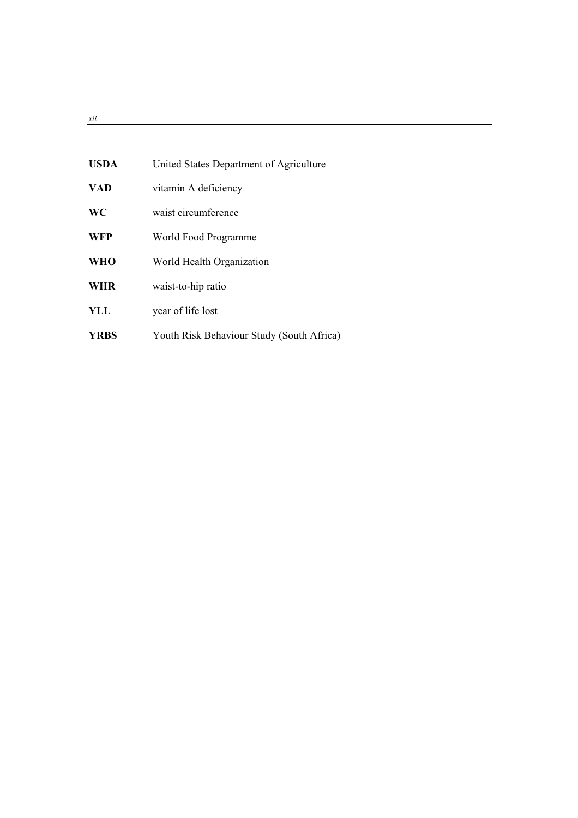| USDA        | United States Department of Agriculture   |
|-------------|-------------------------------------------|
| <b>VAD</b>  | vitamin A deficiency                      |
| WС          | waist circumference                       |
| WFP         | World Food Programme                      |
| WHO         | World Health Organization                 |
| WHR         | waist-to-hip ratio                        |
| YLL         | year of life lost                         |
| <b>YRBS</b> | Youth Risk Behaviour Study (South Africa) |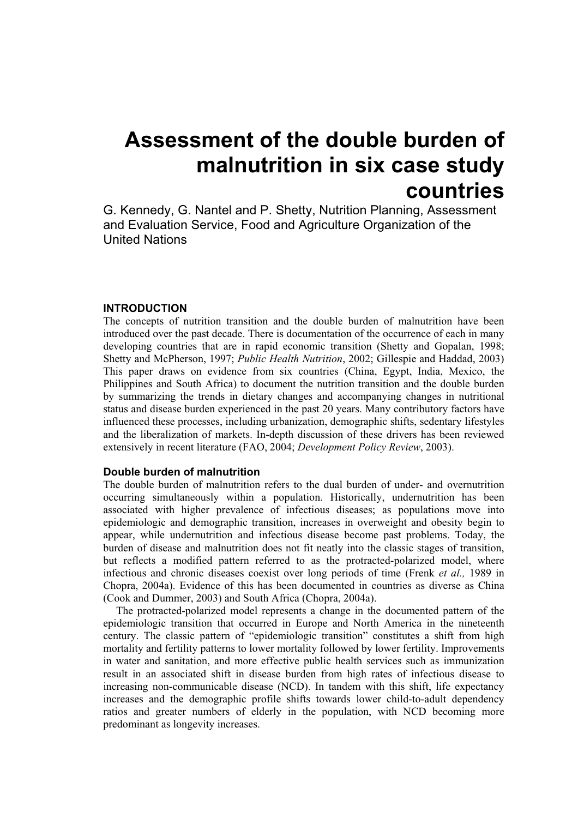# **Assessment of the double burden of malnutrition in six case study countries**

G. Kennedy, G. Nantel and P. Shetty, Nutrition Planning, Assessment and Evaluation Service, Food and Agriculture Organization of the United Nations

# **INTRODUCTION**

The concepts of nutrition transition and the double burden of malnutrition have been introduced over the past decade. There is documentation of the occurrence of each in many developing countries that are in rapid economic transition (Shetty and Gopalan, 1998; Shetty and McPherson, 1997; *Public Health Nutrition*, 2002; Gillespie and Haddad, 2003) This paper draws on evidence from six countries (China, Egypt, India, Mexico, the Philippines and South Africa) to document the nutrition transition and the double burden by summarizing the trends in dietary changes and accompanying changes in nutritional status and disease burden experienced in the past 20 years. Many contributory factors have influenced these processes, including urbanization, demographic shifts, sedentary lifestyles and the liberalization of markets. In-depth discussion of these drivers has been reviewed extensively in recent literature (FAO, 2004; *Development Policy Review*, 2003).

# **Double burden of malnutrition**

The double burden of malnutrition refers to the dual burden of under- and overnutrition occurring simultaneously within a population. Historically, undernutrition has been associated with higher prevalence of infectious diseases; as populations move into epidemiologic and demographic transition, increases in overweight and obesity begin to appear, while undernutrition and infectious disease become past problems. Today, the burden of disease and malnutrition does not fit neatly into the classic stages of transition, but reflects a modified pattern referred to as the protracted-polarized model, where infectious and chronic diseases coexist over long periods of time (Frenk *et al.,* 1989 in Chopra, 2004a). Evidence of this has been documented in countries as diverse as China (Cook and Dummer, 2003) and South Africa (Chopra, 2004a).

The protracted-polarized model represents a change in the documented pattern of the epidemiologic transition that occurred in Europe and North America in the nineteenth century. The classic pattern of "epidemiologic transition" constitutes a shift from high mortality and fertility patterns to lower mortality followed by lower fertility. Improvements in water and sanitation, and more effective public health services such as immunization result in an associated shift in disease burden from high rates of infectious disease to increasing non-communicable disease (NCD). In tandem with this shift, life expectancy increases and the demographic profile shifts towards lower child-to-adult dependency ratios and greater numbers of elderly in the population, with NCD becoming more predominant as longevity increases.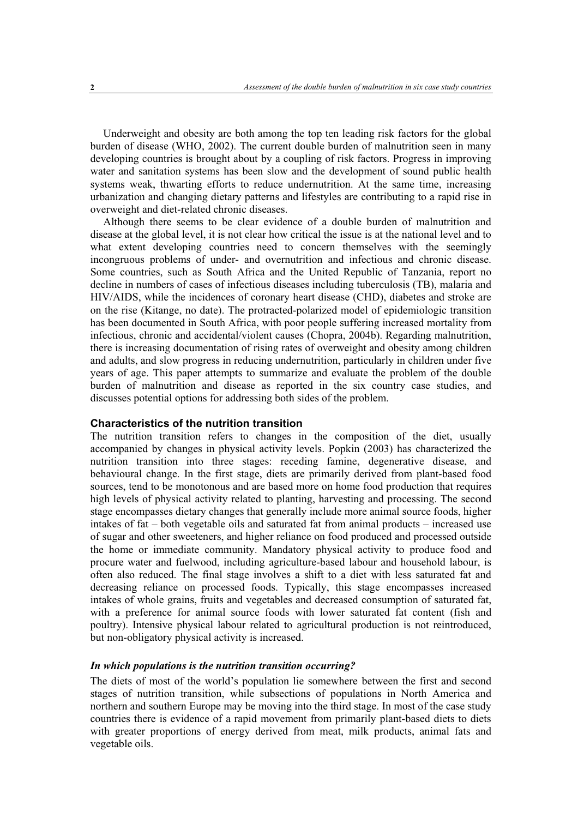Underweight and obesity are both among the top ten leading risk factors for the global burden of disease (WHO, 2002). The current double burden of malnutrition seen in many developing countries is brought about by a coupling of risk factors. Progress in improving water and sanitation systems has been slow and the development of sound public health systems weak, thwarting efforts to reduce undernutrition. At the same time, increasing urbanization and changing dietary patterns and lifestyles are contributing to a rapid rise in overweight and diet-related chronic diseases.

Although there seems to be clear evidence of a double burden of malnutrition and disease at the global level, it is not clear how critical the issue is at the national level and to what extent developing countries need to concern themselves with the seemingly incongruous problems of under- and overnutrition and infectious and chronic disease. Some countries, such as South Africa and the United Republic of Tanzania, report no decline in numbers of cases of infectious diseases including tuberculosis (TB), malaria and HIV/AIDS, while the incidences of coronary heart disease (CHD), diabetes and stroke are on the rise (Kitange, no date). The protracted-polarized model of epidemiologic transition has been documented in South Africa, with poor people suffering increased mortality from infectious, chronic and accidental/violent causes (Chopra, 2004b). Regarding malnutrition, there is increasing documentation of rising rates of overweight and obesity among children and adults, and slow progress in reducing undernutrition, particularly in children under five years of age. This paper attempts to summarize and evaluate the problem of the double burden of malnutrition and disease as reported in the six country case studies, and discusses potential options for addressing both sides of the problem.

# **Characteristics of the nutrition transition**

The nutrition transition refers to changes in the composition of the diet, usually accompanied by changes in physical activity levels. Popkin (2003) has characterized the nutrition transition into three stages: receding famine, degenerative disease, and behavioural change. In the first stage, diets are primarily derived from plant-based food sources, tend to be monotonous and are based more on home food production that requires high levels of physical activity related to planting, harvesting and processing. The second stage encompasses dietary changes that generally include more animal source foods, higher intakes of fat – both vegetable oils and saturated fat from animal products – increased use of sugar and other sweeteners, and higher reliance on food produced and processed outside the home or immediate community. Mandatory physical activity to produce food and procure water and fuelwood, including agriculture-based labour and household labour, is often also reduced. The final stage involves a shift to a diet with less saturated fat and decreasing reliance on processed foods. Typically, this stage encompasses increased intakes of whole grains, fruits and vegetables and decreased consumption of saturated fat, with a preference for animal source foods with lower saturated fat content (fish and poultry). Intensive physical labour related to agricultural production is not reintroduced, but non-obligatory physical activity is increased.

The diets of most of the world's population lie somewhere between the first and second stages of nutrition transition, while subsections of populations in North America and northern and southern Europe may be moving into the third stage. In most of the case study countries there is evidence of a rapid movement from primarily plant-based diets to diets with greater proportions of energy derived from meat, milk products, animal fats and vegetable oils.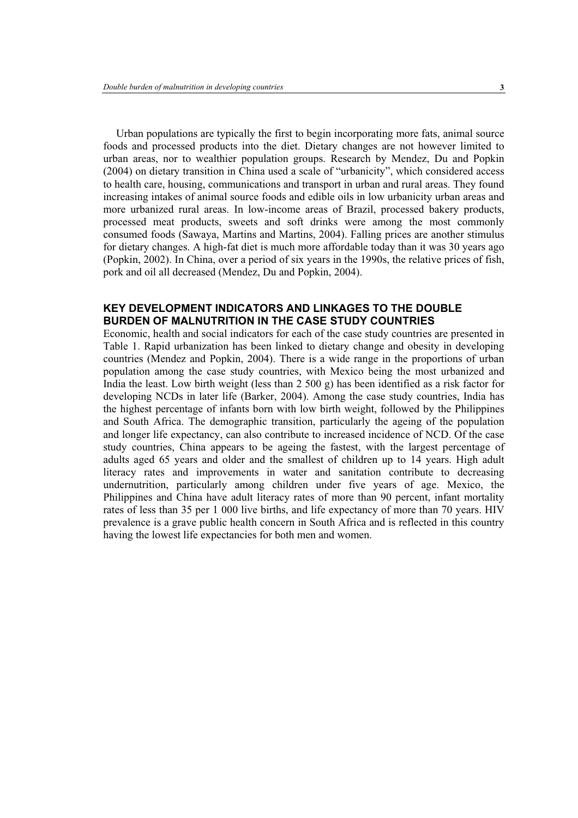Urban populations are typically the first to begin incorporating more fats, animal source foods and processed products into the diet. Dietary changes are not however limited to urban areas, nor to wealthier population groups. Research by Mendez, Du and Popkin (2004) on dietary transition in China used a scale of "urbanicity", which considered access to health care, housing, communications and transport in urban and rural areas. They found increasing intakes of animal source foods and edible oils in low urbanicity urban areas and more urbanized rural areas. In low-income areas of Brazil, processed bakery products, processed meat products, sweets and soft drinks were among the most commonly consumed foods (Sawaya, Martins and Martins, 2004). Falling prices are another stimulus for dietary changes. A high-fat diet is much more affordable today than it was 30 years ago (Popkin, 2002). In China, over a period of six years in the 1990s, the relative prices of fish, pork and oil all decreased (Mendez, Du and Popkin, 2004).

# **KEY DEVELOPMENT INDICATORS AND LINKAGES TO THE DOUBLE BURDEN OF MALNUTRITION IN THE CASE STUDY COUNTRIES**

Economic, health and social indicators for each of the case study countries are presented in Table 1. Rapid urbanization has been linked to dietary change and obesity in developing countries (Mendez and Popkin, 2004). There is a wide range in the proportions of urban population among the case study countries, with Mexico being the most urbanized and India the least. Low birth weight (less than 2 500 g) has been identified as a risk factor for developing NCDs in later life (Barker, 2004). Among the case study countries, India has the highest percentage of infants born with low birth weight, followed by the Philippines and South Africa. The demographic transition, particularly the ageing of the population and longer life expectancy, can also contribute to increased incidence of NCD. Of the case study countries, China appears to be ageing the fastest, with the largest percentage of adults aged 65 years and older and the smallest of children up to 14 years. High adult literacy rates and improvements in water and sanitation contribute to decreasing undernutrition, particularly among children under five years of age. Mexico, the Philippines and China have adult literacy rates of more than 90 percent, infant mortality rates of less than 35 per 1 000 live births, and life expectancy of more than 70 years. HIV prevalence is a grave public health concern in South Africa and is reflected in this country having the lowest life expectancies for both men and women.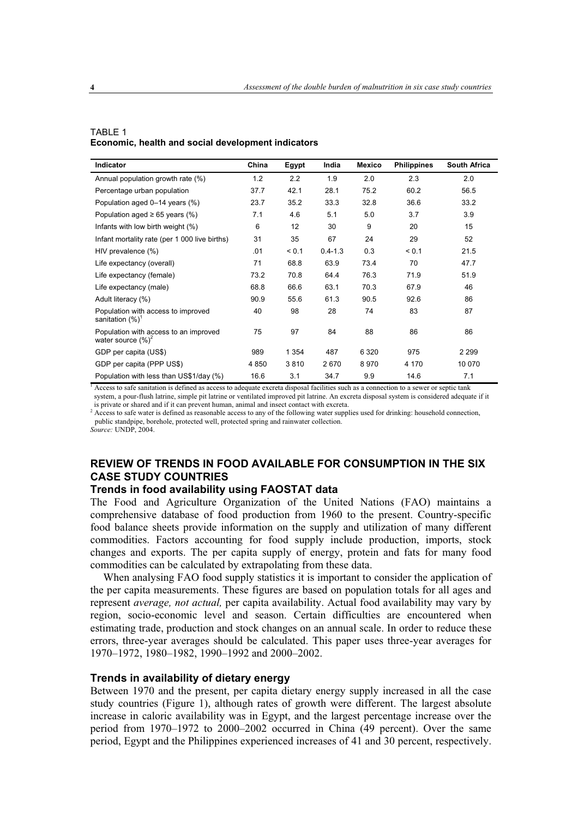| <b>Indicator</b>                                                  | China   | Egypt   | India       | Mexico  | <b>Philippines</b> | <b>South Africa</b> |
|-------------------------------------------------------------------|---------|---------|-------------|---------|--------------------|---------------------|
| Annual population growth rate (%)                                 | 1.2     | 2.2     | 1.9         | 2.0     | 2.3                | 2.0                 |
| Percentage urban population                                       | 37.7    | 42.1    | 28.1        | 75.2    | 60.2               | 56.5                |
| Population aged 0-14 years (%)                                    | 23.7    | 35.2    | 33.3        | 32.8    | 36.6               | 33.2                |
| Population aged $\geq 65$ years (%)                               | 7.1     | 4.6     | 5.1         | 5.0     | 3.7                | 3.9                 |
| Infants with low birth weight (%)                                 | 6       | 12      | 30          | 9       | 20                 | 15                  |
| Infant mortality rate (per 1 000 live births)                     | 31      | 35      | 67          | 24      | 29                 | 52                  |
| HIV prevalence (%)                                                | .01     | < 0.1   | $0.4 - 1.3$ | 0.3     | < 0.1              | 21.5                |
| Life expectancy (overall)                                         | 71      | 68.8    | 63.9        | 73.4    | 70                 | 47.7                |
| Life expectancy (female)                                          | 73.2    | 70.8    | 64.4        | 76.3    | 71.9               | 51.9                |
| Life expectancy (male)                                            | 68.8    | 66.6    | 63.1        | 70.3    | 67.9               | 46                  |
| Adult literacy (%)                                                | 90.9    | 55.6    | 61.3        | 90.5    | 92.6               | 86                  |
| Population with access to improved<br>sanitation $(\%)^{\dagger}$ | 40      | 98      | 28          | 74      | 83                 | 87                  |
| Population with access to an improved<br>water source $(\%)^2$    | 75      | 97      | 84          | 88      | 86                 | 86                  |
| GDP per capita (US\$)                                             | 989     | 1 3 5 4 | 487         | 6 3 2 0 | 975                | 2 2 9 9             |
| GDP per capita (PPP US\$)                                         | 4 8 5 0 | 3810    | 2670        | 8970    | 4 1 7 0            | 10 070              |
| Population with less than US\$1/day (%)                           | 16.6    | 3.1     | 34.7        | 9.9     | 14.6               | 7.1                 |

# TABLE 1 **Economic, health and social development indicators**

<sup>1</sup> Access to safe sanitation is defined as access to adequate excreta disposal facilities such as a connection to a sewer or septic tank system, a pour-flush latrine, simple pit latrine or ventilated improved pit latrine. An excreta disposal system is considered adequate if it is private or shared and if it can prevent human, animal and insect contact with excreta.

<sup>2</sup> Access to safe water is defined as reasonable access to any of the following water supplies used for drinking: household connection, public standpipe, borehole, protected well, protected spring and rainwater collection.

*Source:* UNDP, 2004.

# **REVIEW OF TRENDS IN FOOD AVAILABLE FOR CONSUMPTION IN THE SIX CASE STUDY COUNTRIES**

# **Trends in food availability using FAOSTAT data**

The Food and Agriculture Organization of the United Nations (FAO) maintains a comprehensive database of food production from 1960 to the present. Country-specific food balance sheets provide information on the supply and utilization of many different commodities. Factors accounting for food supply include production, imports, stock changes and exports. The per capita supply of energy, protein and fats for many food commodities can be calculated by extrapolating from these data.

When analysing FAO food supply statistics it is important to consider the application of the per capita measurements. These figures are based on population totals for all ages and represent *average, not actual,* per capita availability. Actual food availability may vary by region, socio-economic level and season. Certain difficulties are encountered when estimating trade, production and stock changes on an annual scale. In order to reduce these errors, three-year averages should be calculated. This paper uses three-year averages for 1970–1972, 1980–1982, 1990–1992 and 2000–2002.

# **Trends in availability of dietary energy**

Between 1970 and the present, per capita dietary energy supply increased in all the case study countries (Figure 1), although rates of growth were different. The largest absolute increase in caloric availability was in Egypt, and the largest percentage increase over the period from 1970–1972 to 2000–2002 occurred in China (49 percent). Over the same period, Egypt and the Philippines experienced increases of 41 and 30 percent, respectively.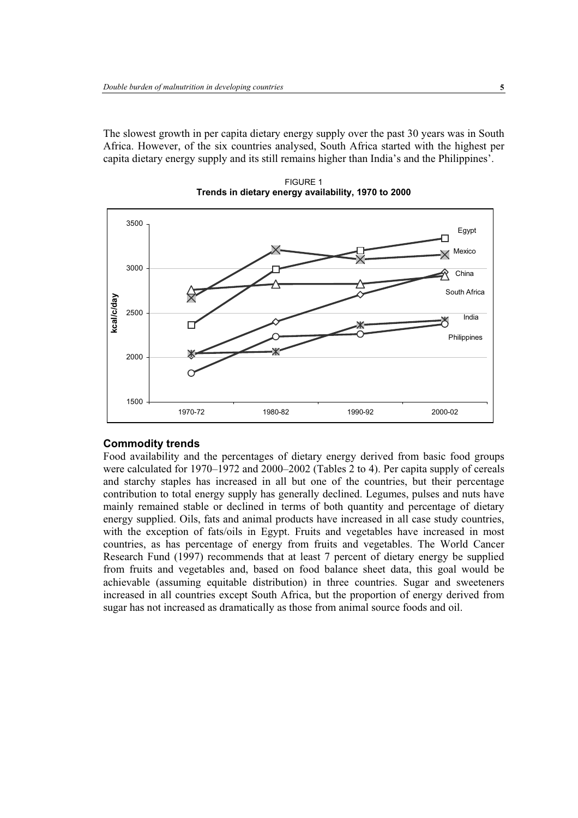The slowest growth in per capita dietary energy supply over the past 30 years was in South Africa. However, of the six countries analysed, South Africa started with the highest per capita dietary energy supply and its still remains higher than India's and the Philippines'.



FIGURE 1 **Trends in dietary energy availability, 1970 to 2000** 

# **Commodity trends**

Food availability and the percentages of dietary energy derived from basic food groups were calculated for 1970–1972 and 2000–2002 (Tables 2 to 4). Per capita supply of cereals and starchy staples has increased in all but one of the countries, but their percentage contribution to total energy supply has generally declined. Legumes, pulses and nuts have mainly remained stable or declined in terms of both quantity and percentage of dietary energy supplied. Oils, fats and animal products have increased in all case study countries, with the exception of fats/oils in Egypt. Fruits and vegetables have increased in most countries, as has percentage of energy from fruits and vegetables. The World Cancer Research Fund (1997) recommends that at least 7 percent of dietary energy be supplied from fruits and vegetables and, based on food balance sheet data, this goal would be achievable (assuming equitable distribution) in three countries. Sugar and sweeteners increased in all countries except South Africa, but the proportion of energy derived from sugar has not increased as dramatically as those from animal source foods and oil.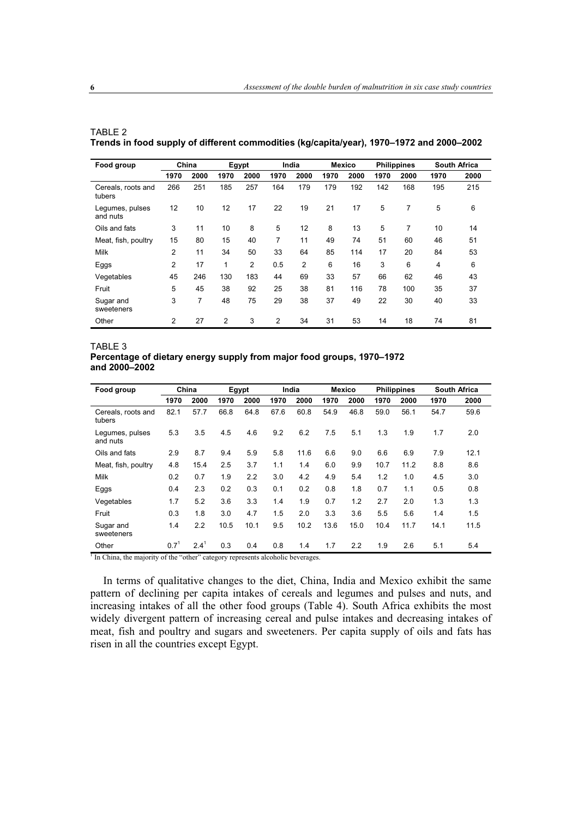| TABLE 2                                                                                  |  |
|------------------------------------------------------------------------------------------|--|
| Trends in food supply of different commodities (kg/capita/year), 1970–1972 and 2000–2002 |  |

| Food group                   | China          |      | Egypt |                |      | India          |      | <b>Mexico</b> |      | <b>Philippines</b> |      | <b>South Africa</b> |  |
|------------------------------|----------------|------|-------|----------------|------|----------------|------|---------------|------|--------------------|------|---------------------|--|
|                              | 1970           | 2000 | 1970  | 2000           | 1970 | 2000           | 1970 | 2000          | 1970 | 2000               | 1970 | 2000                |  |
| Cereals, roots and<br>tubers | 266            | 251  | 185   | 257            | 164  | 179            | 179  | 192           | 142  | 168                | 195  | 215                 |  |
| Legumes, pulses<br>and nuts  | 12             | 10   | 12    | 17             | 22   | 19             | 21   | 17            | 5    | 7                  | 5    | 6                   |  |
| Oils and fats                | 3              | 11   | 10    | 8              | 5    | 12             | 8    | 13            | 5    | 7                  | 10   | 14                  |  |
| Meat, fish, poultry          | 15             | 80   | 15    | 40             | 7    | 11             | 49   | 74            | 51   | 60                 | 46   | 51                  |  |
| Milk                         | $\overline{2}$ | 11   | 34    | 50             | 33   | 64             | 85   | 114           | 17   | 20                 | 84   | 53                  |  |
| Eggs                         | $\overline{2}$ | 17   | 1     | $\overline{2}$ | 0.5  | $\overline{2}$ | 6    | 16            | 3    | 6                  | 4    | 6                   |  |
| Vegetables                   | 45             | 246  | 130   | 183            | 44   | 69             | 33   | 57            | 66   | 62                 | 46   | 43                  |  |
| Fruit                        | 5              | 45   | 38    | 92             | 25   | 38             | 81   | 116           | 78   | 100                | 35   | 37                  |  |
| Sugar and<br>sweeteners      | 3              | 7    | 48    | 75             | 29   | 38             | 37   | 49            | 22   | 30                 | 40   | 33                  |  |
| Other                        | 2              | 27   | 2     | 3              | 2    | 34             | 31   | 53            | 14   | 18                 | 74   | 81                  |  |

# TABLE 3 **Percentage of dietary energy supply from major food groups, 1970–1972 and 2000–2002**

| Food group                   | China     |         | Egypt |      | India |      | Mexico |      | <b>Philippines</b> |      | <b>South Africa</b> |      |
|------------------------------|-----------|---------|-------|------|-------|------|--------|------|--------------------|------|---------------------|------|
|                              | 1970      | 2000    | 1970  | 2000 | 1970  | 2000 | 1970   | 2000 | 1970               | 2000 | 1970                | 2000 |
| Cereals, roots and<br>tubers | 82.1      | 57.7    | 66.8  | 64.8 | 67.6  | 60.8 | 54.9   | 46.8 | 59.0               | 56.1 | 54.7                | 59.6 |
| Legumes, pulses<br>and nuts  | 5.3       | 3.5     | 4.5   | 4.6  | 9.2   | 6.2  | 7.5    | 5.1  | 1.3                | 1.9  | 1.7                 | 2.0  |
| Oils and fats                | 2.9       | 8.7     | 9.4   | 5.9  | 5.8   | 11.6 | 6.6    | 9.0  | 6.6                | 6.9  | 7.9                 | 12.1 |
| Meat, fish, poultry          | 4.8       | 15.4    | 2.5   | 3.7  | 1.1   | 1.4  | 6.0    | 9.9  | 10.7               | 11.2 | 8.8                 | 8.6  |
| Milk                         | 0.2       | 0.7     | 1.9   | 2.2  | 3.0   | 4.2  | 4.9    | 5.4  | 1.2                | 1.0  | 4.5                 | 3.0  |
| Eggs                         | 0.4       | 2.3     | 0.2   | 0.3  | 0.1   | 0.2  | 0.8    | 1.8  | 0.7                | 1.1  | 0.5                 | 0.8  |
| Vegetables                   | 1.7       | 5.2     | 3.6   | 3.3  | 1.4   | 1.9  | 0.7    | 1.2  | 2.7                | 2.0  | 1.3                 | 1.3  |
| Fruit                        | 0.3       | 1.8     | 3.0   | 4.7  | 1.5   | 2.0  | 3.3    | 3.6  | 5.5                | 5.6  | 1.4                 | 1.5  |
| Sugar and<br>sweeteners      | 1.4       | 2.2     | 10.5  | 10.1 | 9.5   | 10.2 | 13.6   | 15.0 | 10.4               | 11.7 | 14.1                | 11.5 |
| Other                        | $0.7^{1}$ | $2.4^1$ | 0.3   | 0.4  | 0.8   | 1.4  | 1.7    | 2.2  | 1.9                | 2.6  | 5.1                 | 5.4  |

<sup>1</sup> In China, the majority of the "other" category represents alcoholic beverages.

In terms of qualitative changes to the diet, China, India and Mexico exhibit the same pattern of declining per capita intakes of cereals and legumes and pulses and nuts, and increasing intakes of all the other food groups (Table 4). South Africa exhibits the most widely divergent pattern of increasing cereal and pulse intakes and decreasing intakes of meat, fish and poultry and sugars and sweeteners. Per capita supply of oils and fats has risen in all the countries except Egypt.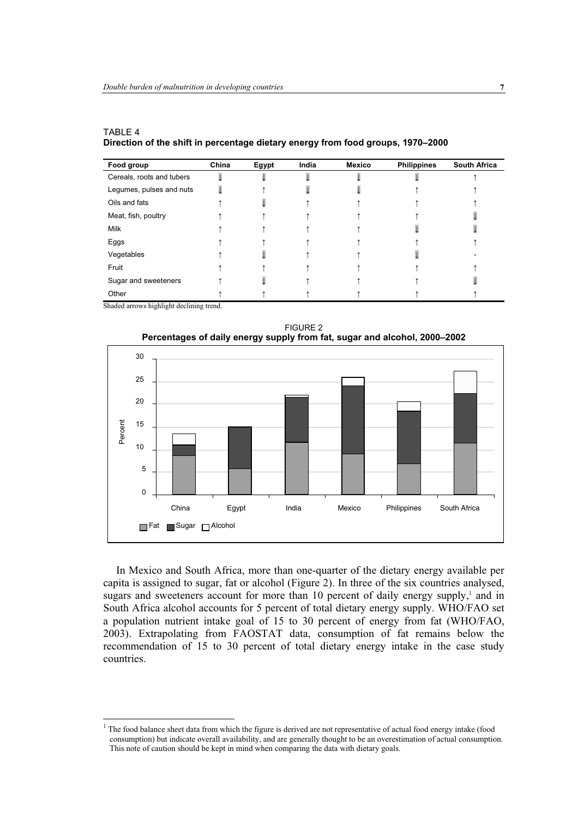| TABLE 4                                                                         |  |
|---------------------------------------------------------------------------------|--|
| Direction of the shift in percentage dietary energy from food groups, 1970–2000 |  |

| Food group                | China | Egypt | India | <b>Mexico</b> | <b>Philippines</b> | <b>South Africa</b> |
|---------------------------|-------|-------|-------|---------------|--------------------|---------------------|
| Cereals, roots and tubers |       |       |       |               |                    |                     |
| Legumes, pulses and nuts  |       |       |       |               |                    |                     |
| Oils and fats             |       |       |       |               |                    |                     |
| Meat, fish, poultry       |       |       |       |               |                    |                     |
| Milk                      |       |       |       |               |                    |                     |
| Eggs                      |       |       |       |               |                    |                     |
| Vegetables                |       |       |       |               |                    |                     |
| Fruit                     |       |       |       |               |                    |                     |
| Sugar and sweeteners      |       |       |       |               |                    |                     |
| Other                     |       |       |       |               |                    |                     |

Shaded arrows highlight declining trend.



FIGURE 2 **Percentages of daily energy supply from fat, sugar and alcohol, 2000–2002** 

In Mexico and South Africa, more than one-quarter of the dietary energy available per capita is assigned to sugar, fat or alcohol (Figure 2). In three of the six countries analysed, sugars and sweeteners account for more than 10 percent of daily energy supply, $<sup>1</sup>$  and in</sup> South Africa alcohol accounts for 5 percent of total dietary energy supply. WHO/FAO set a population nutrient intake goal of 15 to 30 percent of energy from fat (WHO/FAO, 2003). Extrapolating from FAOSTAT data, consumption of fat remains below the recommendation of 15 to 30 percent of total dietary energy intake in the case study countries.

 $1$  The food balance sheet data from which the figure is derived are not representative of actual food energy intake (food consumption) but indicate overall availability, and are generally thought to be an overestimation of actual consumption. This note of caution should be kept in mind when comparing the data with dietary goals.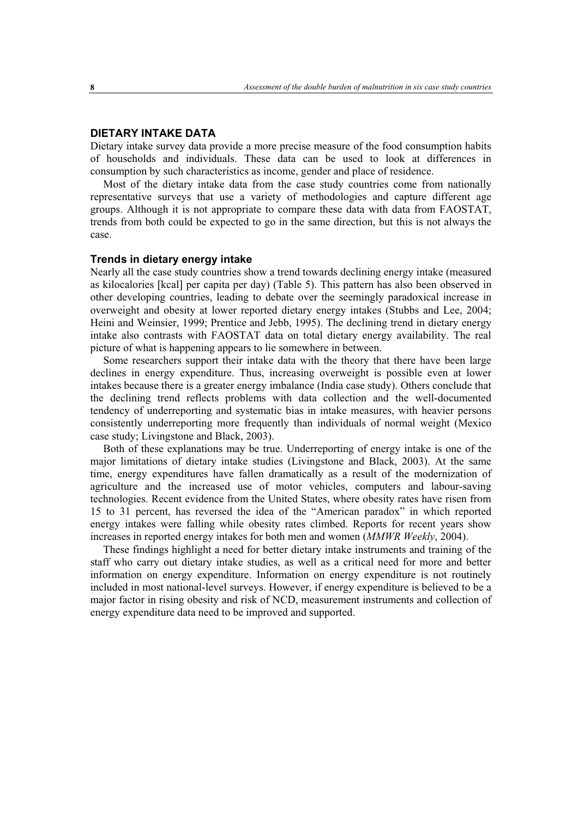# **DIETARY INTAKE DATA**

Dietary intake survey data provide a more precise measure of the food consumption habits of households and individuals. These data can be used to look at differences in consumption by such characteristics as income, gender and place of residence.

Most of the dietary intake data from the case study countries come from nationally representative surveys that use a variety of methodologies and capture different age groups. Although it is not appropriate to compare these data with data from FAOSTAT, trends from both could be expected to go in the same direction, but this is not always the case.

# **Trends in dietary energy intake**

Nearly all the case study countries show a trend towards declining energy intake (measured as kilocalories [kcal] per capita per day) (Table 5). This pattern has also been observed in other developing countries, leading to debate over the seemingly paradoxical increase in overweight and obesity at lower reported dietary energy intakes (Stubbs and Lee, 2004; Heini and Weinsier, 1999; Prentice and Jebb, 1995). The declining trend in dietary energy intake also contrasts with FAOSTAT data on total dietary energy availability. The real picture of what is happening appears to lie somewhere in between.

Some researchers support their intake data with the theory that there have been large declines in energy expenditure. Thus, increasing overweight is possible even at lower intakes because there is a greater energy imbalance (India case study). Others conclude that the declining trend reflects problems with data collection and the well-documented tendency of underreporting and systematic bias in intake measures, with heavier persons consistently underreporting more frequently than individuals of normal weight (Mexico case study; Livingstone and Black, 2003).

Both of these explanations may be true. Underreporting of energy intake is one of the major limitations of dietary intake studies (Livingstone and Black, 2003). At the same time, energy expenditures have fallen dramatically as a result of the modernization of agriculture and the increased use of motor vehicles, computers and labour-saving technologies. Recent evidence from the United States, where obesity rates have risen from 15 to 31 percent, has reversed the idea of the "American paradox" in which reported energy intakes were falling while obesity rates climbed. Reports for recent years show increases in reported energy intakes for both men and women (*MMWR Weekly*, 2004).

These findings highlight a need for better dietary intake instruments and training of the staff who carry out dietary intake studies, as well as a critical need for more and better information on energy expenditure. Information on energy expenditure is not routinely included in most national-level surveys. However, if energy expenditure is believed to be a major factor in rising obesity and risk of NCD, measurement instruments and collection of energy expenditure data need to be improved and supported.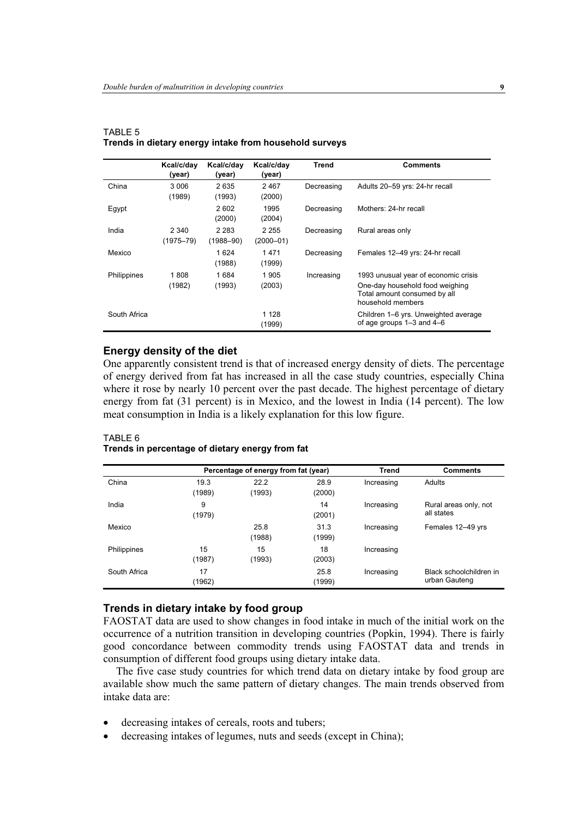|              | Kcal/c/day<br>(year)     | Kcal/c/day<br>(year)     | Kcal/c/day<br>(year)     | <b>Trend</b> | <b>Comments</b>                                                                                                              |
|--------------|--------------------------|--------------------------|--------------------------|--------------|------------------------------------------------------------------------------------------------------------------------------|
| China        | 3 0 0 6<br>(1989)        | 2635<br>(1993)           | 2467<br>(2000)           | Decreasing   | Adults 20–59 yrs: 24-hr recall                                                                                               |
| Egypt        |                          | 2602<br>(2000)           | 1995<br>(2004)           | Decreasing   | Mothers: 24-hr recall                                                                                                        |
| India        | 2 3 4 0<br>$(1975 - 79)$ | 2 2 8 3<br>$(1988 - 90)$ | 2 2 5 5<br>$(2000 - 01)$ | Decreasing   | Rural areas only                                                                                                             |
| Mexico       |                          | 1624<br>(1988)           | 1471<br>(1999)           | Decreasing   | Females 12–49 yrs: 24-hr recall                                                                                              |
| Philippines  | 1808<br>(1982)           | 1684<br>(1993)           | 1905<br>(2003)           | Increasing   | 1993 unusual year of economic crisis<br>One-day household food weighing<br>Total amount consumed by all<br>household members |
| South Africa |                          |                          | 1 1 2 8<br>(1999)        |              | Children 1–6 yrs. Unweighted average<br>of age groups $1-3$ and $4-6$                                                        |

# TABLE 5 **Trends in dietary energy intake from household surveys**

# **Energy density of the diet**

One apparently consistent trend is that of increased energy density of diets. The percentage of energy derived from fat has increased in all the case study countries, especially China where it rose by nearly 10 percent over the past decade. The highest percentage of dietary energy from fat (31 percent) is in Mexico, and the lowest in India (14 percent). The low meat consumption in India is a likely explanation for this low figure.

# TABLE 6

# **Trends in percentage of dietary energy from fat**

|              |        | Percentage of energy from fat (year) |        | <b>Trend</b> | <b>Comments</b>         |
|--------------|--------|--------------------------------------|--------|--------------|-------------------------|
| China        | 19.3   | 22.2                                 | 28.9   | Increasing   | Adults                  |
|              | (1989) | (1993)                               | (2000) |              |                         |
| India        | 9      |                                      | 14     | Increasing   | Rural areas only, not   |
|              | (1979) |                                      | (2001) |              | all states              |
| Mexico       |        | 25.8                                 | 31.3   | Increasing   | Females 12-49 yrs       |
|              |        | (1988)                               | (1999) |              |                         |
| Philippines  | 15     | 15                                   | 18     | Increasing   |                         |
|              | (1987) | (1993)                               | (2003) |              |                         |
| South Africa | 17     |                                      | 25.8   | Increasing   | Black schoolchildren in |
|              | (1962) |                                      | (1999) |              | urban Gauteng           |

# **Trends in dietary intake by food group**

FAOSTAT data are used to show changes in food intake in much of the initial work on the occurrence of a nutrition transition in developing countries (Popkin, 1994). There is fairly good concordance between commodity trends using FAOSTAT data and trends in consumption of different food groups using dietary intake data.

The five case study countries for which trend data on dietary intake by food group are available show much the same pattern of dietary changes. The main trends observed from intake data are:

- decreasing intakes of cereals, roots and tubers;
- decreasing intakes of legumes, nuts and seeds (except in China);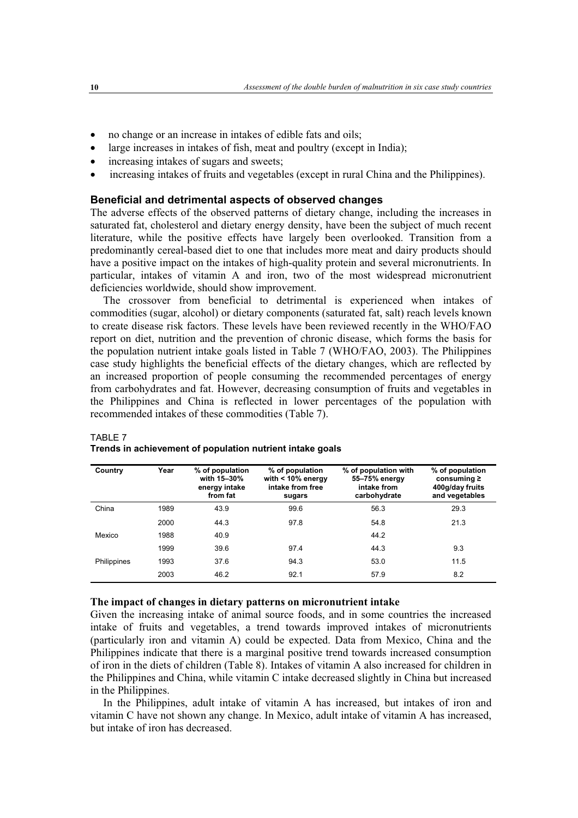- no change or an increase in intakes of edible fats and oils;
- large increases in intakes of fish, meat and poultry (except in India);
- increasing intakes of sugars and sweets:
- increasing intakes of fruits and vegetables (except in rural China and the Philippines).

# **Beneficial and detrimental aspects of observed changes**

The adverse effects of the observed patterns of dietary change, including the increases in saturated fat, cholesterol and dietary energy density, have been the subject of much recent literature, while the positive effects have largely been overlooked. Transition from a predominantly cereal-based diet to one that includes more meat and dairy products should have a positive impact on the intakes of high-quality protein and several micronutrients. In particular, intakes of vitamin A and iron, two of the most widespread micronutrient deficiencies worldwide, should show improvement.

The crossover from beneficial to detrimental is experienced when intakes of commodities (sugar, alcohol) or dietary components (saturated fat, salt) reach levels known to create disease risk factors. These levels have been reviewed recently in the WHO/FAO report on diet, nutrition and the prevention of chronic disease, which forms the basis for the population nutrient intake goals listed in Table 7 (WHO/FAO, 2003). The Philippines case study highlights the beneficial effects of the dietary changes, which are reflected by an increased proportion of people consuming the recommended percentages of energy from carbohydrates and fat. However, decreasing consumption of fruits and vegetables in the Philippines and China is reflected in lower percentages of the population with recommended intakes of these commodities (Table 7).

| Country     | Year | % of population<br>with 15-30%<br>energy intake<br>from fat | % of population<br>with $< 10\%$ energy<br>intake from free<br>sugars | % of population with<br>55-75% energy<br>intake from<br>carbohydrate | % of population<br>consuming $\geq$<br>400g/day fruits<br>and vegetables |
|-------------|------|-------------------------------------------------------------|-----------------------------------------------------------------------|----------------------------------------------------------------------|--------------------------------------------------------------------------|
| China       | 1989 | 43.9                                                        | 99.6                                                                  | 56.3                                                                 | 29.3                                                                     |
|             | 2000 | 44.3                                                        | 97.8                                                                  | 54.8                                                                 | 21.3                                                                     |
| Mexico      | 1988 | 40.9                                                        |                                                                       | 44.2                                                                 |                                                                          |
|             | 1999 | 39.6                                                        | 97.4                                                                  | 44.3                                                                 | 9.3                                                                      |
| Philippines | 1993 | 37.6                                                        | 94.3                                                                  | 53.0                                                                 | 11.5                                                                     |
|             | 2003 | 46.2                                                        | 92.1                                                                  | 57.9                                                                 | 8.2                                                                      |

### TABLE 7 **Trends in achievement of population nutrient intake goals**

# **The impact of changes in dietary patterns on micronutrient intake**

Given the increasing intake of animal source foods, and in some countries the increased intake of fruits and vegetables, a trend towards improved intakes of micronutrients (particularly iron and vitamin A) could be expected. Data from Mexico, China and the Philippines indicate that there is a marginal positive trend towards increased consumption of iron in the diets of children (Table 8). Intakes of vitamin A also increased for children in the Philippines and China, while vitamin C intake decreased slightly in China but increased in the Philippines.

In the Philippines, adult intake of vitamin A has increased, but intakes of iron and vitamin C have not shown any change. In Mexico, adult intake of vitamin A has increased, but intake of iron has decreased.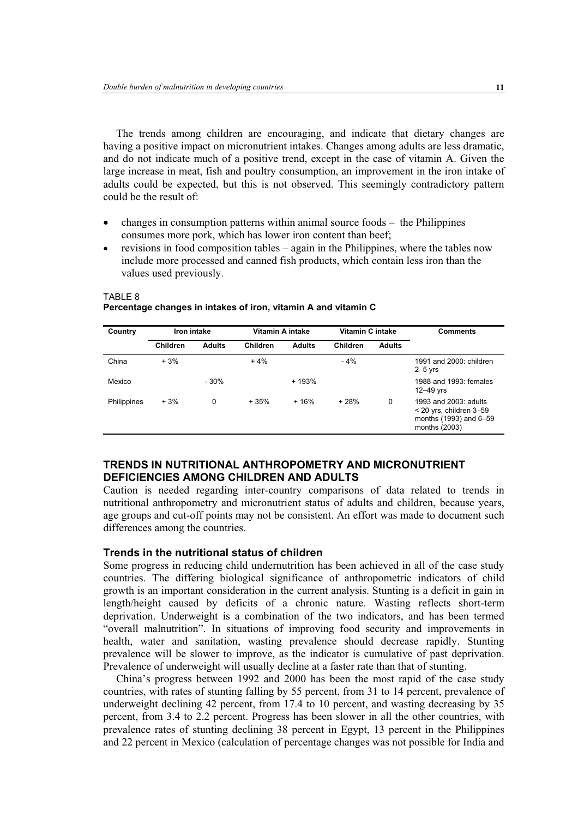The trends among children are encouraging, and indicate that dietary changes are having a positive impact on micronutrient intakes. Changes among adults are less dramatic, and do not indicate much of a positive trend, except in the case of vitamin A. Given the large increase in meat, fish and poultry consumption, an improvement in the iron intake of adults could be expected, but this is not observed. This seemingly contradictory pattern could be the result of:

- $\bullet$  changes in consumption patterns within animal source foods the Philippines consumes more pork, which has lower iron content than beef;
- revisions in food composition tables again in the Philippines, where the tables now include more processed and canned fish products, which contain less iron than the values used previously.

| Country     | Iron intake |               | Vitamin A intake |               | Vitamin C intake |               | <b>Comments</b>                                                                                |
|-------------|-------------|---------------|------------------|---------------|------------------|---------------|------------------------------------------------------------------------------------------------|
|             | Children    | <b>Adults</b> | Children         | <b>Adults</b> | Children         | <b>Adults</b> |                                                                                                |
| China       | $+3%$       |               | $+4%$            |               | $-4%$            |               | 1991 and $2000 \cdot$ children<br>$2-5$ yrs                                                    |
| Mexico      |             | $-30%$        |                  | $+193%$       |                  |               | 1988 and 1993: females<br>$12-49$ yrs                                                          |
| Philippines | $+3%$       | 0             | $+35%$           | $+16%$        | $+28%$           | $\mathbf{0}$  | 1993 and $2003$ adults<br>$<$ 20 yrs, children 3-59<br>months (1993) and 6-59<br>months (2003) |

# TABLE 8 **Percentage changes in intakes of iron, vitamin A and vitamin C**

# **TRENDS IN NUTRITIONAL ANTHROPOMETRY AND MICRONUTRIENT DEFICIENCIES AMONG CHILDREN AND ADULTS**

Caution is needed regarding inter-country comparisons of data related to trends in nutritional anthropometry and micronutrient status of adults and children, because years, age groups and cut-off points may not be consistent. An effort was made to document such differences among the countries.

# **Trends in the nutritional status of children**

Some progress in reducing child undernutrition has been achieved in all of the case study countries. The differing biological significance of anthropometric indicators of child growth is an important consideration in the current analysis. Stunting is a deficit in gain in length/height caused by deficits of a chronic nature. Wasting reflects short-term deprivation. Underweight is a combination of the two indicators, and has been termed "overall malnutrition". In situations of improving food security and improvements in health, water and sanitation, wasting prevalence should decrease rapidly. Stunting prevalence will be slower to improve, as the indicator is cumulative of past deprivation. Prevalence of underweight will usually decline at a faster rate than that of stunting.

China's progress between 1992 and 2000 has been the most rapid of the case study countries, with rates of stunting falling by 55 percent, from 31 to 14 percent, prevalence of underweight declining 42 percent, from 17.4 to 10 percent, and wasting decreasing by 35 percent, from 3.4 to 2.2 percent. Progress has been slower in all the other countries, with prevalence rates of stunting declining 38 percent in Egypt, 13 percent in the Philippines and 22 percent in Mexico (calculation of percentage changes was not possible for India and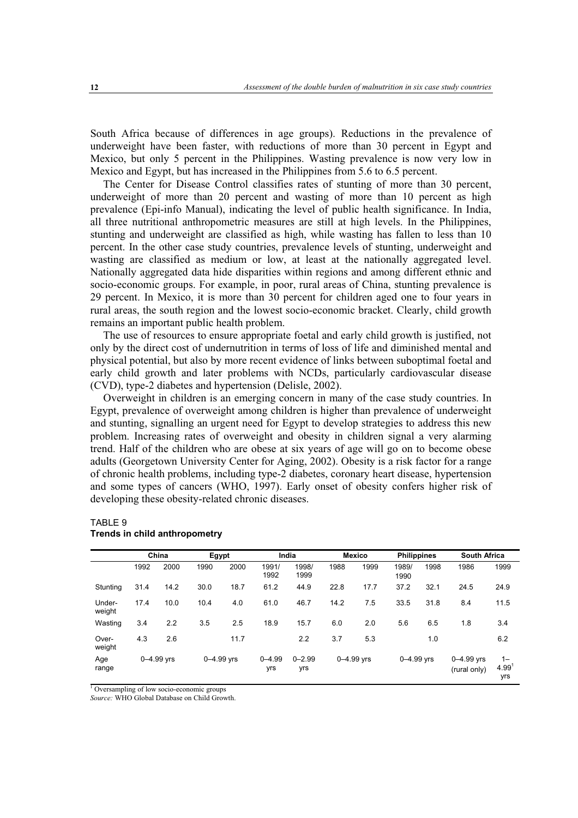South Africa because of differences in age groups). Reductions in the prevalence of underweight have been faster, with reductions of more than 30 percent in Egypt and Mexico, but only 5 percent in the Philippines. Wasting prevalence is now very low in Mexico and Egypt, but has increased in the Philippines from 5.6 to 6.5 percent.

The Center for Disease Control classifies rates of stunting of more than 30 percent, underweight of more than 20 percent and wasting of more than 10 percent as high prevalence (Epi-info Manual), indicating the level of public health significance. In India, all three nutritional anthropometric measures are still at high levels. In the Philippines, stunting and underweight are classified as high, while wasting has fallen to less than 10 percent. In the other case study countries, prevalence levels of stunting, underweight and wasting are classified as medium or low, at least at the nationally aggregated level. Nationally aggregated data hide disparities within regions and among different ethnic and socio-economic groups. For example, in poor, rural areas of China, stunting prevalence is 29 percent. In Mexico, it is more than 30 percent for children aged one to four years in rural areas, the south region and the lowest socio-economic bracket. Clearly, child growth remains an important public health problem.

The use of resources to ensure appropriate foetal and early child growth is justified, not only by the direct cost of undernutrition in terms of loss of life and diminished mental and physical potential, but also by more recent evidence of links between suboptimal foetal and early child growth and later problems with NCDs, particularly cardiovascular disease (CVD), type-2 diabetes and hypertension (Delisle, 2002).

Overweight in children is an emerging concern in many of the case study countries. In Egypt, prevalence of overweight among children is higher than prevalence of underweight and stunting, signalling an urgent need for Egypt to develop strategies to address this new problem. Increasing rates of overweight and obesity in children signal a very alarming trend. Half of the children who are obese at six years of age will go on to become obese adults (Georgetown University Center for Aging, 2002). Obesity is a risk factor for a range of chronic health problems, including type-2 diabetes, coronary heart disease, hypertension and some types of cancers (WHO, 1997). Early onset of obesity confers higher risk of developing these obesity-related chronic diseases.

# TABLE 9

# **Trends in child anthropometry**

|                  |      | China          | Egypt          |      |                   | India             |                | <b>Mexico</b> | <b>Philippines</b> |      | <b>South Africa</b>            |                      |
|------------------|------|----------------|----------------|------|-------------------|-------------------|----------------|---------------|--------------------|------|--------------------------------|----------------------|
|                  | 1992 | 2000           | 1990           | 2000 | 1991/<br>1992     | 1998/<br>1999     | 1988           | 1999          | 1989/<br>1990      | 1998 | 1986                           | 1999                 |
| Stunting         | 31.4 | 14.2           | 30.0           | 18.7 | 61.2              | 44.9              | 22.8           | 17.7          | 37.2               | 32.1 | 24.5                           | 24.9                 |
| Under-<br>weight | 17.4 | 10.0           | 10.4           | 4.0  | 61.0              | 46.7              | 14.2           | 7.5           | 33.5               | 31.8 | 8.4                            | 11.5                 |
| Wasting          | 3.4  | 2.2            | 3.5            | 2.5  | 18.9              | 15.7              | 6.0            | 2.0           | 5.6                | 6.5  | 1.8                            | 3.4                  |
| Over-<br>weight  | 4.3  | 2.6            |                | 11.7 |                   | 2.2               | 3.7            | 5.3           |                    | 1.0  |                                | 6.2                  |
| Age<br>range     |      | $0 - 4.99$ vrs | $0 - 4.99$ vrs |      | $0 - 4.99$<br>yrs | $0 - 2.99$<br>yrs | $0 - 4.99$ vrs |               | $0 - 4.99$ vrs     |      | $0 - 4.99$ vrs<br>(rural only) | $1 -$<br>4.99<br>yrs |

<sup>1</sup> Oversampling of low socio-economic groups

*Source:* WHO Global Database on Child Growth.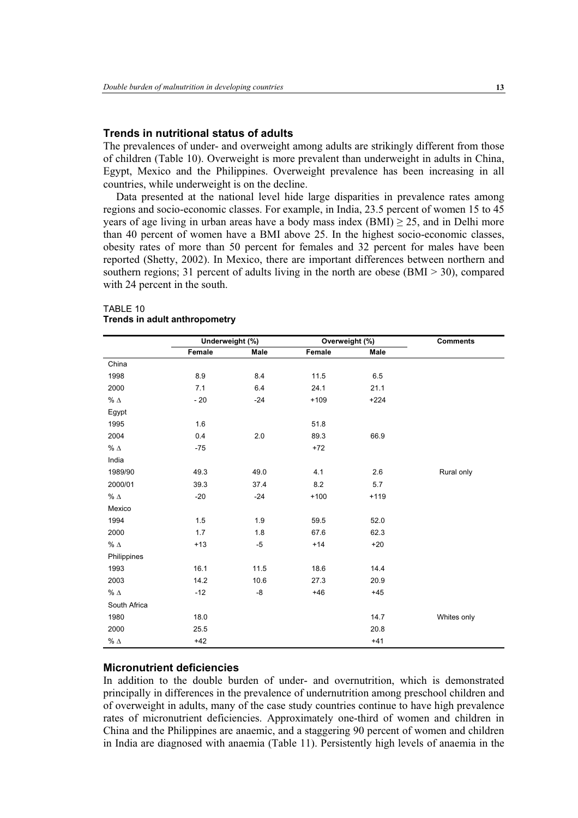# **Trends in nutritional status of adults**

The prevalences of under- and overweight among adults are strikingly different from those of children (Table 10). Overweight is more prevalent than underweight in adults in China, Egypt, Mexico and the Philippines. Overweight prevalence has been increasing in all countries, while underweight is on the decline.

Data presented at the national level hide large disparities in prevalence rates among regions and socio-economic classes. For example, in India, 23.5 percent of women 15 to 45 years of age living in urban areas have a body mass index  $(BMI) \geq 25$ , and in Delhi more than 40 percent of women have a BMI above 25. In the highest socio-economic classes, obesity rates of more than 50 percent for females and 32 percent for males have been reported (Shetty, 2002). In Mexico, there are important differences between northern and southern regions; 31 percent of adults living in the north are obese (BMI  $>$  30), compared with 24 percent in the south.

| TABLE 10 |  |                               |  |
|----------|--|-------------------------------|--|
|          |  | Trends in adult anthropometry |  |

|              | Underweight (%) |       | Overweight (%) |        | <b>Comments</b> |
|--------------|-----------------|-------|----------------|--------|-----------------|
|              | Female          | Male  | Female         | Male   |                 |
| China        |                 |       |                |        |                 |
| 1998         | 8.9             | 8.4   | 11.5           | 6.5    |                 |
| 2000         | 7.1             | 6.4   | 24.1           | 21.1   |                 |
| % $\Delta$   | $-20$           | $-24$ | $+109$         | $+224$ |                 |
| Egypt        |                 |       |                |        |                 |
| 1995         | 1.6             |       | 51.8           |        |                 |
| 2004         | 0.4             | 2.0   | 89.3           | 66.9   |                 |
| % $\Delta$   | $-75$           |       | $+72$          |        |                 |
| India        |                 |       |                |        |                 |
| 1989/90      | 49.3            | 49.0  | 4.1            | 2.6    | Rural only      |
| 2000/01      | 39.3            | 37.4  | $8.2\,$        | 5.7    |                 |
| % $\Delta$   | $-20$           | $-24$ | $+100$         | $+119$ |                 |
| Mexico       |                 |       |                |        |                 |
| 1994         | 1.5             | 1.9   | 59.5           | 52.0   |                 |
| 2000         | 1.7             | 1.8   | 67.6           | 62.3   |                 |
| % $\Delta$   | $+13$           | $-5$  | $+14$          | $+20$  |                 |
| Philippines  |                 |       |                |        |                 |
| 1993         | 16.1            | 11.5  | 18.6           | 14.4   |                 |
| 2003         | 14.2            | 10.6  | 27.3           | 20.9   |                 |
| % $\Delta$   | $-12$           | -8    | $+46$          | $+45$  |                 |
| South Africa |                 |       |                |        |                 |
| 1980         | 18.0            |       |                | 14.7   | Whites only     |
| 2000         | 25.5            |       |                | 20.8   |                 |
| % $\Delta$   | $+42$           |       |                | $+41$  |                 |

# **Micronutrient deficiencies**

In addition to the double burden of under- and overnutrition, which is demonstrated principally in differences in the prevalence of undernutrition among preschool children and of overweight in adults, many of the case study countries continue to have high prevalence rates of micronutrient deficiencies. Approximately one-third of women and children in China and the Philippines are anaemic, and a staggering 90 percent of women and children in India are diagnosed with anaemia (Table 11). Persistently high levels of anaemia in the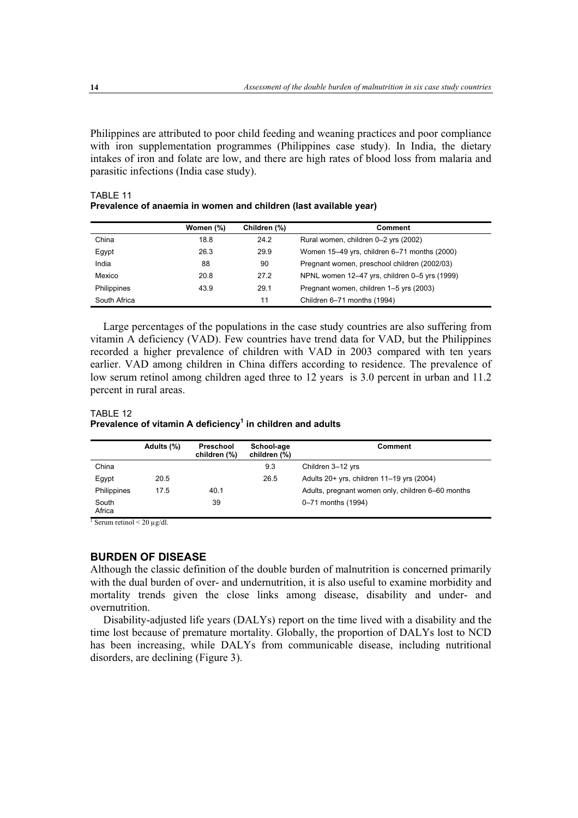Philippines are attributed to poor child feeding and weaning practices and poor compliance with iron supplementation programmes (Philippines case study). In India, the dietary intakes of iron and folate are low, and there are high rates of blood loss from malaria and parasitic infections (India case study).

|              | Women (%) | Children (%) | Comment                                       |
|--------------|-----------|--------------|-----------------------------------------------|
| China        | 18.8      | 24.2         | Rural women, children 0-2 yrs (2002)          |
| Egypt        | 26.3      | 29.9         | Women 15-49 yrs, children 6-71 months (2000)  |
| India        | 88        | 90           | Pregnant women, preschool children (2002/03)  |
| Mexico       | 20.8      | 27.2         | NPNL women 12-47 yrs, children 0-5 yrs (1999) |
| Philippines  | 43.9      | 29.1         | Pregnant women, children 1-5 yrs (2003)       |
| South Africa |           | 11           | Children 6-71 months (1994)                   |

TABLE 11 **Prevalence of anaemia in women and children (last available year)** 

Large percentages of the populations in the case study countries are also suffering from vitamin A deficiency (VAD). Few countries have trend data for VAD, but the Philippines recorded a higher prevalence of children with VAD in 2003 compared with ten years earlier. VAD among children in China differs according to residence. The prevalence of low serum retinol among children aged three to 12 years is 3.0 percent in urban and 11.2 percent in rural areas.

# TABLE 12 Prevalence of vitamin A deficiency<sup>1</sup> in children and adults

|                 | Adults (%) | Preschool<br>children (%) | School-age<br>children (%) | Comment                                           |
|-----------------|------------|---------------------------|----------------------------|---------------------------------------------------|
| China           |            |                           | 9.3                        | Children 3-12 yrs                                 |
| Egypt           | 20.5       |                           | 26.5                       | Adults 20+ yrs, children 11–19 yrs (2004)         |
| Philippines     | 17.5       | 40.1                      |                            | Adults, pregnant women only, children 6–60 months |
| South<br>Africa |            | 39                        |                            | 0-71 months (1994)                                |

<sup>1</sup> Serum retinol < 20  $\mu$ g/dl.

# **BURDEN OF DISEASE**

Although the classic definition of the double burden of malnutrition is concerned primarily with the dual burden of over- and undernutrition, it is also useful to examine morbidity and mortality trends given the close links among disease, disability and under- and overnutrition.

Disability-adjusted life years (DALYs) report on the time lived with a disability and the time lost because of premature mortality. Globally, the proportion of DALYs lost to NCD has been increasing, while DALYs from communicable disease, including nutritional disorders, are declining (Figure 3).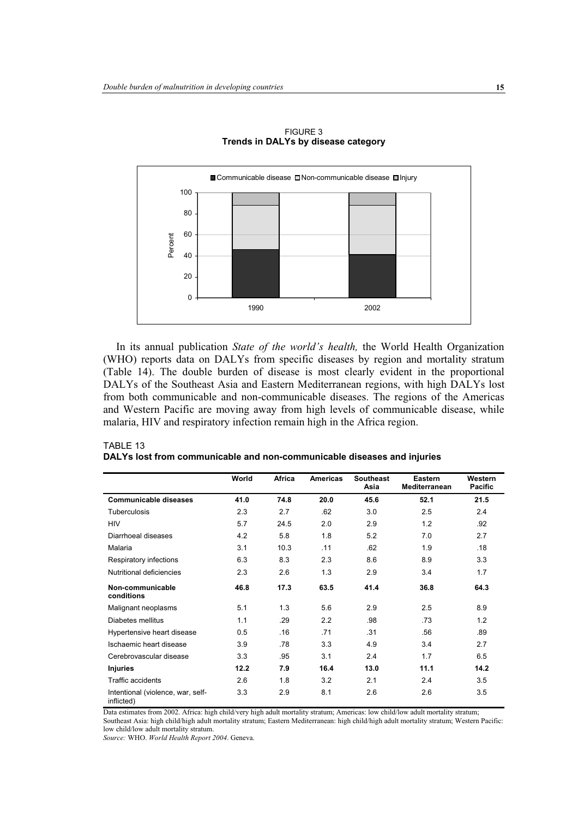

FIGURE 3 **Trends in DALYs by disease category** 

In its annual publication *State of the world's health,* the World Health Organization (WHO) reports data on DALYs from specific diseases by region and mortality stratum (Table 14). The double burden of disease is most clearly evident in the proportional DALYs of the Southeast Asia and Eastern Mediterranean regions, with high DALYs lost from both communicable and non-communicable diseases. The regions of the Americas and Western Pacific are moving away from high levels of communicable disease, while malaria, HIV and respiratory infection remain high in the Africa region.

|                                                 | World | Africa | <b>Americas</b> | <b>Southeast</b><br>Asia | Eastern<br>Mediterranean | Western<br><b>Pacific</b> |
|-------------------------------------------------|-------|--------|-----------------|--------------------------|--------------------------|---------------------------|
| <b>Communicable diseases</b>                    | 41.0  | 74.8   | 20.0            | 45.6                     | 52.1                     | 21.5                      |
| Tuberculosis                                    | 2.3   | 2.7    | .62             | 3.0                      | 2.5                      | 2.4                       |
| <b>HIV</b>                                      | 5.7   | 24.5   | 2.0             | 2.9                      | 1.2                      | .92                       |
| Diarrhoeal diseases                             | 4.2   | 5.8    | 1.8             | 5.2                      | 7.0                      | 2.7                       |
| Malaria                                         | 3.1   | 10.3   | .11             | .62                      | 1.9                      | .18                       |
| Respiratory infections                          | 6.3   | 8.3    | 2.3             | 8.6                      | 8.9                      | 3.3                       |
| Nutritional deficiencies                        | 2.3   | 2.6    | 1.3             | 2.9                      | 3.4                      | 1.7                       |
| Non-communicable<br>conditions                  | 46.8  | 17.3   | 63.5            | 41.4                     | 36.8                     | 64.3                      |
| Malignant neoplasms                             | 5.1   | 1.3    | 5.6             | 2.9                      | 2.5                      | 8.9                       |
| Diabetes mellitus                               | 1.1   | .29    | 2.2             | .98                      | .73                      | 1.2                       |
| Hypertensive heart disease                      | 0.5   | .16    | .71             | .31                      | .56                      | .89                       |
| Ischaemic heart disease                         | 3.9   | .78    | 3.3             | 4.9                      | 3.4                      | 2.7                       |
| Cerebrovascular disease                         | 3.3   | .95    | 3.1             | 2.4                      | 1.7                      | 6.5                       |
| Injuries                                        | 12.2  | 7.9    | 16.4            | 13.0                     | 11.1                     | 14.2                      |
| <b>Traffic accidents</b>                        | 2.6   | 1.8    | 3.2             | 2.1                      | 2.4                      | 3.5                       |
| Intentional (violence, war, self-<br>inflicted) | 3.3   | 2.9    | 8.1             | 2.6                      | 2.6                      | 3.5                       |

TABLE 13 **DALYs lost from communicable and non-communicable diseases and injuries** 

Data estimates from 2002. Africa: high child/very high adult mortality stratum; Americas: low child/low adult mortality stratum; Southeast Asia: high child/high adult mortality stratum; Eastern Mediterranean: high child/high adult mortality stratum; Western Pacific:

low child/low adult mortality stratum.

*Source:* WHO. *World Health Report 2004*. Geneva.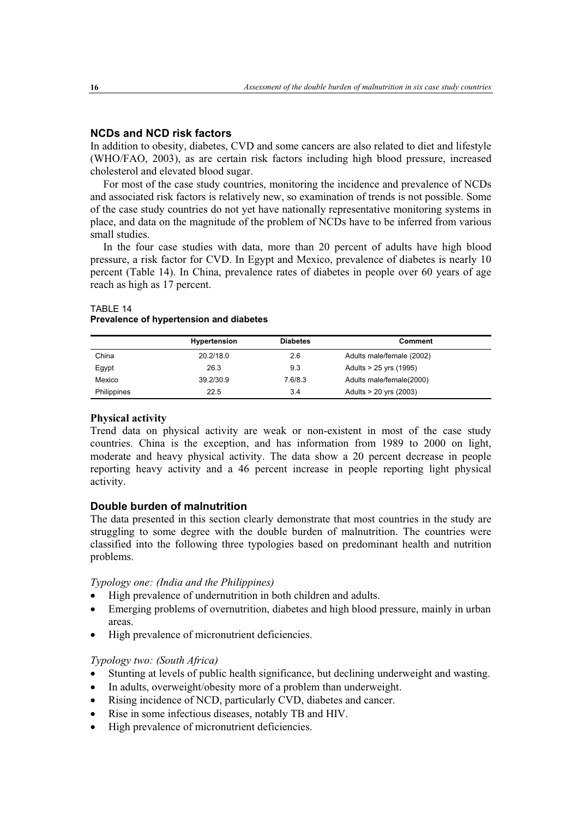# **NCDs and NCD risk factors**

In addition to obesity, diabetes, CVD and some cancers are also related to diet and lifestyle (WHO/FAO, 2003), as are certain risk factors including high blood pressure, increased cholesterol and elevated blood sugar.

For most of the case study countries, monitoring the incidence and prevalence of NCDs and associated risk factors is relatively new, so examination of trends is not possible. Some of the case study countries do not yet have nationally representative monitoring systems in place, and data on the magnitude of the problem of NCDs have to be inferred from various small studies.

In the four case studies with data, more than 20 percent of adults have high blood pressure, a risk factor for CVD. In Egypt and Mexico, prevalence of diabetes is nearly 10 percent (Table 14). In China, prevalence rates of diabetes in people over 60 years of age reach as high as 17 percent.

|             | <b>Hypertension</b> | <b>Diabetes</b> | Comment                   |
|-------------|---------------------|-----------------|---------------------------|
| China       | 20.2/18.0           | 2.6             | Adults male/female (2002) |
| Egypt       | 26.3                | 9.3             | Adults > 25 yrs (1995)    |
| Mexico      | 39.2/30.9           | 7.6/8.3         | Adults male/female(2000)  |
| Philippines | 22.5                | 3.4             | Adults > 20 yrs (2003)    |

#### TABLE 14 **Prevalence of hypertension and diabetes**

# **Physical activity**

Trend data on physical activity are weak or non-existent in most of the case study countries. China is the exception, and has information from 1989 to 2000 on light, moderate and heavy physical activity. The data show a 20 percent decrease in people reporting heavy activity and a 46 percent increase in people reporting light physical activity.

# **Double burden of malnutrition**

The data presented in this section clearly demonstrate that most countries in the study are struggling to some degree with the double burden of malnutrition. The countries were classified into the following three typologies based on predominant health and nutrition problems.

*Typology one: (India and the Philippines)* 

- High prevalence of undernutrition in both children and adults.
- Emerging problems of overnutrition, diabetes and high blood pressure, mainly in urban areas.
- High prevalence of micronutrient deficiencies.

# *Typology two: (South Africa)*

- x Stunting at levels of public health significance, but declining underweight and wasting.
- In adults, overweight/obesity more of a problem than underweight.
- Rising incidence of NCD, particularly CVD, diabetes and cancer.
- Rise in some infectious diseases, notably TB and HIV.
- High prevalence of micronutrient deficiencies.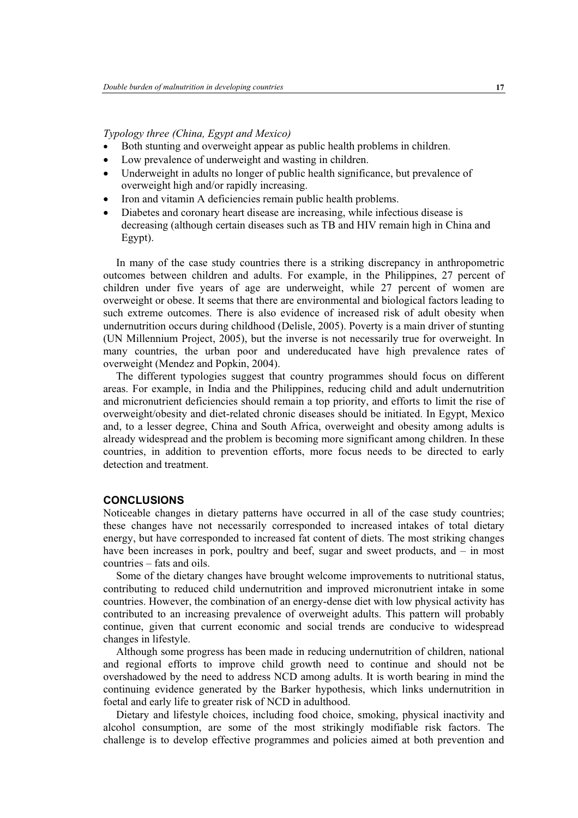*Typology three (China, Egypt and Mexico)* 

- Both stunting and overweight appear as public health problems in children.
- Low prevalence of underweight and wasting in children.
- Underweight in adults no longer of public health significance, but prevalence of overweight high and/or rapidly increasing.
- Iron and vitamin A deficiencies remain public health problems.
- Diabetes and coronary heart disease are increasing, while infectious disease is decreasing (although certain diseases such as TB and HIV remain high in China and Egypt).

In many of the case study countries there is a striking discrepancy in anthropometric outcomes between children and adults. For example, in the Philippines, 27 percent of children under five years of age are underweight, while 27 percent of women are overweight or obese. It seems that there are environmental and biological factors leading to such extreme outcomes. There is also evidence of increased risk of adult obesity when undernutrition occurs during childhood (Delisle, 2005). Poverty is a main driver of stunting (UN Millennium Project, 2005), but the inverse is not necessarily true for overweight. In many countries, the urban poor and undereducated have high prevalence rates of overweight (Mendez and Popkin, 2004).

The different typologies suggest that country programmes should focus on different areas. For example, in India and the Philippines, reducing child and adult undernutrition and micronutrient deficiencies should remain a top priority, and efforts to limit the rise of overweight/obesity and diet-related chronic diseases should be initiated. In Egypt, Mexico and, to a lesser degree, China and South Africa, overweight and obesity among adults is already widespread and the problem is becoming more significant among children. In these countries, in addition to prevention efforts, more focus needs to be directed to early detection and treatment.

# **CONCLUSIONS**

Noticeable changes in dietary patterns have occurred in all of the case study countries; these changes have not necessarily corresponded to increased intakes of total dietary energy, but have corresponded to increased fat content of diets. The most striking changes have been increases in pork, poultry and beef, sugar and sweet products, and – in most countries – fats and oils.

Some of the dietary changes have brought welcome improvements to nutritional status, contributing to reduced child undernutrition and improved micronutrient intake in some countries. However, the combination of an energy-dense diet with low physical activity has contributed to an increasing prevalence of overweight adults. This pattern will probably continue, given that current economic and social trends are conducive to widespread changes in lifestyle.

Although some progress has been made in reducing undernutrition of children, national and regional efforts to improve child growth need to continue and should not be overshadowed by the need to address NCD among adults. It is worth bearing in mind the continuing evidence generated by the Barker hypothesis, which links undernutrition in foetal and early life to greater risk of NCD in adulthood.

Dietary and lifestyle choices, including food choice, smoking, physical inactivity and alcohol consumption, are some of the most strikingly modifiable risk factors. The challenge is to develop effective programmes and policies aimed at both prevention and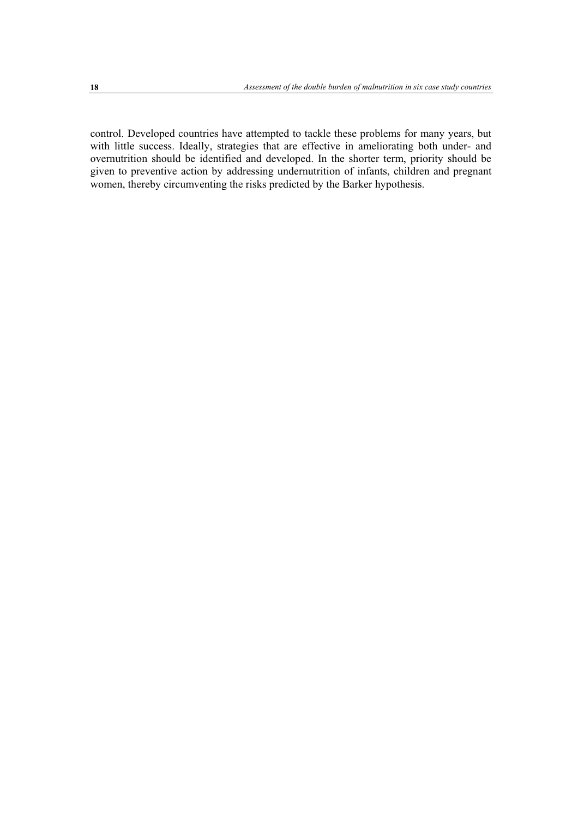control. Developed countries have attempted to tackle these problems for many years, but with little success. Ideally, strategies that are effective in ameliorating both under- and overnutrition should be identified and developed. In the shorter term, priority should be given to preventive action by addressing undernutrition of infants, children and pregnant women, thereby circumventing the risks predicted by the Barker hypothesis.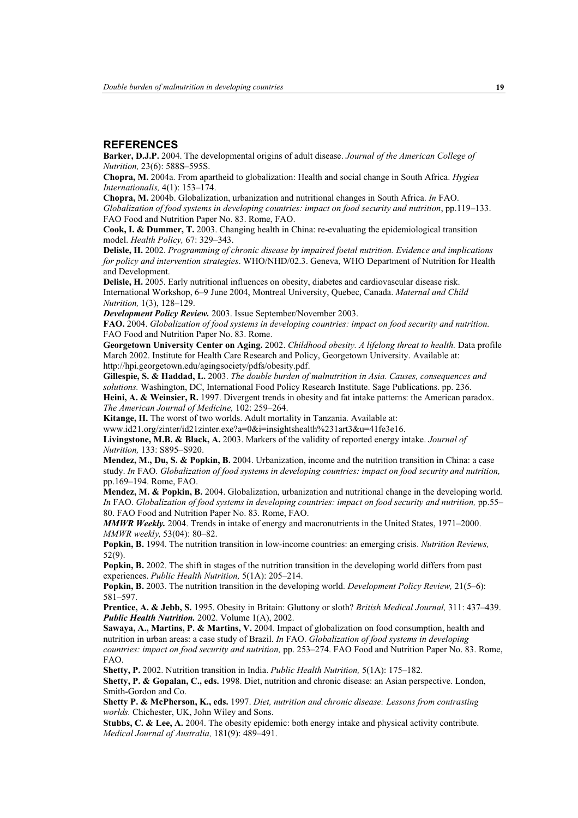# **REFERENCES**

**Barker, D.J.P.** 2004. The developmental origins of adult disease. *Journal of the American College of Nutrition,* 23(6): 588S–595S.

**Chopra, M.** 2004a. From apartheid to globalization: Health and social change in South Africa. *Hygiea Internationalis,* 4(1): 153–174.

**Chopra, M.** 2004b. Globalization, urbanization and nutritional changes in South Africa. *In* FAO. *Globalization of food systems in developing countries: impact on food security and nutrition*, pp.119–133. FAO Food and Nutrition Paper No. 83. Rome, FAO.

**Cook, I. & Dummer, T.** 2003. Changing health in China: re-evaluating the epidemiological transition model. *Health Policy,* 67: 329–343.

**Delisle, H.** 2002. *Programming of chronic disease by impaired foetal nutrition. Evidence and implications for policy and intervention strategies*. WHO/NHD/02.3. Geneva, WHO Department of Nutrition for Health and Development.

**Delisle, H.** 2005. Early nutritional influences on obesity, diabetes and cardiovascular disease risk. International Workshop, 6–9 June 2004, Montreal University, Quebec, Canada. *Maternal and Child Nutrition,* 1(3), 128–129.

*Development Policy Review.* 2003. Issue September/November 2003.

**FAO.** 2004. *Globalization of food systems in developing countries: impact on food security and nutrition.* FAO Food and Nutrition Paper No. 83. Rome.

**Georgetown University Center on Aging.** 2002. *Childhood obesity. A lifelong threat to health.* Data profile March 2002. Institute for Health Care Research and Policy, Georgetown University. Available at: http://hpi.georgetown.edu/agingsociety/pdfs/obesity.pdf.

**Gillespie, S. & Haddad, L.** 2003. *The double burden of malnutrition in Asia. Causes, consequences and solutions.* Washington, DC, International Food Policy Research Institute. Sage Publications. pp. 236. **Heini, A. & Weinsier, R.** 1997. Divergent trends in obesity and fat intake patterns: the American paradox.

*The American Journal of Medicine,* 102: 259–264.

**Kitange, H.** The worst of two worlds. Adult mortality in Tanzania. Available at:

www.id21.org/zinter/id21zinter.exe?a=0&i=insightshealth%231art3&u=41fe3e16.

**Livingstone, M.B. & Black, A.** 2003. Markers of the validity of reported energy intake. *Journal of Nutrition,* 133: S895–S920.

**Mendez, M., Du, S. & Popkin, B.** 2004. Urbanization, income and the nutrition transition in China: a case study. *In* FAO. *Globalization of food systems in developing countries: impact on food security and nutrition,* pp.169–194. Rome, FAO.

**Mendez, M. & Popkin, B.** 2004. Globalization, urbanization and nutritional change in the developing world. *In* FAO. *Globalization of food systems in developing countries: impact on food security and nutrition,* pp.55– 80. FAO Food and Nutrition Paper No. 83. Rome, FAO.

*MMWR Weekly.* 2004. Trends in intake of energy and macronutrients in the United States, 1971–2000. *MMWR weekly,* 53(04): 80–82.

**Popkin, B.** 1994. The nutrition transition in low-income countries: an emerging crisis. *Nutrition Reviews,* 52(9).

**Popkin, B.** 2002. The shift in stages of the nutrition transition in the developing world differs from past experiences. *Public Health Nutrition,* 5(1A): 205–214.

**Popkin, B.** 2003. The nutrition transition in the developing world. *Development Policy Review,* 21(5–6): 581–597.

**Prentice, A. & Jebb, S.** 1995. Obesity in Britain: Gluttony or sloth? *British Medical Journal,* 311: 437–439. *Public Health Nutrition.* 2002. Volume 1(A), 2002.

**Sawaya, A., Martins, P. & Martins, V.** 2004. Impact of globalization on food consumption, health and nutrition in urban areas: a case study of Brazil. *In* FAO. *Globalization of food systems in developing countries: impact on food security and nutrition,* pp. 253–274. FAO Food and Nutrition Paper No. 83. Rome, FAO.

**Shetty, P.** 2002. Nutrition transition in India. *Public Health Nutrition,* 5(1A): 175–182.

**Shetty, P. & Gopalan, C., eds.** 1998. Diet, nutrition and chronic disease: an Asian perspective. London, Smith-Gordon and Co.

**Shetty P. & McPherson, K., eds.** 1997. *Diet, nutrition and chronic disease: Lessons from contrasting worlds.* Chichester, UK, John Wiley and Sons.

**Stubbs, C. & Lee, A.** 2004. The obesity epidemic: both energy intake and physical activity contribute. *Medical Journal of Australia,* 181(9): 489–491.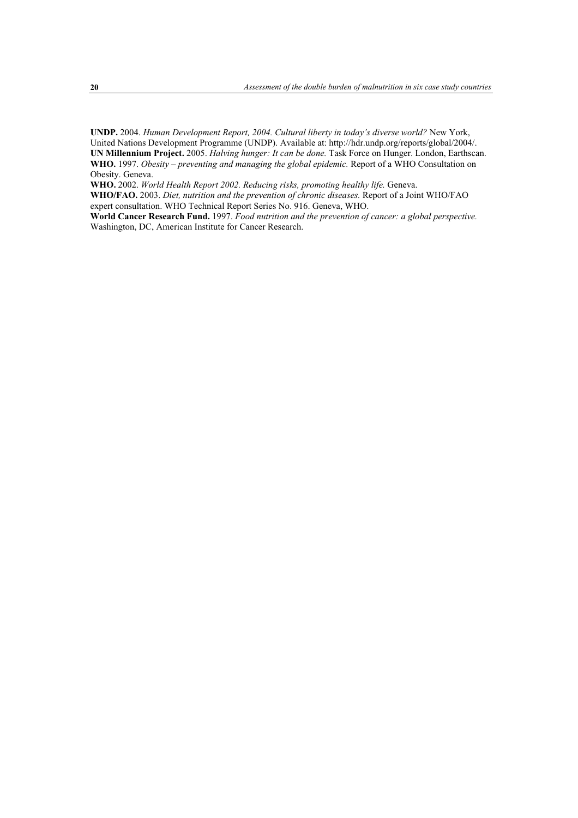**UNDP.** 2004. *Human Development Report, 2004. Cultural liberty in today's diverse world?* New York, United Nations Development Programme (UNDP). Available at: http://hdr.undp.org/reports/global/2004/. **UN Millennium Project.** 2005. *Halving hunger: It can be done.* Task Force on Hunger. London, Earthscan. **WHO.** 1997. *Obesity – preventing and managing the global epidemic.* Report of a WHO Consultation on Obesity. Geneva.

**WHO.** 2002. *World Health Report 2002. Reducing risks, promoting healthy life.* Geneva.

**WHO/FAO.** 2003. *Diet, nutrition and the prevention of chronic diseases.* Report of a Joint WHO/FAO expert consultation. WHO Technical Report Series No. 916. Geneva, WHO.

**World Cancer Research Fund.** 1997. *Food nutrition and the prevention of cancer: a global perspective.* Washington, DC, American Institute for Cancer Research.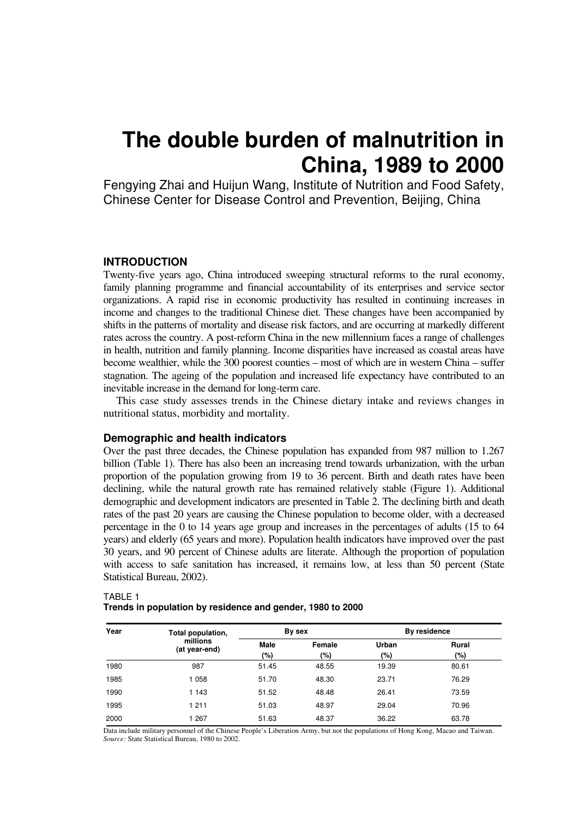# **The double burden of malnutrition in China, 1989 to 2000**

Fengying Zhai and Huijun Wang, Institute of Nutrition and Food Safety, Chinese Center for Disease Control and Prevention, Beijing, China

# **INTRODUCTION**

Twenty-five years ago, China introduced sweeping structural reforms to the rural economy, family planning programme and financial accountability of its enterprises and service sector organizations. A rapid rise in economic productivity has resulted in continuing increases in income and changes to the traditional Chinese diet. These changes have been accompanied by shifts in the patterns of mortality and disease risk factors, and are occurring at markedly different rates across the country. A post-reform China in the new millennium faces a range of challenges in health, nutrition and family planning. Income disparities have increased as coastal areas have become wealthier, while the 300 poorest counties – most of which are in western China – suffer stagnation. The ageing of the population and increased life expectancy have contributed to an inevitable increase in the demand for long-term care.

This case study assesses trends in the Chinese dietary intake and reviews changes in nutritional status, morbidity and mortality.

# **Demographic and health indicators**

Over the past three decades, the Chinese population has expanded from 987 million to 1.267 billion (Table 1). There has also been an increasing trend towards urbanization, with the urban proportion of the population growing from 19 to 36 percent. Birth and death rates have been declining, while the natural growth rate has remained relatively stable (Figure 1). Additional demographic and development indicators are presented in Table 2. The declining birth and death rates of the past 20 years are causing the Chinese population to become older, with a decreased percentage in the 0 to 14 years age group and increases in the percentages of adults (15 to 64 years) and elderly (65 years and more). Population health indicators have improved over the past 30 years, and 90 percent of Chinese adults are literate. Although the proportion of population with access to safe sanitation has increased, it remains low, at less than 50 percent (State Statistical Bureau, 2002).

# TABLE 1 **Trends in population by residence and gender, 1980 to 2000**

| Year | Total population,<br>millions<br>(at year-end) | By sex             |               | By residence |              |  |
|------|------------------------------------------------|--------------------|---------------|--------------|--------------|--|
|      |                                                | <b>Male</b><br>(%) | Female<br>(%) | Urban<br>(%) | Rural<br>(%) |  |
| 1980 | 987                                            | 51.45              | 48.55         | 19.39        | 80.61        |  |
| 1985 | 1 0 5 8                                        | 51.70              | 48.30         | 23.71        | 76.29        |  |
| 1990 | 1 1 4 3                                        | 51.52              | 48.48         | 26.41        | 73.59        |  |
| 1995 | 1 2 1 1                                        | 51.03              | 48.97         | 29.04        | 70.96        |  |
| 2000 | 1 267                                          | 51.63              | 48.37         | 36.22        | 63.78        |  |

Data include military personnel of the Chinese People's Liberation Army, but not the populations of Hong Kong, Macao and Taiwan. *Source:* State Statistical Bureau, 1980 to 2002.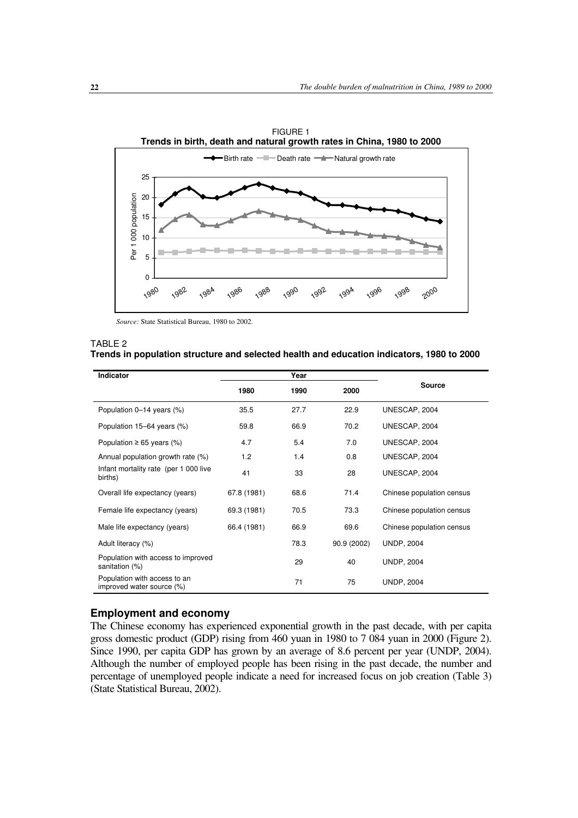

*Source:* State Statistical Bureau, 1980 to 2002.

# TABLE 2 **Trends in population structure and selected health and education indicators, 1980 to 2000**

| Indicator                                                 | Year        |              |             |                           |  |
|-----------------------------------------------------------|-------------|--------------|-------------|---------------------------|--|
|                                                           | 1980        | 2000<br>1990 |             | <b>Source</b>             |  |
| Population 0-14 years (%)                                 | 35.5        | 27.7         | 22.9        | UNESCAP, 2004             |  |
| Population 15–64 years (%)                                | 59.8        | 66.9         | 70.2        | UNESCAP, 2004             |  |
| Population $\geq 65$ years (%)                            | 4.7         | 5.4          | 7.0         | UNESCAP, 2004             |  |
| Annual population growth rate (%)                         | 1.2         | 1.4          | 0.8         | UNESCAP, 2004             |  |
| Infant mortality rate (per 1 000 live<br>births)          | 41          | 33           | 28          | UNESCAP, 2004             |  |
| Overall life expectancy (years)                           | 67.8 (1981) | 68.6         | 71.4        | Chinese population census |  |
| Female life expectancy (years)                            | 69.3 (1981) | 70.5         | 73.3        | Chinese population census |  |
| Male life expectancy (years)                              | 66.4 (1981) | 66.9         | 69.6        | Chinese population census |  |
| Adult literacy (%)                                        |             | 78.3         | 90.9 (2002) | <b>UNDP, 2004</b>         |  |
| Population with access to improved<br>sanitation (%)      |             | 29           | 40          | <b>UNDP, 2004</b>         |  |
| Population with access to an<br>improved water source (%) |             | 71           | 75          | <b>UNDP, 2004</b>         |  |

# **Employment and economy**

The Chinese economy has experienced exponential growth in the past decade, with per capita gross domestic product (GDP) rising from 460 yuan in 1980 to 7 084 yuan in 2000 (Figure 2). Since 1990, per capita GDP has grown by an average of 8.6 percent per year (UNDP, 2004). Although the number of employed people has been rising in the past decade, the number and percentage of unemployed people indicate a need for increased focus on job creation (Table 3) (State Statistical Bureau, 2002).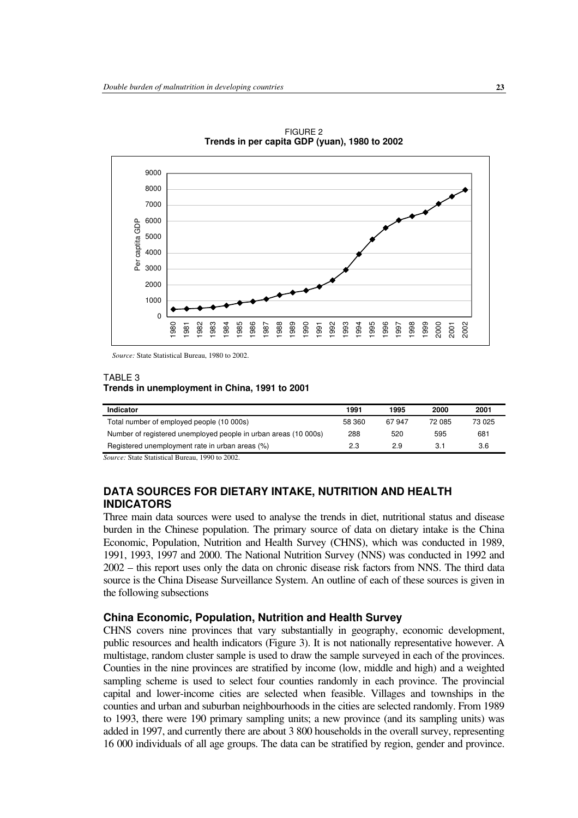



*Source:* State Statistical Bureau, 1980 to 2002.

## TABLE 3 **Trends in unemployment in China, 1991 to 2001**

| Indicator                                                       | 1991   | 1995   | 2000   | 2001   |
|-----------------------------------------------------------------|--------|--------|--------|--------|
| Total number of employed people (10 000s)                       | 58 360 | 67 947 | 72 085 | 73 025 |
| Number of registered unemployed people in urban areas (10 000s) | 288    | 520    | 595    | 681    |
| Registered unemployment rate in urban areas (%)                 | 2.3    | 2.9    | 3.1    | 3.6    |

*Source:* State Statistical Bureau, 1990 to 2002.

# **DATA SOURCES FOR DIETARY INTAKE, NUTRITION AND HEALTH INDICATORS**

Three main data sources were used to analyse the trends in diet, nutritional status and disease burden in the Chinese population. The primary source of data on dietary intake is the China Economic, Population, Nutrition and Health Survey (CHNS), which was conducted in 1989, 1991, 1993, 1997 and 2000. The National Nutrition Survey (NNS) was conducted in 1992 and 2002 – this report uses only the data on chronic disease risk factors from NNS. The third data source is the China Disease Surveillance System. An outline of each of these sources is given in the following subsections

# **China Economic, Population, Nutrition and Health Survey**

CHNS covers nine provinces that vary substantially in geography, economic development, public resources and health indicators (Figure 3). It is not nationally representative however. A multistage, random cluster sample is used to draw the sample surveyed in each of the provinces. Counties in the nine provinces are stratified by income (low, middle and high) and a weighted sampling scheme is used to select four counties randomly in each province. The provincial capital and lower-income cities are selected when feasible. Villages and townships in the counties and urban and suburban neighbourhoods in the cities are selected randomly. From 1989 to 1993, there were 190 primary sampling units; a new province (and its sampling units) was added in 1997, and currently there are about 3 800 households in the overall survey, representing 16 000 individuals of all age groups. The data can be stratified by region, gender and province.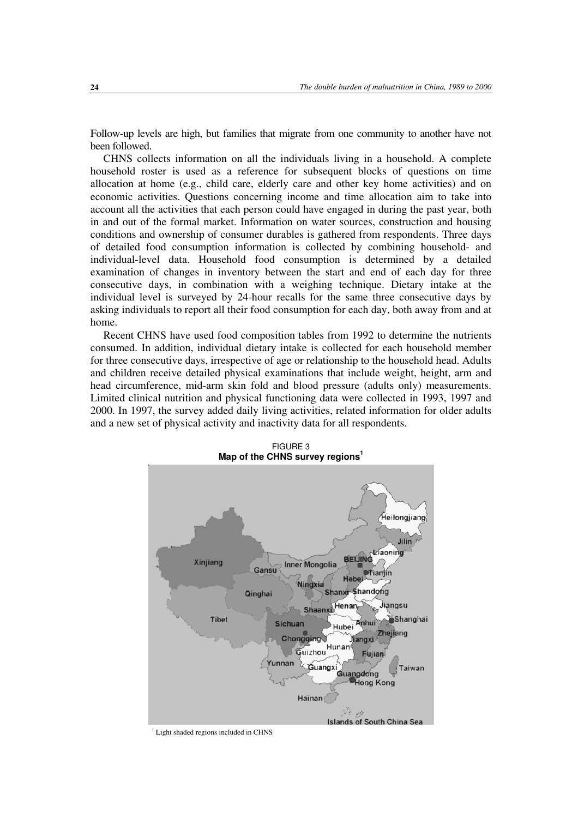Follow-up levels are high, but families that migrate from one community to another have not been followed.

CHNS collects information on all the individuals living in a household. A complete household roster is used as a reference for subsequent blocks of questions on time allocation at home (e.g., child care, elderly care and other key home activities) and on economic activities. Questions concerning income and time allocation aim to take into account all the activities that each person could have engaged in during the past year, both in and out of the formal market. Information on water sources, construction and housing conditions and ownership of consumer durables is gathered from respondents. Three days of detailed food consumption information is collected by combining household- and individual-level data. Household food consumption is determined by a detailed examination of changes in inventory between the start and end of each day for three consecutive days, in combination with a weighing technique. Dietary intake at the individual level is surveyed by 24-hour recalls for the same three consecutive days by asking individuals to report all their food consumption for each day, both away from and at home.

Recent CHNS have used food composition tables from 1992 to determine the nutrients consumed. In addition, individual dietary intake is collected for each household member for three consecutive days, irrespective of age or relationship to the household head. Adults and children receive detailed physical examinations that include weight, height, arm and head circumference, mid-arm skin fold and blood pressure (adults only) measurements. Limited clinical nutrition and physical functioning data were collected in 1993, 1997 and 2000. In 1997, the survey added daily living activities, related information for older adults and a new set of physical activity and inactivity data for all respondents.



FIGURE 3 **Map of the CHNS survey regions<sup>1</sup>**

<sup>1</sup> Light shaded regions included in CHNS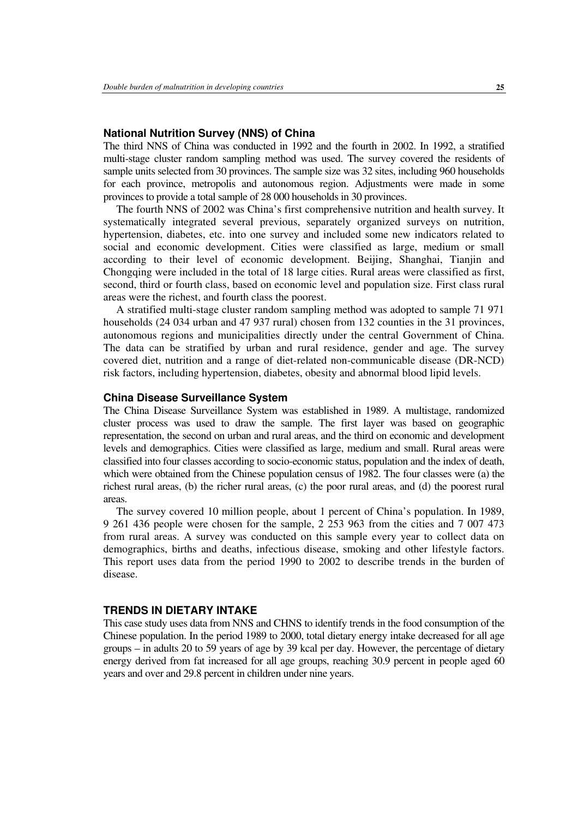# **National Nutrition Survey (NNS) of China**

The third NNS of China was conducted in 1992 and the fourth in 2002. In 1992, a stratified multi-stage cluster random sampling method was used. The survey covered the residents of sample units selected from 30 provinces. The sample size was 32 sites, including 960 households for each province, metropolis and autonomous region. Adjustments were made in some provinces to provide a total sample of 28 000 households in 30 provinces.

The fourth NNS of 2002 was China's first comprehensive nutrition and health survey. It systematically integrated several previous, separately organized surveys on nutrition, hypertension, diabetes, etc. into one survey and included some new indicators related to social and economic development. Cities were classified as large, medium or small according to their level of economic development. Beijing, Shanghai, Tianjin and Chongqing were included in the total of 18 large cities. Rural areas were classified as first, second, third or fourth class, based on economic level and population size. First class rural areas were the richest, and fourth class the poorest.

A stratified multi-stage cluster random sampling method was adopted to sample 71 971 households (24 034 urban and 47 937 rural) chosen from 132 counties in the 31 provinces, autonomous regions and municipalities directly under the central Government of China. The data can be stratified by urban and rural residence, gender and age. The survey covered diet, nutrition and a range of diet-related non-communicable disease (DR-NCD) risk factors, including hypertension, diabetes, obesity and abnormal blood lipid levels.

# **China Disease Surveillance System**

The China Disease Surveillance System was established in 1989. A multistage, randomized cluster process was used to draw the sample. The first layer was based on geographic representation, the second on urban and rural areas, and the third on economic and development levels and demographics. Cities were classified as large, medium and small. Rural areas were classified into four classes according to socio-economic status, population and the index of death, which were obtained from the Chinese population census of 1982. The four classes were (a) the richest rural areas, (b) the richer rural areas, (c) the poor rural areas, and (d) the poorest rural areas.

The survey covered 10 million people, about 1 percent of China's population. In 1989, 9 261 436 people were chosen for the sample, 2 253 963 from the cities and 7 007 473 from rural areas. A survey was conducted on this sample every year to collect data on demographics, births and deaths, infectious disease, smoking and other lifestyle factors. This report uses data from the period 1990 to 2002 to describe trends in the burden of disease.

# **TRENDS IN DIETARY INTAKE**

This case study uses data from NNS and CHNS to identify trends in the food consumption of the Chinese population. In the period 1989 to 2000, total dietary energy intake decreased for all age groups – in adults 20 to 59 years of age by 39 kcal per day. However, the percentage of dietary energy derived from fat increased for all age groups, reaching 30.9 percent in people aged 60 years and over and 29.8 percent in children under nine years.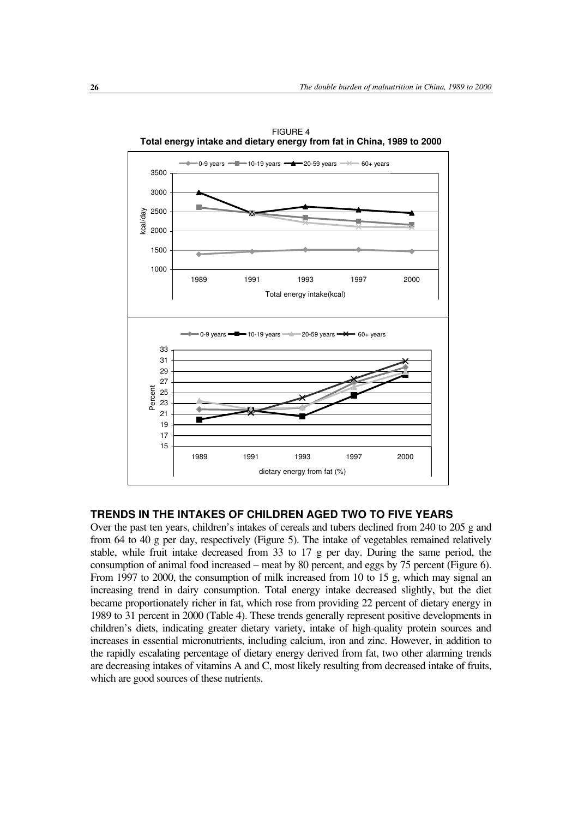

FIGURE 4 **Total energy intake and dietary energy from fat in China, 1989 to 2000**

## **TRENDS IN THE INTAKES OF CHILDREN AGED TWO TO FIVE YEARS**

Over the past ten years, children's intakes of cereals and tubers declined from 240 to 205 g and from 64 to 40 g per day, respectively (Figure 5). The intake of vegetables remained relatively stable, while fruit intake decreased from 33 to 17 g per day. During the same period, the consumption of animal food increased – meat by 80 percent, and eggs by 75 percent (Figure 6). From 1997 to 2000, the consumption of milk increased from 10 to 15 g, which may signal an increasing trend in dairy consumption. Total energy intake decreased slightly, but the diet became proportionately richer in fat, which rose from providing 22 percent of dietary energy in 1989 to 31 percent in 2000 (Table 4). These trends generally represent positive developments in children's diets, indicating greater dietary variety, intake of high-quality protein sources and increases in essential micronutrients, including calcium, iron and zinc. However, in addition to the rapidly escalating percentage of dietary energy derived from fat, two other alarming trends are decreasing intakes of vitamins A and C, most likely resulting from decreased intake of fruits, which are good sources of these nutrients.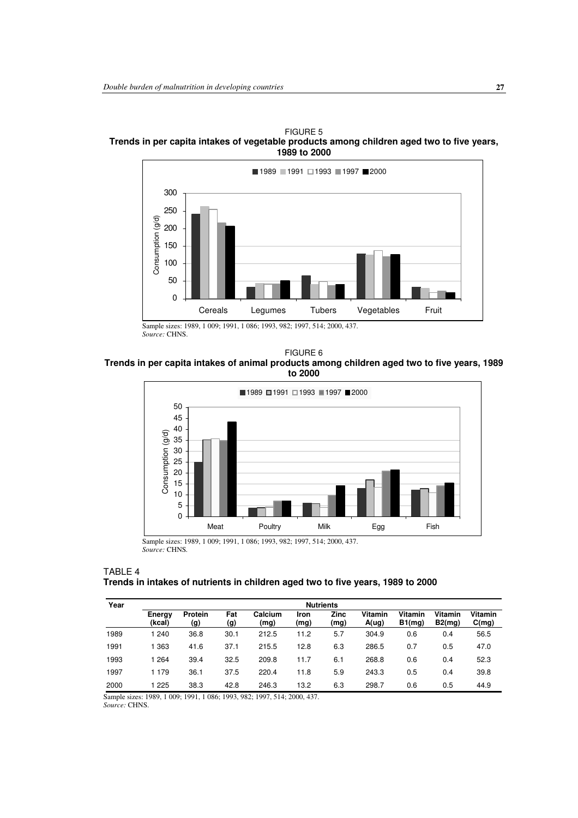

FIGURE 5 **Trends in per capita intakes of vegetable products among children aged two to five years, 1989 to 2000**

Sample sizes: 1989, 1 009; 1991, 1 086; 1993, 982; 1997, 514; 2000, 437. *Source:* CHNS.

FIGURE 6 **Trends in per capita intakes of animal products among children aged two to five years, 1989 to 2000**



TABLE 4

#### **Trends in intakes of nutrients in children aged two to five years, 1989 to 2000**

| Year<br><b>Nutrients</b> |                  |                       |            |                 |              |              |                  |                   |                          |                  |
|--------------------------|------------------|-----------------------|------------|-----------------|--------------|--------------|------------------|-------------------|--------------------------|------------------|
|                          | Energy<br>(kcal) | <b>Protein</b><br>(g) | Fat<br>(g) | Calcium<br>(mg) | Iron<br>(mg) | Zinc<br>(mg) | Vitamin<br>A(ug) | Vitamin<br>B1(mg) | Vitamin<br><b>B2(mg)</b> | Vitamin<br>C(mg) |
| 1989                     | 1 240            | 36.8                  | 30.1       | 212.5           | 11.2         | 5.7          | 304.9            | 0.6               | 0.4                      | 56.5             |
| 1991                     | 1 363            | 41.6                  | 37.1       | 215.5           | 12.8         | 6.3          | 286.5            | 0.7               | 0.5                      | 47.0             |
| 1993                     | 1 264            | 39.4                  | 32.5       | 209.8           | 11.7         | 6.1          | 268.8            | 0.6               | 0.4                      | 52.3             |
| 1997                     | 1 1 7 9          | 36.1                  | 37.5       | 220.4           | 11.8         | 5.9          | 243.3            | 0.5               | 0.4                      | 39.8             |
| 2000                     | 1 2 2 5          | 38.3                  | 42.8       | 246.3           | 13.2         | 6.3          | 298.7            | 0.6               | 0.5                      | 44.9             |

Sample sizes: 1989, 1 009; 1991, 1 086; 1993, 982; 1997, 514; 2000, 437. *Source:* CHNS.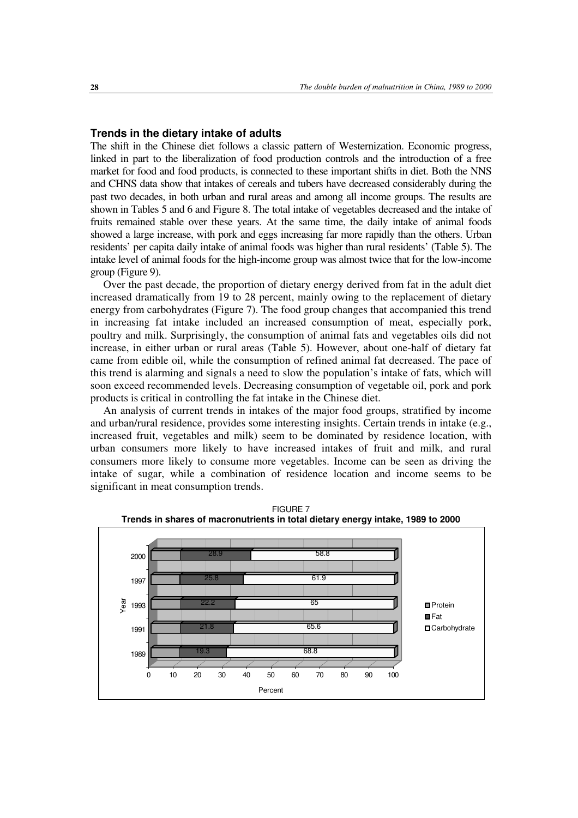## **Trends in the dietary intake of adults**

The shift in the Chinese diet follows a classic pattern of Westernization. Economic progress, linked in part to the liberalization of food production controls and the introduction of a free market for food and food products, is connected to these important shifts in diet. Both the NNS and CHNS data show that intakes of cereals and tubers have decreased considerably during the past two decades, in both urban and rural areas and among all income groups. The results are shown in Tables 5 and 6 and Figure 8. The total intake of vegetables decreased and the intake of fruits remained stable over these years. At the same time, the daily intake of animal foods showed a large increase, with pork and eggs increasing far more rapidly than the others. Urban residents' per capita daily intake of animal foods was higher than rural residents' (Table 5). The intake level of animal foods for the high-income group was almost twice that for the low-income group (Figure 9).

Over the past decade, the proportion of dietary energy derived from fat in the adult diet increased dramatically from 19 to 28 percent, mainly owing to the replacement of dietary energy from carbohydrates (Figure 7). The food group changes that accompanied this trend in increasing fat intake included an increased consumption of meat, especially pork, poultry and milk. Surprisingly, the consumption of animal fats and vegetables oils did not increase, in either urban or rural areas (Table 5). However, about one-half of dietary fat came from edible oil, while the consumption of refined animal fat decreased. The pace of this trend is alarming and signals a need to slow the population's intake of fats, which will soon exceed recommended levels. Decreasing consumption of vegetable oil, pork and pork products is critical in controlling the fat intake in the Chinese diet.

An analysis of current trends in intakes of the major food groups, stratified by income and urban/rural residence, provides some interesting insights. Certain trends in intake (e.g., increased fruit, vegetables and milk) seem to be dominated by residence location, with urban consumers more likely to have increased intakes of fruit and milk, and rural consumers more likely to consume more vegetables. Income can be seen as driving the intake of sugar, while a combination of residence location and income seems to be significant in meat consumption trends.



FIGURE 7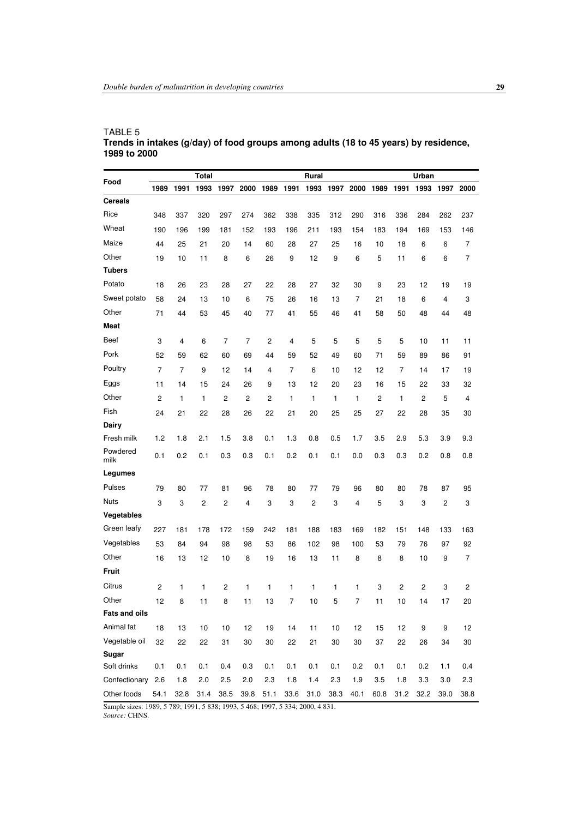| TABLE 5                                                                                                |  |
|--------------------------------------------------------------------------------------------------------|--|
| Trends in intakes $(g/day)$ of food groups among adults (18 to 45 years) by residence,<br>1989 to 2000 |  |

|                      |                |              | <b>Total</b> |                |      |                |                  | Rural          |      |                |                |                | Urban          |                |                |
|----------------------|----------------|--------------|--------------|----------------|------|----------------|------------------|----------------|------|----------------|----------------|----------------|----------------|----------------|----------------|
| Food                 | 1989           | 1991         | 1993         | 1997           | 2000 | 1989           | 1991             | 1993           | 1997 | 2000           | 1989           | 1991           | 1993           | 1997           | 2000           |
| <b>Cereals</b>       |                |              |              |                |      |                |                  |                |      |                |                |                |                |                |                |
| Rice                 | 348            | 337          | 320          | 297            | 274  | 362            | 338              | 335            | 312  | 290            | 316            | 336            | 284            | 262            | 237            |
| Wheat                | 190            | 196          | 199          | 181            | 152  | 193            | 196              | 211            | 193  | 154            | 183            | 194            | 169            | 153            | 146            |
| Maize                | 44             | 25           | 21           | 20             | 14   | 60             | 28               | 27             | 25   | 16             | 10             | 18             | 6              | 6              | 7              |
| Other                | 19             | 10           | 11           | 8              | 6    | 26             | 9                | 12             | 9    | 6              | 5              | 11             | 6              | 6              | $\overline{7}$ |
| <b>Tubers</b>        |                |              |              |                |      |                |                  |                |      |                |                |                |                |                |                |
| Potato               | 18             | 26           | 23           | 28             | 27   | 22             | 28               | 27             | 32   | 30             | 9              | 23             | 12             | 19             | 19             |
| Sweet potato         | 58             | 24           | 13           | 10             | 6    | 75             | 26               | 16             | 13   | $\overline{7}$ | 21             | 18             | 6              | 4              | 3              |
| Other                | 71             | 44           | 53           | 45             | 40   | 77             | 41               | 55             | 46   | 41             | 58             | 50             | 48             | 44             | 48             |
| Meat                 |                |              |              |                |      |                |                  |                |      |                |                |                |                |                |                |
| Beef                 | 3              | 4            | 6            | $\overline{7}$ | 7    | $\overline{2}$ | 4                | 5              | 5    | 5              | 5              | 5              | 10             | 11             | 11             |
| Pork                 | 52             | 59           | 62           | 60             | 69   | 44             | 59               | 52             | 49   | 60             | 71             | 59             | 89             | 86             | 91             |
| Poultry              | $\overline{7}$ | 7            | 9            | 12             | 14   | $\overline{4}$ | 7                | 6              | 10   | 12             | 12             | $\overline{7}$ | 14             | 17             | 19             |
| Eggs                 | 11             | 14           | 15           | 24             | 26   | 9              | 13               | 12             | 20   | 23             | 16             | 15             | 22             | 33             | 32             |
| Other                | $\overline{c}$ | $\mathbf{1}$ | $\mathbf{1}$ | $\overline{c}$ | 2    | $\overline{c}$ | 1                | 1              | 1    | $\mathbf{1}$   | $\overline{2}$ | $\mathbf{1}$   | $\overline{c}$ | 5              | 4              |
| Fish                 | 24             | 21           | 22           | 28             | 26   | 22             | 21               | 20             | 25   | 25             | 27             | 22             | 28             | 35             | 30             |
| Dairy                |                |              |              |                |      |                |                  |                |      |                |                |                |                |                |                |
| Fresh milk           | 1.2            | 1.8          | 2.1          | 1.5            | 3.8  | 0.1            | 1.3              | 0.8            | 0.5  | 1.7            | 3.5            | 2.9            | 5.3            | 3.9            | 9.3            |
| Powdered<br>milk     | 0.1            | 0.2          | 0.1          | 0.3            | 0.3  | 0.1            | 0.2              | 0.1            | 0.1  | 0.0            | 0.3            | 0.3            | 0.2            | 0.8            | 0.8            |
| Legumes              |                |              |              |                |      |                |                  |                |      |                |                |                |                |                |                |
| Pulses               | 79             | 80           | 77           | 81             | 96   | 78             | 80               | 77             | 79   | 96             | 80             | 80             | 78             | 87             | 95             |
| <b>Nuts</b>          | 3              | 3            | 2            | $\overline{2}$ | 4    | 3              | 3                | $\overline{c}$ | 3    | 4              | 5              | 3              | 3              | $\overline{c}$ | 3              |
| Vegetables           |                |              |              |                |      |                |                  |                |      |                |                |                |                |                |                |
| Green leafy          | 227            | 181          | 178          | 172            | 159  | 242            | 181              | 188            | 183  | 169            | 182            | 151            | 148            | 133            | 163            |
| Vegetables           | 53             | 84           | 94           | 98             | 98   | 53             | 86               | 102            | 98   | 100            | 53             | 79             | 76             | 97             | 92             |
| Other                | 16             | 13           | 12           | 10             | 8    | 19             | 16               | 13             | 11   | 8              | 8              | 8              | 10             | 9              | $\overline{7}$ |
| <b>Fruit</b>         |                |              |              |                |      |                |                  |                |      |                |                |                |                |                |                |
| Citrus               | 2              | 1            | 1            | $\overline{2}$ | 1    | 1              | 1                | 1              | 1    | 1              | 3              | 2              | 2              | 3              | 2              |
| Other                | 12             | 8            | 11           | 8              | 11   | $13\,$         | $\boldsymbol{7}$ | $10$           | 5    | $\overline{7}$ | 11             | $10$           | 14             | $17\,$         | 20             |
| <b>Fats and oils</b> |                |              |              |                |      |                |                  |                |      |                |                |                |                |                |                |
| Animal fat           | 18             | 13           | 10           | 10             | 12   | 19             | 14               | 11             | 10   | 12             | 15             | 12             | 9              | 9              | 12             |
| Vegetable oil        | 32             | 22           | 22           | 31             | 30   | 30             | 22               | 21             | 30   | 30             | 37             | 22             | 26             | 34             | 30             |
| Sugar                |                |              |              |                |      |                |                  |                |      |                |                |                |                |                |                |
| Soft drinks          | 0.1            | 0.1          | 0.1          | 0.4            | 0.3  | 0.1            | 0.1              | 0.1            | 0.1  | 0.2            | 0.1            | 0.1            | 0.2            | 1.1            | 0.4            |
| Confectionary 2.6    |                | 1.8          | 2.0          | 2.5            | 2.0  | 2.3            | 1.8              | $1.4$          | 2.3  | 1.9            | 3.5            | 1.8            | 3.3            | 3.0            | 2.3            |
| Other foods          | 54.1           | 32.8         | 31.4         | 38.5           | 39.8 | 51.1           | 33.6             | 31.0           | 38.3 | 40.1           | 60.8           | 31.2           | 32.2           | 39.0           | 38.8           |

Sample sizes: 1989, 5 789; 1991, 5 838; 1993, 5 468; 1997, 5 334; 2000, 4 831. *Source:* CHNS.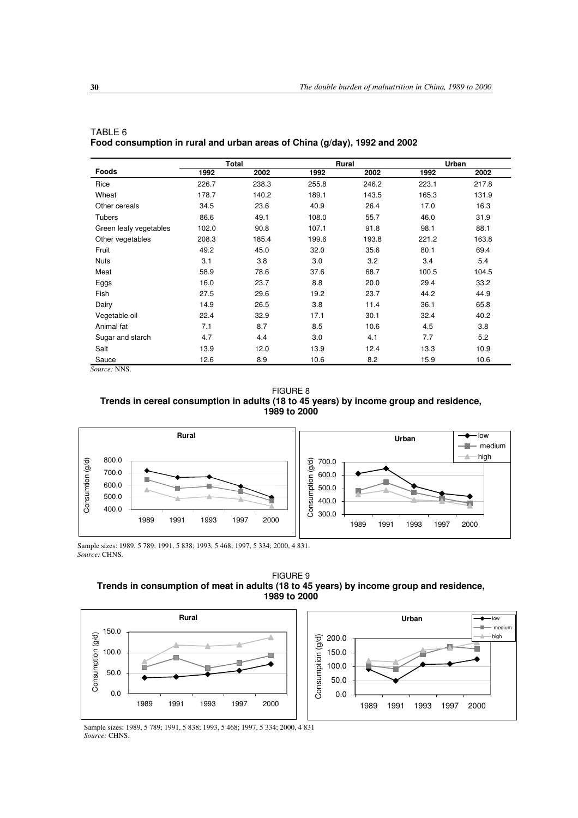|                        |       | Total |       | Rural | Urban |       |  |
|------------------------|-------|-------|-------|-------|-------|-------|--|
| Foods                  | 1992  | 2002  | 1992  | 2002  | 1992  | 2002  |  |
| Rice                   | 226.7 | 238.3 | 255.8 | 246.2 | 223.1 | 217.8 |  |
| Wheat                  | 178.7 | 140.2 | 189.1 | 143.5 | 165.3 | 131.9 |  |
| Other cereals          | 34.5  | 23.6  | 40.9  | 26.4  | 17.0  | 16.3  |  |
| Tubers                 | 86.6  | 49.1  | 108.0 | 55.7  | 46.0  | 31.9  |  |
| Green leafy vegetables | 102.0 | 90.8  | 107.1 | 91.8  | 98.1  | 88.1  |  |
| Other vegetables       | 208.3 | 185.4 | 199.6 | 193.8 | 221.2 | 163.8 |  |
| Fruit                  | 49.2  | 45.0  | 32.0  | 35.6  | 80.1  | 69.4  |  |
| <b>Nuts</b>            | 3.1   | 3.8   | 3.0   | 3.2   | 3.4   | 5.4   |  |
| Meat                   | 58.9  | 78.6  | 37.6  | 68.7  | 100.5 | 104.5 |  |
| Eggs                   | 16.0  | 23.7  | 8.8   | 20.0  | 29.4  | 33.2  |  |
| Fish                   | 27.5  | 29.6  | 19.2  | 23.7  | 44.2  | 44.9  |  |
| Dairy                  | 14.9  | 26.5  | 3.8   | 11.4  | 36.1  | 65.8  |  |
| Vegetable oil          | 22.4  | 32.9  | 17.1  | 30.1  | 32.4  | 40.2  |  |
| Animal fat             | 7.1   | 8.7   | 8.5   | 10.6  | 4.5   | 3.8   |  |
| Sugar and starch       | 4.7   | 4.4   | 3.0   | 4.1   | 7.7   | 5.2   |  |
| Salt                   | 13.9  | 12.0  | 13.9  | 12.4  | 13.3  | 10.9  |  |
| Sauce                  | 12.6  | 8.9   | 10.6  | 8.2   | 15.9  | 10.6  |  |

## TABLE 6

*Source:* NNS.





Sample sizes: 1989, 5 789; 1991, 5 838; 1993, 5 468; 1997, 5 334; 2000, 4 831. *Source:* CHNS.

FIGURE 9 **Trends in consumption of meat in adults (18 to 45 years) by income group and residence, 1989 to 2000**



Sample sizes: 1989, 5 789; 1991, 5 838; 1993, 5 468; 1997, 5 334; 2000, 4 831 *Source:* CHNS.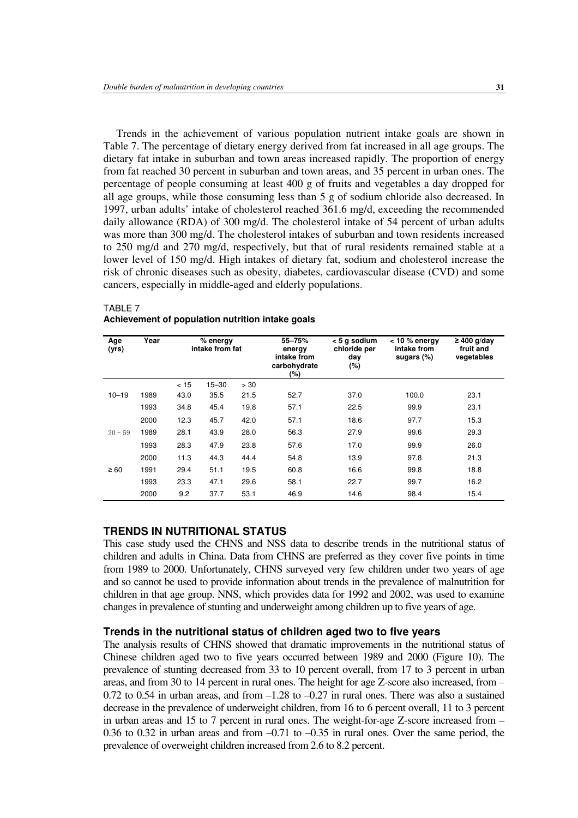Trends in the achievement of various population nutrient intake goals are shown in Table 7. The percentage of dietary energy derived from fat increased in all age groups. The dietary fat intake in suburban and town areas increased rapidly. The proportion of energy from fat reached 30 percent in suburban and town areas, and 35 percent in urban ones. The percentage of people consuming at least 400 g of fruits and vegetables a day dropped for all age groups, while those consuming less than 5 g of sodium chloride also decreased. In 1997, urban adults' intake of cholesterol reached 361.6 mg/d, exceeding the recommended daily allowance (RDA) of 300 mg/d. The cholesterol intake of 54 percent of urban adults was more than 300 mg/d. The cholesterol intakes of suburban and town residents increased to 250 mg/d and 270 mg/d, respectively, but that of rural residents remained stable at a lower level of 150 mg/d. High intakes of dietary fat, sodium and cholesterol increase the risk of chronic diseases such as obesity, diabetes, cardiovascular disease (CVD) and some cancers, especially in middle-aged and elderly populations.

TABLE 7 **Achievement of population nutrition intake goals**

| Age<br>(yrs) | Year | % energy<br>intake from fat |           | 55-75%<br>energy<br>intake from<br>carbohydrate<br>(%) | < 5 g sodium<br>chloride per<br>day<br>(%) | $<$ 10 % energy<br>intake from<br>sugars $(\%)$ | $\geq$ 400 g/day<br>fruit and<br>vegetables |      |
|--------------|------|-----------------------------|-----------|--------------------------------------------------------|--------------------------------------------|-------------------------------------------------|---------------------------------------------|------|
|              |      | < 15                        | $15 - 30$ | > 30                                                   |                                            |                                                 |                                             |      |
| $10 - 19$    | 1989 | 43.0                        | 35.5      | 21.5                                                   | 52.7                                       | 37.0                                            | 100.0                                       | 23.1 |
|              | 1993 | 34.8                        | 45.4      | 19.8                                                   | 57.1                                       | 22.5                                            | 99.9                                        | 23.1 |
|              | 2000 | 12.3                        | 45.7      | 42.0                                                   | 57.1                                       | 18.6                                            | 97.7                                        | 15.3 |
| $20 - 59$    | 1989 | 28.1                        | 43.9      | 28.0                                                   | 56.3                                       | 27.9                                            | 99.6                                        | 29.3 |
|              | 1993 | 28.3                        | 47.9      | 23.8                                                   | 57.6                                       | 17.0                                            | 99.9                                        | 26.0 |
|              | 2000 | 11.3                        | 44.3      | 44.4                                                   | 54.8                                       | 13.9                                            | 97.8                                        | 21.3 |
| $\geq 60$    | 1991 | 29.4                        | 51.1      | 19.5                                                   | 60.8                                       | 16.6                                            | 99.8                                        | 18.8 |
|              | 1993 | 23.3                        | 47.1      | 29.6                                                   | 58.1                                       | 22.7                                            | 99.7                                        | 16.2 |
|              | 2000 | 9.2                         | 37.7      | 53.1                                                   | 46.9                                       | 14.6                                            | 98.4                                        | 15.4 |

## **TRENDS IN NUTRITIONAL STATUS**

This case study used the CHNS and NSS data to describe trends in the nutritional status of children and adults in China. Data from CHNS are preferred as they cover five points in time from 1989 to 2000. Unfortunately, CHNS surveyed very few children under two years of age and so cannot be used to provide information about trends in the prevalence of malnutrition for children in that age group. NNS, which provides data for 1992 and 2002, was used to examine changes in prevalence of stunting and underweight among children up to five years of age.

## **Trends in the nutritional status of children aged two to five years**

The analysis results of CHNS showed that dramatic improvements in the nutritional status of Chinese children aged two to five years occurred between 1989 and 2000 (Figure 10). The prevalence of stunting decreased from 33 to 10 percent overall, from 17 to 3 percent in urban areas, and from 30 to 14 percent in rural ones. The height for age Z-score also increased, from – 0.72 to 0.54 in urban areas, and from  $-1.28$  to  $-0.27$  in rural ones. There was also a sustained decrease in the prevalence of underweight children, from 16 to 6 percent overall, 11 to 3 percent in urban areas and 15 to 7 percent in rural ones. The weight-for-age Z-score increased from – 0.36 to 0.32 in urban areas and from  $-0.71$  to  $-0.35$  in rural ones. Over the same period, the prevalence of overweight children increased from 2.6 to 8.2 percent.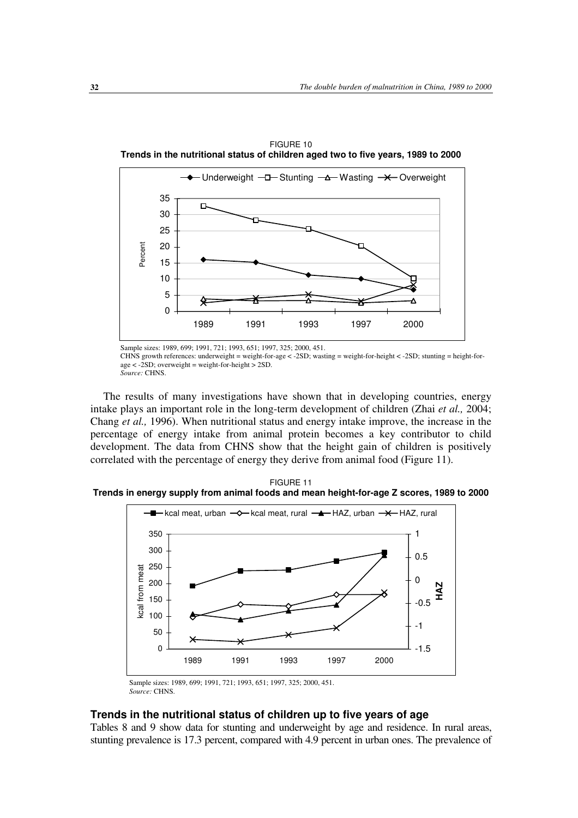

FIGURE 10 **Trends in the nutritional status of children aged two to five years, 1989 to 2000**

Sample sizes: 1989, 699; 1991, 721; 1993, 651; 1997, 325; 2000, 451.

CHNS growth references: underweight = weight-for-age < -2SD; wasting = weight-for-height < -2SD; stunting = height-forage  $\langle$  -2SD; overweight = weight-for-height > 2SD.

*Source:* CHNS.

The results of many investigations have shown that in developing countries, energy intake plays an important role in the long-term development of children (Zhai *et al.,* 2004; Chang *et al.,* 1996). When nutritional status and energy intake improve, the increase in the percentage of energy intake from animal protein becomes a key contributor to child development. The data from CHNS show that the height gain of children is positively correlated with the percentage of energy they derive from animal food (Figure 11).

FIGURE 11 **Trends in energy supply from animal foods and mean height-for-age Z scores, 1989 to 2000**



Sample sizes: 1989, 699; 1991, 721; 1993, 651; 1997, 325; 2000, 451. *Source:* CHNS.

## **Trends in the nutritional status of children up to five years of age**

Tables 8 and 9 show data for stunting and underweight by age and residence. In rural areas, stunting prevalence is 17.3 percent, compared with 4.9 percent in urban ones. The prevalence of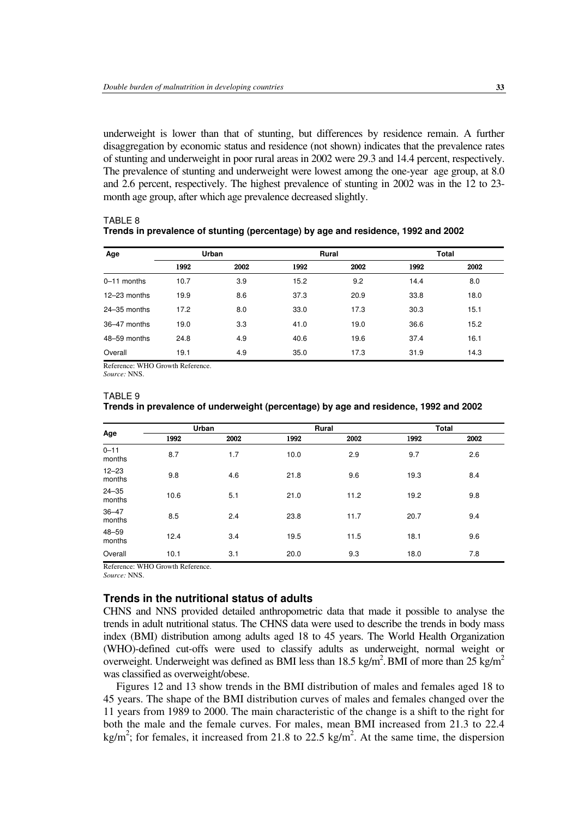underweight is lower than that of stunting, but differences by residence remain. A further disaggregation by economic status and residence (not shown) indicates that the prevalence rates of stunting and underweight in poor rural areas in 2002 were 29.3 and 14.4 percent, respectively. The prevalence of stunting and underweight were lowest among the one-year age group, at 8.0 and 2.6 percent, respectively. The highest prevalence of stunting in 2002 was in the 12 to 23 month age group, after which age prevalence decreased slightly.

| Trends in prevalence of stunting (percentage) by age and residence, 1992 and 2002 |      |       |       |      |       |    |  |  |  |
|-----------------------------------------------------------------------------------|------|-------|-------|------|-------|----|--|--|--|
| Age                                                                               |      | Urban | Rural |      | Total |    |  |  |  |
|                                                                                   | 1992 | 2002  | 1992  | 2002 | 1992  | 20 |  |  |  |

| Age              |      | Urban |      | Rural |      | <b>Total</b> |
|------------------|------|-------|------|-------|------|--------------|
|                  | 1992 | 2002  | 1992 | 2002  | 1992 | 2002         |
| $0-11$ months    | 10.7 | 3.9   | 15.2 | 9.2   | 14.4 | 8.0          |
| $12-23$ months   | 19.9 | 8.6   | 37.3 | 20.9  | 33.8 | 18.0         |
| $24 - 35$ months | 17.2 | 8.0   | 33.0 | 17.3  | 30.3 | 15.1         |
| 36-47 months     | 19.0 | 3.3   | 41.0 | 19.0  | 36.6 | 15.2         |
| 48-59 months     | 24.8 | 4.9   | 40.6 | 19.6  | 37.4 | 16.1         |
| Overall          | 19.1 | 4.9   | 35.0 | 17.3  | 31.9 | 14.3         |

Reference: WHO Growth Reference. *Source:* NNS.

TABLE 8

| TABLE 9 |  |  |  |
|---------|--|--|--|

| Trends in prevalence of underweight (percentage) by age and residence, 1992 and 2002 |  |
|--------------------------------------------------------------------------------------|--|
|--------------------------------------------------------------------------------------|--|

| Age                 |      | Urban |      | Rural | <b>Total</b> |      |  |
|---------------------|------|-------|------|-------|--------------|------|--|
|                     | 1992 | 2002  | 1992 | 2002  | 1992         | 2002 |  |
| $0 - 11$<br>months  | 8.7  | 1.7   | 10.0 | 2.9   | 9.7          | 2.6  |  |
| $12 - 23$<br>months | 9.8  | 4.6   | 21.8 | 9.6   | 19.3         | 8.4  |  |
| $24 - 35$<br>months | 10.6 | 5.1   | 21.0 | 11.2  | 19.2         | 9.8  |  |
| $36 - 47$<br>months | 8.5  | 2.4   | 23.8 | 11.7  | 20.7         | 9.4  |  |
| $48 - 59$<br>months | 12.4 | 3.4   | 19.5 | 11.5  | 18.1         | 9.6  |  |
| Overall             | 10.1 | 3.1   | 20.0 | 9.3   | 18.0         | 7.8  |  |

Reference: WHO Growth Reference.

*Source:* NNS.

#### **Trends in the nutritional status of adults**

CHNS and NNS provided detailed anthropometric data that made it possible to analyse the trends in adult nutritional status. The CHNS data were used to describe the trends in body mass index (BMI) distribution among adults aged 18 to 45 years. The World Health Organization (WHO)-defined cut-offs were used to classify adults as underweight, normal weight or overweight. Underweight was defined as BMI less than 18.5 kg/m<sup>2</sup>. BMI of more than  $25 \text{ kg/m}^2$ was classified as overweight/obese.

Figures 12 and 13 show trends in the BMI distribution of males and females aged 18 to 45 years. The shape of the BMI distribution curves of males and females changed over the 11 years from 1989 to 2000. The main characteristic of the change is a shift to the right for both the male and the female curves. For males, mean BMI increased from 21.3 to 22.4 kg/m<sup>2</sup>; for females, it increased from 21.8 to 22.5 kg/m<sup>2</sup>. At the same time, the dispersion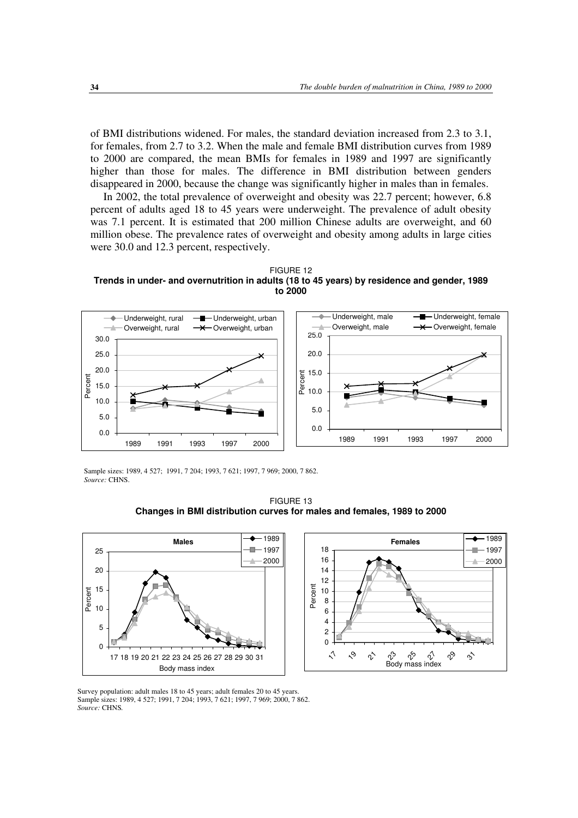of BMI distributions widened. For males, the standard deviation increased from 2.3 to 3.1, for females, from 2.7 to 3.2. When the male and female BMI distribution curves from 1989 to 2000 are compared, the mean BMIs for females in 1989 and 1997 are significantly higher than those for males. The difference in BMI distribution between genders disappeared in 2000, because the change was significantly higher in males than in females.

In 2002, the total prevalence of overweight and obesity was 22.7 percent; however, 6.8 percent of adults aged 18 to 45 years were underweight. The prevalence of adult obesity was 7.1 percent. It is estimated that 200 million Chinese adults are overweight, and 60 million obese. The prevalence rates of overweight and obesity among adults in large cities were 30.0 and 12.3 percent, respectively.

FIGURE 12 **Trends in under- and overnutrition in adults (18 to 45 years) by residence and gender, 1989 to 2000**



Sample sizes: 1989, 4 527; 1991, 7 204; 1993, 7 621; 1997, 7 969; 2000, 7 862. *Source:* CHNS.

FIGURE 13 **Changes in BMI distribution curves for males and females, 1989 to 2000**



Survey population: adult males 18 to 45 years; adult females 20 to 45 years. Sample sizes: 1989, 4 527; 1991, 7 204; 1993, 7 621; 1997, 7 969; 2000, 7 862. *Source:* CHNS*.*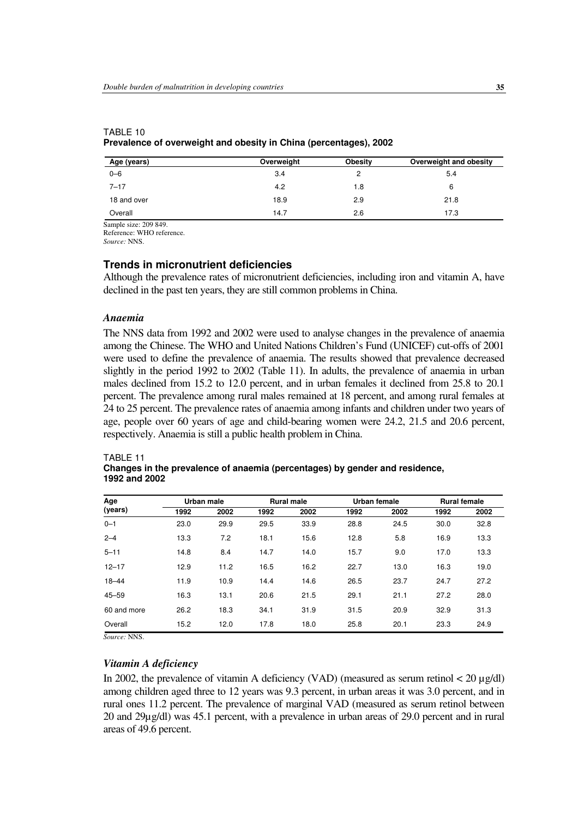| Age (years) | Overweight | <b>Obesity</b> | Overweight and obesity |
|-------------|------------|----------------|------------------------|
| $0 - 6$     | 3.4        | 2              | 5.4                    |
| $7 - 17$    | 4.2        | 1.8            | 6                      |
| 18 and over | 18.9       | 2.9            | 21.8                   |
| Overall     | 14.7       | 2.6            | 17.3                   |

#### TABLE 10 **Prevalence of overweight and obesity in China (percentages), 2002**

Sample size: 209 849. Reference: WHO reference.

*Source:* NNS.

## **Trends in micronutrient deficiencies**

Although the prevalence rates of micronutrient deficiencies, including iron and vitamin A, have declined in the past ten years, they are still common problems in China.

#### *Anaemia*

The NNS data from 1992 and 2002 were used to analyse changes in the prevalence of anaemia among the Chinese. The WHO and United Nations Children's Fund (UNICEF) cut-offs of 2001 were used to define the prevalence of anaemia. The results showed that prevalence decreased slightly in the period 1992 to 2002 (Table 11). In adults, the prevalence of anaemia in urban males declined from 15.2 to 12.0 percent, and in urban females it declined from 25.8 to 20.1 percent. The prevalence among rural males remained at 18 percent, and among rural females at 24 to 25 percent. The prevalence rates of anaemia among infants and children under two years of age, people over 60 years of age and child-bearing women were 24.2, 21.5 and 20.6 percent, respectively. Anaemia is still a public health problem in China.

## TABLE 11 **Changes in the prevalence of anaemia (percentages) by gender and residence, 1992 and 2002**

| Age         |      | Urban male |      | <b>Rural male</b> | Urban female |      | <b>Rural female</b> |      |
|-------------|------|------------|------|-------------------|--------------|------|---------------------|------|
| (years)     | 1992 | 2002       | 1992 | 2002              | 1992         | 2002 | 1992                | 2002 |
| $0 - 1$     | 23.0 | 29.9       | 29.5 | 33.9              | 28.8         | 24.5 | 30.0                | 32.8 |
| $2 - 4$     | 13.3 | 7.2        | 18.1 | 15.6              | 12.8         | 5.8  | 16.9                | 13.3 |
| $5 - 11$    | 14.8 | 8.4        | 14.7 | 14.0              | 15.7         | 9.0  | 17.0                | 13.3 |
| $12 - 17$   | 12.9 | 11.2       | 16.5 | 16.2              | 22.7         | 13.0 | 16.3                | 19.0 |
| $18 - 44$   | 11.9 | 10.9       | 14.4 | 14.6              | 26.5         | 23.7 | 24.7                | 27.2 |
| $45 - 59$   | 16.3 | 13.1       | 20.6 | 21.5              | 29.1         | 21.1 | 27.2                | 28.0 |
| 60 and more | 26.2 | 18.3       | 34.1 | 31.9              | 31.5         | 20.9 | 32.9                | 31.3 |
| Overall     | 15.2 | 12.0       | 17.8 | 18.0              | 25.8         | 20.1 | 23.3                | 24.9 |

*Source:* NNS.

## *Vitamin A deficiency*

In 2002, the prevalence of vitamin A deficiency (VAD) (measured as serum retinol  $<$  20  $\mu$ g/dl) among children aged three to 12 years was 9.3 percent, in urban areas it was 3.0 percent, and in rural ones 11.2 percent. The prevalence of marginal VAD (measured as serum retinol between 20 and 29µg/dl) was 45.1 percent, with a prevalence in urban areas of 29.0 percent and in rural areas of 49.6 percent.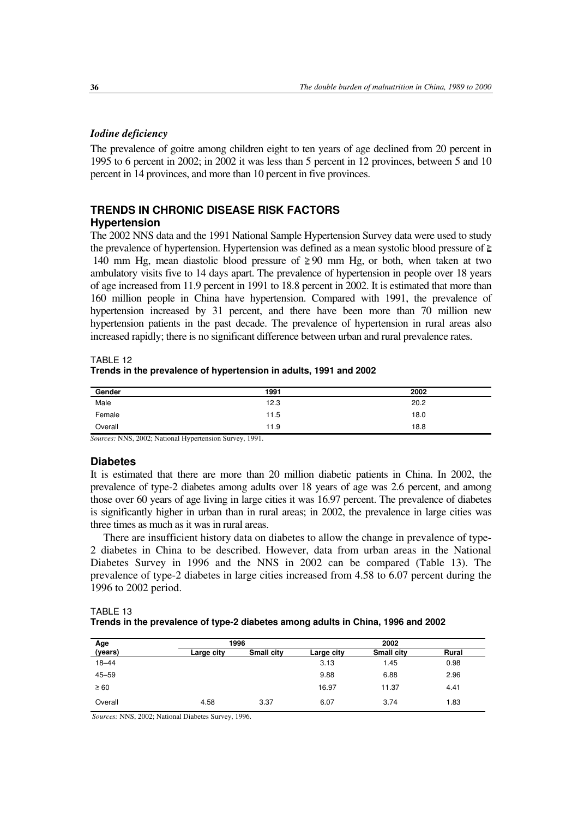## *Iodine deficiency*

The prevalence of goitre among children eight to ten years of age declined from 20 percent in 1995 to 6 percent in 2002; in 2002 it was less than 5 percent in 12 provinces, between 5 and 10 percent in 14 provinces, and more than 10 percent in five provinces.

## **TRENDS IN CHRONIC DISEASE RISK FACTORS Hypertension**

The 2002 NNS data and the 1991 National Sample Hypertension Survey data were used to study the prevalence of hypertension. Hypertension was defined as a mean systolic blood pressure of  $\geq$ 140 mm Hg, mean diastolic blood pressure of  $\geq 90$  mm Hg, or both, when taken at two ambulatory visits five to 14 days apart. The prevalence of hypertension in people over 18 years of age increased from 11.9 percent in 1991 to 18.8 percent in 2002. It is estimated that more than 160 million people in China have hypertension. Compared with 1991, the prevalence of hypertension increased by 31 percent, and there have been more than 70 million new hypertension patients in the past decade. The prevalence of hypertension in rural areas also increased rapidly; there is no significant difference between urban and rural prevalence rates.

TABLE 12 **Trends in the prevalence of hypertension in adults, 1991 and 2002**

| Gender  | 1991 | 2002 |
|---------|------|------|
| Male    | 12.3 | 20.2 |
| Female  | 11.5 | 18.0 |
| Overall | 11.9 | 18.8 |

*Sources:* NNS, 2002; National Hypertension Survey, 1991.

## **Diabetes**

It is estimated that there are more than 20 million diabetic patients in China. In 2002, the prevalence of type-2 diabetes among adults over 18 years of age was 2.6 percent, and among those over 60 years of age living in large cities it was 16.97 percent. The prevalence of diabetes is significantly higher in urban than in rural areas; in 2002, the prevalence in large cities was three times as much as it was in rural areas.

There are insufficient history data on diabetes to allow the change in prevalence of type-2 diabetes in China to be described. However, data from urban areas in the National Diabetes Survey in 1996 and the NNS in 2002 can be compared (Table 13). The prevalence of type-2 diabetes in large cities increased from 4.58 to 6.07 percent during the 1996 to 2002 period.

TABLE 13 **Trends in the prevalence of type-2 diabetes among adults in China, 1996 and 2002**

| Age       | 1996       |                   | 2002       |                   |       |  |
|-----------|------------|-------------------|------------|-------------------|-------|--|
| (years)   | Large city | <b>Small city</b> | Large city | <b>Small city</b> | Rural |  |
| $18 - 44$ |            |                   | 3.13       | 1.45              | 0.98  |  |
| $45 - 59$ |            |                   | 9.88       | 6.88              | 2.96  |  |
| $\geq 60$ |            |                   | 16.97      | 11.37             | 4.41  |  |
| Overall   | 4.58       | 3.37              | 6.07       | 3.74              | 1.83  |  |

*Sources:* NNS, 2002; National Diabetes Survey, 1996.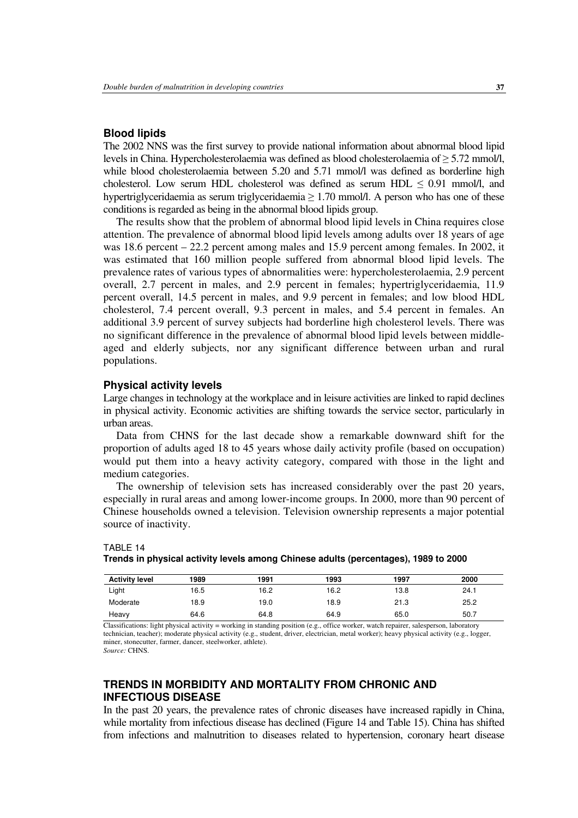## **Blood lipids**

The 2002 NNS was the first survey to provide national information about abnormal blood lipid levels in China. Hypercholesterolaemia was defined as blood cholesterolaemia of  $\geq$  5.72 mmol/l, while blood cholesterolaemia between 5.20 and 5.71 mmol/l was defined as borderline high cholesterol. Low serum HDL cholesterol was defined as serum HDL  $\leq$  0.91 mmol/l, and hypertriglyceridaemia as serum triglyceridaemia  $\geq 1.70$  mmol/l. A person who has one of these conditions is regarded as being in the abnormal blood lipids group.

The results show that the problem of abnormal blood lipid levels in China requires close attention. The prevalence of abnormal blood lipid levels among adults over 18 years of age was 18.6 percent – 22.2 percent among males and 15.9 percent among females. In 2002, it was estimated that 160 million people suffered from abnormal blood lipid levels. The prevalence rates of various types of abnormalities were: hypercholesterolaemia, 2.9 percent overall, 2.7 percent in males, and 2.9 percent in females; hypertriglyceridaemia, 11.9 percent overall, 14.5 percent in males, and 9.9 percent in females; and low blood HDL cholesterol, 7.4 percent overall, 9.3 percent in males, and 5.4 percent in females. An additional 3.9 percent of survey subjects had borderline high cholesterol levels. There was no significant difference in the prevalence of abnormal blood lipid levels between middleaged and elderly subjects, nor any significant difference between urban and rural populations.

#### **Physical activity levels**

Large changes in technology at the workplace and in leisure activities are linked to rapid declines in physical activity. Economic activities are shifting towards the service sector, particularly in urban areas.

Data from CHNS for the last decade show a remarkable downward shift for the proportion of adults aged 18 to 45 years whose daily activity profile (based on occupation) would put them into a heavy activity category, compared with those in the light and medium categories.

The ownership of television sets has increased considerably over the past 20 years, especially in rural areas and among lower-income groups. In 2000, more than 90 percent of Chinese households owned a television. Television ownership represents a major potential source of inactivity.

| <b>Activity level</b> | 1989 | 1991 | 1993 | 1997 | 2000 |
|-----------------------|------|------|------|------|------|
| Light                 | 16.5 | 16.2 | 16.2 | 13.8 | 24.1 |
| Moderate              | 18.9 | 19.0 | 18.9 | 21.3 | 25.2 |
| Heavy                 | 64.6 | 64.8 | 64.9 | 65.0 | 50.7 |

TABLE 14 **Trends in physical activity levels among Chinese adults (percentages), 1989 to 2000**

Classifications: light physical activity = working in standing position (e.g., office worker, watch repairer, salesperson, laboratory technician, teacher); moderate physical activity (e.g., student, driver, electrician, metal worker); heavy physical activity (e.g., logger, miner, stonecutter, farmer, dancer, steelworker, athlete). *Source:* CHNS.

## **TRENDS IN MORBIDITY AND MORTALITY FROM CHRONIC AND INFECTIOUS DISEASE**

In the past 20 years, the prevalence rates of chronic diseases have increased rapidly in China, while mortality from infectious disease has declined (Figure 14 and Table 15). China has shifted from infections and malnutrition to diseases related to hypertension, coronary heart disease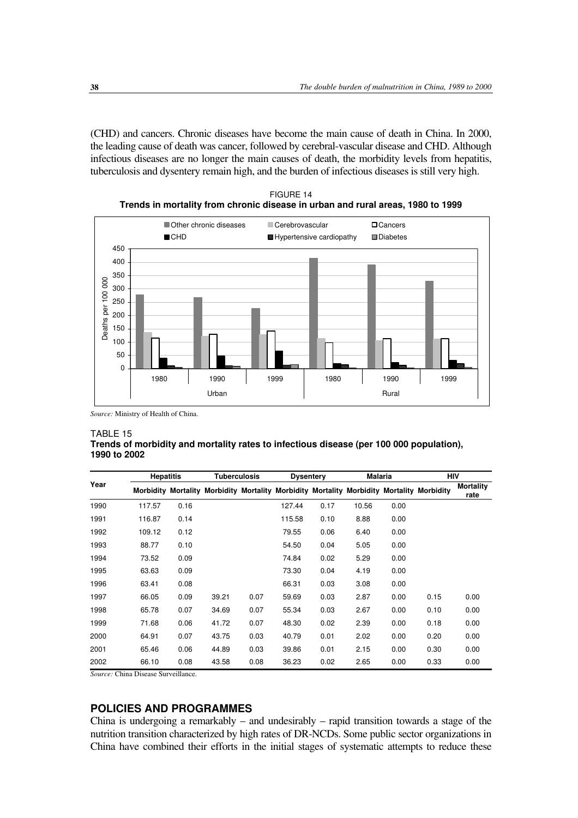(CHD) and cancers. Chronic diseases have become the main cause of death in China. In 2000, the leading cause of death was cancer, followed by cerebral-vascular disease and CHD. Although infectious diseases are no longer the main causes of death, the morbidity levels from hepatitis, tuberculosis and dysentery remain high, and the burden of infectious diseases is still very high.





*Source:* Ministry of Health of China.

#### TABLE 15 **Trends of morbidity and mortality rates to infectious disease (per 100 000 population), 1990 to 2002**

|      | 1990 to 2002     |      |                                                                                           |      |        |                  |       |         |            |                          |
|------|------------------|------|-------------------------------------------------------------------------------------------|------|--------|------------------|-------|---------|------------|--------------------------|
|      | <b>Hepatitis</b> |      | <b>Tuberculosis</b>                                                                       |      |        | <b>Dysentery</b> |       | Malaria | <b>HIV</b> |                          |
| Year |                  |      | Morbidity Mortality Morbidity Mortality Morbidity Mortality Morbidity Mortality Morbidity |      |        |                  |       |         |            | <b>Mortality</b><br>rate |
| 1990 | 117.57           | 0.16 |                                                                                           |      | 127.44 | 0.17             | 10.56 | 0.00    |            |                          |
| 1991 | 116.87           | 0.14 |                                                                                           |      | 115.58 | 0.10             | 8.88  | 0.00    |            |                          |
| 1992 | 109.12           | 0.12 |                                                                                           |      | 79.55  | 0.06             | 6.40  | 0.00    |            |                          |
| 1993 | 88.77            | 0.10 |                                                                                           |      | 54.50  | 0.04             | 5.05  | 0.00    |            |                          |
| 1994 | 73.52            | 0.09 |                                                                                           |      | 74.84  | 0.02             | 5.29  | 0.00    |            |                          |
| 1995 | 63.63            | 0.09 |                                                                                           |      | 73.30  | 0.04             | 4.19  | 0.00    |            |                          |
| 1996 | 63.41            | 0.08 |                                                                                           |      | 66.31  | 0.03             | 3.08  | 0.00    |            |                          |
| 1997 | 66.05            | 0.09 | 39.21                                                                                     | 0.07 | 59.69  | 0.03             | 2.87  | 0.00    | 0.15       | 0.00                     |
| 1998 | 65.78            | 0.07 | 34.69                                                                                     | 0.07 | 55.34  | 0.03             | 2.67  | 0.00    | 0.10       | 0.00                     |
| 1999 | 71.68            | 0.06 | 41.72                                                                                     | 0.07 | 48.30  | 0.02             | 2.39  | 0.00    | 0.18       | 0.00                     |
| 2000 | 64.91            | 0.07 | 43.75                                                                                     | 0.03 | 40.79  | 0.01             | 2.02  | 0.00    | 0.20       | 0.00                     |
| 2001 | 65.46            | 0.06 | 44.89                                                                                     | 0.03 | 39.86  | 0.01             | 2.15  | 0.00    | 0.30       | 0.00                     |
| 2002 | 66.10            | 0.08 | 43.58                                                                                     | 0.08 | 36.23  | 0.02             | 2.65  | 0.00    | 0.33       | 0.00                     |

*Source:* China Disease Surveillance.

## **POLICIES AND PROGRAMMES**

China is undergoing a remarkably – and undesirably – rapid transition towards a stage of the nutrition transition characterized by high rates of DR-NCDs. Some public sector organizations in China have combined their efforts in the initial stages of systematic attempts to reduce these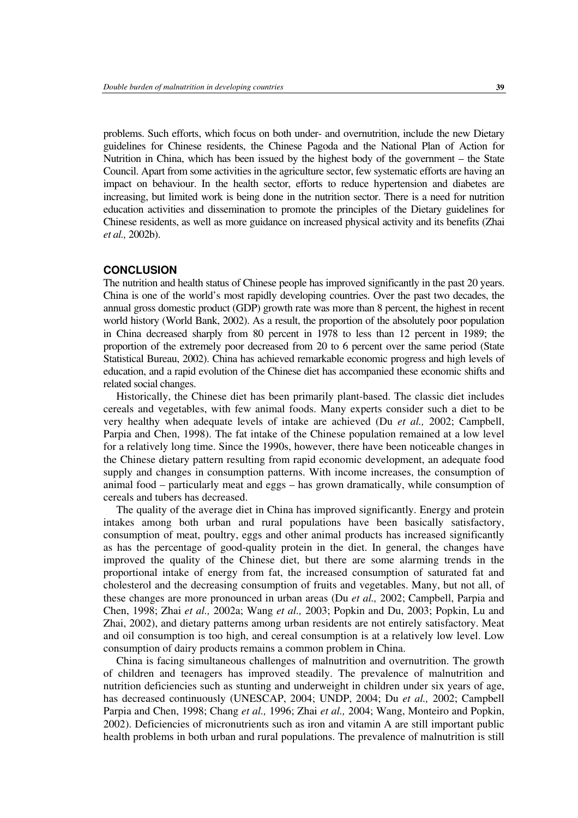problems. Such efforts, which focus on both under- and overnutrition, include the new Dietary guidelines for Chinese residents, the Chinese Pagoda and the National Plan of Action for Nutrition in China, which has been issued by the highest body of the government – the State Council. Apart from some activities in the agriculture sector, few systematic efforts are having an impact on behaviour. In the health sector, efforts to reduce hypertension and diabetes are increasing, but limited work is being done in the nutrition sector. There is a need for nutrition education activities and dissemination to promote the principles of the Dietary guidelines for Chinese residents, as well as more guidance on increased physical activity and its benefits (Zhai *et al.,* 2002b).

#### **CONCLUSION**

The nutrition and health status of Chinese people has improved significantly in the past 20 years. China is one of the world's most rapidly developing countries. Over the past two decades, the annual gross domestic product (GDP) growth rate was more than 8 percent, the highest in recent world history (World Bank, 2002). As a result, the proportion of the absolutely poor population in China decreased sharply from 80 percent in 1978 to less than 12 percent in 1989; the proportion of the extremely poor decreased from 20 to 6 percent over the same period (State Statistical Bureau, 2002). China has achieved remarkable economic progress and high levels of education, and a rapid evolution of the Chinese diet has accompanied these economic shifts and related social changes.

Historically, the Chinese diet has been primarily plant-based. The classic diet includes cereals and vegetables, with few animal foods. Many experts consider such a diet to be very healthy when adequate levels of intake are achieved (Du *et al.,* 2002; Campbell, Parpia and Chen, 1998). The fat intake of the Chinese population remained at a low level for a relatively long time. Since the 1990s, however, there have been noticeable changes in the Chinese dietary pattern resulting from rapid economic development, an adequate food supply and changes in consumption patterns. With income increases, the consumption of animal food – particularly meat and eggs – has grown dramatically, while consumption of cereals and tubers has decreased.

The quality of the average diet in China has improved significantly. Energy and protein intakes among both urban and rural populations have been basically satisfactory, consumption of meat, poultry, eggs and other animal products has increased significantly as has the percentage of good-quality protein in the diet. In general, the changes have improved the quality of the Chinese diet, but there are some alarming trends in the proportional intake of energy from fat, the increased consumption of saturated fat and cholesterol and the decreasing consumption of fruits and vegetables. Many, but not all, of these changes are more pronounced in urban areas (Du *et al.,* 2002; Campbell, Parpia and Chen, 1998; Zhai *et al.,* 2002a; Wang *et al.,* 2003; Popkin and Du, 2003; Popkin, Lu and Zhai, 2002), and dietary patterns among urban residents are not entirely satisfactory. Meat and oil consumption is too high, and cereal consumption is at a relatively low level. Low consumption of dairy products remains a common problem in China.

China is facing simultaneous challenges of malnutrition and overnutrition. The growth of children and teenagers has improved steadily. The prevalence of malnutrition and nutrition deficiencies such as stunting and underweight in children under six years of age, has decreased continuously (UNESCAP, 2004; UNDP, 2004; Du *et al.,* 2002; Campbell Parpia and Chen, 1998; Chang *et al.,* 1996; Zhai *et al.,* 2004; Wang, Monteiro and Popkin, 2002). Deficiencies of micronutrients such as iron and vitamin A are still important public health problems in both urban and rural populations. The prevalence of malnutrition is still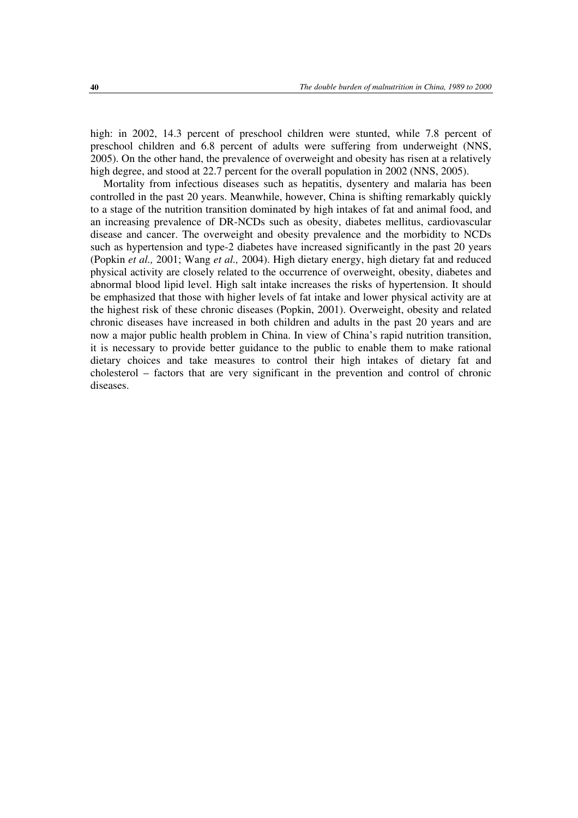high: in 2002, 14.3 percent of preschool children were stunted, while 7.8 percent of preschool children and 6.8 percent of adults were suffering from underweight (NNS, 2005). On the other hand, the prevalence of overweight and obesity has risen at a relatively high degree, and stood at 22.7 percent for the overall population in 2002 (NNS, 2005).

Mortality from infectious diseases such as hepatitis, dysentery and malaria has been controlled in the past 20 years. Meanwhile, however, China is shifting remarkably quickly to a stage of the nutrition transition dominated by high intakes of fat and animal food, and an increasing prevalence of DR-NCDs such as obesity, diabetes mellitus, cardiovascular disease and cancer. The overweight and obesity prevalence and the morbidity to NCDs such as hypertension and type-2 diabetes have increased significantly in the past 20 years (Popkin *et al.,* 2001; Wang *et al.,* 2004). High dietary energy, high dietary fat and reduced physical activity are closely related to the occurrence of overweight, obesity, diabetes and abnormal blood lipid level. High salt intake increases the risks of hypertension. It should be emphasized that those with higher levels of fat intake and lower physical activity are at the highest risk of these chronic diseases (Popkin, 2001). Overweight, obesity and related chronic diseases have increased in both children and adults in the past 20 years and are now a major public health problem in China. In view of China's rapid nutrition transition, it is necessary to provide better guidance to the public to enable them to make rational dietary choices and take measures to control their high intakes of dietary fat and cholesterol – factors that are very significant in the prevention and control of chronic diseases.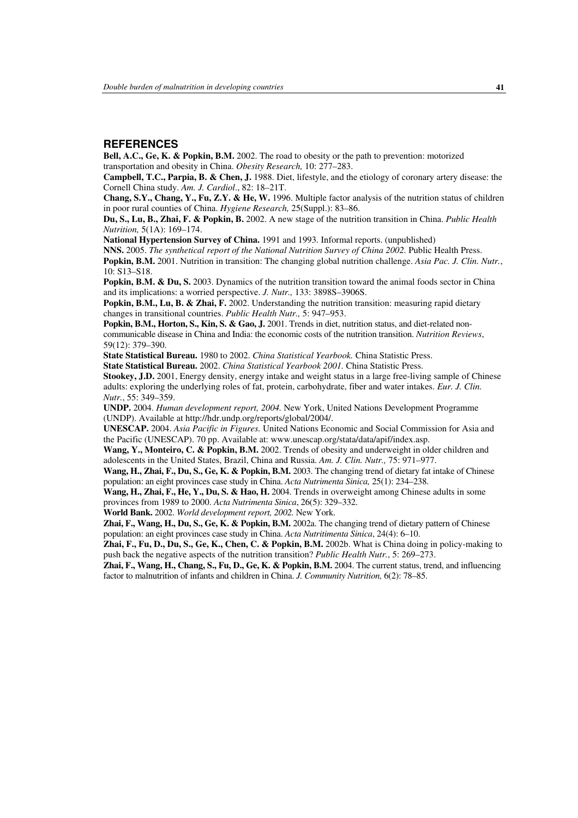## **REFERENCES**

**Bell, A.C., Ge, K. & Popkin, B.M.** 2002. The road to obesity or the path to prevention: motorized transportation and obesity in China. *Obesity Research,* 10: 277–283.

**Campbell, T.C., Parpia, B. & Chen, J.** 1988. Diet, lifestyle, and the etiology of coronary artery disease: the Cornell China study. *Am. J. Cardiol*., 82: 18–21T.

**Chang, S.Y., Chang, Y., Fu, Z.Y. & He, W.** 1996. Multiple factor analysis of the nutrition status of children in poor rural counties of China. *Hygiene Research,* 25(Suppl.): 83–86.

**Du, S., Lu, B., Zhai, F. & Popkin, B.** 2002. A new stage of the nutrition transition in China. *Public Health Nutrition,* 5(1A): 169–174.

**National Hypertension Survey of China.** 1991 and 1993. Informal reports. (unpublished)

**NNS.** 2005. *The synthetical report of the National Nutrition Survey of China 2002.* Public Health Press. **Popkin, B.M.** 2001. Nutrition in transition: The changing global nutrition challenge. *Asia Pac. J. Clin. Nutr.*, 10: S13–S18.

**Popkin, B.M. & Du, S.** 2003. Dynamics of the nutrition transition toward the animal foods sector in China and its implications: a worried perspective. *J. Nutr.,* 133: 3898S–3906S.

**Popkin, B.M., Lu, B. & Zhai, F.** 2002. Understanding the nutrition transition: measuring rapid dietary changes in transitional countries. *Public Health Nutr.,* 5: 947–953.

Popkin, B.M., Horton, S., Kin, S. & Gao, J. 2001. Trends in diet, nutrition status, and diet-related noncommunicable disease in China and India: the economic costs of the nutrition transition. *Nutrition Reviews*, 59(12): 379–390.

**State Statistical Bureau.** 1980 to 2002. *China Statistical Yearbook.* China Statistic Press. **State Statistical Bureau.** 2002. *China Statistical Yearbook 2001.* China Statistic Press.

**Stookey, J.D.** 2001, Energy density, energy intake and weight status in a large free-living sample of Chinese adults: exploring the underlying roles of fat, protein, carbohydrate, fiber and water intakes. *Eur. J. Clin. Nutr.*, 55: 349–359.

**UNDP.** 2004. *Human development report, 2004.* New York, United Nations Development Programme (UNDP). Available at http://hdr.undp.org/reports/global/2004/.

**UNESCAP.** 2004. *Asia Pacific in Figures.* United Nations Economic and Social Commission for Asia and the Pacific (UNESCAP). 70 pp. Available at: www.unescap.org/stata/data/apif/index.asp.

**Wang, Y., Monteiro, C. & Popkin, B.M.** 2002. Trends of obesity and underweight in older children and adolescents in the United States, Brazil, China and Russia. *Am. J. Clin. Nutr.,* 75: 971–977.

**Wang, H., Zhai, F., Du, S., Ge, K. & Popkin, B.M.** 2003. The changing trend of dietary fat intake of Chinese population: an eight provinces case study in China. *Acta Nutrimenta Sinica,* 25(1): 234–238.

**Wang, H., Zhai, F., He, Y., Du, S. & Hao, H.** 2004. Trends in overweight among Chinese adults in some provinces from 1989 to 2000. *Acta Nutrimenta Sinica*, 26(5): 329–332.

**World Bank.** 2002. *World development report, 2002.* New York.

**Zhai, F., Wang, H., Du, S., Ge, K. & Popkin, B.M.** 2002a. The changing trend of dietary pattern of Chinese population: an eight provinces case study in China. *Acta Nutritimenta Sinica*, 24(4): 6–10.

**Zhai, F., Fu, D., Du, S., Ge, K., Chen, C. & Popkin, B.M.** 2002b. What is China doing in policy-making to push back the negative aspects of the nutrition transition? *Public Health Nutr.*, 5: 269–273.

**Zhai, F., Wang, H., Chang, S., Fu, D., Ge, K. & Popkin, B.M.** 2004. The current status, trend, and influencing factor to malnutrition of infants and children in China. *J. Community Nutrition,* 6(2): 78–85.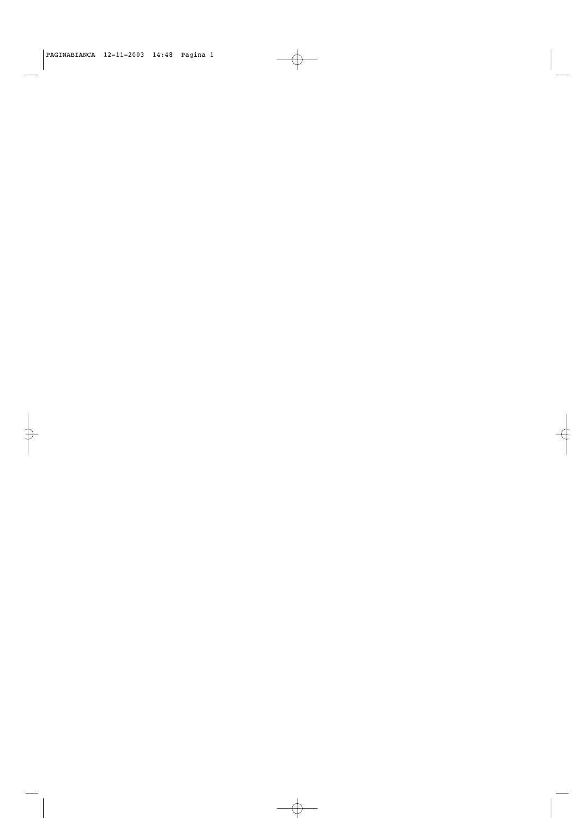PAGINABIANCA 12-11-2003 14:48 Pagina 1

₽

 $\overline{\bigoplus}$ 

 $\overline{\bigoplus}$ 

 $\overline{\varphi}$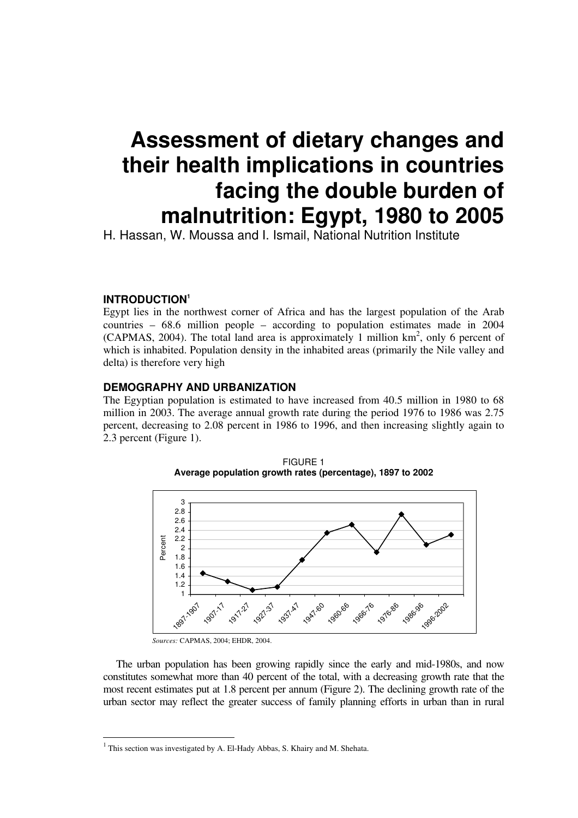# **Assessment of dietary changes and their health implications in countries facing the double burden of malnutrition: Egypt, 1980 to 2005**

H. Hassan, W. Moussa and I. Ismail, National Nutrition Institute

## **INTRODUCTION1**

Egypt lies in the northwest corner of Africa and has the largest population of the Arab countries – 68.6 million people – according to population estimates made in 2004 (CAPMAS, 2004). The total land area is approximately 1 million  $km^2$ , only 6 percent of which is inhabited. Population density in the inhabited areas (primarily the Nile valley and delta) is therefore very high

## **DEMOGRAPHY AND URBANIZATION**

The Egyptian population is estimated to have increased from 40.5 million in 1980 to 68 million in 2003. The average annual growth rate during the period 1976 to 1986 was 2.75 percent, decreasing to 2.08 percent in 1986 to 1996, and then increasing slightly again to 2.3 percent (Figure 1).



FIGURE 1 **Average population growth rates (percentage), 1897 to 2002**

*Sources:* CAPMAS, 2004; EHDR, 2004.

The urban population has been growing rapidly since the early and mid-1980s, and now constitutes somewhat more than 40 percent of the total, with a decreasing growth rate that the most recent estimates put at 1.8 percent per annum (Figure 2). The declining growth rate of the urban sector may reflect the greater success of family planning efforts in urban than in rural

 $1$  This section was investigated by A. El-Hady Abbas, S. Khairy and M. Shehata.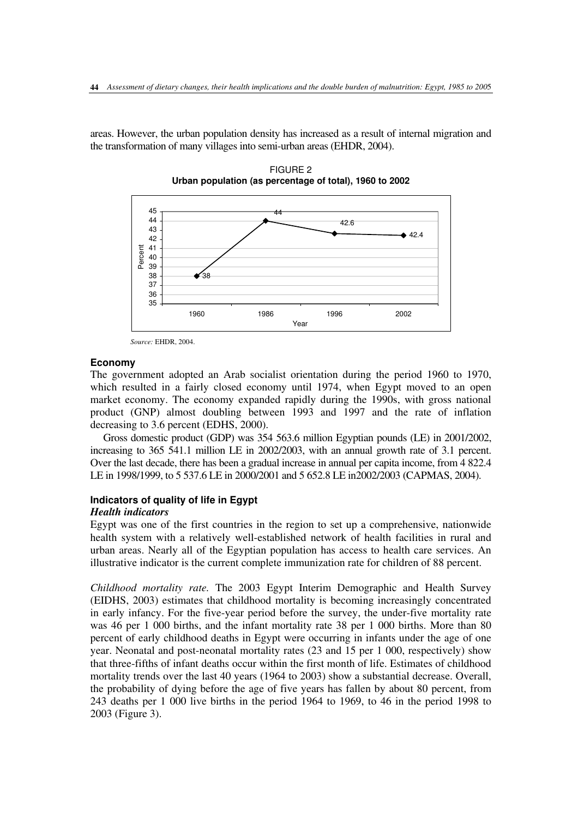areas. However, the urban population density has increased as a result of internal migration and the transformation of many villages into semi-urban areas (EHDR, 2004).



FIGURE 2 **Urban population (as percentage of total), 1960 to 2002**

*Source:* EHDR, 2004.

#### **Economy**

The government adopted an Arab socialist orientation during the period 1960 to 1970, which resulted in a fairly closed economy until 1974, when Egypt moved to an open market economy. The economy expanded rapidly during the 1990s, with gross national product (GNP) almost doubling between 1993 and 1997 and the rate of inflation decreasing to 3.6 percent (EDHS, 2000).

Gross domestic product (GDP) was 354 563.6 million Egyptian pounds (LE) in 2001/2002, increasing to 365 541.1 million LE in 2002/2003, with an annual growth rate of 3.1 percent. Over the last decade, there has been a gradual increase in annual per capita income, from 4 822.4 LE in 1998/1999, to 5 537.6 LE in 2000/2001 and 5 652.8 LE in2002/2003 (CAPMAS, 2004).

### **Indicators of quality of life in Egypt**

#### *Health indicators*

Egypt was one of the first countries in the region to set up a comprehensive, nationwide health system with a relatively well-established network of health facilities in rural and urban areas. Nearly all of the Egyptian population has access to health care services. An illustrative indicator is the current complete immunization rate for children of 88 percent.

*Childhood mortality rate.* The 2003 Egypt Interim Demographic and Health Survey (EIDHS, 2003) estimates that childhood mortality is becoming increasingly concentrated in early infancy. For the five-year period before the survey, the under-five mortality rate was 46 per 1 000 births, and the infant mortality rate 38 per 1 000 births. More than 80 percent of early childhood deaths in Egypt were occurring in infants under the age of one year. Neonatal and post-neonatal mortality rates (23 and 15 per 1 000, respectively) show that three-fifths of infant deaths occur within the first month of life. Estimates of childhood mortality trends over the last 40 years (1964 to 2003) show a substantial decrease. Overall, the probability of dying before the age of five years has fallen by about 80 percent, from 243 deaths per 1 000 live births in the period 1964 to 1969, to 46 in the period 1998 to 2003 (Figure 3).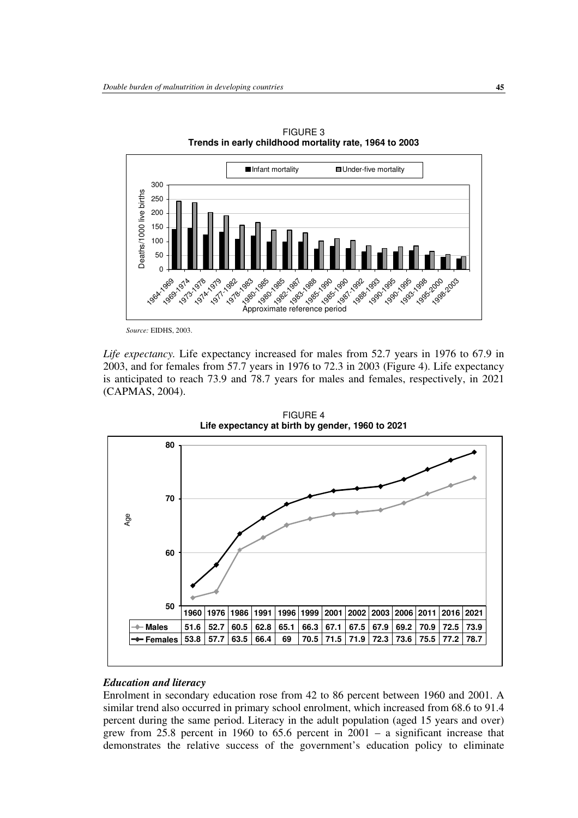

FIGURE 3

*Source:* EIDHS, 2003.

*Life expectancy.* Life expectancy increased for males from 52.7 years in 1976 to 67.9 in 2003, and for females from 57.7 years in 1976 to 72.3 in 2003 (Figure 4). Life expectancy is anticipated to reach 73.9 and 78.7 years for males and females, respectively, in 2021 (CAPMAS, 2004).



FIGURE 4 **Life expectancy at birth by gender, 1960 to 2021**

## *Education and literacy*

Enrolment in secondary education rose from 42 to 86 percent between 1960 and 2001. A similar trend also occurred in primary school enrolment, which increased from 68.6 to 91.4 percent during the same period. Literacy in the adult population (aged 15 years and over) grew from 25.8 percent in 1960 to 65.6 percent in 2001 – a significant increase that demonstrates the relative success of the government's education policy to eliminate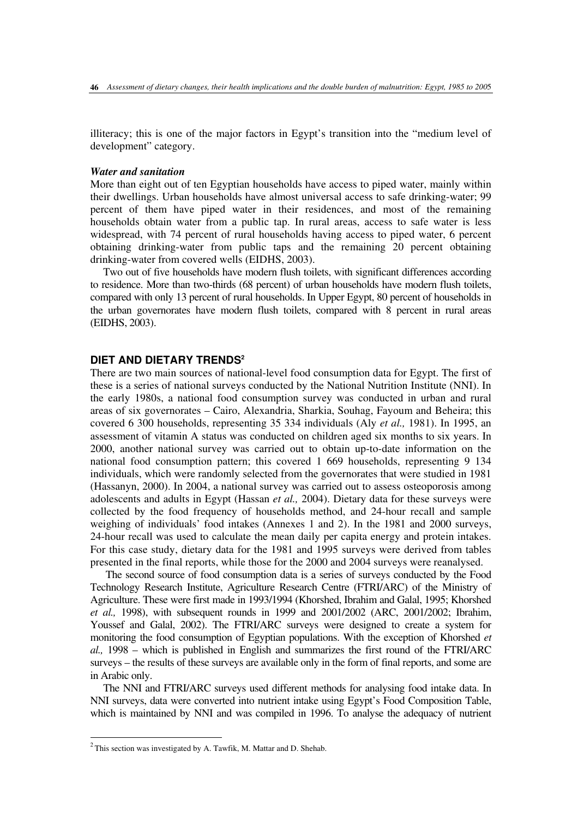illiteracy; this is one of the major factors in Egypt's transition into the "medium level of development" category.

#### *Water and sanitation*

More than eight out of ten Egyptian households have access to piped water, mainly within their dwellings. Urban households have almost universal access to safe drinking-water; 99 percent of them have piped water in their residences, and most of the remaining households obtain water from a public tap. In rural areas, access to safe water is less widespread, with 74 percent of rural households having access to piped water, 6 percent obtaining drinking-water from public taps and the remaining 20 percent obtaining drinking-water from covered wells (EIDHS, 2003).

Two out of five households have modern flush toilets, with significant differences according to residence. More than two-thirds (68 percent) of urban households have modern flush toilets, compared with only 13 percent of rural households. In Upper Egypt, 80 percent of households in the urban governorates have modern flush toilets, compared with 8 percent in rural areas (EIDHS, 2003).

## **DIET AND DIETARY TRENDS<sup>2</sup>**

There are two main sources of national-level food consumption data for Egypt. The first of these is a series of national surveys conducted by the National Nutrition Institute (NNI). In the early 1980s, a national food consumption survey was conducted in urban and rural areas of six governorates – Cairo, Alexandria, Sharkia, Souhag, Fayoum and Beheira; this covered 6 300 households, representing 35 334 individuals (Aly *et al.,* 1981). In 1995, an assessment of vitamin A status was conducted on children aged six months to six years. In 2000, another national survey was carried out to obtain up-to-date information on the national food consumption pattern; this covered 1 669 households, representing 9 134 individuals, which were randomly selected from the governorates that were studied in 1981 (Hassanyn, 2000). In 2004, a national survey was carried out to assess osteoporosis among adolescents and adults in Egypt (Hassan *et al.,* 2004). Dietary data for these surveys were collected by the food frequency of households method, and 24-hour recall and sample weighing of individuals' food intakes (Annexes 1 and 2). In the 1981 and 2000 surveys, 24-hour recall was used to calculate the mean daily per capita energy and protein intakes. For this case study, dietary data for the 1981 and 1995 surveys were derived from tables presented in the final reports, while those for the 2000 and 2004 surveys were reanalysed.

The second source of food consumption data is a series of surveys conducted by the Food Technology Research Institute, Agriculture Research Centre (FTRI/ARC) of the Ministry of Agriculture. These were first made in 1993/1994 (Khorshed, Ibrahim and Galal, 1995; Khorshed *et al.,* 1998), with subsequent rounds in 1999 and 2001/2002 (ARC, 2001/2002; Ibrahim, Youssef and Galal, 2002). The FTRI/ARC surveys were designed to create a system for monitoring the food consumption of Egyptian populations. With the exception of Khorshed *et al.,* 1998 – which is published in English and summarizes the first round of the FTRI/ARC surveys – the results of these surveys are available only in the form of final reports, and some are in Arabic only.

The NNI and FTRI/ARC surveys used different methods for analysing food intake data. In NNI surveys, data were converted into nutrient intake using Egypt's Food Composition Table, which is maintained by NNI and was compiled in 1996. To analyse the adequacy of nutrient

 $2$ <sup>2</sup> This section was investigated by A. Tawfik, M. Mattar and D. Shehab.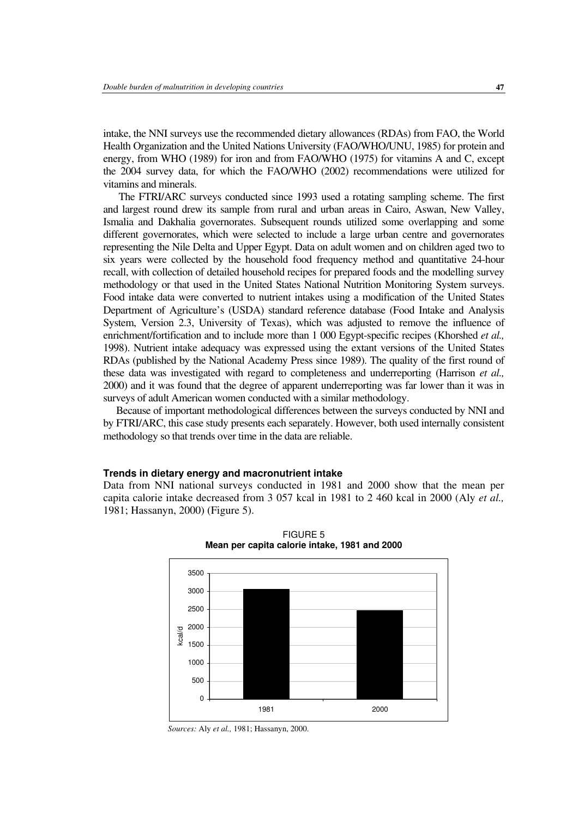intake, the NNI surveys use the recommended dietary allowances (RDAs) from FAO, the World Health Organization and the United Nations University (FAO/WHO/UNU, 1985) for protein and energy, from WHO (1989) for iron and from FAO/WHO (1975) for vitamins A and C, except the 2004 survey data, for which the FAO/WHO (2002) recommendations were utilized for vitamins and minerals.

The FTRI/ARC surveys conducted since 1993 used a rotating sampling scheme. The first and largest round drew its sample from rural and urban areas in Cairo, Aswan, New Valley, Ismalia and Dakhalia governorates. Subsequent rounds utilized some overlapping and some different governorates, which were selected to include a large urban centre and governorates representing the Nile Delta and Upper Egypt. Data on adult women and on children aged two to six years were collected by the household food frequency method and quantitative 24-hour recall, with collection of detailed household recipes for prepared foods and the modelling survey methodology or that used in the United States National Nutrition Monitoring System surveys. Food intake data were converted to nutrient intakes using a modification of the United States Department of Agriculture's (USDA) standard reference database (Food Intake and Analysis System, Version 2.3, University of Texas), which was adjusted to remove the influence of enrichment/fortification and to include more than 1 000 Egypt-specific recipes (Khorshed *et al.,* 1998). Nutrient intake adequacy was expressed using the extant versions of the United States RDAs (published by the National Academy Press since 1989). The quality of the first round of these data was investigated with regard to completeness and underreporting (Harrison *et al.,* 2000) and it was found that the degree of apparent underreporting was far lower than it was in surveys of adult American women conducted with a similar methodology.

Because of important methodological differences between the surveys conducted by NNI and by FTRI/ARC, this case study presents each separately. However, both used internally consistent methodology so that trends over time in the data are reliable.

#### **Trends in dietary energy and macronutrient intake**

Data from NNI national surveys conducted in 1981 and 2000 show that the mean per capita calorie intake decreased from 3 057 kcal in 1981 to 2 460 kcal in 2000 (Aly *et al.,* 1981; Hassanyn, 2000) (Figure 5).



FIGURE 5 **Mean per capita calorie intake, 1981 and 2000**

*Sources:* Aly *et al.,* 1981; Hassanyn, 2000.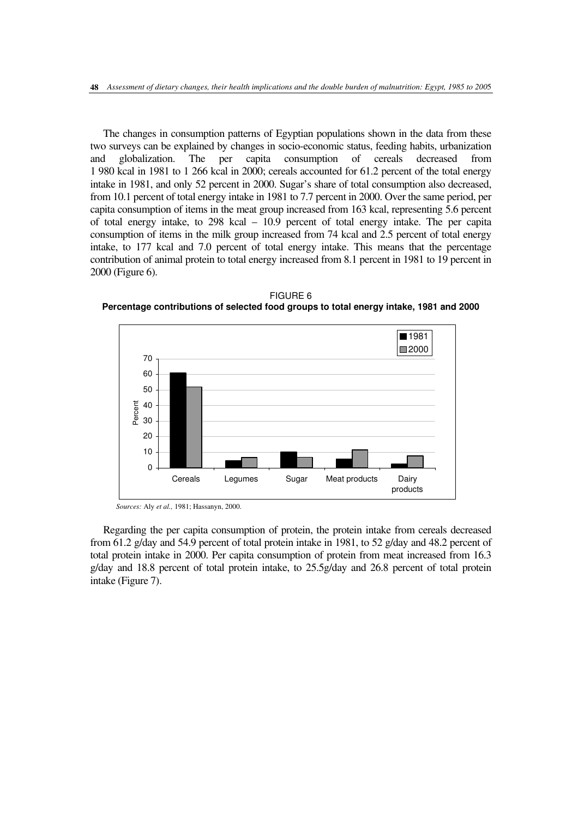The changes in consumption patterns of Egyptian populations shown in the data from these two surveys can be explained by changes in socio-economic status, feeding habits, urbanization and globalization. The per capita consumption of cereals decreased from 1 980 kcal in 1981 to 1 266 kcal in 2000; cereals accounted for 61.2 percent of the total energy intake in 1981, and only 52 percent in 2000. Sugar's share of total consumption also decreased, from 10.1 percent of total energy intake in 1981 to 7.7 percent in 2000. Over the same period, per capita consumption of items in the meat group increased from 163 kcal, representing 5.6 percent of total energy intake, to 298 kcal – 10.9 percent of total energy intake. The per capita consumption of items in the milk group increased from 74 kcal and 2.5 percent of total energy intake, to 177 kcal and 7.0 percent of total energy intake. This means that the percentage contribution of animal protein to total energy increased from 8.1 percent in 1981 to 19 percent in 2000 (Figure 6).

FIGURE 6 **Percentage contributions of selected food groups to total energy intake, 1981 and 2000**



*Sources:* Aly *et al.,* 1981; Hassanyn, 2000.

Regarding the per capita consumption of protein, the protein intake from cereals decreased from 61.2 g/day and 54.9 percent of total protein intake in 1981, to 52 g/day and 48.2 percent of total protein intake in 2000. Per capita consumption of protein from meat increased from 16.3 g/day and 18.8 percent of total protein intake, to 25.5g/day and 26.8 percent of total protein intake (Figure 7).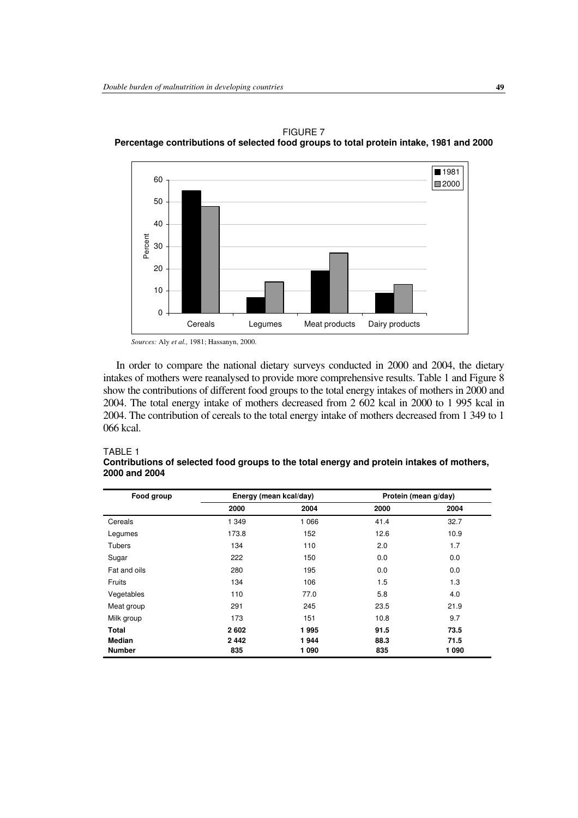

FIGURE 7 **Percentage contributions of selected food groups to total protein intake, 1981 and 2000**

*Sources:* Aly *et al.,* 1981; Hassanyn, 2000.

In order to compare the national dietary surveys conducted in 2000 and 2004, the dietary intakes of mothers were reanalysed to provide more comprehensive results. Table 1 and Figure 8 show the contributions of different food groups to the total energy intakes of mothers in 2000 and 2004. The total energy intake of mothers decreased from 2 602 kcal in 2000 to 1 995 kcal in 2004. The contribution of cereals to the total energy intake of mothers decreased from 1 349 to 1 066 kcal.

#### TABLE 1

## **Contributions of selected food groups to the total energy and protein intakes of mothers, 2000 and 2004**

| Food group    | Energy (mean kcal/day) |         | Protein (mean g/day) |      |  |  |
|---------------|------------------------|---------|----------------------|------|--|--|
|               | 2000                   | 2004    | 2000                 | 2004 |  |  |
| Cereals       | 1 3 4 9                | 1 0 6 6 | 41.4                 | 32.7 |  |  |
| Legumes       | 173.8                  | 152     | 12.6                 | 10.9 |  |  |
| Tubers        | 134                    | 110     | 2.0                  | 1.7  |  |  |
| Sugar         | 222                    | 150     | 0.0                  | 0.0  |  |  |
| Fat and oils  | 280                    | 195     | 0.0                  | 0.0  |  |  |
| Fruits        | 134                    | 106     | 1.5                  | 1.3  |  |  |
| Vegetables    | 110                    | 77.0    | 5.8                  | 4.0  |  |  |
| Meat group    | 291                    | 245     | 23.5                 | 21.9 |  |  |
| Milk group    | 173                    | 151     | 10.8                 | 9.7  |  |  |
| <b>Total</b>  | 2602                   | 1995    | 91.5                 | 73.5 |  |  |
| Median        | 2442                   | 1944    | 88.3                 | 71.5 |  |  |
| <b>Number</b> | 835                    | 1 0 9 0 | 835                  | 1090 |  |  |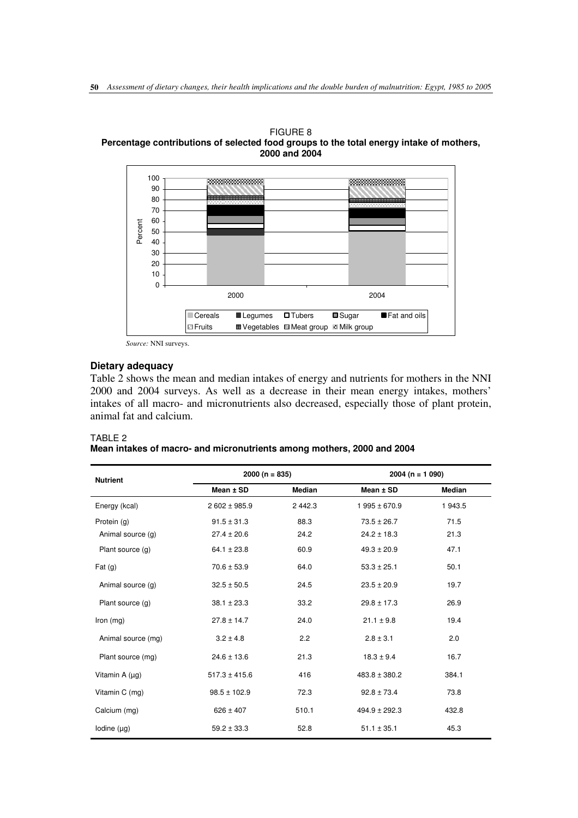



*Source:* NNI surveys.

## **Dietary adequacy**

Table 2 shows the mean and median intakes of energy and nutrients for mothers in the NNI 2000 and 2004 surveys. As well as a decrease in their mean energy intakes, mothers' intakes of all macro- and micronutrients also decreased, especially those of plant protein, animal fat and calcium.

#### TABLE 2

## **Mean intakes of macro- and micronutrients among mothers, 2000 and 2004**

| <b>Nutrient</b>     | $2000(n = 835)$   |             | $2004 (n = 1 090)$ |        |  |  |
|---------------------|-------------------|-------------|--------------------|--------|--|--|
|                     | Mean ± SD         | Median      | Mean ± SD          | Median |  |  |
| Energy (kcal)       | $2602 \pm 985.9$  | 2 4 4 2 . 3 | $1995 \pm 670.9$   | 1943.5 |  |  |
| Protein (g)         | $91.5 \pm 31.3$   | 88.3        | $73.5 \pm 26.7$    | 71.5   |  |  |
| Animal source (g)   | $27.4 \pm 20.6$   | 24.2        | $24.2 \pm 18.3$    | 21.3   |  |  |
| Plant source (g)    | $64.1 \pm 23.8$   | 60.9        | $49.3 \pm 20.9$    | 47.1   |  |  |
| Fat $(g)$           | $70.6 \pm 53.9$   | 64.0        | $53.3 \pm 25.1$    | 50.1   |  |  |
| Animal source (g)   | $32.5 \pm 50.5$   | 24.5        | $23.5 \pm 20.9$    | 19.7   |  |  |
| Plant source (g)    | $38.1 \pm 23.3$   | 33.2        | $29.8 \pm 17.3$    | 26.9   |  |  |
| lron (mg)           | $27.8 \pm 14.7$   | 24.0        | $21.1 \pm 9.8$     | 19.4   |  |  |
| Animal source (mg)  | $3.2 \pm 4.8$     | 2.2         | $2.8 \pm 3.1$      | 2.0    |  |  |
| Plant source (mg)   | $24.6 \pm 13.6$   | 21.3        | $18.3 \pm 9.4$     | 16.7   |  |  |
| Vitamin A $(\mu q)$ | $517.3 \pm 415.6$ | 416         | $483.8 \pm 380.2$  | 384.1  |  |  |
| Vitamin C (mg)      | $98.5 \pm 102.9$  | 72.3        | $92.8 \pm 73.4$    | 73.8   |  |  |
| Calcium (mg)        | $626 \pm 407$     | 510.1       | $494.9 \pm 292.3$  | 432.8  |  |  |
| lodine $(\mu g)$    | $59.2 \pm 33.3$   | 52.8        | $51.1 \pm 35.1$    | 45.3   |  |  |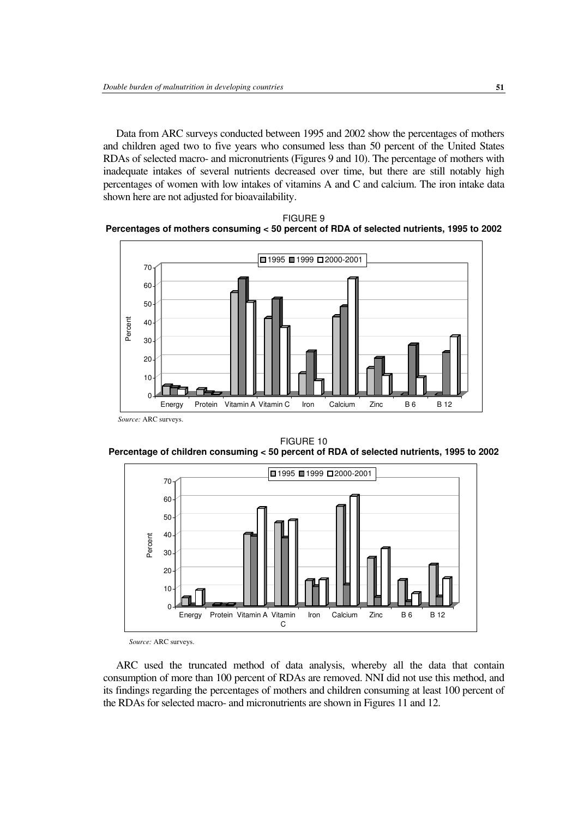Data from ARC surveys conducted between 1995 and 2002 show the percentages of mothers and children aged two to five years who consumed less than 50 percent of the United States RDAs of selected macro- and micronutrients (Figures 9 and 10). The percentage of mothers with inadequate intakes of several nutrients decreased over time, but there are still notably high percentages of women with low intakes of vitamins A and C and calcium. The iron intake data shown here are not adjusted for bioavailability.

FIGURE 9 **Percentages of mothers consuming < 50 percent of RDA of selected nutrients, 1995 to 2002**



*Source:* ARC surveys.



FIGURE 10 **Percentage of children consuming < 50 percent of RDA of selected nutrients, 1995 to 2002**

*Source:* ARC surveys.

ARC used the truncated method of data analysis, whereby all the data that contain consumption of more than 100 percent of RDAs are removed. NNI did not use this method, and its findings regarding the percentages of mothers and children consuming at least 100 percent of the RDAs for selected macro- and micronutrients are shown in Figures 11 and 12.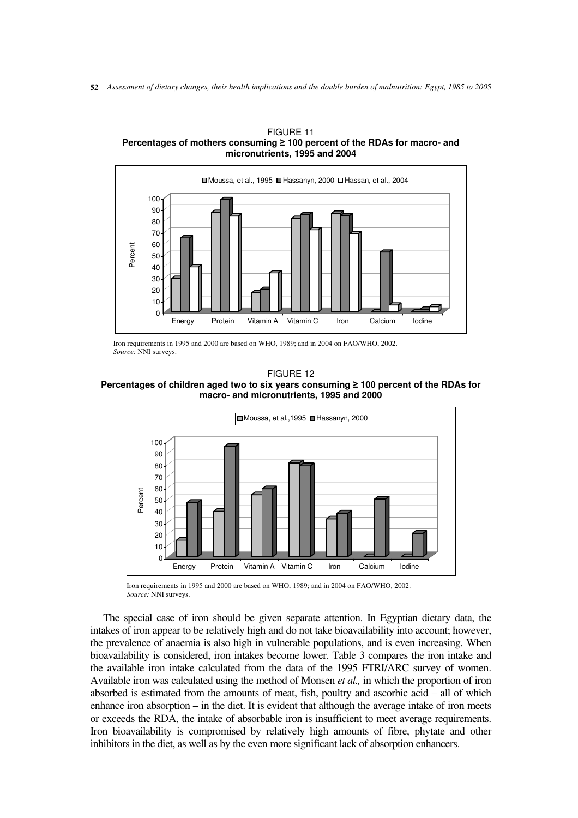



Iron requirements in 1995 and 2000 are based on WHO, 1989; and in 2004 on FAO/WHO, 2002. *Source:* NNI surveys.

FIGURE 12 **Percentages of children aged two to six years consuming 100 percent of the RDAs for macro- and micronutrients, 1995 and 2000**



Iron requirements in 1995 and 2000 are based on WHO, 1989; and in 2004 on FAO/WHO, 2002. *Source:* NNI surveys.

The special case of iron should be given separate attention. In Egyptian dietary data, the intakes of iron appear to be relatively high and do not take bioavailability into account; however, the prevalence of anaemia is also high in vulnerable populations, and is even increasing. When bioavailability is considered, iron intakes become lower. Table 3 compares the iron intake and the available iron intake calculated from the data of the 1995 FTRI/ARC survey of women. Available iron was calculated using the method of Monsen *et al.,* in which the proportion of iron absorbed is estimated from the amounts of meat, fish, poultry and ascorbic acid – all of which enhance iron absorption – in the diet. It is evident that although the average intake of iron meets or exceeds the RDA, the intake of absorbable iron is insufficient to meet average requirements. Iron bioavailability is compromised by relatively high amounts of fibre, phytate and other inhibitors in the diet, as well as by the even more significant lack of absorption enhancers.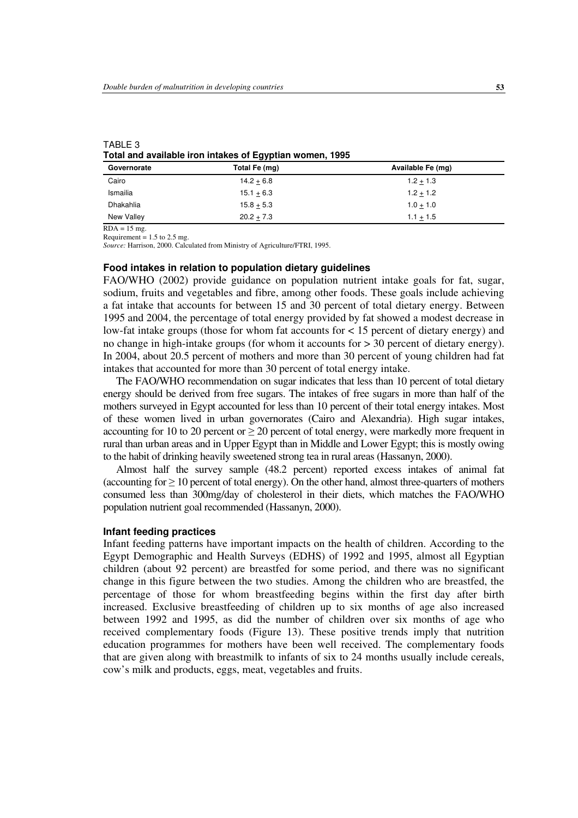| TABLE 3                                                  |  |
|----------------------------------------------------------|--|
| Total and available iron intakes of Egyptian women, 1995 |  |

| Governorate      | Total Fe (mg) | Available Fe (mg) |
|------------------|---------------|-------------------|
| Cairo            | $14.2 + 6.8$  | $1.2 + 1.3$       |
| Ismailia         | $15.1 + 6.3$  | $1.2 + 1.2$       |
| <b>Dhakahlia</b> | $15.8 + 5.3$  | $1.0 + 1.0$       |
| New Valley       | $20.2 + 7.3$  | $1.1 \pm 1.5$     |

 $RDA = 15$  mg.

Requirement =  $1.5$  to  $2.5$  mg. *Source:* Harrison, 2000. Calculated from Ministry of Agriculture/FTRI, 1995.

#### **Food intakes in relation to population dietary guidelines**

FAO/WHO (2002) provide guidance on population nutrient intake goals for fat, sugar, sodium, fruits and vegetables and fibre, among other foods. These goals include achieving a fat intake that accounts for between 15 and 30 percent of total dietary energy. Between 1995 and 2004, the percentage of total energy provided by fat showed a modest decrease in low-fat intake groups (those for whom fat accounts for < 15 percent of dietary energy) and no change in high-intake groups (for whom it accounts for > 30 percent of dietary energy). In 2004, about 20.5 percent of mothers and more than 30 percent of young children had fat intakes that accounted for more than 30 percent of total energy intake.

The FAO/WHO recommendation on sugar indicates that less than 10 percent of total dietary energy should be derived from free sugars. The intakes of free sugars in more than half of the mothers surveyed in Egypt accounted for less than 10 percent of their total energy intakes. Most of these women lived in urban governorates (Cairo and Alexandria). High sugar intakes, accounting for 10 to 20 percent or  $>$  20 percent of total energy, were markedly more frequent in rural than urban areas and in Upper Egypt than in Middle and Lower Egypt; this is mostly owing to the habit of drinking heavily sweetened strong tea in rural areas (Hassanyn, 2000).

Almost half the survey sample (48.2 percent) reported excess intakes of animal fat (accounting for  $\geq 10$  percent of total energy). On the other hand, almost three-quarters of mothers consumed less than 300mg/day of cholesterol in their diets, which matches the FAO/WHO population nutrient goal recommended (Hassanyn, 2000).

#### **Infant feeding practices**

Infant feeding patterns have important impacts on the health of children. According to the Egypt Demographic and Health Surveys (EDHS) of 1992 and 1995, almost all Egyptian children (about 92 percent) are breastfed for some period, and there was no significant change in this figure between the two studies. Among the children who are breastfed, the percentage of those for whom breastfeeding begins within the first day after birth increased. Exclusive breastfeeding of children up to six months of age also increased between 1992 and 1995, as did the number of children over six months of age who received complementary foods (Figure 13). These positive trends imply that nutrition education programmes for mothers have been well received. The complementary foods that are given along with breastmilk to infants of six to 24 months usually include cereals, cow's milk and products, eggs, meat, vegetables and fruits.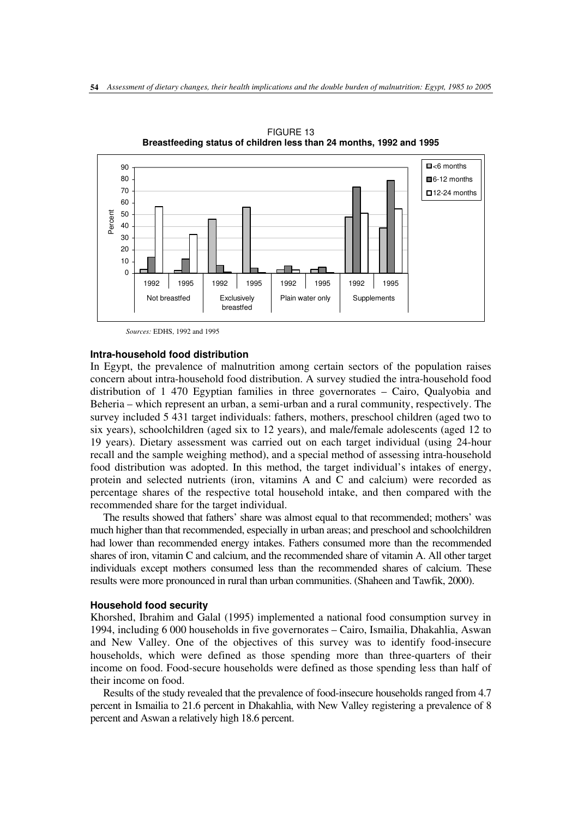

FIGURE 13 **Breastfeeding status of children less than 24 months, 1992 and 1995**

*Sources:* EDHS, 1992 and 1995

#### **Intra-household food distribution**

In Egypt, the prevalence of malnutrition among certain sectors of the population raises concern about intra-household food distribution. A survey studied the intra-household food distribution of 1 470 Egyptian families in three governorates – Cairo, Qualyobia and Beheria – which represent an urban, a semi-urban and a rural community, respectively. The survey included 5 431 target individuals: fathers, mothers, preschool children (aged two to six years), schoolchildren (aged six to 12 years), and male/female adolescents (aged 12 to 19 years). Dietary assessment was carried out on each target individual (using 24-hour recall and the sample weighing method), and a special method of assessing intra-household food distribution was adopted. In this method, the target individual's intakes of energy, protein and selected nutrients (iron, vitamins A and C and calcium) were recorded as percentage shares of the respective total household intake, and then compared with the recommended share for the target individual.

The results showed that fathers' share was almost equal to that recommended; mothers' was much higher than that recommended, especially in urban areas; and preschool and schoolchildren had lower than recommended energy intakes. Fathers consumed more than the recommended shares of iron, vitamin C and calcium, and the recommended share of vitamin A. All other target individuals except mothers consumed less than the recommended shares of calcium. These results were more pronounced in rural than urban communities. (Shaheen and Tawfik, 2000).

#### **Household food security**

Khorshed, Ibrahim and Galal (1995) implemented a national food consumption survey in 1994, including 6 000 households in five governorates – Cairo, Ismailia, Dhakahlia, Aswan and New Valley. One of the objectives of this survey was to identify food-insecure households, which were defined as those spending more than three-quarters of their income on food. Food-secure households were defined as those spending less than half of their income on food.

Results of the study revealed that the prevalence of food-insecure households ranged from 4.7 percent in Ismailia to 21.6 percent in Dhakahlia, with New Valley registering a prevalence of 8 percent and Aswan a relatively high 18.6 percent.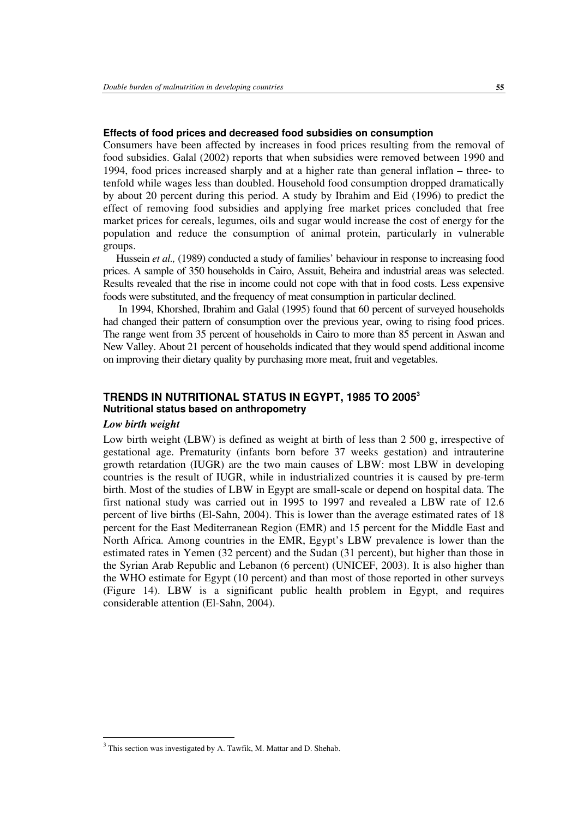#### **Effects of food prices and decreased food subsidies on consumption**

Consumers have been affected by increases in food prices resulting from the removal of food subsidies. Galal (2002) reports that when subsidies were removed between 1990 and 1994, food prices increased sharply and at a higher rate than general inflation – three- to tenfold while wages less than doubled. Household food consumption dropped dramatically by about 20 percent during this period. A study by Ibrahim and Eid (1996) to predict the effect of removing food subsidies and applying free market prices concluded that free market prices for cereals, legumes, oils and sugar would increase the cost of energy for the population and reduce the consumption of animal protein, particularly in vulnerable groups.

Hussein *et al.,* (1989) conducted a study of families' behaviour in response to increasing food prices. A sample of 350 households in Cairo, Assuit, Beheira and industrial areas was selected. Results revealed that the rise in income could not cope with that in food costs. Less expensive foods were substituted, and the frequency of meat consumption in particular declined.

In 1994, Khorshed, Ibrahim and Galal (1995) found that 60 percent of surveyed households had changed their pattern of consumption over the previous year, owing to rising food prices. The range went from 35 percent of households in Cairo to more than 85 percent in Aswan and New Valley. About 21 percent of households indicated that they would spend additional income on improving their dietary quality by purchasing more meat, fruit and vegetables.

## **TRENDS IN NUTRITIONAL STATUS IN EGYPT, 1985 TO 20053 Nutritional status based on anthropometry**

#### *Low birth weight*

Low birth weight (LBW) is defined as weight at birth of less than 2 500 g, irrespective of gestational age. Prematurity (infants born before 37 weeks gestation) and intrauterine growth retardation (IUGR) are the two main causes of LBW: most LBW in developing countries is the result of IUGR, while in industrialized countries it is caused by pre-term birth. Most of the studies of LBW in Egypt are small-scale or depend on hospital data. The first national study was carried out in 1995 to 1997 and revealed a LBW rate of 12.6 percent of live births (El-Sahn, 2004). This is lower than the average estimated rates of 18 percent for the East Mediterranean Region (EMR) and 15 percent for the Middle East and North Africa. Among countries in the EMR, Egypt's LBW prevalence is lower than the estimated rates in Yemen (32 percent) and the Sudan (31 percent), but higher than those in the Syrian Arab Republic and Lebanon (6 percent) (UNICEF, 2003). It is also higher than the WHO estimate for Egypt (10 percent) and than most of those reported in other surveys (Figure 14). LBW is a significant public health problem in Egypt, and requires considerable attention (El-Sahn, 2004).

<sup>&</sup>lt;sup>3</sup> This section was investigated by A. Tawfik, M. Mattar and D. Shehab.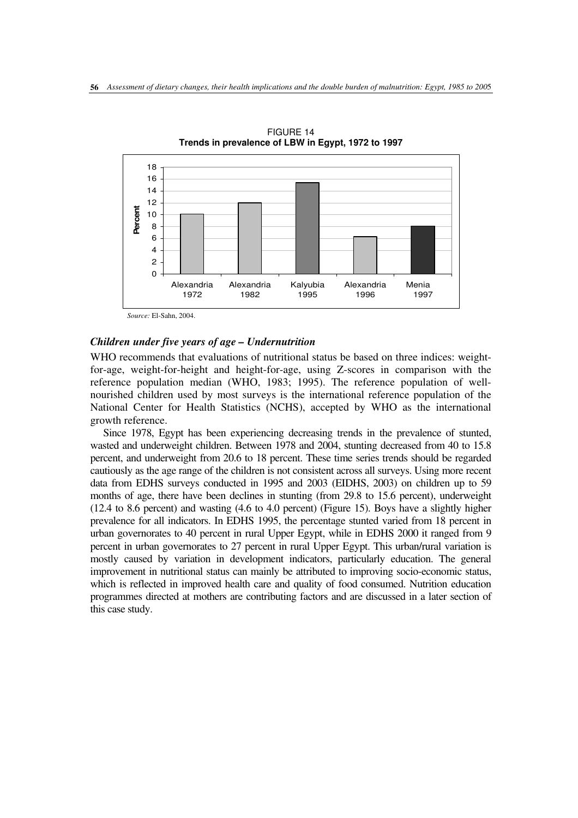



*Source:* El-Sahn, 2004.

#### *Children under five years of age – Undernutrition*

WHO recommends that evaluations of nutritional status be based on three indices: weightfor-age, weight-for-height and height-for-age, using Z-scores in comparison with the reference population median (WHO, 1983; 1995). The reference population of wellnourished children used by most surveys is the international reference population of the National Center for Health Statistics (NCHS), accepted by WHO as the international growth reference.

Since 1978, Egypt has been experiencing decreasing trends in the prevalence of stunted, wasted and underweight children. Between 1978 and 2004, stunting decreased from 40 to 15.8 percent, and underweight from 20.6 to 18 percent. These time series trends should be regarded cautiously as the age range of the children is not consistent across all surveys. Using more recent data from EDHS surveys conducted in 1995 and 2003 (EIDHS, 2003) on children up to 59 months of age, there have been declines in stunting (from 29.8 to 15.6 percent), underweight (12.4 to 8.6 percent) and wasting (4.6 to 4.0 percent) (Figure 15). Boys have a slightly higher prevalence for all indicators. In EDHS 1995, the percentage stunted varied from 18 percent in urban governorates to 40 percent in rural Upper Egypt, while in EDHS 2000 it ranged from 9 percent in urban governorates to 27 percent in rural Upper Egypt. This urban/rural variation is mostly caused by variation in development indicators, particularly education. The general improvement in nutritional status can mainly be attributed to improving socio-economic status, which is reflected in improved health care and quality of food consumed. Nutrition education programmes directed at mothers are contributing factors and are discussed in a later section of this case study.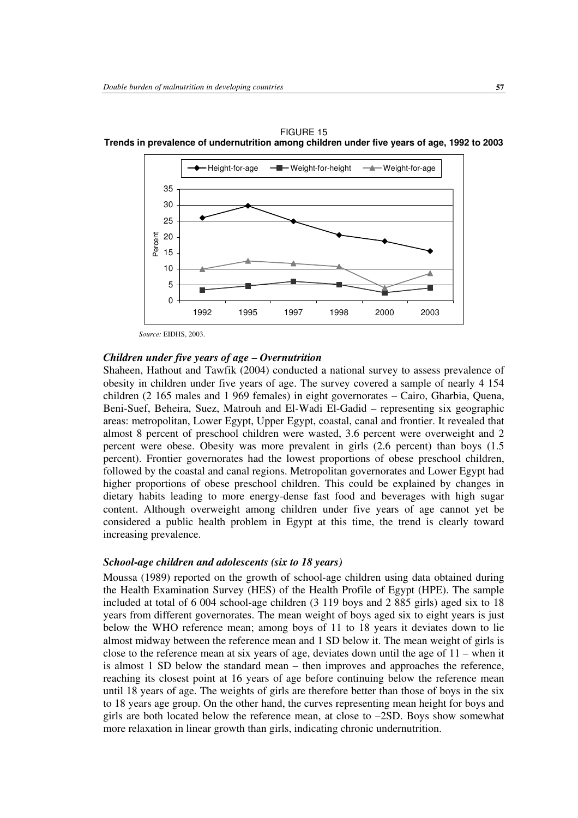

FIGURE 15 **Trends in prevalence of undernutrition among children under five years of age, 1992 to 2003**

*Source:* EIDHS, 2003.

## *Children under five years of age* – *Overnutrition*

Shaheen, Hathout and Tawfik (2004) conducted a national survey to assess prevalence of obesity in children under five years of age. The survey covered a sample of nearly 4 154 children (2 165 males and 1 969 females) in eight governorates – Cairo, Gharbia, Quena, Beni-Suef, Beheira, Suez, Matrouh and El-Wadi El-Gadid – representing six geographic areas: metropolitan, Lower Egypt, Upper Egypt, coastal, canal and frontier. It revealed that almost 8 percent of preschool children were wasted, 3.6 percent were overweight and 2 percent were obese. Obesity was more prevalent in girls (2.6 percent) than boys (1.5 percent). Frontier governorates had the lowest proportions of obese preschool children, followed by the coastal and canal regions. Metropolitan governorates and Lower Egypt had higher proportions of obese preschool children. This could be explained by changes in dietary habits leading to more energy-dense fast food and beverages with high sugar content. Although overweight among children under five years of age cannot yet be considered a public health problem in Egypt at this time, the trend is clearly toward increasing prevalence.

## *School-age children and adolescents (six to 18 years)*

Moussa (1989) reported on the growth of school-age children using data obtained during the Health Examination Survey (HES) of the Health Profile of Egypt (HPE). The sample included at total of 6 004 school-age children (3 119 boys and 2 885 girls) aged six to 18 years from different governorates. The mean weight of boys aged six to eight years is just below the WHO reference mean; among boys of 11 to 18 years it deviates down to lie almost midway between the reference mean and 1 SD below it. The mean weight of girls is close to the reference mean at six years of age, deviates down until the age of 11 – when it is almost 1 SD below the standard mean – then improves and approaches the reference, reaching its closest point at 16 years of age before continuing below the reference mean until 18 years of age. The weights of girls are therefore better than those of boys in the six to 18 years age group. On the other hand, the curves representing mean height for boys and girls are both located below the reference mean, at close to –2SD. Boys show somewhat more relaxation in linear growth than girls, indicating chronic undernutrition.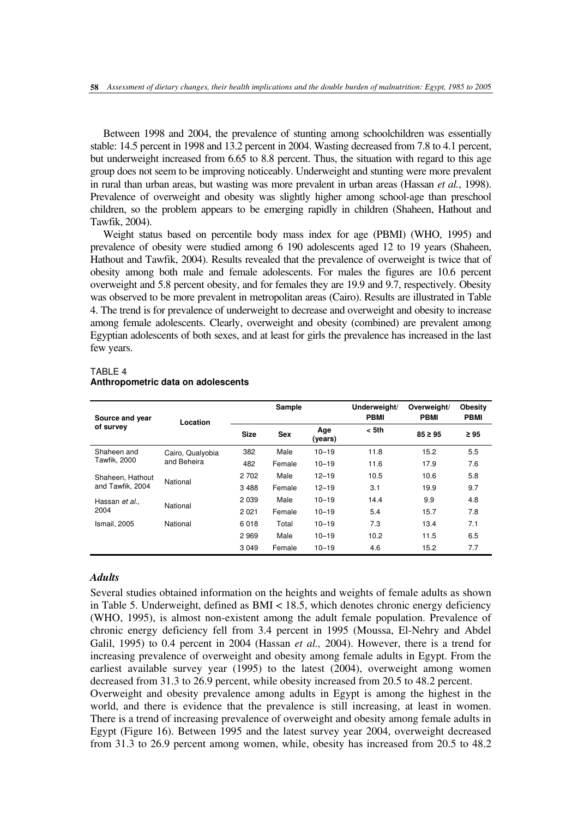Between 1998 and 2004, the prevalence of stunting among schoolchildren was essentially stable: 14.5 percent in 1998 and 13.2 percent in 2004. Wasting decreased from 7.8 to 4.1 percent, but underweight increased from 6.65 to 8.8 percent. Thus, the situation with regard to this age group does not seem to be improving noticeably. Underweight and stunting were more prevalent in rural than urban areas, but wasting was more prevalent in urban areas (Hassan *et al.*, 1998). Prevalence of overweight and obesity was slightly higher among school-age than preschool children, so the problem appears to be emerging rapidly in children (Shaheen, Hathout and Tawfik, 2004).

Weight status based on percentile body mass index for age (PBMI) (WHO, 1995) and prevalence of obesity were studied among 6 190 adolescents aged 12 to 19 years (Shaheen, Hathout and Tawfik, 2004). Results revealed that the prevalence of overweight is twice that of obesity among both male and female adolescents. For males the figures are 10.6 percent overweight and 5.8 percent obesity, and for females they are 19.9 and 9.7, respectively. Obesity was observed to be more prevalent in metropolitan areas (Cairo). Results are illustrated in Table 4. The trend is for prevalence of underweight to decrease and overweight and obesity to increase among female adolescents. Clearly, overweight and obesity (combined) are prevalent among Egyptian adolescents of both sexes, and at least for girls the prevalence has increased in the last few years.

| Source and year                      | Location         | Sample      |            |                | Underweight/<br><b>PBMI</b> | Overweight/<br><b>PBMI</b> | Obesity<br><b>PBMI</b> |
|--------------------------------------|------------------|-------------|------------|----------------|-----------------------------|----------------------------|------------------------|
| of survey                            |                  | <b>Size</b> | <b>Sex</b> | Age<br>(years) | < 5th                       | $85 \ge 95$                | $\geq 95$              |
| Shaheen and                          | Cairo, Qualyobia | 382         | Male       | $10 - 19$      | 11.8                        | 15.2                       | 5.5                    |
| <b>Tawfik, 2000</b>                  | and Beheira      | 482         | Female     | $10 - 19$      | 11.6                        | 17.9                       | 7.6                    |
| Shaheen, Hathout<br>and Tawfik, 2004 | National         | 2 7 0 2     | Male       | $12 - 19$      | 10.5                        | 10.6                       | 5.8                    |
|                                      |                  | 3488        | Female     | $12 - 19$      | 3.1                         | 19.9                       | 9.7                    |
| Hassan et al                         | National         | 2 0 3 9     | Male       | $10 - 19$      | 14.4                        | 9.9                        | 4.8                    |
| 2004                                 |                  | 2 0 2 1     | Female     | $10 - 19$      | 5.4                         | 15.7                       | 7.8                    |
| Ismail, 2005                         | National         | 6018        | Total      | $10 - 19$      | 7.3                         | 13.4                       | 7.1                    |
|                                      |                  | 2969        | Male       | $10 - 19$      | 10.2                        | 11.5                       | 6.5                    |
|                                      |                  | 3 0 4 9     | Female     | $10 - 19$      | 4.6                         | 15.2                       | 7.7                    |

#### TABLE 4 **Anthropometric data on adolescents**

## *Adults*

Several studies obtained information on the heights and weights of female adults as shown in Table 5. Underweight, defined as  $BMI < 18.5$ , which denotes chronic energy deficiency (WHO, 1995), is almost non-existent among the adult female population. Prevalence of chronic energy deficiency fell from 3.4 percent in 1995 (Moussa, El-Nehry and Abdel Galil, 1995) to 0.4 percent in 2004 (Hassan *et al.,* 2004). However, there is a trend for increasing prevalence of overweight and obesity among female adults in Egypt. From the earliest available survey year (1995) to the latest (2004), overweight among women decreased from 31.3 to 26.9 percent, while obesity increased from 20.5 to 48.2 percent. Overweight and obesity prevalence among adults in Egypt is among the highest in the world, and there is evidence that the prevalence is still increasing, at least in women. There is a trend of increasing prevalence of overweight and obesity among female adults in Egypt (Figure 16). Between 1995 and the latest survey year 2004, overweight decreased from 31.3 to 26.9 percent among women, while, obesity has increased from 20.5 to 48.2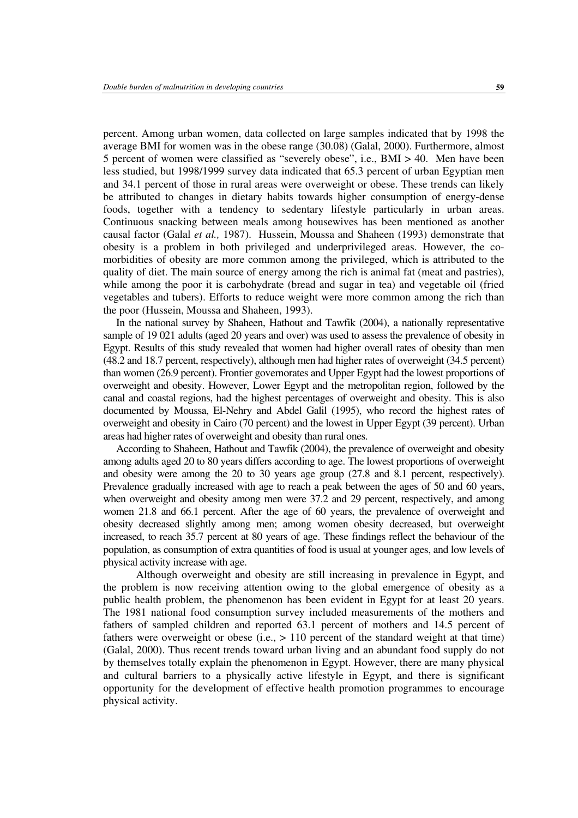percent. Among urban women, data collected on large samples indicated that by 1998 the average BMI for women was in the obese range (30.08) (Galal, 2000). Furthermore, almost 5 percent of women were classified as "severely obese", i.e., BMI > 40. Men have been less studied, but 1998/1999 survey data indicated that 65.3 percent of urban Egyptian men and 34.1 percent of those in rural areas were overweight or obese. These trends can likely be attributed to changes in dietary habits towards higher consumption of energy-dense foods, together with a tendency to sedentary lifestyle particularly in urban areas. Continuous snacking between meals among housewives has been mentioned as another causal factor (Galal *et al.,* 1987). Hussein, Moussa and Shaheen (1993) demonstrate that obesity is a problem in both privileged and underprivileged areas. However, the comorbidities of obesity are more common among the privileged, which is attributed to the quality of diet. The main source of energy among the rich is animal fat (meat and pastries), while among the poor it is carbohydrate (bread and sugar in tea) and vegetable oil (fried vegetables and tubers). Efforts to reduce weight were more common among the rich than the poor (Hussein, Moussa and Shaheen, 1993).

In the national survey by Shaheen, Hathout and Tawfik (2004), a nationally representative sample of 19 021 adults (aged 20 years and over) was used to assess the prevalence of obesity in Egypt. Results of this study revealed that women had higher overall rates of obesity than men (48.2 and 18.7 percent, respectively), although men had higher rates of overweight (34.5 percent) than women (26.9 percent). Frontier governorates and Upper Egypt had the lowest proportions of overweight and obesity. However, Lower Egypt and the metropolitan region, followed by the canal and coastal regions, had the highest percentages of overweight and obesity. This is also documented by Moussa, El-Nehry and Abdel Galil (1995), who record the highest rates of overweight and obesity in Cairo (70 percent) and the lowest in Upper Egypt (39 percent). Urban areas had higher rates of overweight and obesity than rural ones.

According to Shaheen, Hathout and Tawfik (2004), the prevalence of overweight and obesity among adults aged 20 to 80 years differs according to age. The lowest proportions of overweight and obesity were among the 20 to 30 years age group (27.8 and 8.1 percent, respectively). Prevalence gradually increased with age to reach a peak between the ages of 50 and 60 years, when overweight and obesity among men were 37.2 and 29 percent, respectively, and among women 21.8 and 66.1 percent. After the age of 60 years, the prevalence of overweight and obesity decreased slightly among men; among women obesity decreased, but overweight increased, to reach 35.7 percent at 80 years of age. These findings reflect the behaviour of the population, as consumption of extra quantities of food is usual at younger ages, and low levels of physical activity increase with age.

Although overweight and obesity are still increasing in prevalence in Egypt, and the problem is now receiving attention owing to the global emergence of obesity as a public health problem, the phenomenon has been evident in Egypt for at least 20 years. The 1981 national food consumption survey included measurements of the mothers and fathers of sampled children and reported 63.1 percent of mothers and 14.5 percent of fathers were overweight or obese (i.e.,  $> 110$  percent of the standard weight at that time) (Galal, 2000). Thus recent trends toward urban living and an abundant food supply do not by themselves totally explain the phenomenon in Egypt. However, there are many physical and cultural barriers to a physically active lifestyle in Egypt, and there is significant opportunity for the development of effective health promotion programmes to encourage physical activity.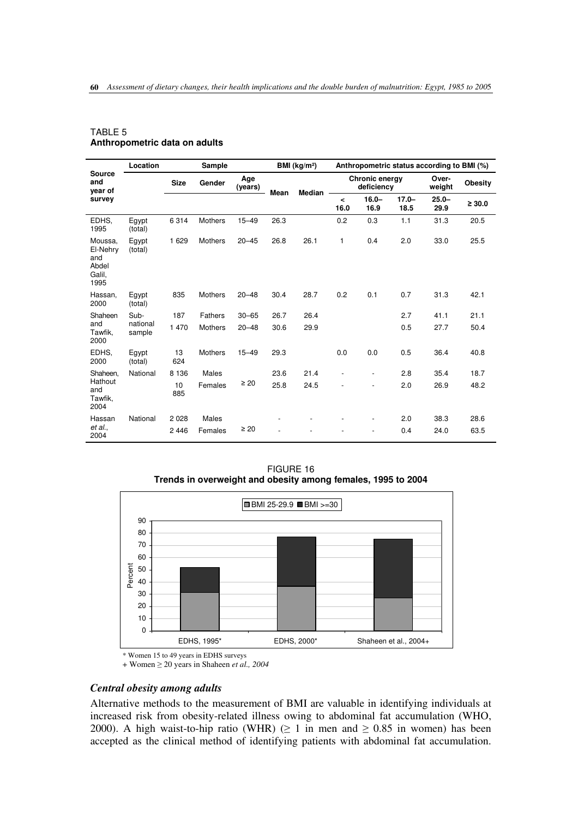|                                                       | Location           | Sample      |                |                | BMI (kg/m <sup>2</sup> ) |               | Anthropometric status according to BMI (%) |                              |                  |                  |             |
|-------------------------------------------------------|--------------------|-------------|----------------|----------------|--------------------------|---------------|--------------------------------------------|------------------------------|------------------|------------------|-------------|
| <b>Source</b><br>and<br>year of                       |                    | <b>Size</b> | Gender         | Age<br>(years) | Mean                     | <b>Median</b> |                                            | Chronic energy<br>deficiency |                  |                  | Obesity     |
| survey                                                |                    |             |                |                |                          |               | $\prec$<br>16.0                            | $16.0 -$<br>16.9             | $17.0 -$<br>18.5 | $25.0 -$<br>29.9 | $\geq 30.0$ |
| EDHS,<br>1995                                         | Egypt<br>(total)   | 6314        | <b>Mothers</b> | $15 - 49$      | 26.3                     |               | 0.2                                        | 0.3                          | 1.1              | 31.3             | 20.5        |
| Moussa,<br>El-Nehry<br>and<br>Abdel<br>Galil,<br>1995 | Egypt<br>(total)   | 1 6 2 9     | <b>Mothers</b> | $20 - 45$      | 26.8                     | 26.1          | 1                                          | 0.4                          | 2.0              | 33.0             | 25.5        |
| Hassan,<br>2000                                       | Egypt<br>(total)   | 835         | <b>Mothers</b> | $20 - 48$      | 30.4                     | 28.7          | 0.2                                        | 0.1                          | 0.7              | 31.3             | 42.1        |
| Shaheen                                               | Sub-               | 187         | Fathers        | $30 - 65$      | 26.7                     | 26.4          |                                            |                              | 2.7              | 41.1             | 21.1        |
| and<br>Tawfik,<br>2000                                | national<br>sample | 1470        | <b>Mothers</b> | $20 - 48$      | 30.6                     | 29.9          |                                            |                              | 0.5              | 27.7             | 50.4        |
| EDHS,<br>2000                                         | Egypt<br>(total)   | 13<br>624   | <b>Mothers</b> | $15 - 49$      | 29.3                     |               | 0.0                                        | 0.0                          | 0.5              | 36.4             | 40.8        |
| Shaheen,                                              | National           | 8 1 3 6     | Males          |                | 23.6                     | 21.4          | $\overline{a}$                             |                              | 2.8              | 35.4             | 18.7        |
| Hathout<br>and<br>Tawfik,<br>2004                     |                    | 10<br>885   | Females        | $\geq 20$      | 25.8                     | 24.5          | ÷                                          | $\overline{a}$               | 2.0              | 26.9             | 48.2        |
| Hassan                                                | National           | 2028        | Males          |                |                          |               |                                            |                              | 2.0              | 38.3             | 28.6        |
| et al.,<br>2004                                       |                    | 2446        | Females        | $\geq 20$      |                          |               |                                            |                              | 0.4              | 24.0             | 63.5        |

#### TABLE 5 **Anthropometric data on adults**

FIGURE 16 **Trends in overweight and obesity among females, 1995 to 2004**



\* Women 15 to 49 years in EDHS surveys

 $+$  Women  $\geq$  20 years in Shaheen *et al.*, 2004

## *Central obesity among adults*

Alternative methods to the measurement of BMI are valuable in identifying individuals at increased risk from obesity-related illness owing to abdominal fat accumulation (WHO, 2000). A high waist-to-hip ratio (WHR) ( $\geq 1$  in men and  $\geq 0.85$  in women) has been accepted as the clinical method of identifying patients with abdominal fat accumulation.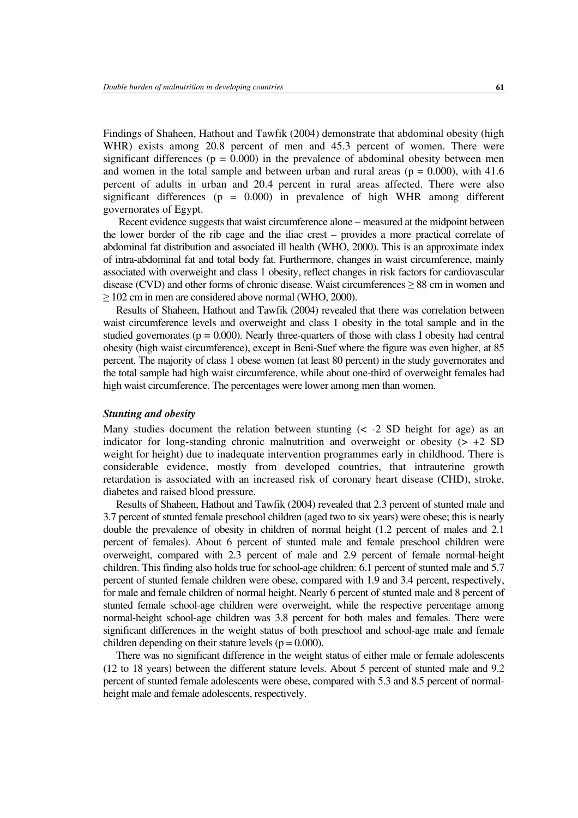Findings of Shaheen, Hathout and Tawfik (2004) demonstrate that abdominal obesity (high WHR) exists among 20.8 percent of men and 45.3 percent of women. There were significant differences ( $p = 0.000$ ) in the prevalence of abdominal obesity between men and women in the total sample and between urban and rural areas ( $p = 0.000$ ), with 41.6 percent of adults in urban and 20.4 percent in rural areas affected. There were also significant differences ( $p = 0.000$ ) in prevalence of high WHR among different governorates of Egypt.

Recent evidence suggests that waist circumference alone – measured at the midpoint between the lower border of the rib cage and the iliac crest – provides a more practical correlate of abdominal fat distribution and associated ill health (WHO, 2000). This is an approximate index of intra-abdominal fat and total body fat. Furthermore, changes in waist circumference, mainly associated with overweight and class 1 obesity, reflect changes in risk factors for cardiovascular disease (CVD) and other forms of chronic disease. Waist circumferences  $> 88$  cm in women and 102 cm in men are considered above normal (WHO, 2000).

Results of Shaheen, Hathout and Tawfik (2004) revealed that there was correlation between waist circumference levels and overweight and class 1 obesity in the total sample and in the studied governorates ( $p = 0.000$ ). Nearly three-quarters of those with class I obesity had central obesity (high waist circumference), except in Beni-Suef where the figure was even higher, at 85 percent. The majority of class 1 obese women (at least 80 percent) in the study governorates and the total sample had high waist circumference, while about one-third of overweight females had high waist circumference. The percentages were lower among men than women.

#### *Stunting and obesity*

Many studies document the relation between stunting  $(< -2 SD$  height for age) as an indicator for long-standing chronic malnutrition and overweight or obesity  $(> +2 SD)$ weight for height) due to inadequate intervention programmes early in childhood. There is considerable evidence, mostly from developed countries, that intrauterine growth retardation is associated with an increased risk of coronary heart disease (CHD), stroke, diabetes and raised blood pressure.

Results of Shaheen, Hathout and Tawfik (2004) revealed that 2.3 percent of stunted male and 3.7 percent of stunted female preschool children (aged two to six years) were obese; this is nearly double the prevalence of obesity in children of normal height (1.2 percent of males and 2.1 percent of females). About 6 percent of stunted male and female preschool children were overweight, compared with 2.3 percent of male and 2.9 percent of female normal-height children. This finding also holds true for school-age children: 6.1 percent of stunted male and 5.7 percent of stunted female children were obese, compared with 1.9 and 3.4 percent, respectively, for male and female children of normal height. Nearly 6 percent of stunted male and 8 percent of stunted female school-age children were overweight, while the respective percentage among normal-height school-age children was 3.8 percent for both males and females. There were significant differences in the weight status of both preschool and school-age male and female children depending on their stature levels ( $p = 0.000$ ).

There was no significant difference in the weight status of either male or female adolescents (12 to 18 years) between the different stature levels. About 5 percent of stunted male and 9.2 percent of stunted female adolescents were obese, compared with 5.3 and 8.5 percent of normalheight male and female adolescents, respectively.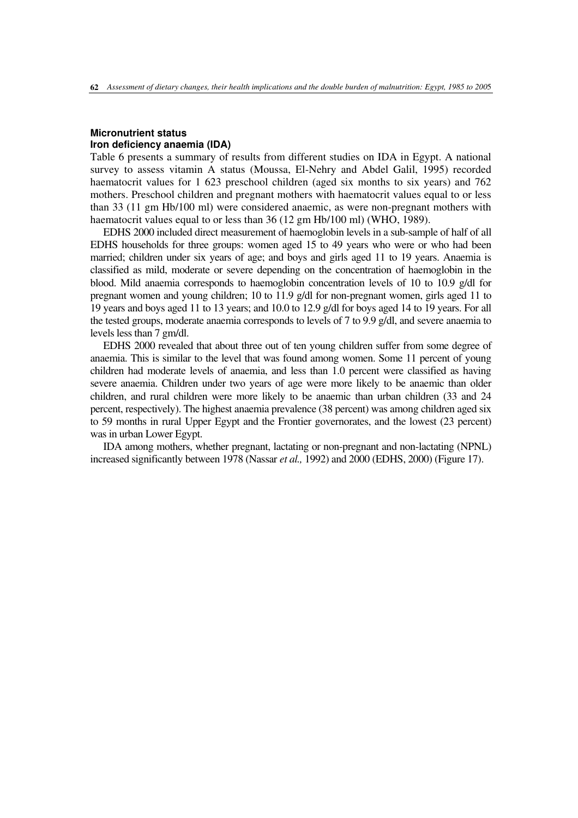### **Micronutrient status Iron deficiency anaemia (IDA)**

Table 6 presents a summary of results from different studies on IDA in Egypt. A national survey to assess vitamin A status (Moussa, El-Nehry and Abdel Galil, 1995) recorded haematocrit values for 1 623 preschool children (aged six months to six years) and 762 mothers. Preschool children and pregnant mothers with haematocrit values equal to or less than 33 (11 gm Hb/100 ml) were considered anaemic, as were non-pregnant mothers with haematocrit values equal to or less than 36 (12 gm Hb/100 ml) (WHO, 1989).

EDHS 2000 included direct measurement of haemoglobin levels in a sub-sample of half of all EDHS households for three groups: women aged 15 to 49 years who were or who had been married; children under six years of age; and boys and girls aged 11 to 19 years. Anaemia is classified as mild, moderate or severe depending on the concentration of haemoglobin in the blood. Mild anaemia corresponds to haemoglobin concentration levels of 10 to 10.9 g/dl for pregnant women and young children; 10 to 11.9 g/dl for non-pregnant women, girls aged 11 to 19 years and boys aged 11 to 13 years; and 10.0 to 12.9 g/dl for boys aged 14 to 19 years. For all the tested groups, moderate anaemia corresponds to levels of 7 to 9.9 g/dl, and severe anaemia to levels less than 7 gm/dl.

EDHS 2000 revealed that about three out of ten young children suffer from some degree of anaemia. This is similar to the level that was found among women. Some 11 percent of young children had moderate levels of anaemia, and less than 1.0 percent were classified as having severe anaemia. Children under two years of age were more likely to be anaemic than older children, and rural children were more likely to be anaemic than urban children (33 and 24 percent, respectively). The highest anaemia prevalence (38 percent) was among children aged six to 59 months in rural Upper Egypt and the Frontier governorates, and the lowest (23 percent) was in urban Lower Egypt.

IDA among mothers, whether pregnant, lactating or non-pregnant and non-lactating (NPNL) increased significantly between 1978 (Nassar *et al.,* 1992) and 2000 (EDHS, 2000) (Figure 17).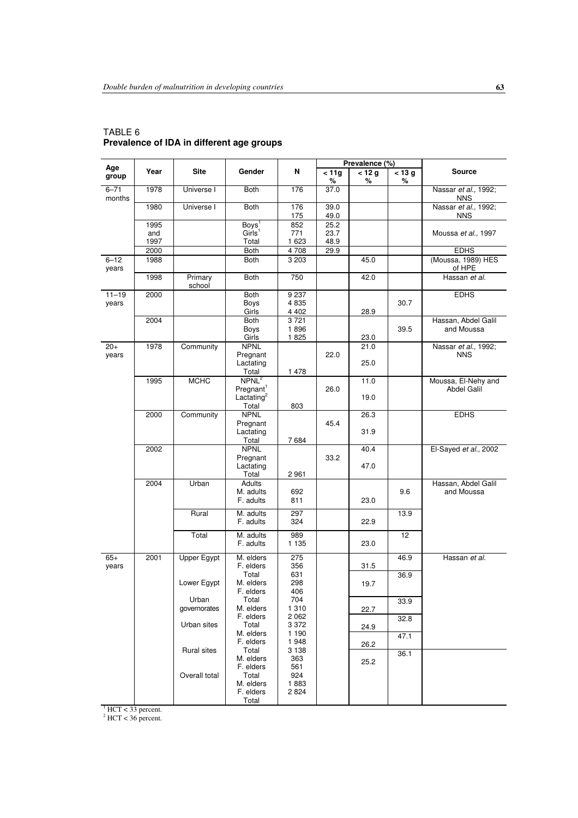| Age                |             |                       |                                                       |                            | Prevalence (%) |               |               |                                    |
|--------------------|-------------|-----------------------|-------------------------------------------------------|----------------------------|----------------|---------------|---------------|------------------------------------|
| group              | Year        | <b>Site</b>           | Gender                                                | N                          | < 11g<br>$\%$  | $<$ 12 g<br>℅ | $<$ 13 g<br>% | <b>Source</b>                      |
| $6 - 71$<br>months | 1978        | Universe I            | <b>Both</b>                                           | 176                        | 37.0           |               |               | Nassar et al., 1992;<br><b>NNS</b> |
|                    | 1980        | Universe I            | Both                                                  | 176<br>175                 | 39.0<br>49.0   |               |               | Nassar et al., 1992;<br><b>NNS</b> |
|                    | 1995<br>and |                       | Boys <sup>1</sup><br>Girls <sup>1</sup>               | 852<br>771                 | 25.2<br>23.7   |               |               | Moussa et al., 1997                |
|                    | 1997        |                       | Total                                                 | 1 6 2 3                    | 48.9           |               |               |                                    |
|                    | 2000        |                       | Both                                                  | 4708                       | 29.9           |               |               | <b>EDHS</b>                        |
| $6 - 12$<br>years  | 1988        |                       | Both                                                  | 3 2 0 3<br>750             |                | 45.0          |               | (Moussa, 1989) HES<br>of HPE       |
|                    | 1998        | Primary<br>school     | Both                                                  |                            |                | 42.0          |               | Hassan et al.                      |
| $11 - 19$          | 2000        |                       | Both                                                  | 9 2 3 7                    |                |               |               | <b>EDHS</b>                        |
| years              |             |                       | Boys<br>Girls                                         | 4835<br>4 4 0 2            |                | 28.9          | 30.7          |                                    |
|                    | 2004        |                       | Both                                                  | 3721                       |                |               |               | Hassan, Abdel Galil                |
|                    |             |                       | Boys                                                  | 1896                       |                |               | 39.5          | and Moussa                         |
|                    |             |                       | Girls                                                 | 1825                       |                | 23.0          |               |                                    |
| $20+$              | 1978        | Community             | <b>NPNL</b>                                           |                            |                | 21.0          |               | Nassar et al., 1992;               |
| years              |             |                       | Pregnant<br>Lactating<br>Total                        | 1478                       | 22.0           | 25.0          |               | <b>NNS</b>                         |
|                    | 1995        | <b>MCHC</b>           | NPNL <sup>2</sup>                                     |                            |                | 11.0          |               | Moussa, El-Nehy and                |
|                    |             |                       | Pregnant <sup>1</sup><br>Lactating <sup>2</sup>       |                            | 26.0           | 19.0          |               | <b>Abdel Galil</b>                 |
|                    |             |                       | Total                                                 | 803                        |                |               |               |                                    |
|                    | 2000        | Community             | <b>NPNL</b>                                           |                            | 45.4           | 26.3          |               | <b>EDHS</b>                        |
|                    |             |                       | Pregnant<br>Lactating<br>Total                        | 7684                       |                | 31.9          |               |                                    |
|                    | 2002        |                       | <b>NPNL</b>                                           |                            |                | 40.4          |               | El-Sayed et al., 2002              |
|                    |             |                       | Pregnant<br>Lactating<br>Total                        | 2961                       | 33.2           | 47.0          |               |                                    |
|                    | 2004        | Urban                 | <b>Adults</b>                                         |                            |                |               |               | Hassan, Abdel Galil                |
|                    |             |                       | M. adults<br>F. adults                                | 692<br>811                 |                | 23.0          | 9.6           | and Moussa                         |
|                    |             | Rural                 | M. adults<br>F. adults                                | 297<br>324                 |                | 22.9          | 13.9          |                                    |
|                    |             | Total                 | M. adults<br>F. adults                                | 989<br>1 1 3 5             |                | 23.0          | 12            |                                    |
| $65+$              | 2001        | Upper Egypt           | M. elders<br>F. elders                                | 275<br>356                 |                | 31.5          | 46.9          | Hassan et al.                      |
| years              |             |                       | Total                                                 | 631                        |                |               | 36.9          |                                    |
|                    |             | Lower Egypt           | M. elders<br>F. elders                                | 298<br>406                 |                | 19.7          |               |                                    |
|                    |             | Urban<br>governorates | Total<br>M. elders                                    | 704<br>1 3 1 0             |                | 22.7          | 33.9          |                                    |
|                    |             | Urban sites           | F. elders<br>Total                                    | 2062<br>3 3 7 2            |                | 24.9          | 32.8          |                                    |
|                    |             |                       | M. elders<br>F. elders                                | 1 1 9 0<br>1948            |                | 26.2          | 47.1          |                                    |
|                    |             | Rural sites           | Total<br>M. elders                                    | 3 1 3 8<br>363             |                |               | 36.1          |                                    |
|                    |             | Overall total         | F. elders<br>Total<br>M. elders<br>F. elders<br>Total | 561<br>924<br>1883<br>2824 |                | 25.2          |               |                                    |

### TABLE 6 **Prevalence of IDA in different age groups**

 $<sup>1</sup>$  HCT < 33 percent.</sup>

 $^{2}$  HCT < 36 percent.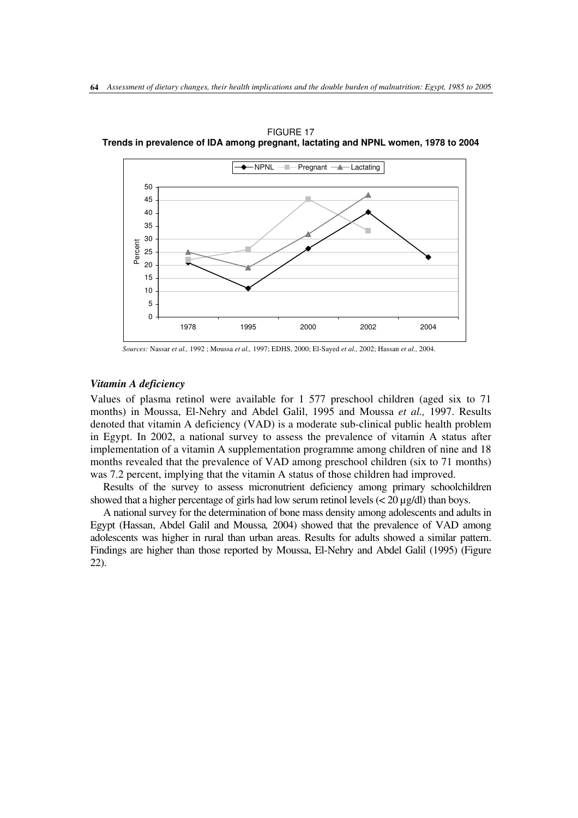

FIGURE 17 **Trends in prevalence of IDA among pregnant, lactating and NPNL women, 1978 to 2004**

*Sources:* Nassar *et al.,* 1992 ; Moussa *et al.,* 1997; EDHS, 2000; El-Sayed *et al.,* 2002; Hassan *et al.,* 2004.

### *Vitamin A deficiency*

Values of plasma retinol were available for 1 577 preschool children (aged six to 71 months) in Moussa, El-Nehry and Abdel Galil, 1995 and Moussa *et al.,* 1997. Results denoted that vitamin A deficiency (VAD) is a moderate sub-clinical public health problem in Egypt. In 2002, a national survey to assess the prevalence of vitamin A status after implementation of a vitamin A supplementation programme among children of nine and 18 months revealed that the prevalence of VAD among preschool children (six to 71 months) was 7.2 percent, implying that the vitamin A status of those children had improved.

Results of the survey to assess micronutrient deficiency among primary schoolchildren showed that a higher percentage of girls had low serum retinol levels  $(< 20 \mu g/dl)$  than boys.

A national survey for the determination of bone mass density among adolescents and adults in Egypt (Hassan, Abdel Galil and Moussa*,* 2004) showed that the prevalence of VAD among adolescents was higher in rural than urban areas. Results for adults showed a similar pattern. Findings are higher than those reported by Moussa, El-Nehry and Abdel Galil (1995) (Figure 22).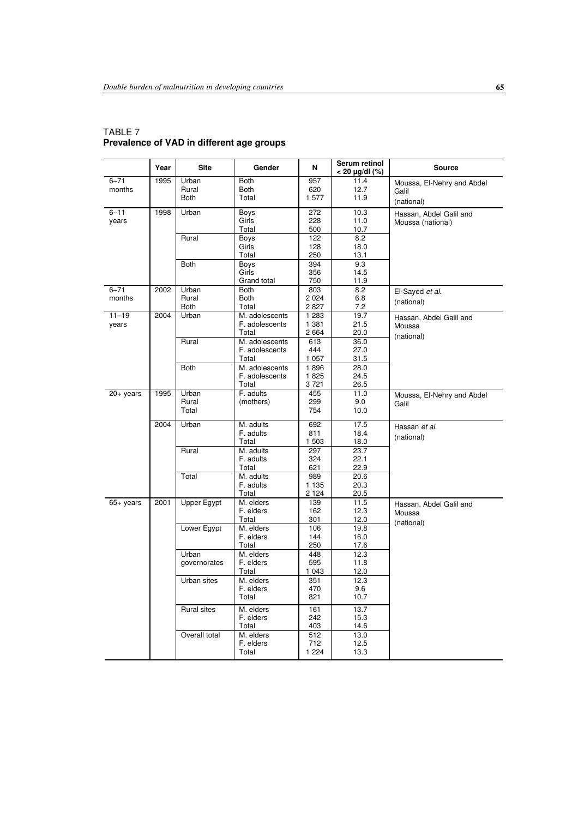|             | Year | <b>Site</b>          | Gender             | Ν          | Serum retinol<br>$< 20 \mu g/dl$ (%) | <b>Source</b>              |
|-------------|------|----------------------|--------------------|------------|--------------------------------------|----------------------------|
| $6 - 71$    | 1995 | Urban                | Both               | 957        | 11.4                                 | Moussa, El-Nehry and Abdel |
| months      |      | Rural                | Both               | 620        | 12.7                                 | Galil                      |
|             |      | <b>Both</b>          | Total              | 1 577      | 11.9                                 | (national)                 |
| $6 - 11$    | 1998 | Urban                | Boys               | 272        | 10.3                                 | Hassan, Abdel Galil and    |
| years       |      |                      | Girls              | 228        | 11.0                                 | Moussa (national)          |
|             |      |                      | Total              | 500        | 10.7                                 |                            |
|             |      | Rural                | Boys               | 122        | 8.2                                  |                            |
|             |      |                      | Girls              | 128        | 18.0                                 |                            |
|             |      |                      | Total              | 250        | 13.1                                 |                            |
|             |      | <b>Both</b>          | Boys               | 394        | 9.3                                  |                            |
|             |      |                      | Girls              | 356        | 14.5                                 |                            |
|             |      |                      | Grand total        | 750        | 11.9                                 |                            |
| $6 - 71$    | 2002 | Urban                | Both               | 803        | 8.2                                  | El-Sayed et al.            |
| months      |      | Rural<br><b>Both</b> | Both               | 2 0 2 4    | 6.8                                  | (national)                 |
|             |      |                      | Total              | 2827       | 7.2                                  |                            |
| $11 - 19$   | 2004 | Urban                | M. adolescents     | 1 2 8 3    | 19.7                                 | Hassan, Abdel Galil and    |
| years       |      |                      | F. adolescents     | 1 381      | 21.5                                 | Moussa                     |
|             |      |                      | Total              | 2 6 6 4    | 20.0                                 | (national)                 |
|             |      | Rural                | M. adolescents     | 613        | 36.0                                 |                            |
|             |      |                      | F. adolescents     | 444        | 27.0                                 |                            |
|             |      |                      | Total              | 1 0 5 7    | 31.5                                 |                            |
|             |      | <b>Both</b>          | M. adolescents     | 1896       | 28.0                                 |                            |
|             |      |                      | F. adolescents     | 1825       | 24.5                                 |                            |
|             |      |                      | Total              | 3721       | 26.5                                 |                            |
| $20+$ years | 1995 | Urban                | F. adults          | 455        | 11.0                                 | Moussa, El-Nehry and Abdel |
|             |      | Rural                | (mothers)          | 299<br>754 | 9.0                                  | Galil                      |
|             |      | Total                |                    |            | 10.0                                 |                            |
|             | 2004 | Urban                | M. adults          | 692        | 17.5                                 | Hassan et al.              |
|             |      |                      | F. adults          | 811        | 18.4                                 | (national)                 |
|             |      |                      | Total              | 1 503      | 18.0                                 |                            |
|             |      | Rural                | M. adults          | 297        | 23.7                                 |                            |
|             |      |                      | F. adults          | 324        | 22.1                                 |                            |
|             |      |                      | Total              | 621        | 22.9                                 |                            |
|             |      | Total                | M. adults          | 989        | 20.6                                 |                            |
|             |      |                      | F. adults          | 1 1 3 5    | 20.3                                 |                            |
|             |      |                      | Total              | 2 1 2 4    | 20.5                                 |                            |
| $65+$ years | 2001 | Upper Egypt          | M. elders          | 139        | 11.5                                 | Hassan, Abdel Galil and    |
|             |      |                      | F. elders<br>Total | 162        | 12.3<br>12.0                         | Moussa                     |
|             |      |                      |                    | 301        |                                      | (national)                 |
|             |      | Lower Egypt          | M. elders          | 106        | 19.8                                 |                            |
|             |      |                      | F. elders          | 144<br>250 | 16.0<br>17.6                         |                            |
|             |      | Urban                | Total<br>M. elders | 448        | 12.3                                 |                            |
|             |      | governorates         | F. elders          | 595        | 11.8                                 |                            |
|             |      |                      | Total              | 1 0 4 3    | 12.0                                 |                            |
|             |      | Urban sites          | M. elders          | 351        | 12.3                                 |                            |
|             |      |                      | F. elders          | 470        | 9.6                                  |                            |
|             |      |                      | Total              | 821        | 10.7                                 |                            |
|             |      | <b>Rural sites</b>   | M. elders          | 161        | 13.7                                 |                            |
|             |      |                      | F. elders          | 242        | 15.3                                 |                            |
|             |      |                      | Total              | 403        | 14.6                                 |                            |
|             |      | Overall total        | M. elders          | 512        | 13.0                                 |                            |
|             |      |                      | F. elders          | 712        | 12.5                                 |                            |
|             |      |                      | Total              | 1 2 2 4    | 13.3                                 |                            |

### TABLE 7 **Prevalence of VAD in different age groups**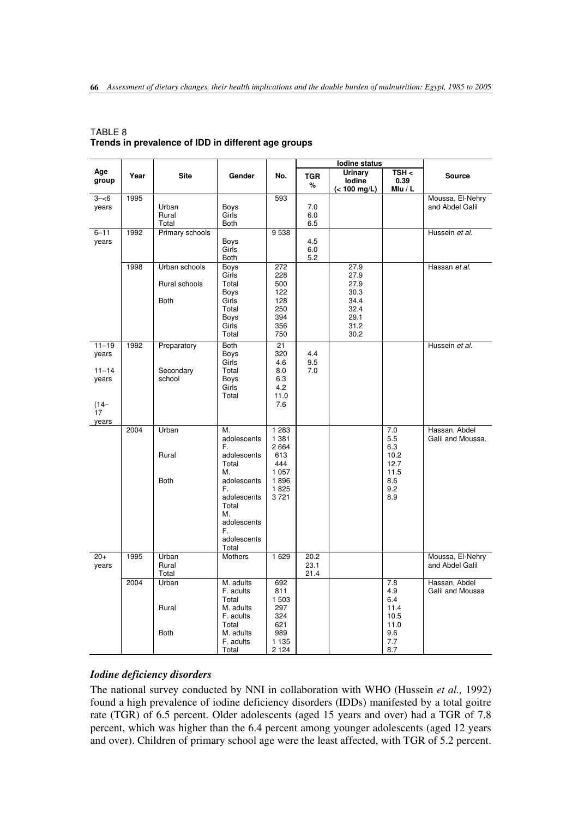|                                                                    |      |                                        |                                                                                                                                                       |                                                                                |                      | lodine status                                                        |                                                                |                                     |
|--------------------------------------------------------------------|------|----------------------------------------|-------------------------------------------------------------------------------------------------------------------------------------------------------|--------------------------------------------------------------------------------|----------------------|----------------------------------------------------------------------|----------------------------------------------------------------|-------------------------------------|
| Age<br>group                                                       | Year | <b>Site</b>                            | Gender                                                                                                                                                | No.                                                                            | <b>TGR</b><br>%      | Urinary<br>lodine<br>$(< 100$ mg/L)                                  | TSH <<br>0.39<br>Mlu/L                                         | <b>Source</b>                       |
| $3 - 6$<br>years                                                   | 1995 | Urban<br>Rural<br>Total                | Boys<br>Girls<br>Both                                                                                                                                 | 593                                                                            | 7.0<br>6.0<br>6.5    |                                                                      |                                                                | Moussa, El-Nehry<br>and Abdel Galil |
| $6 - 11$<br>years                                                  | 1992 | Primary schools                        | Boys<br>Girls<br>Both                                                                                                                                 | 9538                                                                           | 4.5<br>6.0<br>5.2    |                                                                      |                                                                | Hussein et al.                      |
|                                                                    | 1998 | Urban schools<br>Rural schools<br>Both | Boys<br>Girls<br>Total<br>Boys<br>Girls<br>Total<br>Boys<br>Girls<br>Total                                                                            | 272<br>228<br>500<br>122<br>128<br>250<br>394<br>356<br>750                    |                      | 27.9<br>27.9<br>27.9<br>30.3<br>34.4<br>32.4<br>29.1<br>31.2<br>30.2 |                                                                | Hassan et al.                       |
| $11 - 19$<br>years<br>$11 - 14$<br>years<br>$(14 -$<br>17<br>years | 1992 | Preparatory<br>Secondary<br>school     | Both<br>Boys<br>Girls<br>Total<br>Boys<br>Girls<br>Total                                                                                              | 21<br>320<br>4.6<br>8.0<br>6.3<br>4.2<br>11.0<br>7.6                           | 4.4<br>9.5<br>7.0    |                                                                      |                                                                | Hussein et al.                      |
|                                                                    | 2004 | Urban<br>Rural<br>Both                 | М.<br>adolescents<br>F.<br>adolescents<br>Total<br>М.<br>adolescents<br>F.<br>adolescents<br>Total<br>М.<br>adolescents<br>F.<br>adolescents<br>Total | 1 2 8 3<br>1 3 8 1<br>2 6 6 4<br>613<br>444<br>1 0 5 7<br>1896<br>1825<br>3721 |                      |                                                                      | 7.0<br>5.5<br>6.3<br>10.2<br>12.7<br>11.5<br>8.6<br>9.2<br>8.9 | Hassan, Abdel<br>Galil and Moussa.  |
| $20+$<br>years                                                     | 1995 | Urban<br>Rural<br>Total                | Mothers                                                                                                                                               | 1 6 2 9                                                                        | 20.2<br>23.1<br>21.4 |                                                                      |                                                                | Moussa, El-Nehry<br>and Abdel Galil |
|                                                                    | 2004 | Urban<br>Rural<br>Both                 | M. adults<br>F. adults<br>Total<br>M. adults<br>F. adults<br>Total<br>M. adults<br>F. adults<br>Total                                                 | 692<br>811<br>1 503<br>297<br>324<br>621<br>989<br>1 1 3 5<br>2 1 2 4          |                      |                                                                      | 7.8<br>4.9<br>6.4<br>11.4<br>10.5<br>11.0<br>9.6<br>7.7<br>8.7 | Hassan, Abdel<br>Galil and Moussa   |

### TABLE 8 **Trends in prevalence of IDD in different age groups**

# *Iodine deficiency disorders*

The national survey conducted by NNI in collaboration with WHO (Hussein *et al.,* 1992) found a high prevalence of iodine deficiency disorders (IDDs) manifested by a total goitre rate (TGR) of 6.5 percent. Older adolescents (aged 15 years and over) had a TGR of 7.8 percent, which was higher than the 6.4 percent among younger adolescents (aged 12 years and over). Children of primary school age were the least affected, with TGR of 5.2 percent.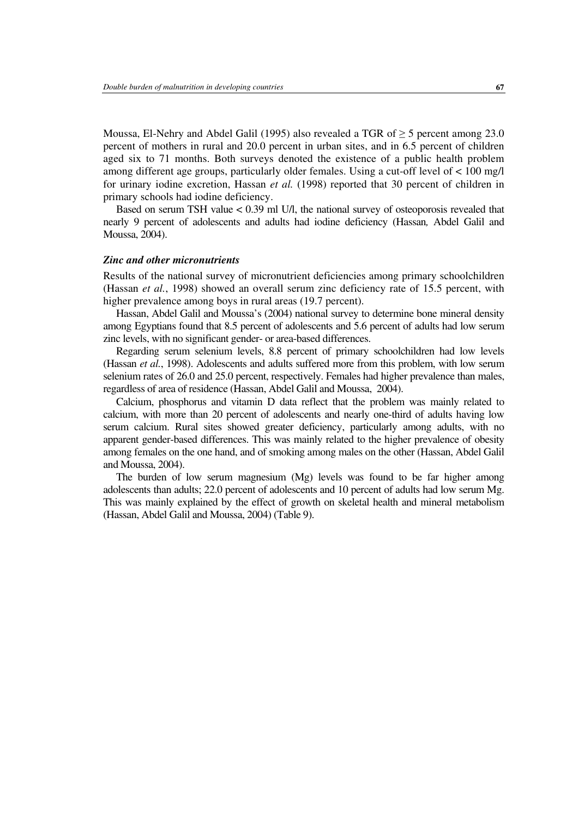Moussa, El-Nehry and Abdel Galil (1995) also revealed a TGR of  $\geq$  5 percent among 23.0 percent of mothers in rural and 20.0 percent in urban sites, and in 6.5 percent of children aged six to 71 months. Both surveys denoted the existence of a public health problem among different age groups, particularly older females. Using a cut-off level of < 100 mg/l for urinary iodine excretion, Hassan *et al.* (1998) reported that 30 percent of children in primary schools had iodine deficiency.

Based on serum TSH value < 0.39 ml U/l, the national survey of osteoporosis revealed that nearly 9 percent of adolescents and adults had iodine deficiency (Hassan*,* Abdel Galil and Moussa, 2004).

#### *Zinc and other micronutrients*

Results of the national survey of micronutrient deficiencies among primary schoolchildren (Hassan *et al.*, 1998) showed an overall serum zinc deficiency rate of 15.5 percent, with higher prevalence among boys in rural areas (19.7 percent).

Hassan, Abdel Galil and Moussa's (2004) national survey to determine bone mineral density among Egyptians found that 8.5 percent of adolescents and 5.6 percent of adults had low serum zinc levels, with no significant gender- or area-based differences.

Regarding serum selenium levels, 8.8 percent of primary schoolchildren had low levels (Hassan *et al.*, 1998). Adolescents and adults suffered more from this problem, with low serum selenium rates of 26.0 and 25.0 percent, respectively. Females had higher prevalence than males, regardless of area of residence (Hassan, Abdel Galil and Moussa, 2004).

Calcium, phosphorus and vitamin D data reflect that the problem was mainly related to calcium, with more than 20 percent of adolescents and nearly one-third of adults having low serum calcium. Rural sites showed greater deficiency, particularly among adults, with no apparent gender-based differences. This was mainly related to the higher prevalence of obesity among females on the one hand, and of smoking among males on the other (Hassan, Abdel Galil and Moussa, 2004).

The burden of low serum magnesium (Mg) levels was found to be far higher among adolescents than adults; 22.0 percent of adolescents and 10 percent of adults had low serum Mg. This was mainly explained by the effect of growth on skeletal health and mineral metabolism (Hassan, Abdel Galil and Moussa, 2004) (Table 9).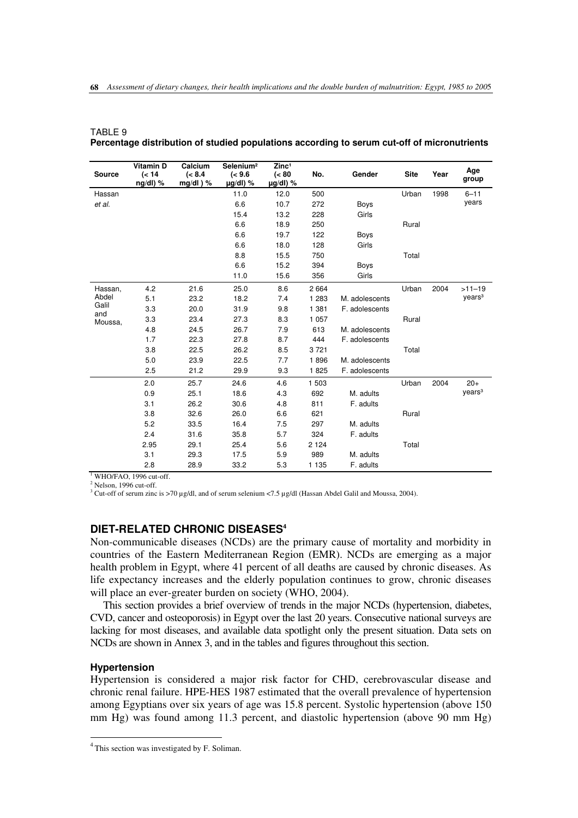| <b>Source</b> | Vitamin D<br>(< 14<br>$ng/dl$ ) % | Calcium<br>(< 8.4)<br>mg/dl $)$ % | Selenium <sup>2</sup><br>(< 9.6<br>$\mu$ g/dl) % | Zinc <sup>1</sup><br>( < 80<br>$\mu$ g/dl) % | No.     | Gender         | <b>Site</b> | Year | Age<br>group       |
|---------------|-----------------------------------|-----------------------------------|--------------------------------------------------|----------------------------------------------|---------|----------------|-------------|------|--------------------|
| Hassan        |                                   |                                   | 11.0                                             | 12.0                                         | 500     |                | Urban       | 1998 | $6 - 11$           |
| et al.        |                                   |                                   | 6.6                                              | 10.7                                         | 272     | Boys           |             |      | years              |
|               |                                   |                                   | 15.4                                             | 13.2                                         | 228     | Girls          |             |      |                    |
|               |                                   |                                   | 6.6                                              | 18.9                                         | 250     |                | Rural       |      |                    |
|               |                                   |                                   | 6.6                                              | 19.7                                         | 122     | Boys           |             |      |                    |
|               |                                   |                                   | 6.6                                              | 18.0                                         | 128     | Girls          |             |      |                    |
|               |                                   |                                   | 8.8                                              | 15.5                                         | 750     |                | Total       |      |                    |
|               |                                   |                                   | 6.6                                              | 15.2                                         | 394     | Boys           |             |      |                    |
|               |                                   |                                   | 11.0                                             | 15.6                                         | 356     | Girls          |             |      |                    |
| Hassan,       | 4.2                               | 21.6                              | 25.0                                             | 8.6                                          | 2664    |                | Urban       | 2004 | $>11 - 19$         |
| Abdel         | 5.1                               | 23.2                              | 18.2                                             | 7.4                                          | 1 2 8 3 | M. adolescents |             |      | years <sup>3</sup> |
| Galil<br>and  | 3.3                               | 20.0                              | 31.9                                             | 9.8                                          | 1 3 8 1 | F. adolescents |             |      |                    |
| Moussa,       | 3.3                               | 23.4                              | 27.3                                             | 8.3                                          | 1 0 5 7 |                | Rural       |      |                    |
|               | 4.8                               | 24.5                              | 26.7                                             | 7.9                                          | 613     | M. adolescents |             |      |                    |
|               | 1.7                               | 22.3                              | 27.8                                             | 8.7                                          | 444     | F. adolescents |             |      |                    |
|               | 3.8                               | 22.5                              | 26.2                                             | 8.5                                          | 3721    |                | Total       |      |                    |
|               | 5.0                               | 23.9                              | 22.5                                             | 7.7                                          | 1896    | M. adolescents |             |      |                    |
|               | 2.5                               | 21.2                              | 29.9                                             | 9.3                                          | 1825    | F. adolescents |             |      |                    |
|               | 2.0                               | 25.7                              | 24.6                                             | 4.6                                          | 1 503   |                | Urban       | 2004 | $20+$              |
|               | 0.9                               | 25.1                              | 18.6                                             | 4.3                                          | 692     | M. adults      |             |      | years <sup>3</sup> |
|               | 3.1                               | 26.2                              | 30.6                                             | 4.8                                          | 811     | F. adults      |             |      |                    |
|               | 3.8                               | 32.6                              | 26.0                                             | 6.6                                          | 621     |                | Rural       |      |                    |
|               | 5.2                               | 33.5                              | 16.4                                             | 7.5                                          | 297     | M. adults      |             |      |                    |
|               | 2.4                               | 31.6                              | 35.8                                             | 5.7                                          | 324     | F. adults      |             |      |                    |
|               | 2.95                              | 29.1                              | 25.4                                             | 5.6                                          | 2 1 2 4 |                | Total       |      |                    |
|               | 3.1                               | 29.3                              | 17.5                                             | 5.9                                          | 989     | M. adults      |             |      |                    |
|               | 2.8                               | 28.9                              | 33.2                                             | 5.3                                          | 1 1 3 5 | F. adults      |             |      |                    |

## TABLE 9 **Percentage distribution of studied populations according to serum cut-off of micronutrients**

<sup>1</sup> WHO/FAO, 1996 cut-off.

 $2$  Nelson, 1996 cut-off.

<sup>3</sup> Cut-off of serum zinc is >70 µg/dl, and of serum selenium <7.5 µg/dl (Hassan Abdel Galil and Moussa, 2004).

# **DIET-RELATED CHRONIC DISEASES4**

Non-communicable diseases (NCDs) are the primary cause of mortality and morbidity in countries of the Eastern Mediterranean Region (EMR). NCDs are emerging as a major health problem in Egypt, where 41 percent of all deaths are caused by chronic diseases. As life expectancy increases and the elderly population continues to grow, chronic diseases will place an ever-greater burden on society (WHO, 2004).

This section provides a brief overview of trends in the major NCDs (hypertension, diabetes, CVD, cancer and osteoporosis) in Egypt over the last 20 years. Consecutive national surveys are lacking for most diseases, and available data spotlight only the present situation. Data sets on NCDs are shown in Annex 3, and in the tables and figures throughout this section.

#### **Hypertension**

Hypertension is considered a major risk factor for CHD, cerebrovascular disease and chronic renal failure. HPE-HES 1987 estimated that the overall prevalence of hypertension among Egyptians over six years of age was 15.8 percent. Systolic hypertension (above 150 mm Hg) was found among 11.3 percent, and diastolic hypertension (above 90 mm Hg)

<sup>&</sup>lt;sup>4</sup> This section was investigated by F. Soliman.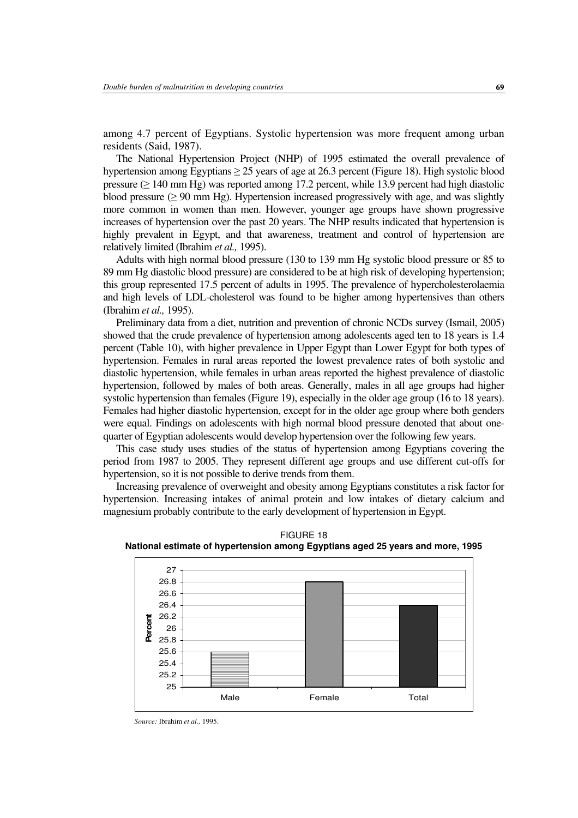among 4.7 percent of Egyptians. Systolic hypertension was more frequent among urban residents (Said, 1987).

The National Hypertension Project (NHP) of 1995 estimated the overall prevalence of hypertension among Egyptians  $\geq$  25 years of age at 26.3 percent (Figure 18). High systolic blood pressure  $( \geq 140 \text{ mm Hg})$  was reported among 17.2 percent, while 13.9 percent had high diastolic blood pressure  $(\geq 90 \text{ mm Hg})$ . Hypertension increased progressively with age, and was slightly more common in women than men. However, younger age groups have shown progressive increases of hypertension over the past 20 years. The NHP results indicated that hypertension is highly prevalent in Egypt, and that awareness, treatment and control of hypertension are relatively limited (Ibrahim *et al.,* 1995).

Adults with high normal blood pressure (130 to 139 mm Hg systolic blood pressure or 85 to 89 mm Hg diastolic blood pressure) are considered to be at high risk of developing hypertension; this group represented 17.5 percent of adults in 1995. The prevalence of hypercholesterolaemia and high levels of LDL-cholesterol was found to be higher among hypertensives than others (Ibrahim *et al.,* 1995).

Preliminary data from a diet, nutrition and prevention of chronic NCDs survey (Ismail, 2005) showed that the crude prevalence of hypertension among adolescents aged ten to 18 years is 1.4 percent (Table 10), with higher prevalence in Upper Egypt than Lower Egypt for both types of hypertension. Females in rural areas reported the lowest prevalence rates of both systolic and diastolic hypertension, while females in urban areas reported the highest prevalence of diastolic hypertension, followed by males of both areas. Generally, males in all age groups had higher systolic hypertension than females (Figure 19), especially in the older age group (16 to 18 years). Females had higher diastolic hypertension, except for in the older age group where both genders were equal. Findings on adolescents with high normal blood pressure denoted that about onequarter of Egyptian adolescents would develop hypertension over the following few years.

This case study uses studies of the status of hypertension among Egyptians covering the period from 1987 to 2005. They represent different age groups and use different cut-offs for hypertension, so it is not possible to derive trends from them.

Increasing prevalence of overweight and obesity among Egyptians constitutes a risk factor for hypertension. Increasing intakes of animal protein and low intakes of dietary calcium and magnesium probably contribute to the early development of hypertension in Egypt.



FIGURE 18 **National estimate of hypertension among Egyptians aged 25 years and more, 1995**

*Source:* Ibrahim *et al.,* 1995.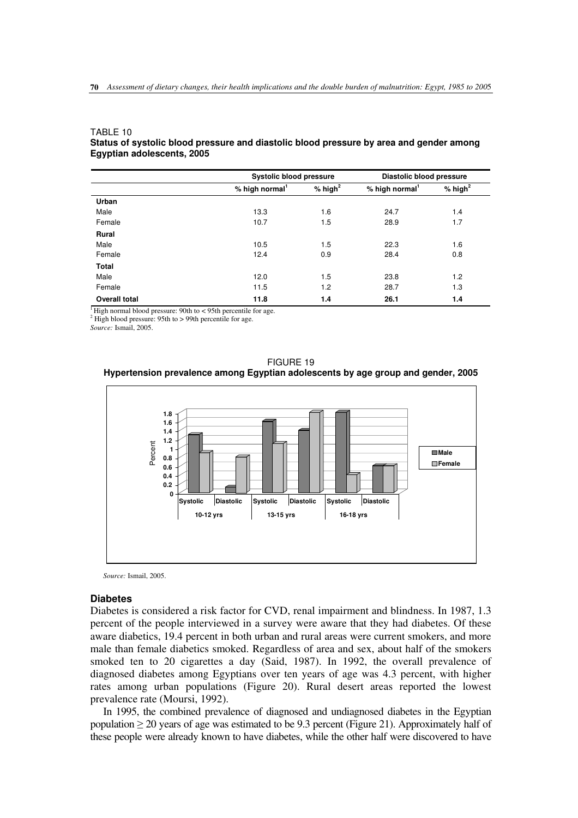#### TABLE 10 **Status of systolic blood pressure and diastolic blood pressure by area and gender among Egyptian adolescents, 2005**

|                      | <b>Systolic blood pressure</b> |           | Diastolic blood pressure   |             |  |
|----------------------|--------------------------------|-----------|----------------------------|-------------|--|
|                      | % high normal $1$              | % $high2$ | % high normal <sup>1</sup> | % high $^2$ |  |
| Urban                |                                |           |                            |             |  |
| Male                 | 13.3                           | 1.6       | 24.7                       | 1.4         |  |
| Female               | 10.7                           | 1.5       | 28.9                       | 1.7         |  |
| <b>Rural</b>         |                                |           |                            |             |  |
| Male                 | 10.5                           | 1.5       | 22.3                       | 1.6         |  |
| Female               | 12.4                           | 0.9       | 28.4                       | 0.8         |  |
| <b>Total</b>         |                                |           |                            |             |  |
| Male                 | 12.0                           | 1.5       | 23.8                       | 1.2         |  |
| Female               | 11.5                           | 1.2       | 28.7                       | 1.3         |  |
| <b>Overall total</b> | 11.8                           | 1.4       | 26.1                       | 1.4         |  |

<sup>1</sup>High normal blood pressure: 90th to < 95th percentile for age.

 $2$  High blood pressure: 95th to > 99th percentile for age.

*Source:* Ismail, 2005.

FIGURE 19 **Hypertension prevalence among Egyptian adolescents by age group and gender, 2005**



*Source:* Ismail, 2005.

#### **Diabetes**

Diabetes is considered a risk factor for CVD, renal impairment and blindness. In 1987, 1.3 percent of the people interviewed in a survey were aware that they had diabetes. Of these aware diabetics, 19.4 percent in both urban and rural areas were current smokers, and more male than female diabetics smoked. Regardless of area and sex, about half of the smokers smoked ten to 20 cigarettes a day (Said, 1987). In 1992, the overall prevalence of diagnosed diabetes among Egyptians over ten years of age was 4.3 percent, with higher rates among urban populations (Figure 20). Rural desert areas reported the lowest prevalence rate (Moursi, 1992).

In 1995, the combined prevalence of diagnosed and undiagnosed diabetes in the Egyptian population  $\geq$  20 years of age was estimated to be 9.3 percent (Figure 21). Approximately half of these people were already known to have diabetes, while the other half were discovered to have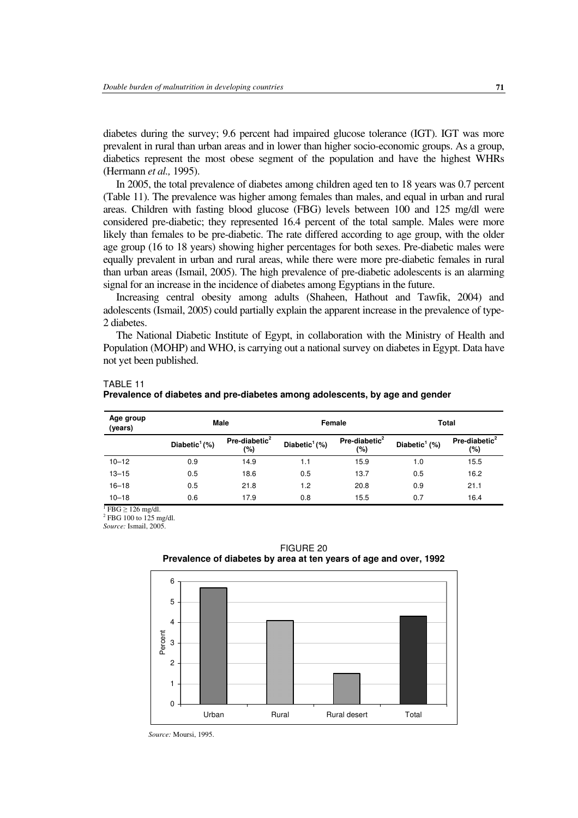diabetes during the survey; 9.6 percent had impaired glucose tolerance (IGT). IGT was more prevalent in rural than urban areas and in lower than higher socio-economic groups. As a group, diabetics represent the most obese segment of the population and have the highest WHRs (Hermann *et al.,* 1995).

In 2005, the total prevalence of diabetes among children aged ten to 18 years was 0.7 percent (Table 11). The prevalence was higher among females than males, and equal in urban and rural areas. Children with fasting blood glucose (FBG) levels between 100 and 125 mg/dl were considered pre-diabetic; they represented 16.4 percent of the total sample. Males were more likely than females to be pre-diabetic. The rate differed according to age group, with the older age group (16 to 18 years) showing higher percentages for both sexes. Pre-diabetic males were equally prevalent in urban and rural areas, while there were more pre-diabetic females in rural than urban areas (Ismail, 2005). The high prevalence of pre-diabetic adolescents is an alarming signal for an increase in the incidence of diabetes among Egyptians in the future.

Increasing central obesity among adults (Shaheen, Hathout and Tawfik, 2004) and adolescents (Ismail, 2005) could partially explain the apparent increase in the prevalence of type-2 diabetes.

The National Diabetic Institute of Egypt, in collaboration with the Ministry of Health and Population (MOHP) and WHO, is carrying out a national survey on diabetes in Egypt. Data have not yet been published.

| TABLE 11          |  |  |
|-------------------|--|--|
| <b>Prevalence</b> |  |  |

| 10ULL 11 |                                                                              |  |
|----------|------------------------------------------------------------------------------|--|
|          | Prevalence of diabetes and pre-diabetes among adolescents, by age and gender |  |

| Age group<br>(years) | Male                      |                                  |                             | Female                           | Total                     |                         |  |
|----------------------|---------------------------|----------------------------------|-----------------------------|----------------------------------|---------------------------|-------------------------|--|
|                      | Diabetic <sup>1</sup> (%) | Pre-diabetic <sup>2</sup><br>(%) | Diabetic <sup>1</sup> $(%)$ | Pre-diabetic <sup>2</sup><br>(%) | Diabetic <sup>1</sup> (%) | Pre-diabetic $2$<br>(%) |  |
| $10 - 12$            | 0.9                       | 14.9                             | 1.1                         | 15.9                             | 1.0                       | 15.5                    |  |
| $13 - 15$            | 0.5                       | 18.6                             | 0.5                         | 13.7                             | 0.5                       | 16.2                    |  |
| $16 - 18$            | 0.5                       | 21.8                             | 1.2                         | 20.8                             | 0.9                       | 21.1                    |  |
| $10 - 18$            | 0.6                       | 17.9                             | 0.8                         | 15.5                             | 0.7                       | 16.4                    |  |

 $\overline{\text{FBG}} \geq 126 \text{ mg/dl}.$ 

 $2$  FBG 100 to 125 mg/dl.

*Source:* Ismail, 2005.





*Source:* Moursi, 1995.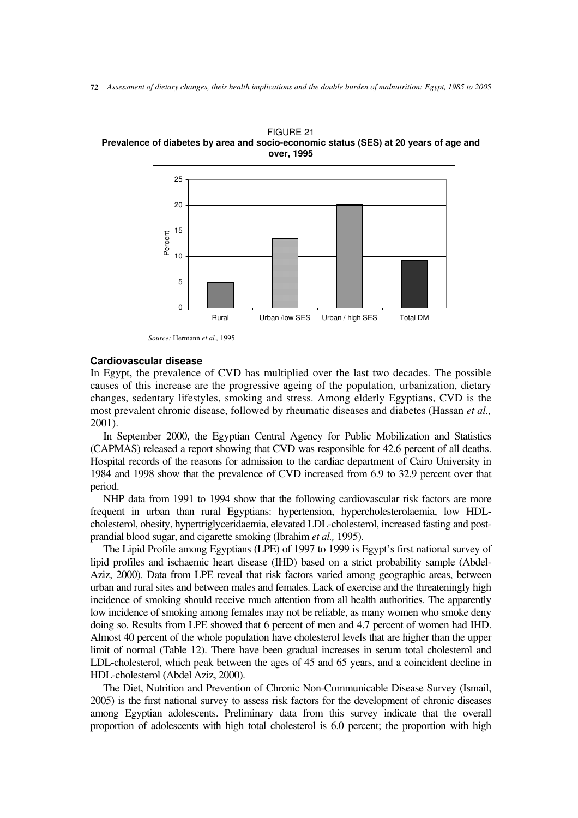

FIGURE 21 **Prevalence of diabetes by area and socio-economic status (SES) at 20 years of age and over, 1995**

#### **Cardiovascular disease**

In Egypt, the prevalence of CVD has multiplied over the last two decades. The possible causes of this increase are the progressive ageing of the population, urbanization, dietary changes, sedentary lifestyles, smoking and stress. Among elderly Egyptians, CVD is the most prevalent chronic disease, followed by rheumatic diseases and diabetes (Hassan *et al.,* 2001).

In September 2000, the Egyptian Central Agency for Public Mobilization and Statistics (CAPMAS) released a report showing that CVD was responsible for 42.6 percent of all deaths. Hospital records of the reasons for admission to the cardiac department of Cairo University in 1984 and 1998 show that the prevalence of CVD increased from 6.9 to 32.9 percent over that period.

NHP data from 1991 to 1994 show that the following cardiovascular risk factors are more frequent in urban than rural Egyptians: hypertension, hypercholesterolaemia, low HDLcholesterol, obesity, hypertriglyceridaemia, elevated LDL-cholesterol, increased fasting and postprandial blood sugar, and cigarette smoking (Ibrahim *et al.,* 1995).

The Lipid Profile among Egyptians (LPE) of 1997 to 1999 is Egypt's first national survey of lipid profiles and ischaemic heart disease (IHD) based on a strict probability sample (Abdel-Aziz, 2000). Data from LPE reveal that risk factors varied among geographic areas, between urban and rural sites and between males and females. Lack of exercise and the threateningly high incidence of smoking should receive much attention from all health authorities. The apparently low incidence of smoking among females may not be reliable, as many women who smoke deny doing so. Results from LPE showed that 6 percent of men and 4.7 percent of women had IHD. Almost 40 percent of the whole population have cholesterol levels that are higher than the upper limit of normal (Table 12). There have been gradual increases in serum total cholesterol and LDL-cholesterol, which peak between the ages of 45 and 65 years, and a coincident decline in HDL-cholesterol (Abdel Aziz, 2000).

The Diet, Nutrition and Prevention of Chronic Non-Communicable Disease Survey (Ismail, 2005) is the first national survey to assess risk factors for the development of chronic diseases among Egyptian adolescents. Preliminary data from this survey indicate that the overall proportion of adolescents with high total cholesterol is 6.0 percent; the proportion with high

*Source:* Hermann *et al.,* 1995.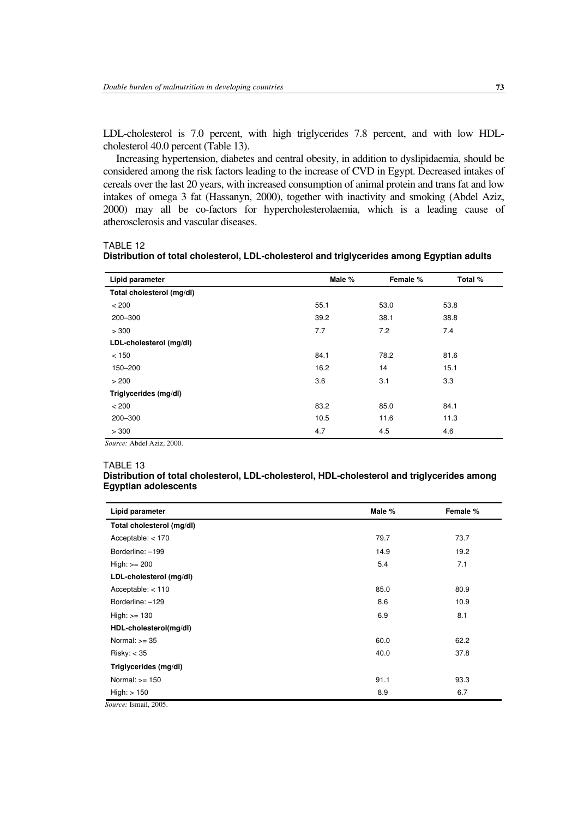LDL-cholesterol is 7.0 percent, with high triglycerides 7.8 percent, and with low HDLcholesterol 40.0 percent (Table 13).

Increasing hypertension, diabetes and central obesity, in addition to dyslipidaemia, should be considered among the risk factors leading to the increase of CVD in Egypt. Decreased intakes of cereals over the last 20 years, with increased consumption of animal protein and trans fat and low intakes of omega 3 fat (Hassanyn, 2000), together with inactivity and smoking (Abdel Aziz, 2000) may all be co-factors for hypercholesterolaemia, which is a leading cause of atherosclerosis and vascular diseases.

| TABLE 12                                                                                   |  |
|--------------------------------------------------------------------------------------------|--|
| Distribution of total cholesterol, LDL-cholesterol and triglycerides among Egyptian adults |  |

| Lipid parameter           | Male % | Female % | Total % |
|---------------------------|--------|----------|---------|
| Total cholesterol (mg/dl) |        |          |         |
| < 200                     | 55.1   | 53.0     | 53.8    |
| 200-300                   | 39.2   | 38.1     | 38.8    |
| > 300                     | 7.7    | 7.2      | 7.4     |
| LDL-cholesterol (mg/dl)   |        |          |         |
| < 150                     | 84.1   | 78.2     | 81.6    |
| 150-200                   | 16.2   | 14       | 15.1    |
| > 200                     | 3.6    | 3.1      | 3.3     |
| Triglycerides (mg/dl)     |        |          |         |
| < 200                     | 83.2   | 85.0     | 84.1    |
| 200-300                   | 10.5   | 11.6     | 11.3    |
| > 300                     | 4.7    | 4.5      | 4.6     |

*Source:* Abdel Aziz, 2000.

#### TABLE 13

#### **Distribution of total cholesterol, LDL-cholesterol, HDL-cholesterol and triglycerides among Egyptian adolescents**

| Lipid parameter           | Male % | Female % |
|---------------------------|--------|----------|
| Total cholesterol (mg/dl) |        |          |
| Acceptable: $<$ 170       | 79.7   | 73.7     |
| Borderline: -199          | 14.9   | 19.2     |
| $High:>= 200$             | 5.4    | 7.1      |
| LDL-cholesterol (mg/dl)   |        |          |
| Acceptable: $<$ 110       | 85.0   | 80.9     |
| Borderline: -129          | 8.6    | 10.9     |
| $High:>= 130$             | 6.9    | 8.1      |
| HDL-cholesterol(mg/dl)    |        |          |
| Normal: $>=$ 35           | 60.0   | 62.2     |
| Risky: $<$ 35             | 40.0   | 37.8     |
| Triglycerides (mg/dl)     |        |          |
| Normal: $>= 150$          | 91.1   | 93.3     |
| $High:$ > 150             | 8.9    | 6.7      |
| Source: Ismail, 2005.     |        |          |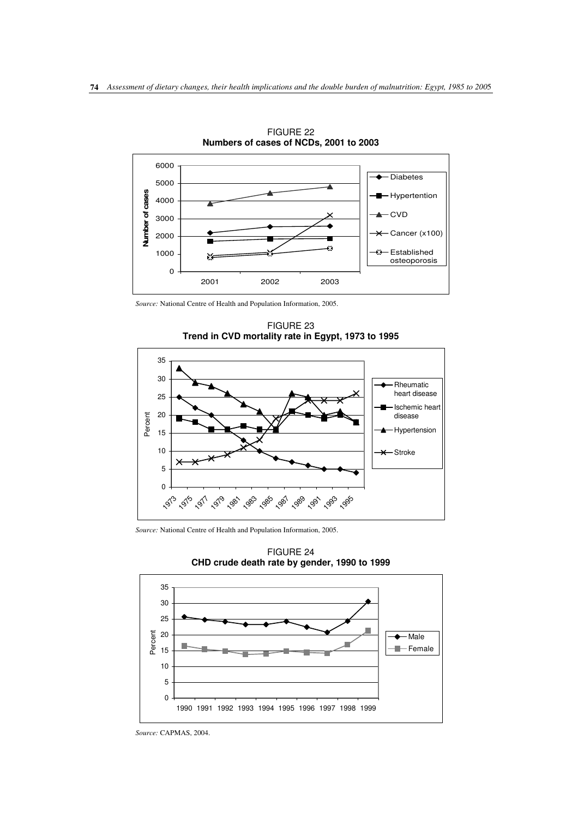

FIGURE 22 **Numbers of cases of NCDs, 2001 to 2003**

*Source:* National Centre of Health and Population Information, 2005.

FIGURE 23 **Trend in CVD mortality rate in Egypt, 1973 to 1995**



*Source:* National Centre of Health and Population Information, 2005.

FIGURE 24 **CHD crude death rate by gender, 1990 to 1999**



*Source:* CAPMAS, 2004.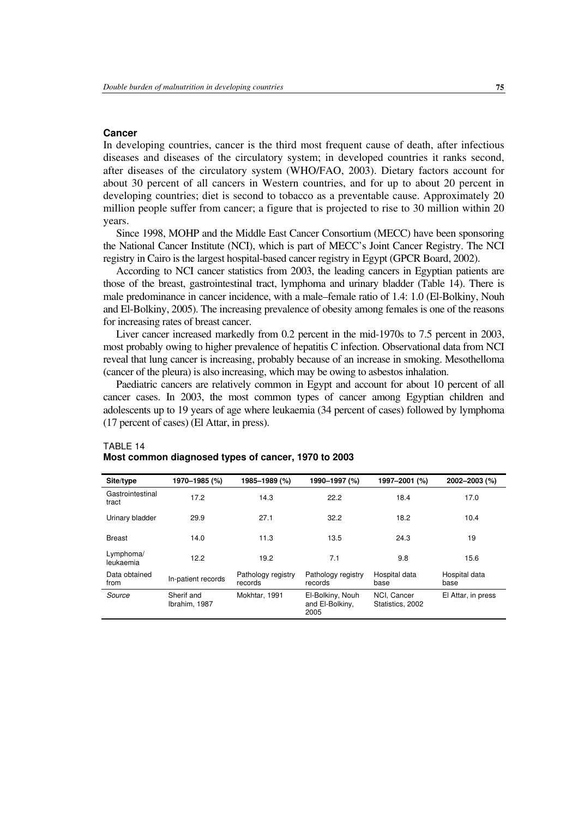### **Cancer**

In developing countries, cancer is the third most frequent cause of death, after infectious diseases and diseases of the circulatory system; in developed countries it ranks second, after diseases of the circulatory system (WHO/FAO, 2003). Dietary factors account for about 30 percent of all cancers in Western countries, and for up to about 20 percent in developing countries; diet is second to tobacco as a preventable cause. Approximately 20 million people suffer from cancer; a figure that is projected to rise to 30 million within 20 years.

Since 1998, MOHP and the Middle East Cancer Consortium (MECC) have been sponsoring the National Cancer Institute (NCI), which is part of MECC's Joint Cancer Registry. The NCI registry in Cairo is the largest hospital-based cancer registry in Egypt (GPCR Board, 2002).

According to NCI cancer statistics from 2003, the leading cancers in Egyptian patients are those of the breast, gastrointestinal tract, lymphoma and urinary bladder (Table 14). There is male predominance in cancer incidence, with a male–female ratio of 1.4: 1.0 (El-Bolkiny, Nouh and El-Bolkiny, 2005). The increasing prevalence of obesity among females is one of the reasons for increasing rates of breast cancer.

Liver cancer increased markedly from 0.2 percent in the mid-1970s to 7.5 percent in 2003, most probably owing to higher prevalence of hepatitis C infection. Observational data from NCI reveal that lung cancer is increasing, probably because of an increase in smoking. Mesothelloma (cancer of the pleura) is also increasing, which may be owing to asbestos inhalation.

Paediatric cancers are relatively common in Egypt and account for about 10 percent of all cancer cases. In 2003, the most common types of cancer among Egyptian children and adolescents up to 19 years of age where leukaemia (34 percent of cases) followed by lymphoma (17 percent of cases) (El Attar, in press).

| Site/type                 | 1970-1985 (%)               | 1985-1989 (%)                 | 1990-1997 (%)                               | 1997-2001 (%)                   | 2002-2003 (%)         |
|---------------------------|-----------------------------|-------------------------------|---------------------------------------------|---------------------------------|-----------------------|
| Gastrointestinal<br>tract | 17.2                        | 14.3                          | 22.2                                        | 18.4                            | 17.0                  |
| Urinary bladder           | 29.9                        | 27.1                          | 32.2                                        | 18.2                            | 10.4                  |
| <b>Breast</b>             | 14.0                        | 11.3                          | 13.5                                        | 24.3                            | 19                    |
| Lymphoma/<br>leukaemia    | 12.2                        | 19.2                          | 7.1                                         | 9.8                             | 15.6                  |
| Data obtained<br>from     | In-patient records          | Pathology registry<br>records | Pathology registry<br>records               | Hospital data<br>base           | Hospital data<br>base |
| Source                    | Sherif and<br>Ibrahim, 1987 | Mokhtar, 1991                 | El-Bolkiny, Nouh<br>and El-Bolkiny,<br>2005 | NCI, Cancer<br>Statistics, 2002 | El Attar, in press    |

### TABLE 14 **Most common diagnosed types of cancer, 1970 to 2003**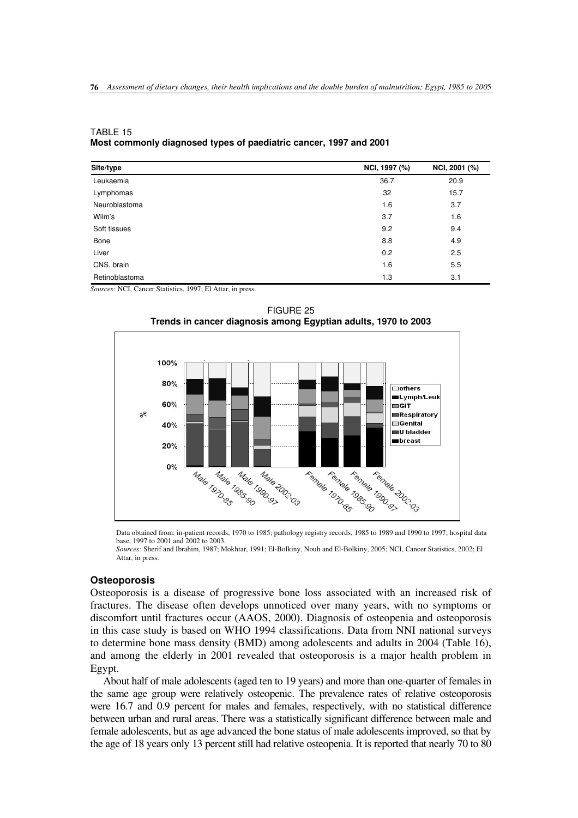| Site/type      | NCI, 1997 (%) | NCI, 2001 (%) |
|----------------|---------------|---------------|
| Leukaemia      | 36.7          | 20.9          |
| Lymphomas      | 32            | 15.7          |
| Neuroblastoma  | 1.6           | 3.7           |
| Wilm's         | 3.7           | 1.6           |
| Soft tissues   | 9.2           | 9.4           |
| Bone           | 8.8           | 4.9           |
| Liver          | 0.2           | 2.5           |
| CNS, brain     | 1.6           | 5.5           |
| Retinoblastoma | 1.3           | 3.1           |

TABLE 15 **Most commonly diagnosed types of paediatric cancer, 1997 and 2001**

*Sources:* NCI, Cancer Statistics, 1997; El Attar, in press.



FIGURE 25

Data obtained from: in-patient records, 1970 to 1985; pathology registry records, 1985 to 1989 and 1990 to 1997; hospital data base, 1997 to 2001 and 2002 to 2003.

*Sources:* Sherif and Ibrahim, 1987; Mokhtar, 1991; El-Bolkiny, Nouh and El-Bolkiny, 2005; NCI, Cancer Statistics, 2002; El Attar, in press.

### **Osteoporosis**

Osteoporosis is a disease of progressive bone loss associated with an increased risk of fractures. The disease often develops unnoticed over many years, with no symptoms or discomfort until fractures occur (AAOS, 2000). Diagnosis of osteopenia and osteoporosis in this case study is based on WHO 1994 classifications. Data from NNI national surveys to determine bone mass density (BMD) among adolescents and adults in 2004 (Table 16), and among the elderly in 2001 revealed that osteoporosis is a major health problem in Egypt.

About half of male adolescents (aged ten to 19 years) and more than one-quarter of females in the same age group were relatively osteopenic. The prevalence rates of relative osteoporosis were 16.7 and 0.9 percent for males and females, respectively, with no statistical difference between urban and rural areas. There was a statistically significant difference between male and female adolescents, but as age advanced the bone status of male adolescents improved, so that by the age of 18 years only 13 percent still had relative osteopenia. It is reported that nearly 70 to 80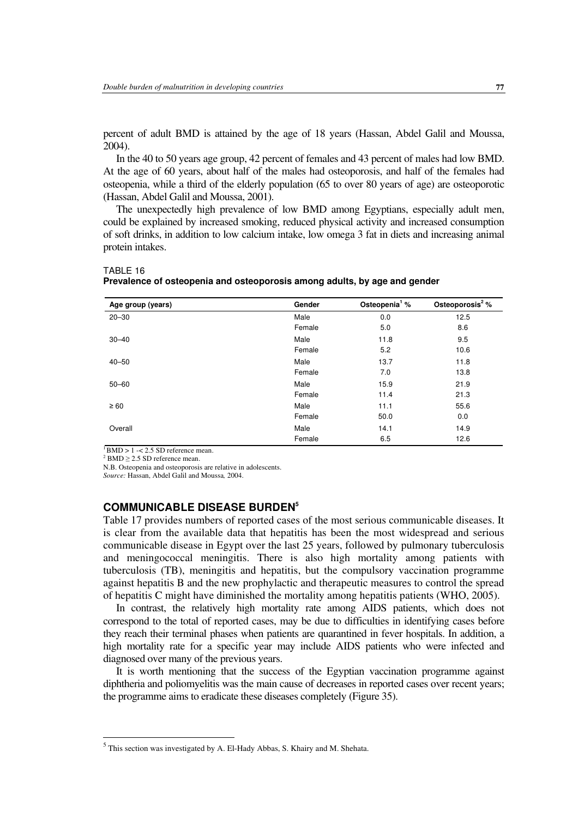percent of adult BMD is attained by the age of 18 years (Hassan, Abdel Galil and Moussa, 2004).

In the 40 to 50 years age group, 42 percent of females and 43 percent of males had low BMD. At the age of 60 years, about half of the males had osteoporosis, and half of the females had osteopenia, while a third of the elderly population (65 to over 80 years of age) are osteoporotic (Hassan, Abdel Galil and Moussa, 2001).

The unexpectedly high prevalence of low BMD among Egyptians, especially adult men, could be explained by increased smoking, reduced physical activity and increased consumption of soft drinks, in addition to low calcium intake, low omega 3 fat in diets and increasing animal protein intakes.

| Age group (years) | Gender | Osteopenia <sup>1</sup> % | Osteoporosis <sup>2</sup> % |
|-------------------|--------|---------------------------|-----------------------------|
| $20 - 30$         | Male   | 0.0                       | 12.5                        |
|                   | Female | 5.0                       | 8.6                         |
| $30 - 40$         | Male   | 11.8                      | 9.5                         |
|                   | Female | 5.2                       | 10.6                        |
| $40 - 50$         | Male   | 13.7                      | 11.8                        |
|                   | Female | 7.0                       | 13.8                        |
| $50 - 60$         | Male   | 15.9                      | 21.9                        |
|                   | Female | 11.4                      | 21.3                        |
| $\geq 60$         | Male   | 11.1                      | 55.6                        |
|                   | Female | 50.0                      | 0.0                         |
| Overall           | Male   | 14.1                      | 14.9                        |
|                   | Female | 6.5                       | 12.6                        |

**Prevalence of osteopenia and osteoporosis among adults, by age and gender**

 $1$ BMD > 1 -< 2.5 SD reference mean.

TABLE 16

 $^{2}$  BMD  $>$  2.5 SD reference mean.

N.B. Osteopenia and osteoporosis are relative in adolescents.

*Source:* Hassan, Abdel Galil and Moussa*,* 2004.

### **COMMUNICABLE DISEASE BURDEN5**

Table 17 provides numbers of reported cases of the most serious communicable diseases. It is clear from the available data that hepatitis has been the most widespread and serious communicable disease in Egypt over the last 25 years, followed by pulmonary tuberculosis and meningococcal meningitis. There is also high mortality among patients with tuberculosis (TB), meningitis and hepatitis, but the compulsory vaccination programme against hepatitis B and the new prophylactic and therapeutic measures to control the spread of hepatitis C might have diminished the mortality among hepatitis patients (WHO, 2005).

In contrast, the relatively high mortality rate among AIDS patients, which does not correspond to the total of reported cases, may be due to difficulties in identifying cases before they reach their terminal phases when patients are quarantined in fever hospitals. In addition, a high mortality rate for a specific year may include AIDS patients who were infected and diagnosed over many of the previous years.

It is worth mentioning that the success of the Egyptian vaccination programme against diphtheria and poliomyelitis was the main cause of decreases in reported cases over recent years; the programme aims to eradicate these diseases completely (Figure 35).

<sup>5</sup> This section was investigated by A. El-Hady Abbas, S. Khairy and M. Shehata.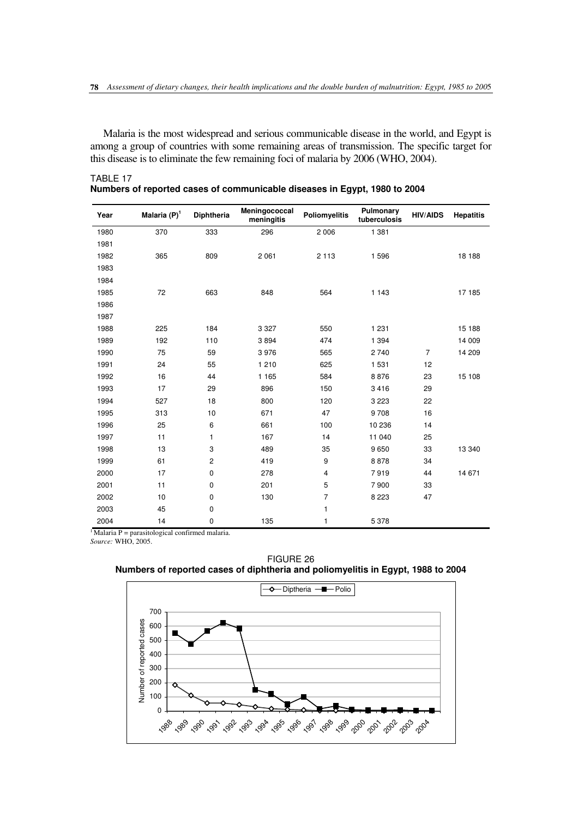Malaria is the most widespread and serious communicable disease in the world, and Egypt is among a group of countries with some remaining areas of transmission. The specific target for this disease is to eliminate the few remaining foci of malaria by 2006 (WHO, 2004).

| Year | Malaria (P) <sup>1</sup> | <b>Diphtheria</b> | Meningococcal<br>meningitis | <b>Poliomyelitis</b>    | Pulmonary<br>tuberculosis | <b>HIV/AIDS</b> | <b>Hepatitis</b> |
|------|--------------------------|-------------------|-----------------------------|-------------------------|---------------------------|-----------------|------------------|
| 1980 | 370                      | 333               | 296                         | 2 0 0 6                 | 1 381                     |                 |                  |
| 1981 |                          |                   |                             |                         |                           |                 |                  |
| 1982 | 365                      | 809               | 2 0 6 1                     | 2 1 1 3                 | 1596                      |                 | 18 188           |
| 1983 |                          |                   |                             |                         |                           |                 |                  |
| 1984 |                          |                   |                             |                         |                           |                 |                  |
| 1985 | 72                       | 663               | 848                         | 564                     | 1 1 4 3                   |                 | 17 185           |
| 1986 |                          |                   |                             |                         |                           |                 |                  |
| 1987 |                          |                   |                             |                         |                           |                 |                  |
| 1988 | 225                      | 184               | 3 3 2 7                     | 550                     | 1 2 3 1                   |                 | 15 188           |
| 1989 | 192                      | 110               | 3894                        | 474                     | 1 3 9 4                   |                 | 14 009           |
| 1990 | 75                       | 59                | 3976                        | 565                     | 2740                      | $\overline{7}$  | 14 209           |
| 1991 | 24                       | 55                | 1 2 1 0                     | 625                     | 1 5 3 1                   | 12              |                  |
| 1992 | 16                       | 44                | 1 1 6 5                     | 584                     | 8876                      | 23              | 15 108           |
| 1993 | 17                       | 29                | 896                         | 150                     | 3416                      | 29              |                  |
| 1994 | 527                      | 18                | 800                         | 120                     | 3 2 2 3                   | 22              |                  |
| 1995 | 313                      | 10                | 671                         | 47                      | 9708                      | 16              |                  |
| 1996 | 25                       | 6                 | 661                         | 100                     | 10 236                    | 14              |                  |
| 1997 | 11                       | 1                 | 167                         | 14                      | 11 040                    | 25              |                  |
| 1998 | 13                       | 3                 | 489                         | 35                      | 9650                      | 33              | 13 340           |
| 1999 | 61                       | 2                 | 419                         | 9                       | 8878                      | 34              |                  |
| 2000 | 17                       | 0                 | 278                         | $\overline{\mathbf{4}}$ | 7919                      | 44              | 14 671           |
| 2001 | 11                       | 0                 | 201                         | 5                       | 7900                      | 33              |                  |
| 2002 | 10                       | 0                 | 130                         | $\overline{7}$          | 8 2 2 3                   | 47              |                  |
| 2003 | 45                       | 0                 |                             | 1                       |                           |                 |                  |
| 2004 | 14                       | 0                 | 135                         | 1                       | 5378                      |                 |                  |

TABLE 17 **Numbers of reported cases of communicable diseases in Egypt, 1980 to 2004**

 $1$  Malaria P = parasitological confirmed malaria.

*Source:* WHO, 2005.



FIGURE 26 **Numbers of reported cases of diphtheria and poliomyelitis in Egypt, 1988 to 2004**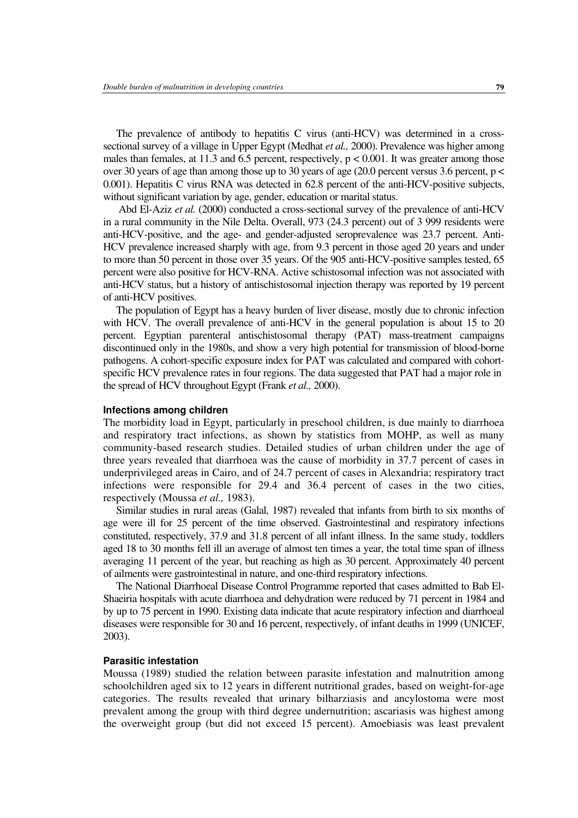The prevalence of antibody to hepatitis C virus (anti-HCV) was determined in a crosssectional survey of a village in Upper Egypt (Medhat *et al.,* 2000). Prevalence was higher among males than females, at 11.3 and 6.5 percent, respectively,  $p < 0.001$ . It was greater among those over 30 years of age than among those up to 30 years of age (20.0 percent versus 3.6 percent,  $p <$ 0.001). Hepatitis C virus RNA was detected in 62.8 percent of the anti-HCV-positive subjects, without significant variation by age, gender, education or marital status.

Abd El-Aziz *et al.* (2000) conducted a cross-sectional survey of the prevalence of anti-HCV in a rural community in the Nile Delta. Overall, 973 (24.3 percent) out of 3 999 residents were anti-HCV-positive, and the age- and gender-adjusted seroprevalence was 23.7 percent. Anti-HCV prevalence increased sharply with age, from 9.3 percent in those aged 20 years and under to more than 50 percent in those over 35 years. Of the 905 anti-HCV-positive samples tested, 65 percent were also positive for HCV-RNA. Active schistosomal infection was not associated with anti-HCV status, but a history of antischistosomal injection therapy was reported by 19 percent of anti-HCV positives.

The population of Egypt has a heavy burden of liver disease, mostly due to chronic infection with HCV. The overall prevalence of anti-HCV in the general population is about 15 to 20 percent. Egyptian parenteral antischistosomal therapy (PAT) mass-treatment campaigns discontinued only in the 1980s, and show a very high potential for transmission of blood-borne pathogens. A cohort-specific exposure index for PAT was calculated and compared with cohortspecific HCV prevalence rates in four regions. The data suggested that PAT had a major role in the spread of HCV throughout Egypt (Frank *et al.,* 2000).

#### **Infections among children**

The morbidity load in Egypt, particularly in preschool children, is due mainly to diarrhoea and respiratory tract infections, as shown by statistics from MOHP, as well as many community-based research studies. Detailed studies of urban children under the age of three years revealed that diarrhoea was the cause of morbidity in 37.7 percent of cases in underprivileged areas in Cairo, and of 24.7 percent of cases in Alexandria; respiratory tract infections were responsible for 29.4 and 36.4 percent of cases in the two cities, respectively (Moussa *et al.,* 1983).

Similar studies in rural areas (Galal*,* 1987) revealed that infants from birth to six months of age were ill for 25 percent of the time observed. Gastrointestinal and respiratory infections constituted, respectively, 37.9 and 31.8 percent of all infant illness. In the same study, toddlers aged 18 to 30 months fell ill an average of almost ten times a year, the total time span of illness averaging 11 percent of the year, but reaching as high as 30 percent. Approximately 40 percent of ailments were gastrointestinal in nature, and one-third respiratory infections.

The National Diarrhoeal Disease Control Programme reported that cases admitted to Bab El-Shaeiria hospitals with acute diarrhoea and dehydration were reduced by 71 percent in 1984 and by up to 75 percent in 1990. Existing data indicate that acute respiratory infection and diarrhoeal diseases were responsible for 30 and 16 percent, respectively, of infant deaths in 1999 (UNICEF, 2003).

#### **Parasitic infestation**

Moussa (1989) studied the relation between parasite infestation and malnutrition among schoolchildren aged six to 12 years in different nutritional grades, based on weight-for-age categories. The results revealed that urinary bilharziasis and ancylostoma were most prevalent among the group with third degree undernutrition; ascariasis was highest among the overweight group (but did not exceed 15 percent). Amoebiasis was least prevalent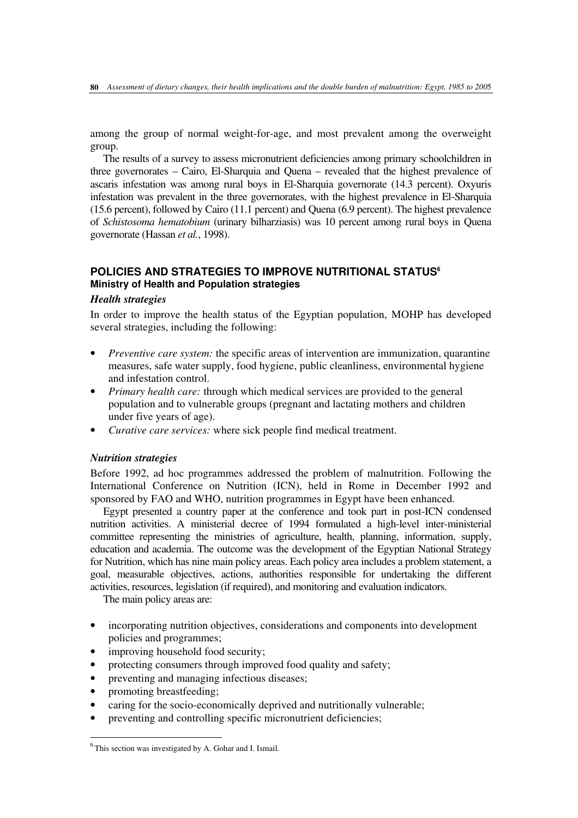among the group of normal weight-for-age, and most prevalent among the overweight group.

The results of a survey to assess micronutrient deficiencies among primary schoolchildren in three governorates – Cairo, El-Sharquia and Quena – revealed that the highest prevalence of ascaris infestation was among rural boys in El-Sharquia governorate (14.3 percent). Oxyuris infestation was prevalent in the three governorates, with the highest prevalence in El-Sharquia (15.6 percent), followed by Cairo (11.1 percent) and Quena (6.9 percent). The highest prevalence of *Schistosoma hematobium* (urinary bilharziasis) was 10 percent among rural boys in Quena governorate (Hassan *et al.*, 1998).

# **POLICIES AND STRATEGIES TO IMPROVE NUTRITIONAL STATUS<sup>6</sup> Ministry of Health and Population strategies**

### *Health strategies*

In order to improve the health status of the Egyptian population, MOHP has developed several strategies, including the following:

- *Preventive care system:* the specific areas of intervention are immunization, quarantine measures, safe water supply, food hygiene, public cleanliness, environmental hygiene and infestation control.
- *Primary health care:* through which medical services are provided to the general population and to vulnerable groups (pregnant and lactating mothers and children under five years of age).
- *Curative care services:* where sick people find medical treatment.

### *Nutrition strategies*

Before 1992, ad hoc programmes addressed the problem of malnutrition. Following the International Conference on Nutrition (ICN), held in Rome in December 1992 and sponsored by FAO and WHO, nutrition programmes in Egypt have been enhanced.

Egypt presented a country paper at the conference and took part in post-ICN condensed nutrition activities. A ministerial decree of 1994 formulated a high-level inter-ministerial committee representing the ministries of agriculture, health, planning, information, supply, education and academia. The outcome was the development of the Egyptian National Strategy for Nutrition, which has nine main policy areas. Each policy area includes a problem statement, a goal, measurable objectives, actions, authorities responsible for undertaking the different activities, resources, legislation (if required), and monitoring and evaluation indicators.

The main policy areas are:

- incorporating nutrition objectives, considerations and components into development policies and programmes;
- improving household food security;
- protecting consumers through improved food quality and safety;
- preventing and managing infectious diseases;
- promoting breastfeeding;
- caring for the socio-economically deprived and nutritionally vulnerable;
- preventing and controlling specific micronutrient deficiencies;

<sup>6</sup> This section was investigated by A. Gohar and I. Ismail.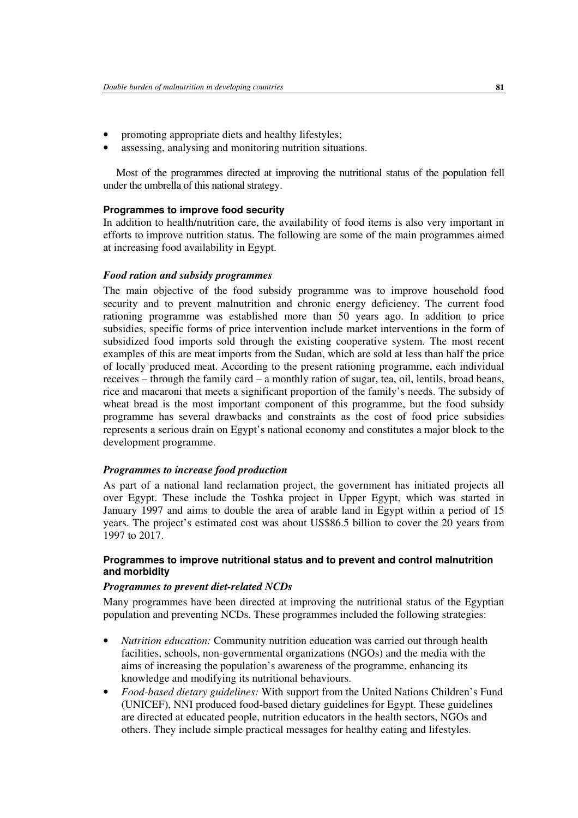- promoting appropriate diets and healthy lifestyles;
- assessing, analysing and monitoring nutrition situations.

Most of the programmes directed at improving the nutritional status of the population fell under the umbrella of this national strategy.

#### **Programmes to improve food security**

In addition to health/nutrition care, the availability of food items is also very important in efforts to improve nutrition status. The following are some of the main programmes aimed at increasing food availability in Egypt.

### *Food ration and subsidy programmes*

The main objective of the food subsidy programme was to improve household food security and to prevent malnutrition and chronic energy deficiency. The current food rationing programme was established more than 50 years ago. In addition to price subsidies, specific forms of price intervention include market interventions in the form of subsidized food imports sold through the existing cooperative system. The most recent examples of this are meat imports from the Sudan, which are sold at less than half the price of locally produced meat. According to the present rationing programme, each individual receives – through the family card – a monthly ration of sugar, tea, oil, lentils, broad beans, rice and macaroni that meets a significant proportion of the family's needs. The subsidy of wheat bread is the most important component of this programme, but the food subsidy programme has several drawbacks and constraints as the cost of food price subsidies represents a serious drain on Egypt's national economy and constitutes a major block to the development programme.

#### *Programmes to increase food production*

As part of a national land reclamation project, the government has initiated projects all over Egypt. These include the Toshka project in Upper Egypt, which was started in January 1997 and aims to double the area of arable land in Egypt within a period of 15 years. The project's estimated cost was about US\$86.5 billion to cover the 20 years from 1997 to 2017.

### **Programmes to improve nutritional status and to prevent and control malnutrition and morbidity**

#### *Programmes to prevent diet-related NCDs*

Many programmes have been directed at improving the nutritional status of the Egyptian population and preventing NCDs. These programmes included the following strategies:

- *Nutrition education:* Community nutrition education was carried out through health facilities, schools, non-governmental organizations (NGOs) and the media with the aims of increasing the population's awareness of the programme, enhancing its knowledge and modifying its nutritional behaviours.
- *Food-based dietary guidelines:* With support from the United Nations Children's Fund (UNICEF), NNI produced food-based dietary guidelines for Egypt. These guidelines are directed at educated people, nutrition educators in the health sectors, NGOs and others. They include simple practical messages for healthy eating and lifestyles.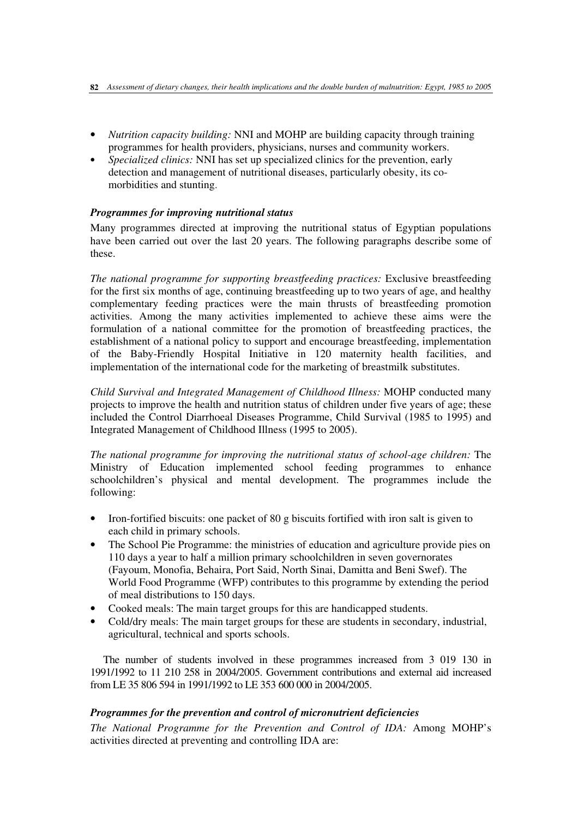- *Nutrition capacity building:* NNI and MOHP are building capacity through training programmes for health providers, physicians, nurses and community workers.
- *Specialized clinics:* NNI has set up specialized clinics for the prevention, early detection and management of nutritional diseases, particularly obesity, its comorbidities and stunting.

## *Programmes for improving nutritional status*

Many programmes directed at improving the nutritional status of Egyptian populations have been carried out over the last 20 years. The following paragraphs describe some of these.

*The national programme for supporting breastfeeding practices:* Exclusive breastfeeding for the first six months of age, continuing breastfeeding up to two years of age, and healthy complementary feeding practices were the main thrusts of breastfeeding promotion activities. Among the many activities implemented to achieve these aims were the formulation of a national committee for the promotion of breastfeeding practices, the establishment of a national policy to support and encourage breastfeeding, implementation of the Baby-Friendly Hospital Initiative in 120 maternity health facilities, and implementation of the international code for the marketing of breastmilk substitutes.

*Child Survival and Integrated Management of Childhood Illness:* MOHP conducted many projects to improve the health and nutrition status of children under five years of age; these included the Control Diarrhoeal Diseases Programme, Child Survival (1985 to 1995) and Integrated Management of Childhood Illness (1995 to 2005).

*The national programme for improving the nutritional status of school-age children:* The Ministry of Education implemented school feeding programmes to enhance schoolchildren's physical and mental development. The programmes include the following:

- Iron-fortified biscuits: one packet of 80 g biscuits fortified with iron salt is given to each child in primary schools.
- The School Pie Programme: the ministries of education and agriculture provide pies on 110 days a year to half a million primary schoolchildren in seven governorates (Fayoum, Monofia, Behaira, Port Said, North Sinai, Damitta and Beni Swef). The World Food Programme (WFP) contributes to this programme by extending the period of meal distributions to 150 days.
- Cooked meals: The main target groups for this are handicapped students.
- Cold/dry meals: The main target groups for these are students in secondary, industrial, agricultural, technical and sports schools.

The number of students involved in these programmes increased from 3 019 130 in 1991/1992 to 11 210 258 in 2004/2005. Government contributions and external aid increased from LE 35 806 594 in 1991/1992 to LE 353 600 000 in 2004/2005.

# *Programmes for the prevention and control of micronutrient deficiencies*

*The National Programme for the Prevention and Control of IDA:* Among MOHP's activities directed at preventing and controlling IDA are: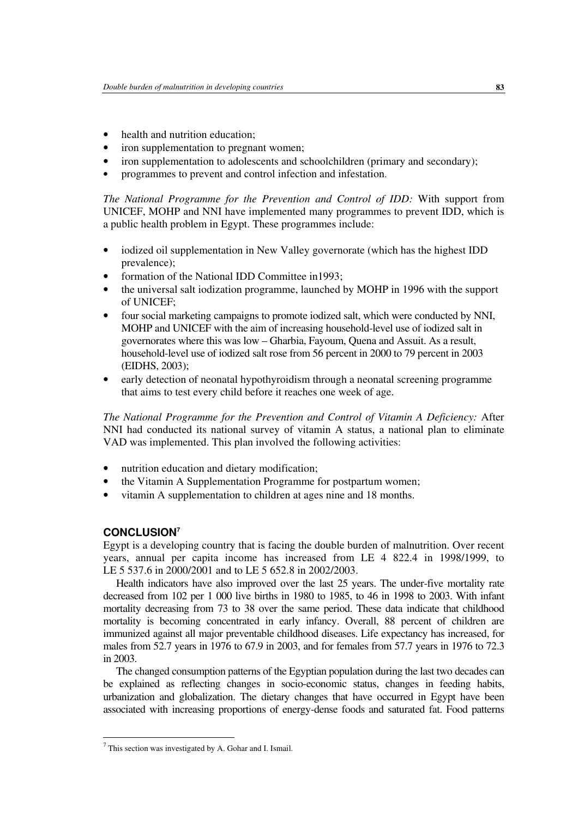- health and nutrition education;
- iron supplementation to pregnant women;
- iron supplementation to adolescents and schoolchildren (primary and secondary);
- programmes to prevent and control infection and infestation.

*The National Programme for the Prevention and Control of IDD:* With support from UNICEF, MOHP and NNI have implemented many programmes to prevent IDD, which is a public health problem in Egypt. These programmes include:

- iodized oil supplementation in New Valley governorate (which has the highest IDD prevalence);
- formation of the National IDD Committee in 1993;
- the universal salt iodization programme, launched by MOHP in 1996 with the support of UNICEF;
- four social marketing campaigns to promote iodized salt, which were conducted by NNI, MOHP and UNICEF with the aim of increasing household-level use of iodized salt in governorates where this was low – Gharbia, Fayoum, Quena and Assuit. As a result, household-level use of iodized salt rose from 56 percent in 2000 to 79 percent in 2003 (EIDHS, 2003);
- early detection of neonatal hypothyroidism through a neonatal screening programme that aims to test every child before it reaches one week of age.

*The National Programme for the Prevention and Control of Vitamin A Deficiency:* After NNI had conducted its national survey of vitamin A status, a national plan to eliminate VAD was implemented. This plan involved the following activities:

- nutrition education and dietary modification;
- the Vitamin A Supplementation Programme for postpartum women;
- vitamin A supplementation to children at ages nine and 18 months.

### **CONCLUSION7**

Egypt is a developing country that is facing the double burden of malnutrition. Over recent years, annual per capita income has increased from LE 4 822.4 in 1998/1999, to LE 5 537.6 in 2000/2001 and to LE 5 652.8 in 2002/2003.

Health indicators have also improved over the last 25 years. The under-five mortality rate decreased from 102 per 1 000 live births in 1980 to 1985, to 46 in 1998 to 2003. With infant mortality decreasing from 73 to 38 over the same period. These data indicate that childhood mortality is becoming concentrated in early infancy. Overall, 88 percent of children are immunized against all major preventable childhood diseases. Life expectancy has increased, for males from 52.7 years in 1976 to 67.9 in 2003, and for females from 57.7 years in 1976 to 72.3 in 2003.

The changed consumption patterns of the Egyptian population during the last two decades can be explained as reflecting changes in socio-economic status, changes in feeding habits, urbanization and globalization. The dietary changes that have occurred in Egypt have been associated with increasing proportions of energy-dense foods and saturated fat. Food patterns

 $<sup>7</sup>$  This section was investigated by A. Gohar and I. Ismail.</sup>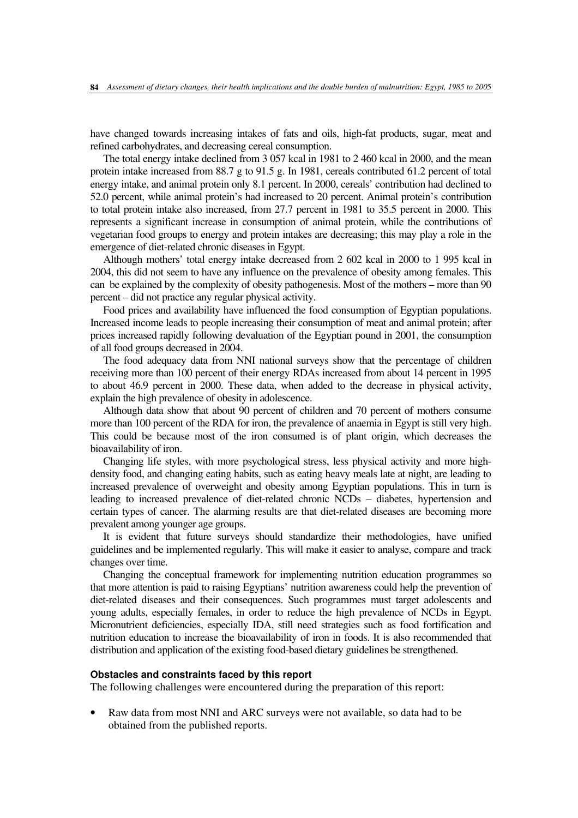have changed towards increasing intakes of fats and oils, high-fat products, sugar, meat and refined carbohydrates, and decreasing cereal consumption.

The total energy intake declined from 3 057 kcal in 1981 to 2 460 kcal in 2000, and the mean protein intake increased from 88.7 g to 91.5 g. In 1981, cereals contributed 61.2 percent of total energy intake, and animal protein only 8.1 percent. In 2000, cereals' contribution had declined to 52.0 percent, while animal protein's had increased to 20 percent. Animal protein's contribution to total protein intake also increased, from 27.7 percent in 1981 to 35.5 percent in 2000. This represents a significant increase in consumption of animal protein, while the contributions of vegetarian food groups to energy and protein intakes are decreasing; this may play a role in the emergence of diet-related chronic diseases in Egypt.

Although mothers' total energy intake decreased from 2 602 kcal in 2000 to 1 995 kcal in 2004, this did not seem to have any influence on the prevalence of obesity among females. This can be explained by the complexity of obesity pathogenesis. Most of the mothers – more than 90 percent – did not practice any regular physical activity.

Food prices and availability have influenced the food consumption of Egyptian populations. Increased income leads to people increasing their consumption of meat and animal protein; after prices increased rapidly following devaluation of the Egyptian pound in 2001, the consumption of all food groups decreased in 2004.

The food adequacy data from NNI national surveys show that the percentage of children receiving more than 100 percent of their energy RDAs increased from about 14 percent in 1995 to about 46.9 percent in 2000. These data, when added to the decrease in physical activity, explain the high prevalence of obesity in adolescence.

Although data show that about 90 percent of children and 70 percent of mothers consume more than 100 percent of the RDA for iron, the prevalence of anaemia in Egypt is still very high. This could be because most of the iron consumed is of plant origin, which decreases the bioavailability of iron.

Changing life styles, with more psychological stress, less physical activity and more highdensity food, and changing eating habits, such as eating heavy meals late at night, are leading to increased prevalence of overweight and obesity among Egyptian populations. This in turn is leading to increased prevalence of diet-related chronic NCDs – diabetes, hypertension and certain types of cancer. The alarming results are that diet-related diseases are becoming more prevalent among younger age groups.

It is evident that future surveys should standardize their methodologies, have unified guidelines and be implemented regularly. This will make it easier to analyse, compare and track changes over time.

Changing the conceptual framework for implementing nutrition education programmes so that more attention is paid to raising Egyptians' nutrition awareness could help the prevention of diet-related diseases and their consequences. Such programmes must target adolescents and young adults, especially females, in order to reduce the high prevalence of NCDs in Egypt. Micronutrient deficiencies, especially IDA, still need strategies such as food fortification and nutrition education to increase the bioavailability of iron in foods. It is also recommended that distribution and application of the existing food-based dietary guidelines be strengthened.

#### **Obstacles and constraints faced by this report**

The following challenges were encountered during the preparation of this report:

• Raw data from most NNI and ARC surveys were not available, so data had to be obtained from the published reports.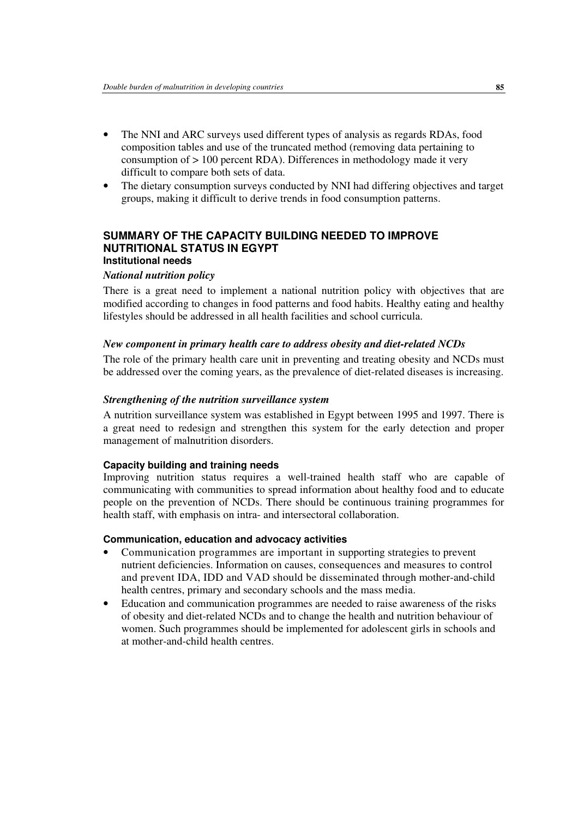- The NNI and ARC surveys used different types of analysis as regards RDAs, food composition tables and use of the truncated method (removing data pertaining to consumption of > 100 percent RDA). Differences in methodology made it very difficult to compare both sets of data.
- The dietary consumption surveys conducted by NNI had differing objectives and target groups, making it difficult to derive trends in food consumption patterns.

### **SUMMARY OF THE CAPACITY BUILDING NEEDED TO IMPROVE NUTRITIONAL STATUS IN EGYPT Institutional needs**

### *National nutrition policy*

There is a great need to implement a national nutrition policy with objectives that are modified according to changes in food patterns and food habits. Healthy eating and healthy lifestyles should be addressed in all health facilities and school curricula.

### *New component in primary health care to address obesity and diet-related NCDs*

The role of the primary health care unit in preventing and treating obesity and NCDs must be addressed over the coming years, as the prevalence of diet-related diseases is increasing.

### *Strengthening of the nutrition surveillance system*

A nutrition surveillance system was established in Egypt between 1995 and 1997. There is a great need to redesign and strengthen this system for the early detection and proper management of malnutrition disorders.

### **Capacity building and training needs**

Improving nutrition status requires a well-trained health staff who are capable of communicating with communities to spread information about healthy food and to educate people on the prevention of NCDs. There should be continuous training programmes for health staff, with emphasis on intra- and intersectoral collaboration.

#### **Communication, education and advocacy activities**

- Communication programmes are important in supporting strategies to prevent nutrient deficiencies. Information on causes, consequences and measures to control and prevent IDA, IDD and VAD should be disseminated through mother-and-child health centres, primary and secondary schools and the mass media.
- Education and communication programmes are needed to raise awareness of the risks of obesity and diet-related NCDs and to change the health and nutrition behaviour of women. Such programmes should be implemented for adolescent girls in schools and at mother-and-child health centres.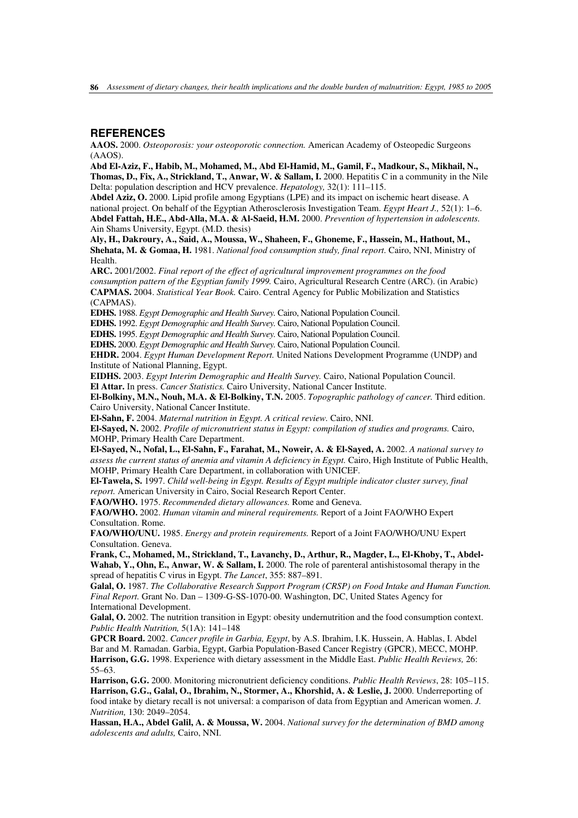#### **REFERENCES**

**AAOS.** 2000. *Osteoporosis: your osteoporotic connection.* American Academy of Osteopedic Surgeons (AAOS).

**Abd El-Aziz, F., Habib, M., Mohamed, M., Abd El-Hamid, M., Gamil, F., Madkour, S., Mikhail, N., Thomas, D., Fix, A., Strickland, T., Anwar, W. & Sallam, I.** 2000. Hepatitis C in a community in the Nile Delta: population description and HCV prevalence. *Hepatology,* 32(1): 111–115.

**Abdel Aziz, O.** 2000. Lipid profile among Egyptians (LPE) and its impact on ischemic heart disease. A national project. On behalf of the Egyptian Atherosclerosis Investigation Team. *Egypt Heart J.,* 52(1): 1–6. **Abdel Fattah, H.E., Abd-Alla, M.A. & Al-Saeid, H.M.** 2000. *Prevention of hypertension in adolescents.* Ain Shams University, Egypt. (M.D. thesis)

**Aly, H., Dakroury, A., Said, A., Moussa, W., Shaheen, F., Ghoneme, F., Hassein, M., Hathout, M., Shehata, M. & Gomaa, H.** 1981. *National food consumption study, final report.* Cairo, NNI, Ministry of Health.

**ARC.** 2001/2002. *Final report of the effect of agricultural improvement programmes on the food consumption pattern of the Egyptian family 1999.* Cairo, Agricultural Research Centre (ARC). (in Arabic) **CAPMAS.** 2004. *Statistical Year Book.* Cairo. Central Agency for Public Mobilization and Statistics (CAPMAS).

**EDHS.** 1988. *Egypt Demographic and Health Survey.* Cairo, National Population Council.

**EDHS.** 1992. *Egypt Demographic and Health Survey.* Cairo, National Population Council.

**EDHS.** 1995. *Egypt Demographic and Health Survey.* Cairo, National Population Council.

**EDHS.** 2000. *Egypt Demographic and Health Survey.* Cairo, National Population Council.

**EHDR.** 2004. *Egypt Human Development Report.* United Nations Development Programme (UNDP) and Institute of National Planning, Egypt.

**EIDHS.** 2003. *Egypt Interim Demographic and Health Survey.* Cairo, National Population Council.

**El Attar.** In press. *Cancer Statistics.* Cairo University, National Cancer Institute.

**El-Bolkiny, M.N., Nouh, M.A. & El-Bolkiny, T.N.** 2005. *Topographic pathology of cancer.* Third edition. Cairo University, National Cancer Institute.

**El-Sahn, F.** 2004. *Maternal nutrition in Egypt. A critical review.* Cairo, NNI.

**El-Sayed, N.** 2002. *Profile of micronutrient status in Egypt: compilation of studies and programs.* Cairo, MOHP, Primary Health Care Department.

**El-Sayed, N., Nofal, L., El-Sahn, F., Farahat, M., Noweir, A. & El-Sayed, A.** 2002. *A national survey to assess the current status of anemia and vitamin A deficiency in Egypt.* Cairo, High Institute of Public Health, MOHP, Primary Health Care Department, in collaboration with UNICEF.

**El-Tawela, S.** 1997. *Child well-being in Egypt. Results of Egypt multiple indicator cluster survey, final report.* American University in Cairo, Social Research Report Center.

**FAO/WHO.** 1975. *Recommended dietary allowances.* Rome and Geneva.

**FAO/WHO.** 2002. *Human vitamin and mineral requirements.* Report of a Joint FAO/WHO Expert Consultation. Rome.

**FAO/WHO/UNU.** 1985. *Energy and protein requirements.* Report of a Joint FAO/WHO/UNU Expert Consultation. Geneva.

**Frank, C., Mohamed, M., Strickland, T., Lavanchy, D., Arthur, R., Magder, L., El-Khoby, T., Abdel-Wahab, Y., Ohn, E., Anwar, W. & Sallam, I.** 2000. The role of parenteral antishistosomal therapy in the spread of hepatitis C virus in Egypt. *The Lancet*, 355: 887–891.

**Galal, O.** 1987. *The Collaborative Research Support Program (CRSP) on Food Intake and Human Function. Final Report.* Grant No. Dan – 1309-G-SS-1070-00. Washington, DC, United States Agency for International Development.

**Galal, O.** 2002. The nutrition transition in Egypt: obesity undernutrition and the food consumption context. *Public Health Nutrition,* 5(1A): 141–148

**GPCR Board.** 2002. *Cancer profile in Garbia, Egypt*, by A.S. Ibrahim, I.K. Hussein, A. Hablas, I. Abdel Bar and M. Ramadan. Garbia, Egypt, Garbia Population-Based Cancer Registry (GPCR), MECC, MOHP. **Harrison, G.G.** 1998. Experience with dietary assessment in the Middle East. *Public Health Reviews,* 26: 55–63.

**Harrison, G.G.** 2000. Monitoring micronutrient deficiency conditions. *Public Health Reviews*, 28: 105–115. **Harrison, G.G., Galal, O., Ibrahim, N., Stormer, A., Khorshid, A. & Leslie, J.** 2000. Underreporting of food intake by dietary recall is not universal: a comparison of data from Egyptian and American women. *J. Nutrition,* 130: 2049–2054.

**Hassan, H.A., Abdel Galil, A. & Moussa, W.** 2004. *National survey for the determination of BMD among adolescents and adults,* Cairo, NNI.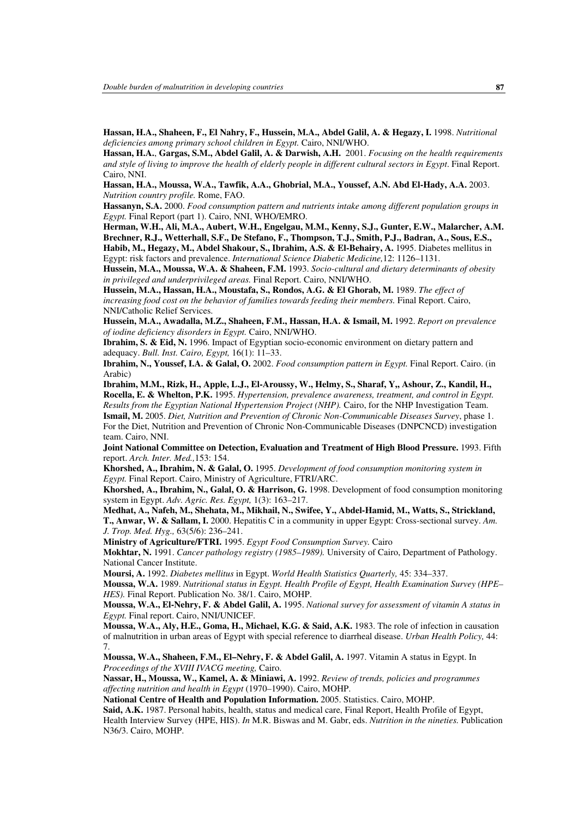**Hassan, H.A., Shaheen, F., El Nahry, F., Hussein, M.A., Abdel Galil, A. & Hegazy, I.** 1998. *Nutritional deficiencies among primary school children in Egypt.* Cairo, NNI/WHO.

**Hassan, H.A.**, **Gargas, S.M., Abdel Galil, A. & Darwish, A.H.** 2001. *Focusing on the health requirements and style of living to improve the health of elderly people in different cultural sectors in Egypt*. Final Report. Cairo, NNI.

**Hassan, H.A., Moussa, W.A., Tawfik, A.A., Ghobrial, M.A., Youssef, A.N. Abd El-Hady, A.A.** 2003. *Nutrition country profile.* Rome, FAO.

**Hassanyn, S.A.** 2000. *Food consumption pattern and nutrients intake among different population groups in Egypt.* Final Report (part 1). Cairo, NNI, WHO/EMRO.

**Herman, W.H., Ali, M.A., Aubert, W.H., Engelgau, M.M., Kenny, S.J., Gunter, E.W., Malarcher, A.M. Brechner, R.J., Wetterhall, S.F., De Stefano, F., Thompson, T.J., Smith, P.J., Badran, A., Sous, E.S., Habib, M., Hegazy, M., Abdel Shakour, S., Ibrahim, A.S. & El-Behairy, A.** 1995. Diabetes mellitus in Egypt: risk factors and prevalence. *International Science Diabetic Medicine,*12: 1126–1131.

**Hussein, M.A., Moussa, W.A. & Shaheen, F.M.** 1993. *Socio-cultural and dietary determinants of obesity in privileged and underprivileged areas.* Final Report. Cairo, NNI/WHO.

**Hussein, M.A., Hassan, H.A., Moustafa, S., Rondos, A.G. & El Ghorab, M.** 1989. *The effect of increasing food cost on the behavior of families towards feeding their members.* Final Report. Cairo, NNI/Catholic Relief Services.

**Hussein, M.A., Awadalla, M.Z., Shaheen, F.M., Hassan, H.A. & Ismail, M.** 1992. *Report on prevalence of iodine deficiency disorders in Egypt.* Cairo, NNI/WHO.

**Ibrahim, S. & Eid, N.** 1996. Impact of Egyptian socio-economic environment on dietary pattern and adequacy. *Bull. Inst. Cairo, Egypt,* 16(1): 11–33.

**Ibrahim, N., Youssef, I.A. & Galal, O.** 2002. *Food consumption pattern in Egypt.* Final Report. Cairo. (in Arabic)

**Ibrahim, M.M., Rizk, H., Apple, L.J., El-Aroussy, W., Helmy, S., Sharaf, Y,, Ashour, Z., Kandil, H., Rocella, E. & Whelton, P.K.** 1995. *Hypertension, prevalence awareness, treatment, and control in Egypt. Results from the Egyptian National Hypertension Project (NHP).* Cairo, for the NHP Investigation Team. **Ismail, M.** 2005. *Diet, Nutrition and Prevention of Chronic Non-Communicable Diseases Survey*, phase 1. For the Diet, Nutrition and Prevention of Chronic Non-Communicable Diseases (DNPCNCD) investigation

team. Cairo, NNI. **Joint National Committee on Detection, Evaluation and Treatment of High Blood Pressure.** 1993. Fifth report. *Arch. Inter. Med.,*153: 154.

**Khorshed, A., Ibrahim, N. & Galal, O.** 1995. *Development of food consumption monitoring system in Egypt.* Final Report. Cairo, Ministry of Agriculture, FTRI/ARC.

**Khorshed, A., Ibrahim, N., Galal, O. & Harrison, G.** 1998. Development of food consumption monitoring system in Egypt. *Adv. Agric. Res. Egypt,* 1(3): 163–217.

**Medhat, A., Nafeh, M., Shehata, M., Mikhail, N., Swifee, Y., Abdel-Hamid, M., Watts, S., Strickland, T., Anwar, W. & Sallam, I.** 2000. Hepatitis C in a community in upper Egypt: Cross-sectional survey. *Am. J. Trop. Med. Hyg.,* 63(5/6): 236–241.

**Ministry of Agriculture/FTRI.** 1995. *Egypt Food Consumption Survey.* Cairo

**Mokhtar, N.** 1991. *Cancer pathology registry (1985–1989).* University of Cairo, Department of Pathology. National Cancer Institute.

**Moursi, A.** 1992. *Diabetes mellitus* in Egypt. *World Health Statistics Quarterly,* 45: 334–337.

**Moussa, W.A.** 1989. *Nutritional status in Egypt. Health Profile of Egypt, Health Examination Survey (HPE– HES).* Final Report. Publication No. 38/1. Cairo, MOHP.

**Moussa, W.A., El-Nehry, F. & Abdel Galil, A.** 1995. *National survey for assessment of vitamin A status in Egypt.* Final report. Cairo, NNI/UNICEF.

**Moussa, W.A., Aly, H.E., Goma, H., Michael, K.G. & Said, A.K.** 1983. The role of infection in causation of malnutrition in urban areas of Egypt with special reference to diarrheal disease. *Urban Health Policy,* 44: 7.

**Moussa, W.A., Shaheen, F.M., El–Nehry, F. & Abdel Galil, A.** 1997. Vitamin A status in Egypt. In *Proceedings of the XVIII IVACG meeting,* Cairo.

**Nassar, H., Moussa, W., Kamel, A. & Miniawi, A.** 1992. *Review of trends, policies and programmes affecting nutrition and health in Egypt* (1970–1990). Cairo, MOHP.

**National Centre of Health and Population Information.** 2005. Statistics. Cairo, MOHP.

**Said, A.K.** 1987. Personal habits, health, status and medical care, Final Report, Health Profile of Egypt, Health Interview Survey (HPE, HIS). *In* M.R. Biswas and M. Gabr, eds. *Nutrition in the nineties.* Publication N36/3. Cairo, MOHP.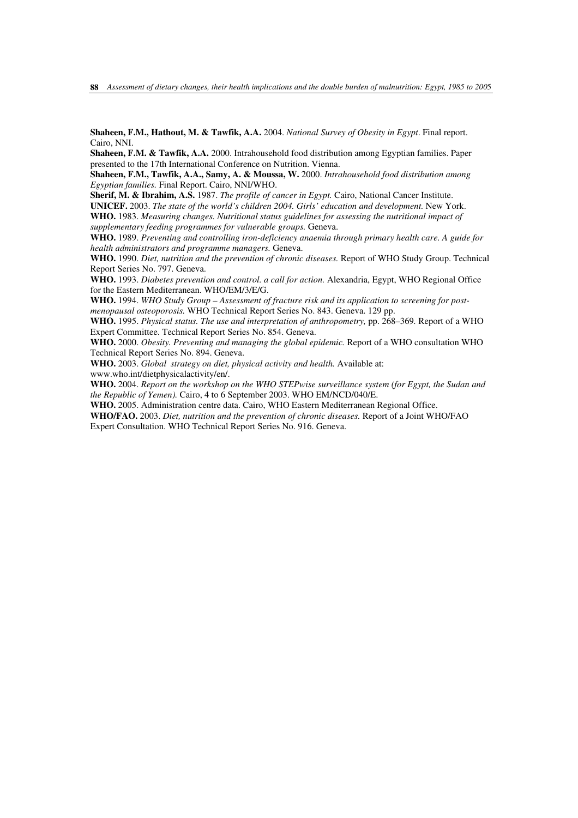**Shaheen, F.M., Hathout, M. & Tawfik, A.A.** 2004. *National Survey of Obesity in Egypt*. Final report. Cairo, NNI.

**Shaheen, F.M. & Tawfik, A.A.** 2000. Intrahousehold food distribution among Egyptian families. Paper presented to the 17th International Conference on Nutrition. Vienna.

**Shaheen, F.M., Tawfik, A.A., Samy, A. & Moussa, W.** 2000. *Intrahousehold food distribution among Egyptian families.* Final Report. Cairo, NNI/WHO.

**Sherif, M. & Ibrahim, A.S.** 1987. *The profile of cancer in Egypt.* Cairo, National Cancer Institute.

**UNICEF.** 2003. *The state of the world's children 2004. Girls' education and development.* New York. **WHO.** 1983. *Measuring changes. Nutritional status guidelines for assessing the nutritional impact of supplementary feeding programmes for vulnerable groups.* Geneva.

**WHO.** 1989. *Preventing and controlling iron-deficiency anaemia through primary health care. A guide for health administrators and programme managers.* Geneva.

**WHO.** 1990. *Diet, nutrition and the prevention of chronic diseases.* Report of WHO Study Group. Technical Report Series No. 797. Geneva.

**WHO.** 1993. *Diabetes prevention and control. a call for action.* Alexandria, Egypt, WHO Regional Office for the Eastern Mediterranean. WHO/EM/3/E/G.

**WHO.** 1994. *WHO Study Group – Assessment of fracture risk and its application to screening for postmenopausal osteoporosis.* WHO Technical Report Series No. 843. Geneva. 129 pp.

**WHO.** 1995. *Physical status. The use and interpretation of anthropometry,* pp. 268–369*.* Report of a WHO Expert Committee. Technical Report Series No. 854. Geneva.

**WHO.** 2000. *Obesity. Preventing and managing the global epidemic.* Report of a WHO consultation WHO Technical Report Series No. 894. Geneva.

**WHO.** 2003. *Global strategy on diet, physical activity and health.* Available at: www.who.int/dietphysicalactivity/en/.

**WHO.** 2004. *Report on the workshop on the WHO STEPwise surveillance system (for Egypt, the Sudan and the Republic of Yemen).* Cairo, 4 to 6 September 2003. WHO EM/NCD/040/E.

**WHO.** 2005. Administration centre data. Cairo, WHO Eastern Mediterranean Regional Office.

**WHO/FAO.** 2003. *Diet, nutrition and the prevention of chronic diseases.* Report of a Joint WHO/FAO Expert Consultation. WHO Technical Report Series No. 916. Geneva.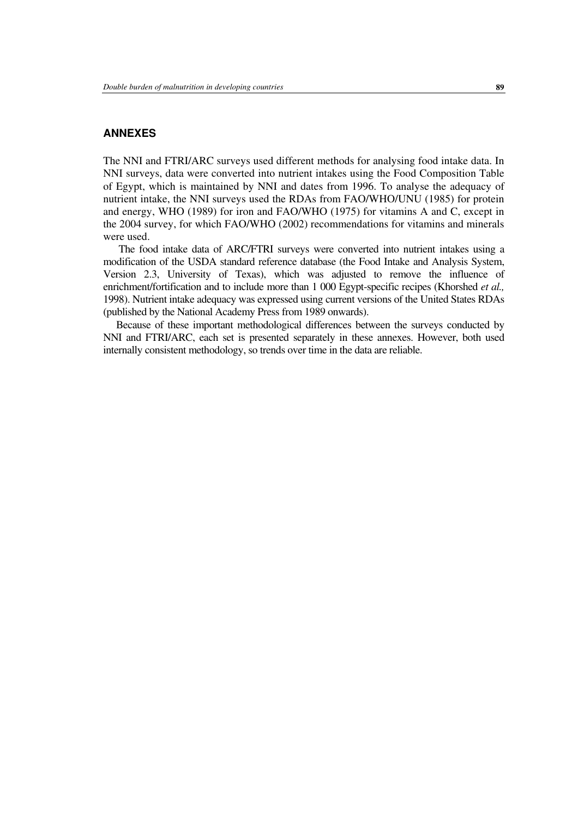### **ANNEXES**

The NNI and FTRI/ARC surveys used different methods for analysing food intake data. In NNI surveys, data were converted into nutrient intakes using the Food Composition Table of Egypt, which is maintained by NNI and dates from 1996. To analyse the adequacy of nutrient intake, the NNI surveys used the RDAs from FAO/WHO/UNU (1985) for protein and energy, WHO (1989) for iron and FAO/WHO (1975) for vitamins A and C, except in the 2004 survey, for which FAO/WHO (2002) recommendations for vitamins and minerals were used.

The food intake data of ARC/FTRI surveys were converted into nutrient intakes using a modification of the USDA standard reference database (the Food Intake and Analysis System, Version 2.3, University of Texas), which was adjusted to remove the influence of enrichment/fortification and to include more than 1 000 Egypt-specific recipes (Khorshed *et al.,* 1998). Nutrient intake adequacy was expressed using current versions of the United States RDAs (published by the National Academy Press from 1989 onwards).

Because of these important methodological differences between the surveys conducted by NNI and FTRI/ARC, each set is presented separately in these annexes. However, both used internally consistent methodology, so trends over time in the data are reliable.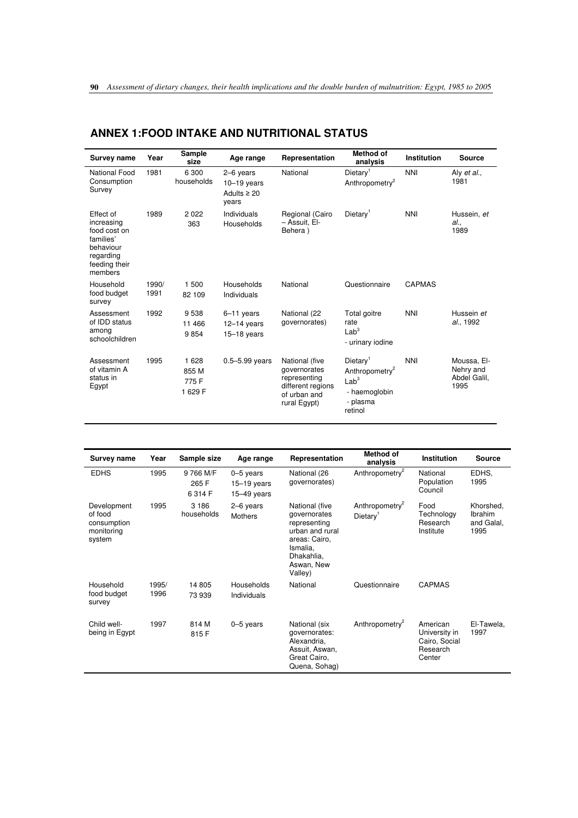| Survey name                                                                                                | Year          | Sample<br>size                  | Age range                                               | Representation                                                                                      | <b>Method of</b><br>analysis                                                                                   | Institution   | <b>Source</b>                                    |
|------------------------------------------------------------------------------------------------------------|---------------|---------------------------------|---------------------------------------------------------|-----------------------------------------------------------------------------------------------------|----------------------------------------------------------------------------------------------------------------|---------------|--------------------------------------------------|
| <b>National Food</b><br>Consumption<br>Survey                                                              | 1981          | 6 3 0 0<br>households           | 2-6 years<br>$10-19$ years<br>Adults $\geq 20$<br>years | National                                                                                            | Dietary <sup>1</sup><br>Anthropometry <sup>2</sup>                                                             | <b>NNI</b>    | Aly et al.,<br>1981                              |
| Effect of<br>increasing<br>food cost on<br>families'<br>behaviour<br>regarding<br>feeding their<br>members | 1989          | 2022<br>363                     | Individuals<br>Households                               | Regional (Cairo<br>- Assuit. El-<br>Behera)                                                         | Dietarv <sup>1</sup>                                                                                           | <b>NNI</b>    | Hussein, et<br>al.,<br>1989                      |
| Household<br>food budget<br>survey                                                                         | 1990/<br>1991 | 1500<br>82 109                  | Households<br>Individuals                               | National                                                                                            | Questionnaire                                                                                                  | <b>CAPMAS</b> |                                                  |
| Assessment<br>of IDD status<br>among<br>schoolchildren                                                     | 1992          | 9538<br>11 466<br>9854          | $6-11$ years<br>$12 - 14$ years<br>$15-18$ years        | National (22<br>governorates)                                                                       | Total goitre<br>rate<br>Lab <sup>3</sup><br>- urinary iodine                                                   | <b>NNI</b>    | Hussein et<br>al., 1992                          |
| Assessment<br>of vitamin A<br>status in<br>Egypt                                                           | 1995          | 1628<br>855 M<br>775 F<br>1629F | $0.5 - 5.99$ years                                      | National (five<br>governorates<br>representing<br>different regions<br>of urban and<br>rural Egypt) | Dietary <sup>1</sup><br>Anthropometry <sup>2</sup><br>Lab <sup>3</sup><br>- haemoglobin<br>- plasma<br>retinol | <b>NNI</b>    | Moussa, El-<br>Nehry and<br>Abdel Galil,<br>1995 |

# **ANNEX 1:FOOD INTAKE AND NUTRITIONAL STATUS**

| <b>Survey name</b>                                            | Year          | Sample size                | Age range                                     | Representation                                                                                                                        | <b>Method of</b><br>analysis                       | Institution                                                      | <b>Source</b>                              |
|---------------------------------------------------------------|---------------|----------------------------|-----------------------------------------------|---------------------------------------------------------------------------------------------------------------------------------------|----------------------------------------------------|------------------------------------------------------------------|--------------------------------------------|
| <b>EDHS</b>                                                   | 1995          | 9766 M/F<br>265 F<br>6314F | $0-5$ years<br>$15-19$ years<br>$15-49$ years | National (26<br>governorates)                                                                                                         | Anthropometry <sup>2</sup>                         | National<br>Population<br>Council                                | EDHS.<br>1995                              |
| Development<br>of food<br>consumption<br>monitoring<br>system | 1995          | 3 1 8 6<br>households      | 2–6 years<br><b>Mothers</b>                   | National (five<br>governorates<br>representing<br>urban and rural<br>areas: Cairo,<br>Ismalia,<br>Dhakahlia,<br>Aswan, New<br>Valley) | Anthropometry <sup>2</sup><br>Dietarv <sup>1</sup> | Food<br>Technology<br>Research<br>Institute                      | Khorshed.<br>Ibrahim<br>and Galal,<br>1995 |
| Household<br>food budget<br>survey                            | 1995/<br>1996 | 14 805<br>73 939           | Households<br>Individuals                     | National                                                                                                                              | Questionnaire                                      | <b>CAPMAS</b>                                                    |                                            |
| Child well-<br>being in Egypt                                 | 1997          | 814 M<br>815F              | $0-5$ years                                   | National (six<br>governorates:<br>Alexandria,<br>Assuit, Aswan,<br>Great Cairo,<br>Quena, Sohag)                                      | Anthropometry <sup>2</sup>                         | American<br>University in<br>Cairo, Social<br>Research<br>Center | El-Tawela,<br>1997                         |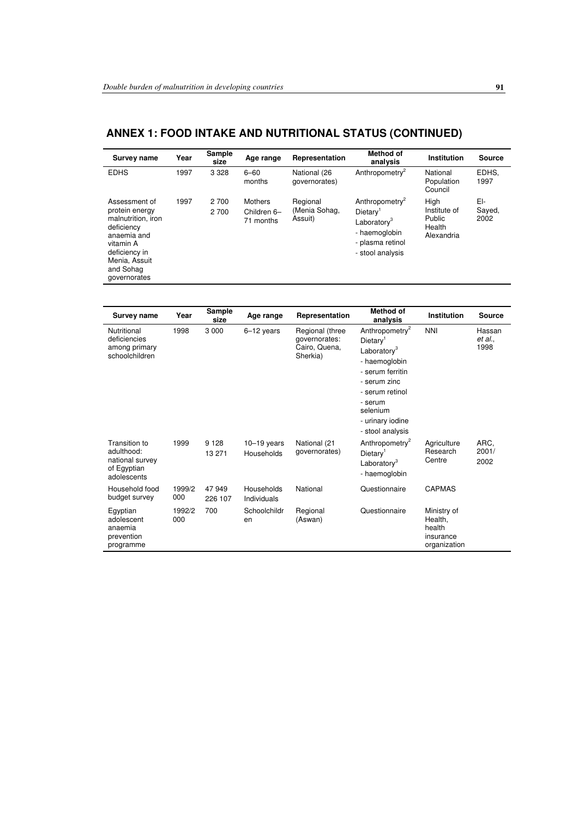# **ANNEX 1: FOOD INTAKE AND NUTRITIONAL STATUS (CONTINUED)**

| <b>Survey name</b>                                                                                                                                             | Year | Sample<br>size | Age range                           | Representation                       | <b>Method of</b><br>analysis                                                                                              | <b>Institution</b>                                     | <b>Source</b>         |
|----------------------------------------------------------------------------------------------------------------------------------------------------------------|------|----------------|-------------------------------------|--------------------------------------|---------------------------------------------------------------------------------------------------------------------------|--------------------------------------------------------|-----------------------|
| <b>EDHS</b>                                                                                                                                                    | 1997 | 3 3 2 8        | $6 - 60$<br>months                  | National (26<br>qovernorates)        | Anthropometry <sup>2</sup>                                                                                                | National<br>Population<br>Council                      | EDHS.<br>1997         |
| Assessment of<br>protein energy<br>malnutrition, iron<br>deficiency<br>anaemia and<br>vitamin A<br>deficiency in<br>Menia, Assuit<br>and Sohag<br>governorates | 1997 | 2 700<br>2 700 | Mothers<br>Children 6-<br>71 months | Regional<br>(Menia Sohag,<br>Assuit) | Anthropometry <sup>2</sup><br>Dietary<br>Laboratory <sup>3</sup><br>- haemoglobin<br>- plasma retinol<br>- stool analysis | High<br>Institute of<br>Public<br>Health<br>Alexandria | Eŀ-<br>Sayed,<br>2002 |

| Survey name                                                                  | Year          | Sample<br>size    | Age range                   | Representation                                                | <b>Method of</b><br>analysis                                                                                                                                                                                         | <b>Institution</b>                                            | <b>Source</b>             |
|------------------------------------------------------------------------------|---------------|-------------------|-----------------------------|---------------------------------------------------------------|----------------------------------------------------------------------------------------------------------------------------------------------------------------------------------------------------------------------|---------------------------------------------------------------|---------------------------|
| Nutritional<br>deficiencies<br>among primary<br>schoolchildren               | 1998          | 3 0 0 0           | $6-12$ years                | Regional (three<br>governorates:<br>Cairo, Quena,<br>Sherkia) | Anthropometry <sup>2</sup><br>Dietarv <sup>1</sup><br>Laboratory <sup>3</sup><br>- haemoglobin<br>- serum ferritin<br>- serum zinc<br>- serum retinol<br>- serum<br>selenium<br>- urinary iodine<br>- stool analysis | <b>NNI</b>                                                    | Hassan<br>et al.,<br>1998 |
| Transition to<br>adulthood:<br>national survey<br>of Egyptian<br>adolescents | 1999          | 9 1 2 8<br>13 271 | $10-19$ years<br>Households | National (21<br>qovernorates)                                 | Anthropometry <sup>2</sup><br>Dietary <sup>1</sup><br>Laboratory <sup>3</sup><br>- haemoglobin                                                                                                                       | Agriculture<br>Research<br>Centre                             | ARC.<br>2001/<br>2002     |
| Household food<br>budget survey                                              | 1999/2<br>000 | 47 949<br>226 107 | Households<br>Individuals   | National                                                      | Questionnaire                                                                                                                                                                                                        | <b>CAPMAS</b>                                                 |                           |
| Egyptian<br>adolescent<br>anaemia<br>prevention<br>programme                 | 1992/2<br>000 | 700               | Schoolchildr<br>en          | Regional<br>(Aswan)                                           | Questionnaire                                                                                                                                                                                                        | Ministry of<br>Health,<br>health<br>insurance<br>organization |                           |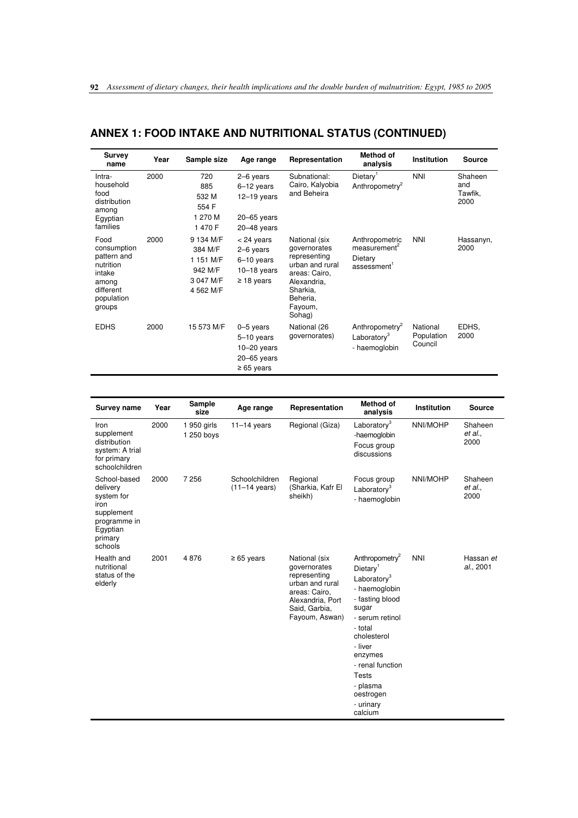| Survey<br>name                                                                                          | Year | Sample size                                                            | Age range                                                                        | Representation                                                                                                                                | Method of<br>analysis                                                            | <b>Institution</b>                | Source                            |
|---------------------------------------------------------------------------------------------------------|------|------------------------------------------------------------------------|----------------------------------------------------------------------------------|-----------------------------------------------------------------------------------------------------------------------------------------------|----------------------------------------------------------------------------------|-----------------------------------|-----------------------------------|
| Intra-<br>household<br>food<br>distribution<br>among<br>Egyptian<br>families                            | 2000 | 720<br>885<br>532 M<br>554 F<br>1 270 M<br>1470 F                      | 2–6 years<br>6-12 years<br>$12 - 19$ years<br>$20 - 65$ years<br>$20 - 48$ years | Subnational:<br>Cairo, Kalyobia<br>and Beheira                                                                                                | Dietary <sup>1</sup><br>Anthropometry <sup>2</sup>                               | <b>NNI</b>                        | Shaheen<br>and<br>Tawfik,<br>2000 |
| Food<br>consumption<br>pattern and<br>nutrition<br>intake<br>among<br>different<br>population<br>groups | 2000 | 9 134 M/F<br>384 M/F<br>1 151 M/F<br>942 M/F<br>3 047 M/F<br>4 562 M/F | $<$ 24 years<br>$2-6$ years<br>$6-10$ years<br>$10-18$ years<br>$\geq$ 18 years  | National (six<br>governorates<br>representing<br>urban and rural<br>areas: Cairo,<br>Alexandria,<br>Sharkia,<br>Beheria,<br>Fayoum,<br>Sohag) | Anthropometric<br>measurement <sup>2</sup><br>Dietary<br>assessment <sup>1</sup> | <b>NNI</b>                        | Hassanyn,<br>2000                 |
| <b>EDHS</b>                                                                                             | 2000 | 15 573 M/F                                                             | $0-5$ years<br>5–10 years<br>$10-20$ years<br>$20 - 65$ years<br>$\geq 65$ years | National (26<br>governorates)                                                                                                                 | Anthropometry <sup>2</sup><br>Laboratory <sup>3</sup><br>- haemoglobin           | National<br>Population<br>Council | EDHS,<br>2000                     |

# **ANNEX 1: FOOD INTAKE AND NUTRITIONAL STATUS (CONTINUED)**

| <b>Survey name</b>                                                                                             | Year | Sample<br>size            | Age range                                 | Representation                                                                                                                           | <b>Method of</b><br>analysis                                                                                                                                                                                                                                                       | Institution | <b>Source</b>              |
|----------------------------------------------------------------------------------------------------------------|------|---------------------------|-------------------------------------------|------------------------------------------------------------------------------------------------------------------------------------------|------------------------------------------------------------------------------------------------------------------------------------------------------------------------------------------------------------------------------------------------------------------------------------|-------------|----------------------------|
| Iron<br>supplement<br>distribution<br>system: A trial<br>for primary<br>schoolchildren                         | 2000 | 1 950 girls<br>1 250 boys | $11-14$ years                             | Regional (Giza)                                                                                                                          | Laboratory <sup>3</sup><br>-haemoglobin<br>Focus group<br>discussions                                                                                                                                                                                                              | NNI/MOHP    | Shaheen<br>et al.,<br>2000 |
| School-based<br>delivery<br>system for<br>iron<br>supplement<br>programme in<br>Egyptian<br>primary<br>schools | 2000 | 7 2 5 6                   | Schoolchildren<br>$(11-14 \text{ years})$ | Regional<br>(Sharkia, Kafr El<br>sheikh)                                                                                                 | Focus group<br>Laboratory <sup>3</sup><br>- haemoglobin                                                                                                                                                                                                                            | NNI/MOHP    | Shaheen<br>et al.,<br>2000 |
| Health and<br>nutritional<br>status of the<br>elderly                                                          | 2001 | 4876                      | $\geq 65$ years                           | National (six<br>governorates<br>representing<br>urban and rural<br>areas: Cairo,<br>Alexandria, Port<br>Said, Garbia,<br>Fayoum, Aswan) | Anthropometry <sup>2</sup><br>Dietarv <sup>1</sup><br>Laboratory <sup>3</sup><br>- haemoglobin<br>- fasting blood<br>sugar<br>- serum retinol<br>- total<br>cholesterol<br>- liver<br>enzymes<br>- renal function<br><b>Tests</b><br>- plasma<br>oestrogen<br>- urinary<br>calcium | <b>NNI</b>  | Hassan et<br>al., 2001     |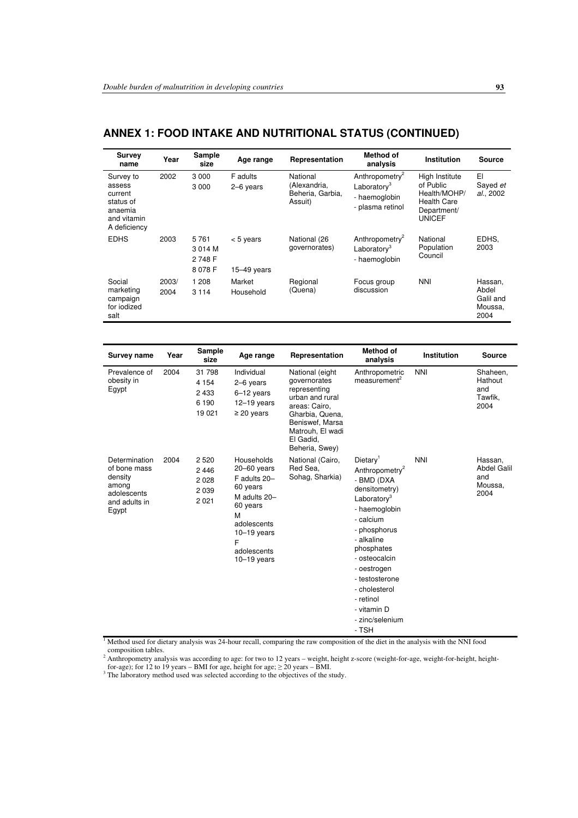| <b>Survey</b><br>name                                                                 | Year          | Sample<br>size                  | Age range                      | Representation                                          | <b>Method of</b><br>analysis                                                               | <b>Institution</b>                                                                                | <b>Source</b>                                    |
|---------------------------------------------------------------------------------------|---------------|---------------------------------|--------------------------------|---------------------------------------------------------|--------------------------------------------------------------------------------------------|---------------------------------------------------------------------------------------------------|--------------------------------------------------|
| Survey to<br>assess<br>current<br>status of<br>anaemia<br>and vitamin<br>A deficiency | 2002          | 3 0 0 0<br>3 0 0 0              | F adults<br>2-6 years          | National<br>(Alexandria,<br>Beheria, Garbia,<br>Assuit) | Anthropometry <sup>2</sup><br>Laboratory <sup>3</sup><br>- haemoglobin<br>- plasma retinol | High Institute<br>of Public<br>Health/MOHP/<br><b>Health Care</b><br>Department/<br><b>UNICEF</b> | EI<br>Sayed et<br>al., 2002                      |
| <b>EDHS</b>                                                                           | 2003          | 5761<br>3014M<br>2748F<br>8078F | $< 5$ years<br>$15 - 49$ years | National (26<br>qovernorates)                           | Anthropometry<br>Laboratory <sup>3</sup><br>- haemoglobin                                  | National<br>Population<br>Council                                                                 | EDHS.<br>2003                                    |
| Social<br>marketing<br>campaign<br>for iodized<br>salt                                | 2003/<br>2004 | 1 208<br>3 1 1 4                | Market<br>Household            | Regional<br>(Quena)                                     | Focus group<br>discussion                                                                  | <b>NNI</b>                                                                                        | Hassan,<br>Abdel<br>Galil and<br>Moussa,<br>2004 |

# **ANNEX 1: FOOD INTAKE AND NUTRITIONAL STATUS (CONTINUED)**

| <b>Survey name</b>                                                                         | Year | Sample<br>size                                  | Age range                                                                                                                                                       | Representation                                                                                                                                                               | <b>Method of</b><br>analysis                                                                                                                                                                                                                                                                                      | <b>Institution</b> | <b>Source</b>                                           |
|--------------------------------------------------------------------------------------------|------|-------------------------------------------------|-----------------------------------------------------------------------------------------------------------------------------------------------------------------|------------------------------------------------------------------------------------------------------------------------------------------------------------------------------|-------------------------------------------------------------------------------------------------------------------------------------------------------------------------------------------------------------------------------------------------------------------------------------------------------------------|--------------------|---------------------------------------------------------|
| Prevalence of<br>obesity in<br>Egypt                                                       | 2004 | 31 798<br>4 1 5 4<br>2433<br>6 1 9 0<br>19 0 21 | Individual<br>$2-6$ years<br>$6-12$ years<br>12-19 years<br>$\geq$ 20 years                                                                                     | National (eight<br>governorates<br>representing<br>urban and rural<br>areas: Cairo,<br>Gharbia, Quena,<br>Beniswef, Marsa<br>Matrouh, El wadi<br>El Gadid,<br>Beheria, Swey) | Anthropometric<br>measurement                                                                                                                                                                                                                                                                                     | <b>NNI</b>         | Shaheen,<br>Hathout<br>and<br>Tawfik,<br>2004           |
| Determination<br>of bone mass<br>density<br>among<br>adolescents<br>and adults in<br>Egypt | 2004 | 2 5 2 0<br>2446<br>2028<br>2039<br>2021         | Households<br>20-60 years<br>F adults 20-<br>60 years<br>M adults 20-<br>60 years<br>M<br>adolescents<br>$10 - 19$ years<br>F<br>adolescents<br>$10 - 19$ years | National (Cairo,<br>Red Sea,<br>Sohag, Sharkia)                                                                                                                              | Dietarv <sup>1</sup><br>Anthropometry <sup>2</sup><br>- BMD (DXA<br>densitometry)<br>Laboratory <sup>3</sup><br>- haemoglobin<br>- calcium<br>- phosphorus<br>- alkaline<br>phosphates<br>- osteocalcin<br>- oestrogen<br>- testosterone<br>- cholesterol<br>- retinol<br>- vitamin D<br>- zinc/selenium<br>- TSH | <b>NNI</b>         | Hassan,<br><b>Abdel Galil</b><br>and<br>Moussa,<br>2004 |

<sup>1</sup> Method used for dietary analysis was 24-hour recall, comparing the raw composition of the diet in the analysis with the NNI food

composition tables. <sup>2</sup> Anthropometry analysis was according to age: for two to 12 years – weight, height z-score (weight-for-age, weight-for-height, height-

for-age); for 12 to 19 years – BMI for age, height for age;  $\geq$  20 years – BMI.<br><sup>3</sup> The laboratory method used was selected according to the objectives of the study.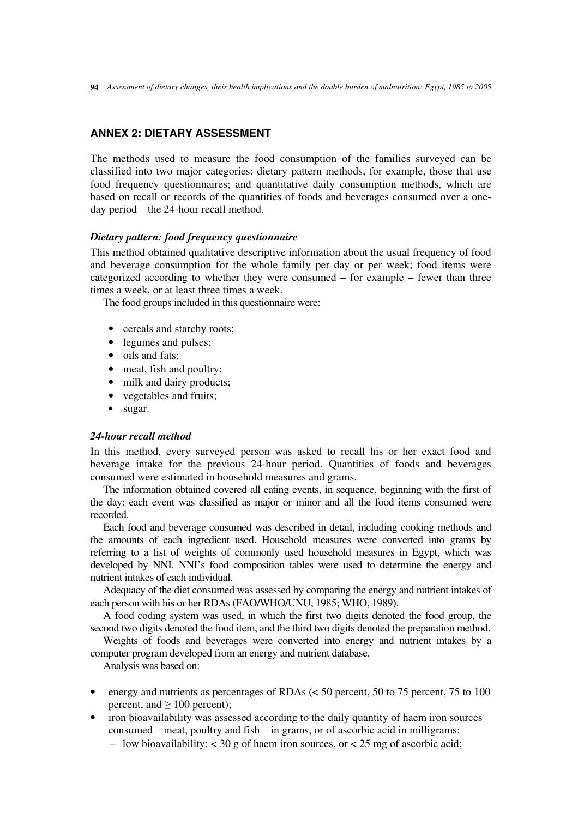## **ANNEX 2: DIETARY ASSESSMENT**

The methods used to measure the food consumption of the families surveyed can be classified into two major categories: dietary pattern methods, for example, those that use food frequency questionnaires; and quantitative daily consumption methods, which are based on recall or records of the quantities of foods and beverages consumed over a oneday period – the 24-hour recall method.

### *Dietary pattern: food frequency questionnaire*

This method obtained qualitative descriptive information about the usual frequency of food and beverage consumption for the whole family per day or per week; food items were categorized according to whether they were consumed – for example – fewer than three times a week, or at least three times a week.

The food groups included in this questionnaire were:

- cereals and starchy roots;
- legumes and pulses;
- oils and fats;
- meat, fish and poultry;
- milk and dairy products;
- vegetables and fruits;
- sugar.

### *24-hour recall method*

In this method, every surveyed person was asked to recall his or her exact food and beverage intake for the previous 24-hour period. Quantities of foods and beverages consumed were estimated in household measures and grams.

The information obtained covered all eating events, in sequence, beginning with the first of the day; each event was classified as major or minor and all the food items consumed were recorded.

Each food and beverage consumed was described in detail, including cooking methods and the amounts of each ingredient used. Household measures were converted into grams by referring to a list of weights of commonly used household measures in Egypt, which was developed by NNI. NNI's food composition tables were used to determine the energy and nutrient intakes of each individual.

Adequacy of the diet consumed was assessed by comparing the energy and nutrient intakes of each person with his or her RDAs (FAO/WHO/UNU, 1985; WHO, 1989).

A food coding system was used, in which the first two digits denoted the food group, the second two digits denoted the food item, and the third two digits denoted the preparation method.

Weights of foods and beverages were converted into energy and nutrient intakes by a computer program developed from an energy and nutrient database.

Analysis was based on:

- energy and nutrients as percentages of RDAs (< 50 percent, 50 to 75 percent, 75 to 100 percent, and  $\geq 100$  percent);
- iron bioavailability was assessed according to the daily quantity of haem iron sources consumed – meat, poultry and fish – in grams, or of ascorbic acid in milligrams:
	- − low bioavailability: < 30 g of haem iron sources, or < 25 mg of ascorbic acid;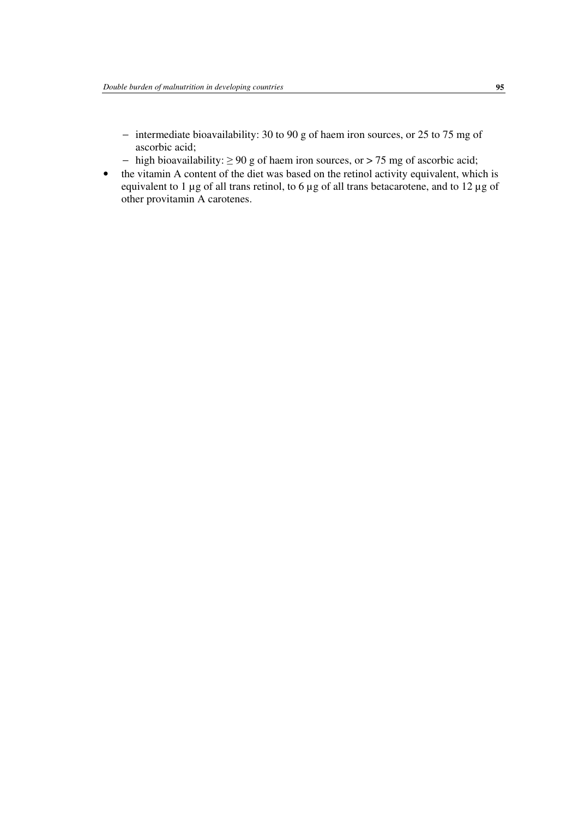- − intermediate bioavailability: 30 to 90 g of haem iron sources, or 25 to 75 mg of ascorbic acid;
- − high bioavailability: 90 g of haem iron sources, or > 75 mg of ascorbic acid;
- the vitamin A content of the diet was based on the retinol activity equivalent, which is equivalent to 1 µg of all trans retinol, to 6 µg of all trans betacarotene, and to 12 µg of other provitamin A carotenes.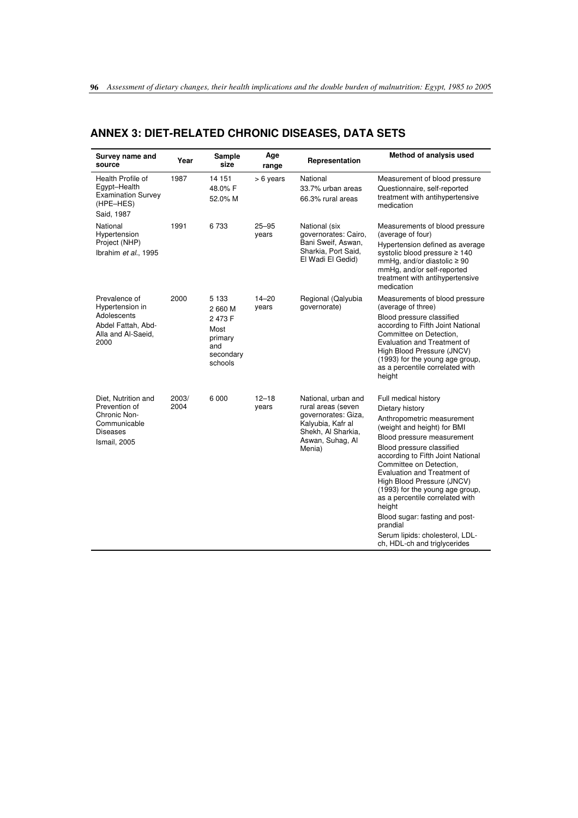| Survey name and<br>source                                                                               | Year          | Sample<br>size                                                              | Age<br>range       | Representation                                                                                                                            | Method of analysis used                                                                                                                                                                                                                                                                                                                                                                                                                                                                       |
|---------------------------------------------------------------------------------------------------------|---------------|-----------------------------------------------------------------------------|--------------------|-------------------------------------------------------------------------------------------------------------------------------------------|-----------------------------------------------------------------------------------------------------------------------------------------------------------------------------------------------------------------------------------------------------------------------------------------------------------------------------------------------------------------------------------------------------------------------------------------------------------------------------------------------|
| Health Profile of<br>Egypt-Health<br><b>Examination Survey</b><br>(HPE-HES)<br>Said, 1987               | 1987          | 14 151<br>48.0% F<br>52.0% M                                                | $> 6$ years        | National<br>33.7% urban areas<br>66.3% rural areas                                                                                        | Measurement of blood pressure<br>Questionnaire, self-reported<br>treatment with antihypertensive<br>medication                                                                                                                                                                                                                                                                                                                                                                                |
| National<br>Hypertension<br>Project (NHP)<br>Ibrahim et al., 1995                                       | 1991          | 6 733                                                                       | $25 - 95$<br>years | National (six<br>governorates: Cairo,<br>Bani Sweif, Aswan,<br>Sharkia, Port Said,<br>El Wadi El Gedid)                                   | Measurements of blood pressure<br>(average of four)<br>Hypertension defined as average<br>systolic blood pressure ≥ 140<br>mmHg, and/or diastolic $\geq 90$<br>mmHg, and/or self-reported<br>treatment with antihypertensive<br>medication                                                                                                                                                                                                                                                    |
| Prevalence of<br>Hypertension in<br>Adolescents<br>Abdel Fattah, Abd-<br>Alla and Al-Saeid,<br>2000     | 2000          | 5 1 3 3<br>2660M<br>2473F<br>Most<br>primary<br>and<br>secondary<br>schools | $14 - 20$<br>years | Regional (Qalyubia<br>governorate)                                                                                                        | Measurements of blood pressure<br>(average of three)<br>Blood pressure classified<br>according to Fifth Joint National<br>Committee on Detection,<br>Evaluation and Treatment of<br>High Blood Pressure (JNCV)<br>(1993) for the young age group,<br>as a percentile correlated with<br>height                                                                                                                                                                                                |
| Diet, Nutrition and<br>Prevention of<br>Chronic Non-<br>Communicable<br><b>Diseases</b><br>Ismail, 2005 | 2003/<br>2004 | 6 0 0 0                                                                     | $12 - 18$<br>years | National, urban and<br>rural areas (seven<br>governorates: Giza,<br>Kalyubia, Kafr al<br>Shekh, Al Sharkia,<br>Aswan, Suhag, Al<br>Menia) | Full medical history<br>Dietary history<br>Anthropometric measurement<br>(weight and height) for BMI<br>Blood pressure measurement<br>Blood pressure classified<br>according to Fifth Joint National<br>Committee on Detection,<br>Evaluation and Treatment of<br>High Blood Pressure (JNCV)<br>(1993) for the young age group,<br>as a percentile correlated with<br>height<br>Blood sugar: fasting and post-<br>prandial<br>Serum lipids: cholesterol, LDL-<br>ch, HDL-ch and triglycerides |

# **ANNEX 3: DIET-RELATED CHRONIC DISEASES, DATA SETS**